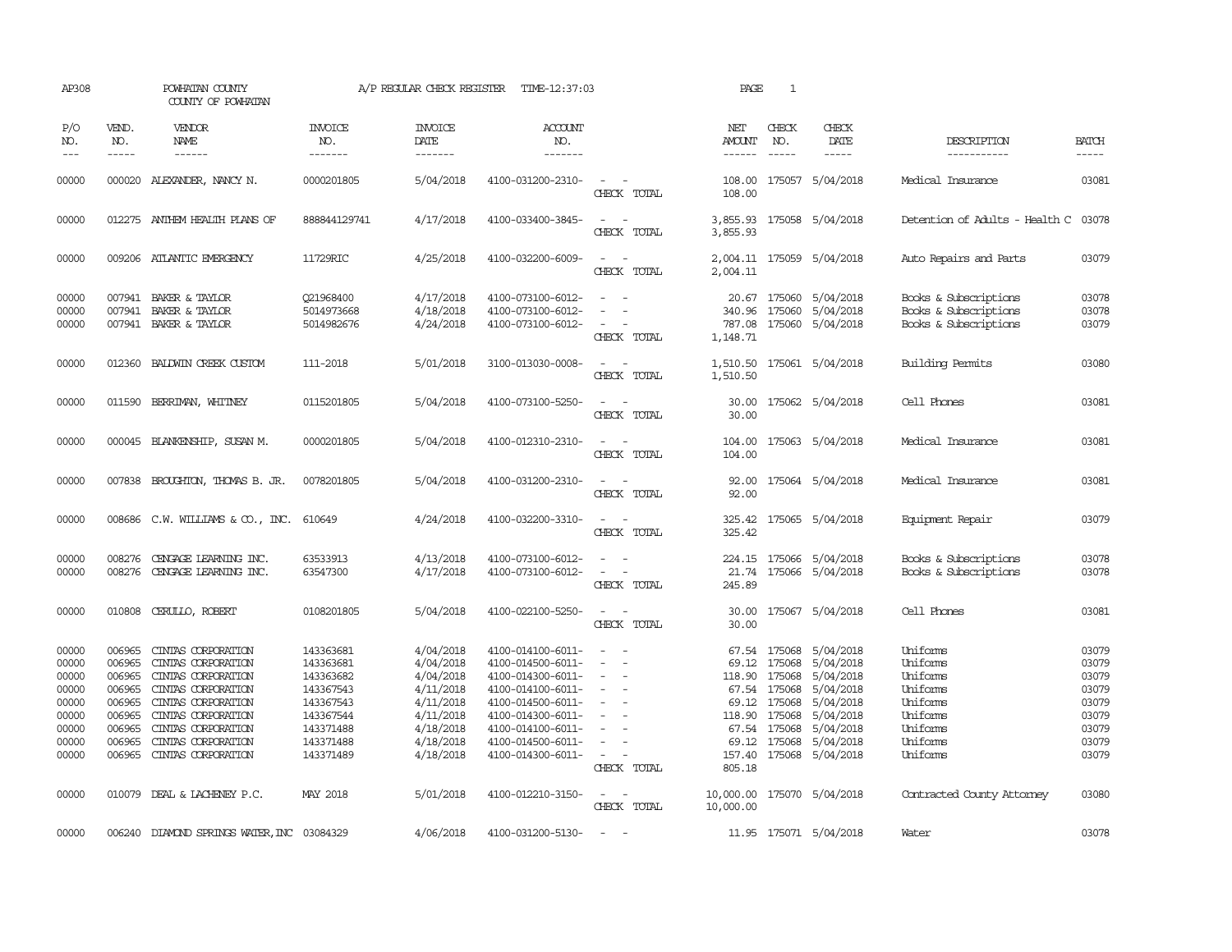| AP308                                                                         |                                                                              | POWHATAN COUNTY<br>COUNTY OF POWHATAN                                                                                                                                                                     |                                                                                                                   | A/P REGULAR CHECK REGISTER                                                                                        | TIME-12:37:03                                                                                                                                                                             |                                                                                                       | PAGE                                                | $\mathbf{1}$                                               |                                                                                                                                                           |                                                                                                          |                                                                               |
|-------------------------------------------------------------------------------|------------------------------------------------------------------------------|-----------------------------------------------------------------------------------------------------------------------------------------------------------------------------------------------------------|-------------------------------------------------------------------------------------------------------------------|-------------------------------------------------------------------------------------------------------------------|-------------------------------------------------------------------------------------------------------------------------------------------------------------------------------------------|-------------------------------------------------------------------------------------------------------|-----------------------------------------------------|------------------------------------------------------------|-----------------------------------------------------------------------------------------------------------------------------------------------------------|----------------------------------------------------------------------------------------------------------|-------------------------------------------------------------------------------|
| P/O<br>NO.<br>$---$                                                           | VEND.<br>NO.<br>-----                                                        | VENDOR<br>NAME<br>$- - - - - -$                                                                                                                                                                           | <b>INVOICE</b><br>NO.<br>-------                                                                                  | <b>INVOICE</b><br>DATE<br>-------                                                                                 | <b>ACCOUNT</b><br>NO.<br>-------                                                                                                                                                          |                                                                                                       | NET<br>AMOUNT<br>------                             | CHECK<br>NO.                                               | CHECK<br>DATE<br>$- - - - -$                                                                                                                              | DESCRIPTION<br>-----------                                                                               | <b>BATCH</b><br>-----                                                         |
| 00000                                                                         | 000020                                                                       | ALEXANDER, NANCY N.                                                                                                                                                                                       | 0000201805                                                                                                        | 5/04/2018                                                                                                         | 4100-031200-2310-                                                                                                                                                                         | $\sim$<br>CHECK TOTAL                                                                                 | 108.00<br>108.00                                    |                                                            | 175057 5/04/2018                                                                                                                                          | Medical Insurance                                                                                        | 03081                                                                         |
| 00000                                                                         |                                                                              | 012275 ANTHEM HEALTH PLANS OF                                                                                                                                                                             | 888844129741                                                                                                      | 4/17/2018                                                                                                         | 4100-033400-3845-                                                                                                                                                                         | $\sim$<br>$\sim$<br>CHECK TOTAL                                                                       | 3,855.93<br>3,855.93                                |                                                            | 175058 5/04/2018                                                                                                                                          | Detention of Adults - Health C                                                                           | 03078                                                                         |
| 00000                                                                         |                                                                              | 009206 ATLANTIC EMERGENCY                                                                                                                                                                                 | 11729RIC                                                                                                          | 4/25/2018                                                                                                         | 4100-032200-6009-                                                                                                                                                                         | $\sim$<br>CHECK TOTAL                                                                                 | 2,004.11                                            |                                                            | 2,004.11 175059 5/04/2018                                                                                                                                 | Auto Repairs and Parts                                                                                   | 03079                                                                         |
| 00000<br>00000<br>00000                                                       |                                                                              | 007941 BAKER & TAYLOR<br>007941 BAKER & TAYLOR<br>007941 BAKER & TAYLOR                                                                                                                                   | 021968400<br>5014973668<br>5014982676                                                                             | 4/17/2018<br>4/18/2018<br>4/24/2018                                                                               | 4100-073100-6012-<br>4100-073100-6012-<br>4100-073100-6012-                                                                                                                               | $\equiv$<br>$\equiv$<br>$\sim$<br>CHECK TOTAL                                                         | 340.96<br>787.08<br>1,148.71                        |                                                            | 20.67 175060 5/04/2018<br>175060 5/04/2018<br>175060 5/04/2018                                                                                            | Books & Subscriptions<br>Books & Subscriptions<br>Books & Subscriptions                                  | 03078<br>03078<br>03079                                                       |
| 00000                                                                         | 012360                                                                       | BALDWIN CREEK CUSTOM                                                                                                                                                                                      | 111-2018                                                                                                          | 5/01/2018                                                                                                         | 3100-013030-0008-                                                                                                                                                                         | $\overline{\phantom{a}}$<br>CHECK TOTAL                                                               | 1,510.50<br>1,510.50                                |                                                            | 175061 5/04/2018                                                                                                                                          | Building Permits                                                                                         | 03080                                                                         |
| 00000                                                                         | 011590                                                                       | BERRIMAN, WHITNEY                                                                                                                                                                                         | 0115201805                                                                                                        | 5/04/2018                                                                                                         | 4100-073100-5250-                                                                                                                                                                         | $\sim$<br>CHECK TOTAL                                                                                 | 30.00<br>30.00                                      |                                                            | 175062 5/04/2018                                                                                                                                          | Cell Phones                                                                                              | 03081                                                                         |
| 00000                                                                         |                                                                              | 000045 BLANKENSHIP, SUSAN M.                                                                                                                                                                              | 0000201805                                                                                                        | 5/04/2018                                                                                                         | 4100-012310-2310-                                                                                                                                                                         | $\sim$ 100 $\mu$<br>CHECK TOTAL                                                                       | 104.00<br>104.00                                    |                                                            | 175063 5/04/2018                                                                                                                                          | Medical Insurance                                                                                        | 03081                                                                         |
| 00000                                                                         |                                                                              | 007838 BROUGHTON, THOMAS B. JR.                                                                                                                                                                           | 0078201805                                                                                                        | 5/04/2018                                                                                                         | 4100-031200-2310-                                                                                                                                                                         | $\sim$<br>CHECK TOTAL                                                                                 | 92.00<br>92.00                                      |                                                            | 175064 5/04/2018                                                                                                                                          | Medical Insurance                                                                                        | 03081                                                                         |
| 00000                                                                         |                                                                              | 008686 C.W. WILLIAMS & CO., INC. 610649                                                                                                                                                                   |                                                                                                                   | 4/24/2018                                                                                                         | 4100-032200-3310-                                                                                                                                                                         | $\sim$ $\sim$<br>CHECK TOTAL                                                                          | 325.42                                              |                                                            | 325.42 175065 5/04/2018                                                                                                                                   | Equipment Repair                                                                                         | 03079                                                                         |
| 00000<br>00000                                                                | 008276                                                                       | CENGAGE LEARNING INC.<br>008276 CENGAGE LEARNING INC.                                                                                                                                                     | 63533913<br>63547300                                                                                              | 4/13/2018<br>4/17/2018                                                                                            | 4100-073100-6012-<br>4100-073100-6012-                                                                                                                                                    | $\equiv$<br>$\equiv$<br>CHECK TOTAL                                                                   | 245.89                                              |                                                            | 224.15 175066 5/04/2018<br>21.74 175066 5/04/2018                                                                                                         | Books & Subscriptions<br>Books & Subscriptions                                                           | 03078<br>03078                                                                |
| 00000                                                                         |                                                                              | 010808 CERULLO, ROBERT                                                                                                                                                                                    | 0108201805                                                                                                        | 5/04/2018                                                                                                         | 4100-022100-5250-                                                                                                                                                                         | $\sim$<br>CHECK TOTAL                                                                                 | 30.00<br>30.00                                      |                                                            | 175067 5/04/2018                                                                                                                                          | Cell Phones                                                                                              | 03081                                                                         |
| 00000<br>00000<br>00000<br>00000<br>00000<br>00000<br>00000<br>00000<br>00000 | 006965<br>006965<br>006965<br>006965<br>006965<br>006965<br>006965<br>006965 | CINIAS CORPORATION<br>CINIAS CORPORATION<br>CINIAS CORPORATION<br>CINIAS CORPORATION<br>CINIAS CORPORATION<br>CINIAS CORPORATION<br>CINIAS CORPORATION<br>CINIAS CORPORATION<br>006965 CINIAS CORPORATION | 143363681<br>143363681<br>143363682<br>143367543<br>143367543<br>143367544<br>143371488<br>143371488<br>143371489 | 4/04/2018<br>4/04/2018<br>4/04/2018<br>4/11/2018<br>4/11/2018<br>4/11/2018<br>4/18/2018<br>4/18/2018<br>4/18/2018 | 4100-014100-6011-<br>4100-014500-6011-<br>4100-014300-6011-<br>4100-014100-6011-<br>4100-014500-6011-<br>4100-014300-6011-<br>4100-014100-6011-<br>4100-014500-6011-<br>4100-014300-6011- | $\sim$<br>$\sim$<br>$\sim$<br>$\overline{\phantom{a}}$<br>$\equiv$<br>$\sim$<br>$\sim$<br>CHECK TOTAL | 118.90<br>69.12<br>118.90 175068<br>69.12<br>805.18 | 175068<br>67.54 175068<br>175068<br>67.54 175068<br>175068 | 67.54 175068 5/04/2018<br>69.12 175068 5/04/2018<br>5/04/2018<br>5/04/2018<br>5/04/2018<br>5/04/2018<br>5/04/2018<br>5/04/2018<br>157.40 175068 5/04/2018 | Uniforms<br>Uniforms<br>Uniforms<br>Uniforms<br>Uniforms<br>Uniforms<br>Uniforms<br>Uniforms<br>Uniforms | 03079<br>03079<br>03079<br>03079<br>03079<br>03079<br>03079<br>03079<br>03079 |
| 00000                                                                         |                                                                              | 010079 DEAL & LACHENEY P.C.                                                                                                                                                                               | MAY 2018                                                                                                          | 5/01/2018                                                                                                         | 4100-012210-3150-                                                                                                                                                                         | $\sim$ $ \sim$<br>CHECK TOTAL                                                                         | 10,000.00 175070 5/04/2018<br>10,000.00             |                                                            |                                                                                                                                                           | Contracted County Attomey                                                                                | 03080                                                                         |
| 00000                                                                         |                                                                              | 006240 DIAMOND SPRINGS WATER, INC                                                                                                                                                                         | 03084329                                                                                                          | 4/06/2018                                                                                                         | 4100-031200-5130-                                                                                                                                                                         | $\sim$                                                                                                |                                                     |                                                            | 11.95 175071 5/04/2018                                                                                                                                    | Water                                                                                                    | 03078                                                                         |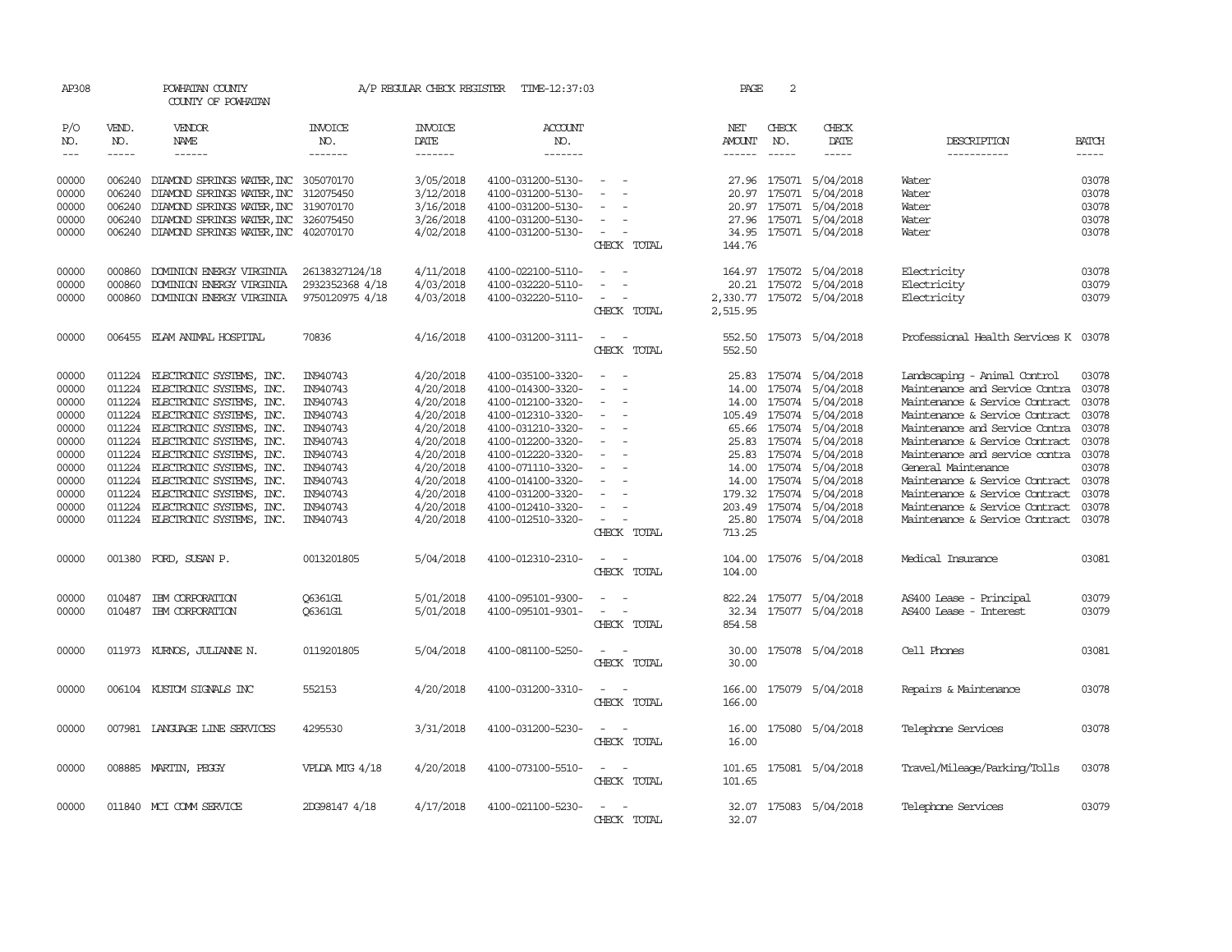| AP308      |               | POWHATAN COUNTY<br>COUNTY OF POWHATAN       |                 | A/P REGULAR CHECK REGISTER | TIME-12:37:03         |                                                      | PAGE                 | 2             |                           |                                      |              |
|------------|---------------|---------------------------------------------|-----------------|----------------------------|-----------------------|------------------------------------------------------|----------------------|---------------|---------------------------|--------------------------------------|--------------|
| P/O<br>NO. | VEND.<br>NO.  | VENDOR<br>NAME                              | INVOICE<br>NO.  | <b>INVOICE</b><br>DATE     | <b>ACCOUNT</b><br>NO. |                                                      | NET<br><b>AMOUNT</b> | CHECK<br>NO.  | CHECK<br>DATE             | DESCRIPTION                          | <b>BATCH</b> |
| $---$      | $\frac{1}{2}$ | $- - - - - -$                               | --------        | --------                   | $- - - - - - -$       |                                                      |                      | $\frac{1}{2}$ | $\frac{1}{2}$             | -----------                          | $- - - - -$  |
| 00000      |               | 006240 DIAMOND SPRINGS WATER, INC 305070170 |                 | 3/05/2018                  | 4100-031200-5130-     | $\sim$                                               |                      |               | 27.96 175071 5/04/2018    | Water                                | 03078        |
| 00000      |               | 006240 DIAMOND SPRINGS WATER, INC 312075450 |                 | 3/12/2018                  | 4100-031200-5130-     | $\overline{\phantom{a}}$                             |                      |               | 20.97 175071 5/04/2018    | Water                                | 03078        |
| 00000      | 006240        | DIAMOND SPRINGS WATER, INC 319070170        |                 | 3/16/2018                  | 4100-031200-5130-     | $\sim$                                               |                      |               | 20.97 175071 5/04/2018    | Water                                | 03078        |
| 00000      | 006240        | DIAMOND SPRINGS WATER, INC 326075450        |                 | 3/26/2018                  | 4100-031200-5130-     | $\sim$                                               |                      |               | 27.96 175071 5/04/2018    | Water                                | 03078        |
| 00000      |               | 006240 DIAMOND SPRINGS WATER, INC 402070170 |                 | 4/02/2018                  | 4100-031200-5130-     | $\sim$ $ -$                                          |                      |               | 34.95 175071 5/04/2018    | Water                                | 03078        |
|            |               |                                             |                 |                            |                       | CHECK TOTAL                                          | 144.76               |               |                           |                                      |              |
| 00000      | 000860        | DOMINION ENERGY VIRGINIA                    | 26138327124/18  | 4/11/2018                  | 4100-022100-5110-     |                                                      |                      |               | 164.97 175072 5/04/2018   | Electricity                          | 03078        |
| 00000      | 000860        | DOMINION ENERGY VIRGINIA                    | 2932352368 4/18 | 4/03/2018                  | 4100-032220-5110-     | $\equiv$<br>$\overline{\phantom{a}}$                 |                      |               | 20.21 175072 5/04/2018    | Electricity                          | 03079        |
| 00000      |               | 000860 DOMINION ENERGY VIRGINIA             | 9750120975 4/18 | 4/03/2018                  | 4100-032220-5110-     | $\sim$<br>$\sim$                                     |                      |               | 2,330.77 175072 5/04/2018 | Electricity                          | 03079        |
|            |               |                                             |                 |                            |                       | CHECK TOTAL                                          | 2,515.95             |               |                           |                                      |              |
| 00000      |               | 006455 ELAM ANIMAL HOSPITAL                 | 70836           | 4/16/2018                  | 4100-031200-3111-     | $\sim$ $\sim$                                        |                      |               | 552.50 175073 5/04/2018   | Professional Health Services K 03078 |              |
|            |               |                                             |                 |                            |                       | CHECK TOTAL                                          | 552.50               |               |                           |                                      |              |
| 00000      |               | 011224 ELECTRONIC SYSTEMS, INC.             | IN940743        | 4/20/2018                  | 4100-035100-3320-     | $\sim$<br>$\sim$                                     |                      |               | 25.83 175074 5/04/2018    | Landscaping - Animal Control         | 03078        |
| 00000      |               | 011224 ELECTRONIC SYSTEMS, INC.             | IN940743        | 4/20/2018                  | 4100-014300-3320-     | $\sim$<br>$\sim$                                     |                      |               | 14.00 175074 5/04/2018    | Maintenance and Service Contra 03078 |              |
| 00000      |               | 011224 ELECTRONIC SYSTEMS, INC.             | IN940743        | 4/20/2018                  | 4100-012100-3320-     | $\sim$                                               |                      |               | 14.00 175074 5/04/2018    | Maintenance & Service Contract       | 03078        |
| 00000      |               | 011224 ELECTRONIC SYSTEMS, INC.             | IN940743        | 4/20/2018                  | 4100-012310-3320-     | $\sim$<br>$\overline{\phantom{a}}$                   |                      |               | 105.49 175074 5/04/2018   | Maintenance & Service Contract       | 03078        |
| 00000      |               | 011224 ELECTRONIC SYSTEMS, INC.             | IN940743        | 4/20/2018                  | 4100-031210-3320-     | $\overline{\phantom{a}}$                             |                      |               | 65.66 175074 5/04/2018    | Maintenance and Service Contra       | 03078        |
| 00000      |               | 011224 ELECTRONIC SYSTEMS, INC.             | IN940743        | 4/20/2018                  | 4100-012200-3320-     | $\hspace{0.1mm}-\hspace{0.1mm}$                      |                      |               | 25.83 175074 5/04/2018    | Maintenance & Service Contract       | 03078        |
| 00000      |               | 011224 ELECTRONIC SYSTEMS, INC.             | IN940743        | 4/20/2018                  | 4100-012220-3320-     | $\overline{\phantom{a}}$<br>$\sim$                   |                      |               | 25.83 175074 5/04/2018    | Maintenance and service contra 03078 |              |
| 00000      |               | 011224 ELECTRONIC SYSTEMS, INC.             | IN940743        | 4/20/2018                  | 4100-071110-3320-     | $\sim$                                               |                      |               | 14.00 175074 5/04/2018    | General Maintenance                  | 03078        |
| 00000      |               | 011224 ELECTRONIC SYSTEMS, INC.             | IN940743        | 4/20/2018                  | 4100-014100-3320-     | $\sim$<br>$\overline{\phantom{a}}$                   |                      |               | 14.00 175074 5/04/2018    | Maintenance & Service Contract       | 03078        |
| 00000      |               | 011224 ELECTRONIC SYSTEMS, INC.             | IN940743        | 4/20/2018                  | 4100-031200-3320-     | $\equiv$                                             |                      |               | 179.32 175074 5/04/2018   | Maintenance & Service Contract       | 03078        |
| 00000      |               | 011224 ELECTRONIC SYSTEMS, INC.             | IN940743        | 4/20/2018                  | 4100-012410-3320-     | $\overline{\phantom{a}}$<br>$\overline{\phantom{a}}$ |                      |               | 203.49 175074 5/04/2018   | Maintenance & Service Contract       | 03078        |
| 00000      |               | 011224 ELECTRONIC SYSTEMS, INC.             | IN940743        | 4/20/2018                  | 4100-012510-3320-     | $\sim$                                               |                      |               | 25.80 175074 5/04/2018    | Maintenance & Service Contract       | 03078        |
|            |               |                                             |                 |                            |                       | CHECK TOTAL                                          | 713.25               |               |                           |                                      |              |
| 00000      |               | 001380 FORD, SUSAN P.                       | 0013201805      | 5/04/2018                  | 4100-012310-2310-     | $\sim$<br>$\sim$                                     | 104.00               |               | 175076 5/04/2018          | Medical Insurance                    | 03081        |
|            |               |                                             |                 |                            |                       | CHECK TOTAL                                          | 104.00               |               |                           |                                      |              |
| 00000      | 010487        | IBM CORPORATION                             | 06361G1         | 5/01/2018                  | 4100-095101-9300-     | $\sim$<br>$\overline{\phantom{a}}$                   |                      |               | 822.24 175077 5/04/2018   | AS400 Lease - Principal              | 03079        |
| 00000      |               | 010487 IBM CORPORATION                      | 06361G1         | 5/01/2018                  | 4100-095101-9301-     | $\sim$ $ -$                                          |                      |               | 32.34 175077 5/04/2018    | AS400 Lease - Interest               | 03079        |
|            |               |                                             |                 |                            |                       | CHECK TOTAL                                          | 854.58               |               |                           |                                      |              |
| 00000      |               | 011973 KURNOS, JULIANNE N.                  | 0119201805      | 5/04/2018                  | 4100-081100-5250-     | $\sim$ $\sim$                                        |                      |               | 30.00 175078 5/04/2018    | Cell Phones                          | 03081        |
|            |               |                                             |                 |                            |                       | CHECK TOTAL                                          | 30.00                |               |                           |                                      |              |
| 00000      |               | 006104 KUSTOM SIGNALS INC                   | 552153          | 4/20/2018                  | 4100-031200-3310-     | $\sim$ $  -$                                         |                      |               | 166.00 175079 5/04/2018   | Repairs & Maintenance                | 03078        |
|            |               |                                             |                 |                            |                       | CHECK TOTAL                                          | 166.00               |               |                           |                                      |              |
| 00000      |               | 007981 LANGLAGE LINE SERVICES               | 4295530         | 3/31/2018                  | 4100-031200-5230-     | $\sim$ 100 $\sim$                                    |                      |               | 16.00 175080 5/04/2018    | Telephone Services                   | 03078        |
|            |               |                                             |                 |                            |                       | CHECK TOTAL                                          | 16.00                |               |                           |                                      |              |
| 00000      |               | 008885 MARTIN, PEGGY                        | VPLDA MIG 4/18  | 4/20/2018                  | 4100-073100-5510-     | $\sim$ $-$                                           |                      |               | 101.65 175081 5/04/2018   | Travel/Mileage/Parking/Tolls         | 03078        |
|            |               |                                             |                 |                            |                       | CHECK TOTAL                                          | 101.65               |               |                           |                                      |              |
| 00000      |               | 011840 MCI COMM SERVICE                     | 2DG98147 4/18   | 4/17/2018                  | 4100-021100-5230-     | $\sim$<br>$\sim$                                     |                      |               | 32.07 175083 5/04/2018    | Telephone Services                   | 03079        |
|            |               |                                             |                 |                            |                       | CHECK TOTAL                                          | 32.07                |               |                           |                                      |              |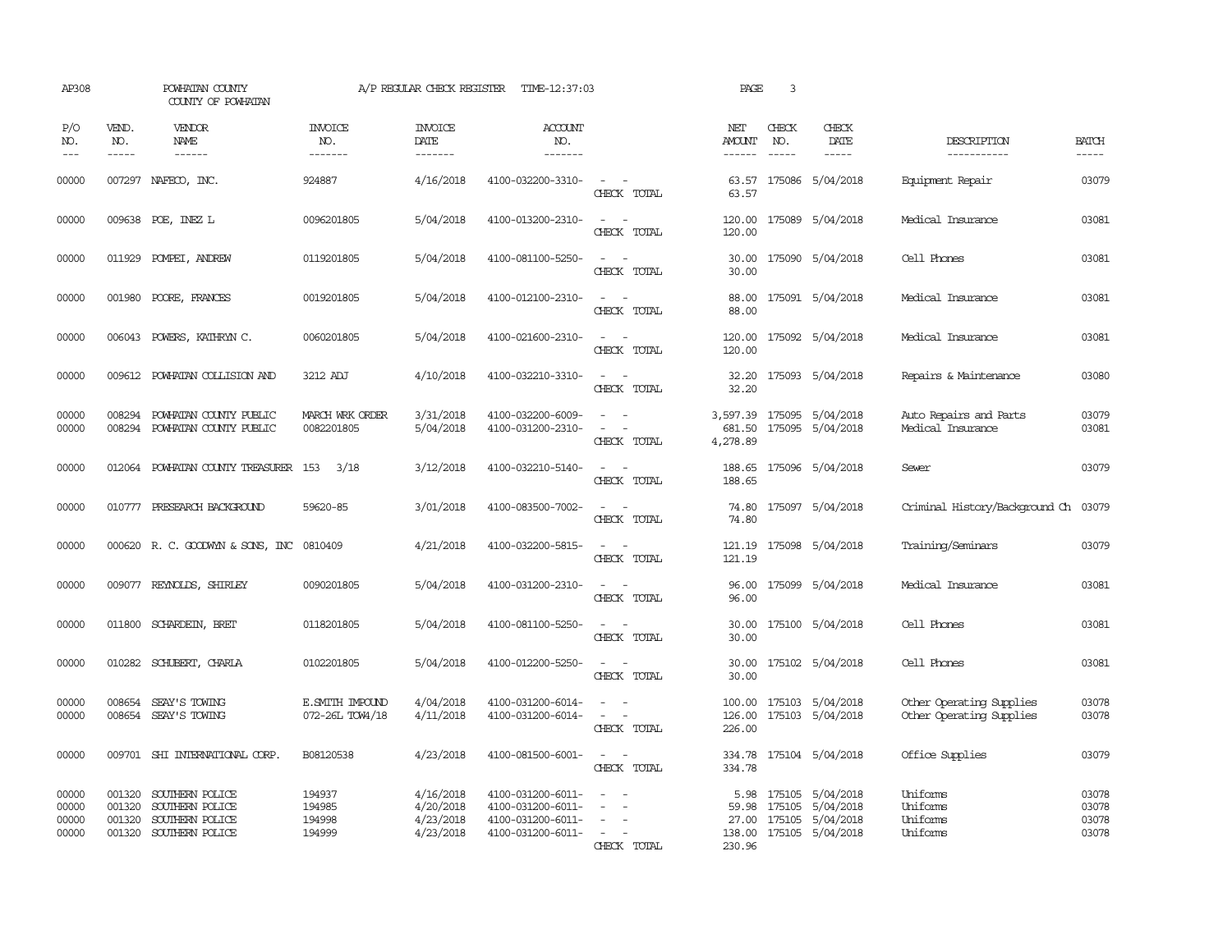| AP308                            |                             | POWHATAN COUNTY<br>COUNTY OF POWHATAN                                           |                                      | A/P REGULAR CHECK REGISTER                       | TIME-12:37:03                                                                    |                                                                                                                                          | PAGE                             | 3                             |                                                                       |                                                      |                                  |
|----------------------------------|-----------------------------|---------------------------------------------------------------------------------|--------------------------------------|--------------------------------------------------|----------------------------------------------------------------------------------|------------------------------------------------------------------------------------------------------------------------------------------|----------------------------------|-------------------------------|-----------------------------------------------------------------------|------------------------------------------------------|----------------------------------|
| P/O<br>NO.<br>$- - -$            | VEND.<br>NO.<br>$- - - - -$ | <b>VENDOR</b><br>NAME<br>$- - - - - -$                                          | <b>INVOICE</b><br>NO.<br>--------    | <b>INVOICE</b><br>DATE<br>$- - - - - - -$        | <b>ACCOUNT</b><br>NO.<br>-------                                                 |                                                                                                                                          | NET<br>AMOUNT<br>------          | CHECK<br>NO.<br>$\frac{1}{2}$ | CHECK<br>DATE<br>$- - - - -$                                          | DESCRIPTION<br>-----------                           | <b>BATCH</b><br>$- - - - -$      |
| 00000                            |                             | 007297 NAFECO, INC.                                                             | 924887                               | 4/16/2018                                        | 4100-032200-3310-                                                                | $\sim$ $ \sim$<br>CHECK TOTAL                                                                                                            | 63.57<br>63.57                   |                               | 175086 5/04/2018                                                      | Equipment Repair                                     | 03079                            |
| 00000                            |                             | 009638 POE, INEZ L                                                              | 0096201805                           | 5/04/2018                                        | 4100-013200-2310-                                                                | $\sim$<br>$\sim$<br>CHECK TOTAL                                                                                                          | 120.00<br>120.00                 |                               | 175089 5/04/2018                                                      | Medical Insurance                                    | 03081                            |
| 00000                            |                             | 011929 POMPEI, ANDREW                                                           | 0119201805                           | 5/04/2018                                        | 4100-081100-5250-                                                                | $ -$<br>CHECK TOTAL                                                                                                                      | 30.00<br>30.00                   |                               | 175090 5/04/2018                                                      | Cell Phones                                          | 03081                            |
| 00000                            |                             | 001980 POORE, FRANCES                                                           | 0019201805                           | 5/04/2018                                        | 4100-012100-2310-                                                                | $\frac{1}{2} \left( \frac{1}{2} \right) \left( \frac{1}{2} \right) = \frac{1}{2} \left( \frac{1}{2} \right)$<br>CHECK TOTAL              | 88.00                            |                               | 88.00 175091 5/04/2018                                                | Medical Insurance                                    | 03081                            |
| 00000                            | 006043                      | POWERS, KATHRYN C.                                                              | 0060201805                           | 5/04/2018                                        | 4100-021600-2310-                                                                | $\overline{\phantom{a}}$<br>$\sim$<br>CHECK TOTAL                                                                                        | 120.00<br>120.00                 |                               | 175092 5/04/2018                                                      | Medical Insurance                                    | 03081                            |
| 00000                            | 009612                      | POWHATAN COLLISION AND                                                          | 3212 ADJ                             | 4/10/2018                                        | 4100-032210-3310-                                                                | $\equiv$<br>CHECK TOTAL                                                                                                                  | 32.20<br>32.20                   |                               | 175093 5/04/2018                                                      | Repairs & Maintenance                                | 03080                            |
| 00000<br>00000                   | 008294<br>008294            | POWHATAN COUNTY PUBLIC<br>POWHATAN COUNTY PUBLIC                                | MARCH WRK ORDER<br>0082201805        | 3/31/2018<br>5/04/2018                           | 4100-032200-6009-<br>4100-031200-2310-                                           | $\sim$<br>CHECK TOTAL                                                                                                                    | 681.50<br>4,278.89               |                               | 3,597.39 175095 5/04/2018<br>175095 5/04/2018                         | Auto Repairs and Parts<br>Medical Insurance          | 03079<br>03081                   |
| 00000                            |                             | 012064 POWHATAN COUNTY TREASURER 153                                            | 3/18                                 | 3/12/2018                                        | 4100-032210-5140-                                                                | $\frac{1}{2} \left( \frac{1}{2} \right) \left( \frac{1}{2} \right) \left( \frac{1}{2} \right) \left( \frac{1}{2} \right)$<br>CHECK TOTAL | 188.65                           |                               | 188.65 175096 5/04/2018                                               | Sewer                                                | 03079                            |
| 00000                            |                             | 010777 PRESEARCH BACKGROUND                                                     | 59620-85                             | 3/01/2018                                        | 4100-083500-7002-                                                                | $\equiv$<br>$\sim$<br>CHECK TOTAL                                                                                                        | 74.80                            |                               | 74.80 175097 5/04/2018                                                | Criminal History/Background Ch 03079                 |                                  |
| 00000                            |                             | 000620 R. C. GOODWYN & SONS, INC 0810409                                        |                                      | 4/21/2018                                        | 4100-032200-5815-                                                                | $\sim$<br>CHECK TOTAL                                                                                                                    | 121.19                           |                               | 121.19 175098 5/04/2018                                               | Training/Seminars                                    | 03079                            |
| 00000                            |                             | 009077 REYNOLDS, SHIRLEY                                                        | 0090201805                           | 5/04/2018                                        | 4100-031200-2310-                                                                | $\frac{1}{2} \left( \frac{1}{2} \right) \left( \frac{1}{2} \right) = \frac{1}{2} \left( \frac{1}{2} \right)$<br>CHECK TOTAL              | 96.00<br>96.00                   |                               | 175099 5/04/2018                                                      | Medical Insurance                                    | 03081                            |
| 00000                            | 011800                      | SCHARDEIN, BRET                                                                 | 0118201805                           | 5/04/2018                                        | 4100-081100-5250-                                                                | $\overline{\phantom{a}}$<br>CHECK TOTAL                                                                                                  | 30.00<br>30.00                   |                               | 175100 5/04/2018                                                      | Cell Phones                                          | 03081                            |
| 00000                            |                             | 010282 SCHUBERT, CHARLA                                                         | 0102201805                           | 5/04/2018                                        | 4100-012200-5250-                                                                | $\equiv$<br>CHECK TOTAL                                                                                                                  | 30.00<br>30.00                   |                               | 175102 5/04/2018                                                      | Cell Phones                                          | 03081                            |
| 00000<br>00000                   | 008654                      | SEAY'S TOWING<br>008654 SEAY'S TOWING                                           | E.SMITH IMPOUND<br>072-26L TOW4/18   | 4/04/2018<br>4/11/2018                           | 4100-031200-6014-<br>4100-031200-6014-                                           | $\equiv$<br>CHECK TOTAL                                                                                                                  | 100.00<br>126.00<br>226.00       |                               | 175103 5/04/2018<br>175103 5/04/2018                                  | Other Operating Supplies<br>Other Operating Supplies | 03078<br>03078                   |
| 00000                            |                             | 009701 SHI INTERNATIONAL CORP.                                                  | B08120538                            | 4/23/2018                                        | 4100-081500-6001-                                                                | $\frac{1}{2} \left( \frac{1}{2} \right) \left( \frac{1}{2} \right) \left( \frac{1}{2} \right) \left( \frac{1}{2} \right)$<br>CHECK TOTAL | 334.78                           |                               | 334.78 175104 5/04/2018                                               | Office Supplies                                      | 03079                            |
| 00000<br>00000<br>00000<br>00000 | 001320<br>001320<br>001320  | SOUTHERN POLICE<br>SOUTHERN POLICE<br>SOUTHERN POLICE<br>001320 SOUTHERN POLICE | 194937<br>194985<br>194998<br>194999 | 4/16/2018<br>4/20/2018<br>4/23/2018<br>4/23/2018 | 4100-031200-6011-<br>4100-031200-6011-<br>4100-031200-6011-<br>4100-031200-6011- | $\overline{\phantom{a}}$<br>$\sim$<br>$\sim$<br>CHECK TOTAL                                                                              | 5.98<br>59.98<br>27.00<br>230.96 | 175105<br>175105              | 175105 5/04/2018<br>5/04/2018<br>5/04/2018<br>138.00 175105 5/04/2018 | Uniforms<br>Uniforms<br>Uniforms<br>Uniforms         | 03078<br>03078<br>03078<br>03078 |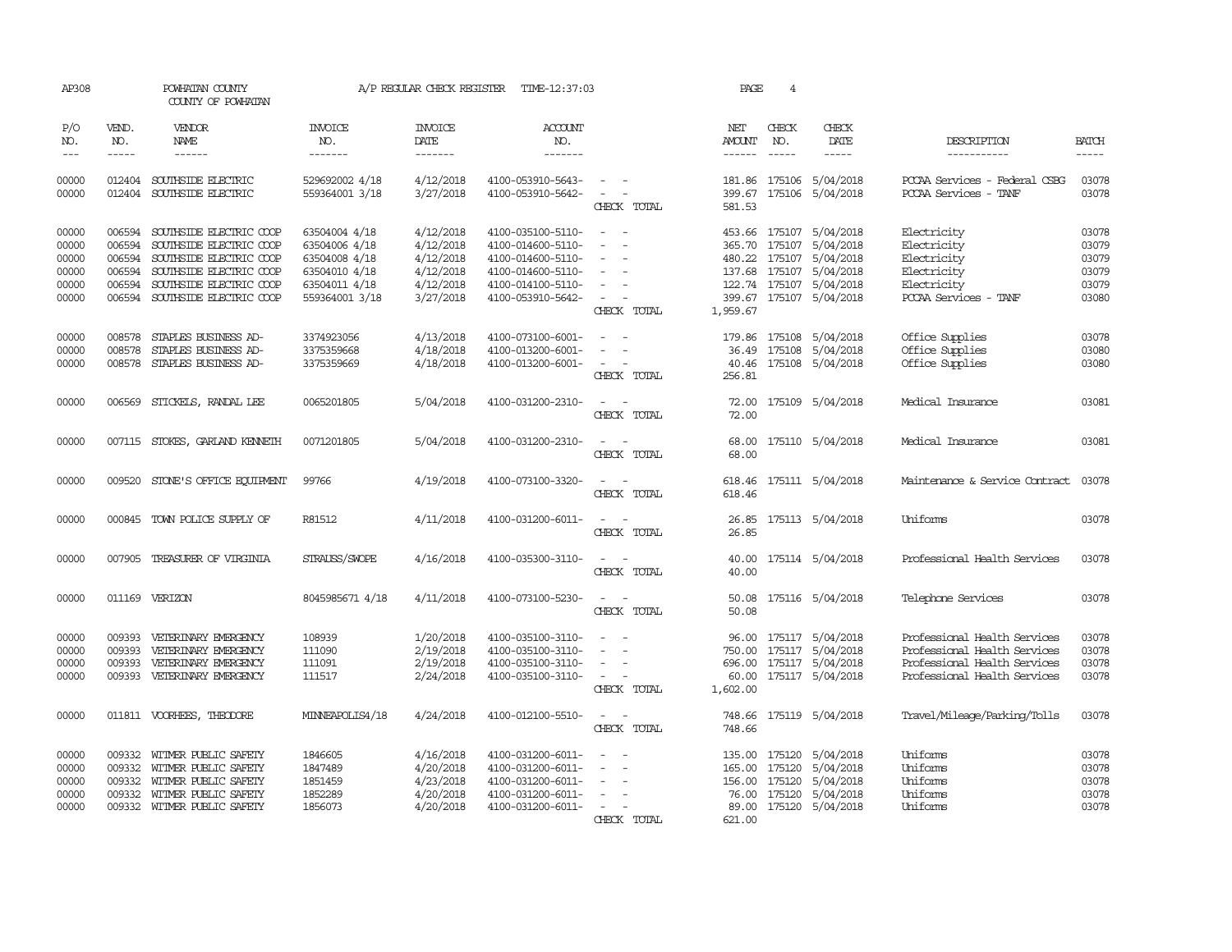| AP308                                              |                                      | POWHATAN COUNTY<br>COUNTY OF POWHATAN                                                                                                                                        |                                                                                                     | A/P REGULAR CHECK REGISTER                                                 | TIME-12:37:03                                                                                                              |                                                                                                                     | PAGE                                | 4                                           |                                                                                                                                    |                                                                                                                              |                                                    |
|----------------------------------------------------|--------------------------------------|------------------------------------------------------------------------------------------------------------------------------------------------------------------------------|-----------------------------------------------------------------------------------------------------|----------------------------------------------------------------------------|----------------------------------------------------------------------------------------------------------------------------|---------------------------------------------------------------------------------------------------------------------|-------------------------------------|---------------------------------------------|------------------------------------------------------------------------------------------------------------------------------------|------------------------------------------------------------------------------------------------------------------------------|----------------------------------------------------|
| P/O<br>NO.<br>$---$                                | VEND.<br>NO.<br>$- - - - -$          | <b>VENDOR</b><br>NAME<br>$- - - - - -$                                                                                                                                       | <b>INVOICE</b><br>NO.<br>-------                                                                    | <b>INVOICE</b><br><b>DATE</b><br>-------                                   | <b>ACCOUNT</b><br>NO.<br>-------                                                                                           |                                                                                                                     | NET<br><b>AMOUNT</b><br>------      | CHECK<br>NO.<br>$\frac{1}{2}$               | CHECK<br>DATE<br>-----                                                                                                             | DESCRIPTION<br>-----------                                                                                                   | <b>BATCH</b><br>$\frac{1}{2}$                      |
|                                                    |                                      |                                                                                                                                                                              |                                                                                                     |                                                                            |                                                                                                                            |                                                                                                                     |                                     |                                             |                                                                                                                                    |                                                                                                                              |                                                    |
| 00000<br>00000                                     | 012404                               | SOUTHSIDE ELECTRIC<br>012404 SOUTHSIDE ELECTRIC                                                                                                                              | 529692002 4/18<br>559364001 3/18                                                                    | 4/12/2018<br>3/27/2018                                                     | 4100-053910-5643-<br>4100-053910-5642-                                                                                     | $\overline{\phantom{a}}$<br>CHECK TOTAL                                                                             | 581.53                              | 181.86 175106                               | 5/04/2018<br>399.67 175106 5/04/2018                                                                                               | PCCAA Services - Federal CSBG<br>PCCAA Services - TANF                                                                       | 03078<br>03078                                     |
| 00000<br>00000<br>00000<br>00000<br>00000<br>00000 | 006594<br>006594<br>006594<br>006594 | SOUTHSIDE ELECTRIC COOP<br>SOUTHSIDE ELECTRIC COOP<br>006594 SOUTHSIDE ELECTRIC COOP<br>SOUTHSIDE ELECTRIC COOP<br>SOUTHSIDE ELECTRIC COOP<br>006594 SOUTHSIDE ELECTRIC COOP | 63504004 4/18<br>63504006 4/18<br>63504008 4/18<br>63504010 4/18<br>63504011 4/18<br>559364001 3/18 | 4/12/2018<br>4/12/2018<br>4/12/2018<br>4/12/2018<br>4/12/2018<br>3/27/2018 | 4100-035100-5110-<br>4100-014600-5110-<br>4100-014600-5110-<br>4100-014600-5110-<br>4100-014100-5110-<br>4100-053910-5642- | $\sim$<br>$\overline{\phantom{a}}$<br>$\sim$<br>$\overline{\phantom{a}}$<br>$\overline{\phantom{a}}$<br>CHECK TOTAL | 365.70<br>1,959.67                  | 175107<br>480.22 175107                     | 453.66 175107 5/04/2018<br>5/04/2018<br>5/04/2018<br>137.68 175107 5/04/2018<br>122.74 175107 5/04/2018<br>399.67 175107 5/04/2018 | Electricity<br>Electricity<br>Electricity<br>Electricity<br>Electricity<br>PCCAA Services - TANF                             | 03078<br>03079<br>03079<br>03079<br>03079<br>03080 |
| 00000<br>00000<br>00000                            | 008578                               | 008578 STAPLES BUSINESS AD-<br>STAPLES BUSINESS AD-<br>008578 STAPLES BUSINESS AD-                                                                                           | 3374923056<br>3375359668<br>3375359669                                                              | 4/13/2018<br>4/18/2018<br>4/18/2018                                        | 4100-073100-6001-<br>4100-013200-6001-<br>4100-013200-6001-                                                                | $\overline{\phantom{a}}$<br>$\sim$<br>$\sim$<br>CHECK TOTAL                                                         | 36.49<br>256.81                     | 175108                                      | 179.86 175108 5/04/2018<br>5/04/2018<br>40.46 175108 5/04/2018                                                                     | Office Supplies<br>Office Supplies<br>Office Supplies                                                                        | 03078<br>03080<br>03080                            |
| 00000                                              |                                      | 006569 STICKELS, RANDAL LEE                                                                                                                                                  | 0065201805                                                                                          | 5/04/2018                                                                  | 4100-031200-2310-                                                                                                          | CHECK TOTAL                                                                                                         | 72.00                               |                                             | 72.00 175109 5/04/2018                                                                                                             | Medical Insurance                                                                                                            | 03081                                              |
| 00000                                              |                                      | 007115 STOKES, GARLAND KENNETH                                                                                                                                               | 0071201805                                                                                          | 5/04/2018                                                                  | 4100-031200-2310-                                                                                                          | CHECK TOTAL                                                                                                         | 68.00                               |                                             | 68.00 175110 5/04/2018                                                                                                             | Medical Insurance                                                                                                            | 03081                                              |
| 00000                                              | 009520                               | STONE'S OFFICE EQUIPMENT                                                                                                                                                     | 99766                                                                                               | 4/19/2018                                                                  | 4100-073100-3320-                                                                                                          | CHECK TOTAL                                                                                                         | 618.46                              |                                             | 618.46 175111 5/04/2018                                                                                                            | Maintenance & Service Contract                                                                                               | 03078                                              |
| 00000                                              |                                      | 000845 TOWN POLICE SUPPLY OF                                                                                                                                                 | R81512                                                                                              | 4/11/2018                                                                  | 4100-031200-6011-                                                                                                          | CHECK TOTAL                                                                                                         | 26.85                               |                                             | 26.85 175113 5/04/2018                                                                                                             | Uniforms                                                                                                                     | 03078                                              |
| 00000                                              |                                      | 007905 TREASURER OF VIRGINIA                                                                                                                                                 | STRAUSS/SWOPE                                                                                       | 4/16/2018                                                                  | 4100-035300-3110-                                                                                                          | CHECK TOTAL                                                                                                         | 40.00                               |                                             | 40.00 175114 5/04/2018                                                                                                             | Professional Health Services                                                                                                 | 03078                                              |
| 00000                                              |                                      | 011169 VERIZON                                                                                                                                                               | 8045985671 4/18                                                                                     | 4/11/2018                                                                  | 4100-073100-5230-                                                                                                          | $\overline{\phantom{a}}$<br>CHECK TOTAL                                                                             | 50.08                               |                                             | 50.08 175116 5/04/2018                                                                                                             | Telephone Services                                                                                                           | 03078                                              |
| 00000<br>00000<br>00000<br>00000                   | 009393<br>009393<br>009393<br>009393 | VETERINARY EMERGENCY<br>VETERINARY EMERGENCY<br>VETERINARY EMERGENCY<br>VETERINARY EMERGENCY                                                                                 | 108939<br>111090<br>111091<br>111517                                                                | 1/20/2018<br>2/19/2018<br>2/19/2018<br>2/24/2018                           | 4100-035100-3110-<br>4100-035100-3110-<br>4100-035100-3110-<br>4100-035100-3110-                                           | $\overline{\phantom{a}}$<br>$\sim$<br>$\sim$<br>CHECK TOTAL                                                         | 96.00<br>60.00<br>1,602.00          | 175117                                      | 5/04/2018<br>750.00 175117 5/04/2018<br>696.00 175117 5/04/2018<br>175117 5/04/2018                                                | Professional Health Services<br>Professional Health Services<br>Professional Health Services<br>Professional Health Services | 03078<br>03078<br>03078<br>03078                   |
| 00000                                              |                                      | 011811 VOORHEES, THEODORE                                                                                                                                                    | MINNEAPOLIS4/18                                                                                     | 4/24/2018                                                                  | 4100-012100-5510-                                                                                                          | CHECK TOTAL                                                                                                         | 748.66<br>748.66                    |                                             | 175119 5/04/2018                                                                                                                   | Travel/Mileage/Parking/Tolls                                                                                                 | 03078                                              |
| 00000<br>00000<br>00000<br>00000<br>00000          | 009332<br>009332<br>009332           | 009332 WITMER PUBLIC SAFETY<br>WITMER PUBLIC SAFETY<br>WITMER PUBLIC SAFETY<br>WITMER PUBLIC SAFETY<br>009332 WITMER PUBLIC SAFETY                                           | 1846605<br>1847489<br>1851459<br>1852289<br>1856073                                                 | 4/16/2018<br>4/20/2018<br>4/23/2018<br>4/20/2018<br>4/20/2018              | 4100-031200-6011-<br>4100-031200-6011-<br>4100-031200-6011-<br>4100-031200-6011-<br>4100-031200-6011-                      | $\overline{\phantom{a}}$<br>$\overline{\phantom{a}}$<br>$\overline{\phantom{a}}$<br>CHECK TOTAL                     | 135.00<br>165.00<br>76.00<br>621.00 | 175120<br>175120<br>156.00 175120<br>175120 | 5/04/2018<br>5/04/2018<br>5/04/2018<br>5/04/2018<br>89.00 175120 5/04/2018                                                         | Uniforms<br>Uniforms<br>Uniforms<br>Uniforms<br>Uniforms                                                                     | 03078<br>03078<br>03078<br>03078<br>03078          |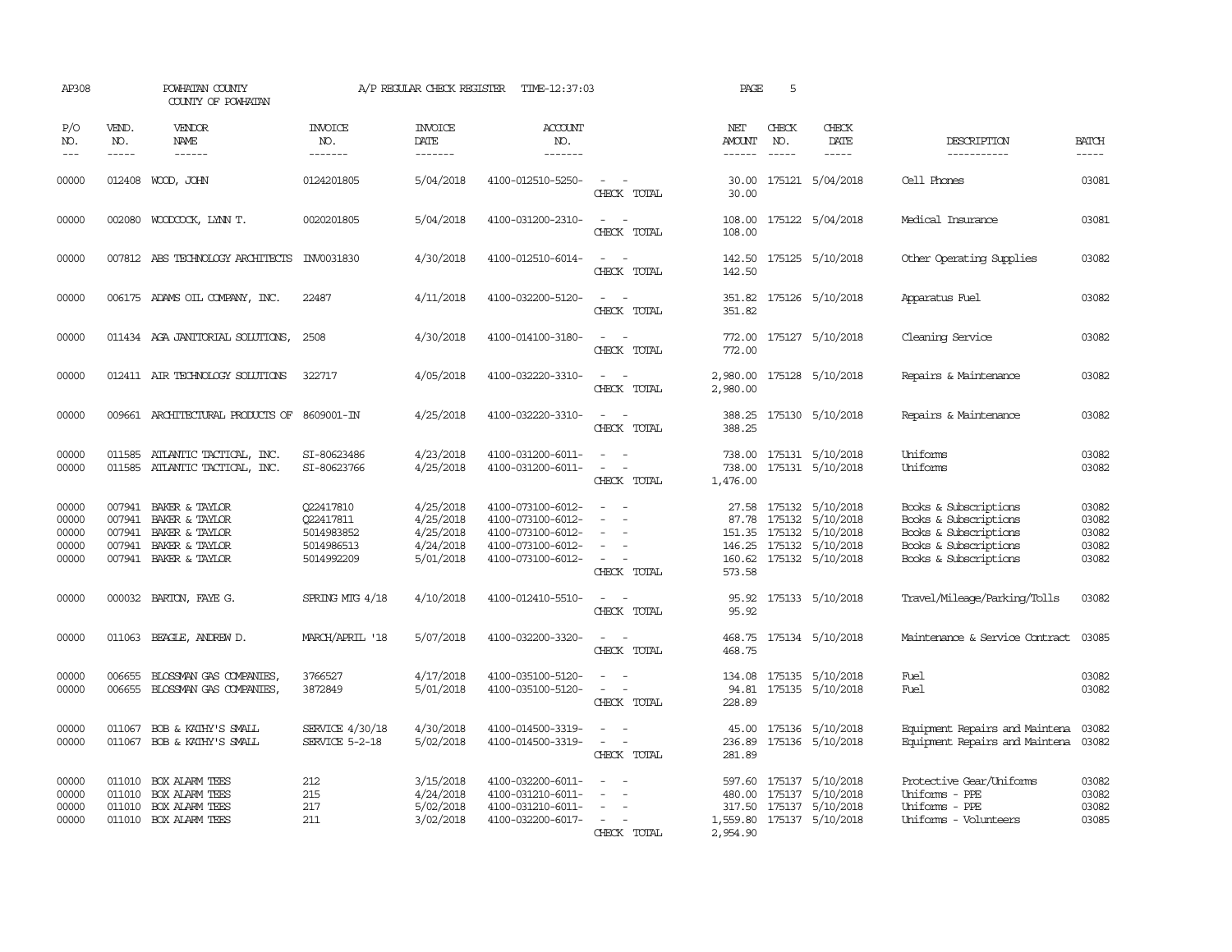| AP308                                     |                             | POWHATAN COUNTY<br>COUNTY OF POWHATAN                                                                       |                                                                  | A/P REGULAR CHECK REGISTER                                    | TIME-12:37:03                                                                                         |                                                                     | PAGE                                  | 5                           |                                                                                                                      |                                                                                                                           |                                           |
|-------------------------------------------|-----------------------------|-------------------------------------------------------------------------------------------------------------|------------------------------------------------------------------|---------------------------------------------------------------|-------------------------------------------------------------------------------------------------------|---------------------------------------------------------------------|---------------------------------------|-----------------------------|----------------------------------------------------------------------------------------------------------------------|---------------------------------------------------------------------------------------------------------------------------|-------------------------------------------|
| P/O<br>NO.<br>$---$                       | VEND.<br>NO.<br>$- - - - -$ | VENDOR<br>NAME<br>$- - - - - -$                                                                             | <b>INVOICE</b><br>NO.<br>-------                                 | <b>INVOICE</b><br>DATE<br>-------                             | <b>ACCOUNT</b><br>NO.<br>-------                                                                      |                                                                     | NET<br><b>AMOUNT</b><br>$- - - - - -$ | CHECK<br>NO.<br>$- - - - -$ | CHECK<br>DATE<br>$- - - - -$                                                                                         | DESCRIPTION<br>-----------                                                                                                | <b>BATCH</b><br>-----                     |
| 00000                                     |                             | 012408 WOOD, JOHN                                                                                           | 0124201805                                                       | 5/04/2018                                                     | 4100-012510-5250-                                                                                     | $\overline{\phantom{a}}$<br>CHECK TOTAL                             | 30.00<br>30.00                        |                             | 175121 5/04/2018                                                                                                     | Cell Phones                                                                                                               | 03081                                     |
| 00000                                     |                             | 002080 WOODCOCK, LYNN T.                                                                                    | 0020201805                                                       | 5/04/2018                                                     | 4100-031200-2310-                                                                                     | CHECK TOTAL                                                         | 108.00                                |                             | 108.00 175122 5/04/2018                                                                                              | Medical Insurance                                                                                                         | 03081                                     |
| 00000                                     |                             | 007812 ABS TECHNOLOGY ARCHITECTS                                                                            | INV0031830                                                       | 4/30/2018                                                     | 4100-012510-6014-                                                                                     | $\sim$<br>$\sim$<br>CHECK TOTAL                                     | 142.50<br>142.50                      |                             | 175125 5/10/2018                                                                                                     | Other Operating Supplies                                                                                                  | 03082                                     |
| 00000                                     |                             | 006175 ADAMS OIL COMPANY, INC.                                                                              | 22487                                                            | 4/11/2018                                                     | 4100-032200-5120-                                                                                     | $\sim$<br>$\sim$ $-$<br>CHECK TOTAL                                 | 351.82                                |                             | 351.82 175126 5/10/2018                                                                                              | Apparatus Fuel                                                                                                            | 03082                                     |
| 00000                                     |                             | 011434 AGA JANITORIAL SOLUTIONS,                                                                            | 2508                                                             | 4/30/2018                                                     | 4100-014100-3180-                                                                                     | $ -$<br>CHECK TOTAL                                                 | 772.00                                |                             | 772.00 175127 5/10/2018                                                                                              | Cleaning Service                                                                                                          | 03082                                     |
| 00000                                     |                             | 012411 AIR TECHNOLOGY SOLUTIONS                                                                             | 322717                                                           | 4/05/2018                                                     | 4100-032220-3310-                                                                                     | $\overline{\phantom{a}}$<br>CHECK TOTAL                             | 2,980.00<br>2,980.00                  |                             | 175128 5/10/2018                                                                                                     | Repairs & Maintenance                                                                                                     | 03082                                     |
| 00000                                     |                             | 009661 ARCHITECTURAL PRODUCTS OF 8609001-IN                                                                 |                                                                  | 4/25/2018                                                     | 4100-032220-3310-                                                                                     | CHECK TOTAL                                                         | 388.25<br>388.25                      |                             | 175130 5/10/2018                                                                                                     | Repairs & Maintenance                                                                                                     | 03082                                     |
| 00000<br>00000                            | 011585<br>011585            | ATLANTIC TACTICAL, INC.<br>ATLANTIC TACTICAL, INC.                                                          | SI-80623486<br>SI-80623766                                       | 4/23/2018<br>4/25/2018                                        | 4100-031200-6011-<br>4100-031200-6011-                                                                | $\overline{\phantom{a}}$<br>$\overline{\phantom{a}}$<br>CHECK TOTAL | 738.00<br>738.00<br>1,476.00          |                             | 175131 5/10/2018<br>175131 5/10/2018                                                                                 | Uniforms<br>Uniforms                                                                                                      | 03082<br>03082                            |
| 00000<br>00000<br>00000<br>00000<br>00000 | 007941<br>007941            | 007941 BAKER & TAYLOR<br>007941 BAKER & TAYLOR<br>BAKER & TAYLOR<br>BAKER & TAYLOR<br>007941 BAKER & TAYLOR | Q22417810<br>Q22417811<br>5014983852<br>5014986513<br>5014992209 | 4/25/2018<br>4/25/2018<br>4/25/2018<br>4/24/2018<br>5/01/2018 | 4100-073100-6012-<br>4100-073100-6012-<br>4100-073100-6012-<br>4100-073100-6012-<br>4100-073100-6012- | $\overline{\phantom{a}}$<br>$\sim$<br>CHECK TOTAL                   | 87.78<br>160.62<br>573.58             |                             | 27.58 175132 5/10/2018<br>175132 5/10/2018<br>151.35 175132 5/10/2018<br>146.25 175132 5/10/2018<br>175132 5/10/2018 | Books & Subscriptions<br>Books & Subscriptions<br>Books & Subscriptions<br>Books & Subscriptions<br>Books & Subscriptions | 03082<br>03082<br>03082<br>03082<br>03082 |
| 00000                                     |                             | 000032 BARTON, FAYE G.                                                                                      | SPRING MIG 4/18                                                  | 4/10/2018                                                     | 4100-012410-5510-                                                                                     | $\sim$<br>CHECK TOTAL                                               | 95.92<br>95.92                        |                             | 175133 5/10/2018                                                                                                     | Travel/Mileage/Parking/Tolls                                                                                              | 03082                                     |
| 00000                                     |                             | 011063 BEAGLE, ANDREW D.                                                                                    | MARCH/APRIL '18                                                  | 5/07/2018                                                     | 4100-032200-3320-                                                                                     | CHECK TOTAL                                                         | 468.75                                |                             | 468.75 175134 5/10/2018                                                                                              | Maintenance & Service Contract                                                                                            | 03085                                     |
| 00000<br>00000                            | 006655<br>006655            | BLOSSMAN GAS COMPANIES<br>BLOSSMAN GAS COMPANIES,                                                           | 3766527<br>3872849                                               | 4/17/2018<br>5/01/2018                                        | 4100-035100-5120-<br>4100-035100-5120-                                                                | $\equiv$<br>$\overline{\phantom{a}}$<br>CHECK TOTAL                 | 134.08<br>94.81<br>228.89             |                             | 175135 5/10/2018<br>175135 5/10/2018                                                                                 | Fuel<br>Fuel                                                                                                              | 03082<br>03082                            |
| 00000<br>00000                            | 011067                      | BOB & KATHY'S SMALL<br>011067 BOB & KATHY'S SMALL                                                           | SERVICE 4/30/18<br>SERVICE 5-2-18                                | 4/30/2018<br>5/02/2018                                        | 4100-014500-3319-<br>4100-014500-3319-                                                                | CHECK TOTAL                                                         | 45.00<br>236.89<br>281.89             |                             | 175136 5/10/2018<br>175136 5/10/2018                                                                                 | Equipment Repairs and Maintena<br>Equipment Repairs and Maintena 03082                                                    | 03082                                     |
| 00000<br>00000<br>00000<br>00000          | 011010<br>011010<br>011010  | <b>BOX ALARM TEES</b><br><b>BOX ALARM TEES</b><br>BOX ALARM TEES<br>011010 BOX ALARM TEES                   | 212<br>215<br>217<br>211                                         | 3/15/2018<br>4/24/2018<br>5/02/2018<br>3/02/2018              | 4100-032200-6011-<br>4100-031210-6011-<br>4100-031210-6011-<br>4100-032200-6017-                      | $\overline{\phantom{a}}$<br>CHECK TOTAL                             | 480.00<br>2,954.90                    |                             | 597.60 175137 5/10/2018<br>175137 5/10/2018<br>317.50 175137 5/10/2018<br>1,559.80 175137 5/10/2018                  | Protective Gear/Uniforms<br>Uniforms - PPE<br>Uniforms - PPE<br>Uniforms - Volunteers                                     | 03082<br>03082<br>03082<br>03085          |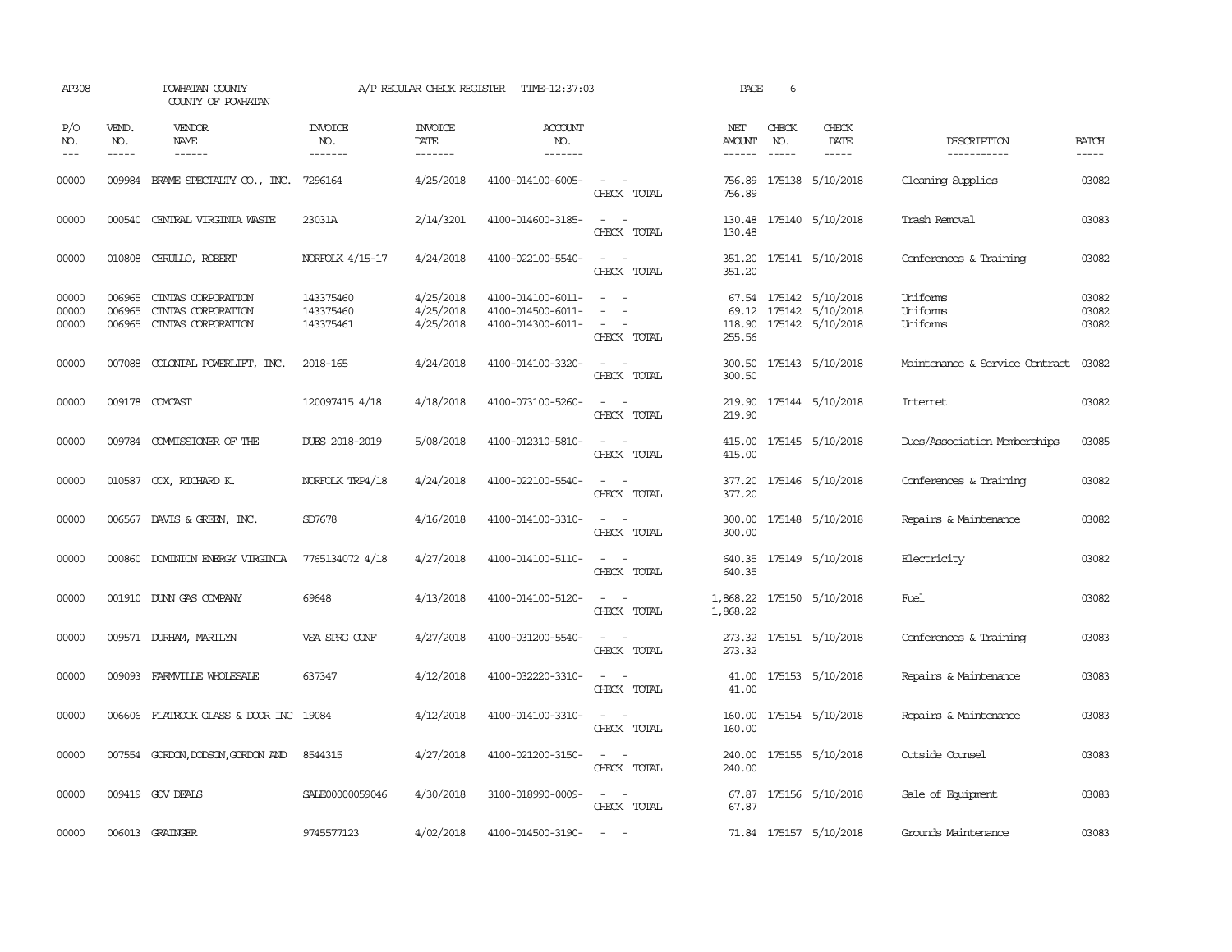| AP308                   |                             | POWHATAN COUNTY<br>COUNTY OF POWHATAN                          |                                     | A/P REGULAR CHECK REGISTER          | TIME-12:37:03                                               |                                                                                                                             | PAGE                    | 6            |                                                                      |                                  |                         |
|-------------------------|-----------------------------|----------------------------------------------------------------|-------------------------------------|-------------------------------------|-------------------------------------------------------------|-----------------------------------------------------------------------------------------------------------------------------|-------------------------|--------------|----------------------------------------------------------------------|----------------------------------|-------------------------|
| P/O<br>NO.<br>$---$     | VEND.<br>NO.<br>$- - - - -$ | <b>VENDOR</b><br>NAME                                          | <b>INVOICE</b><br>NO.<br>-------    | <b>INVOICE</b><br>DATE<br>-------   | <b>ACCOUNT</b><br>NO.<br>-------                            |                                                                                                                             | NET<br>AMOUNT<br>------ | CHECK<br>NO. | CHECK<br>DATE                                                        | DESCRIPTION<br>-----------       | <b>BATCH</b><br>-----   |
| 00000                   | 009984                      | BRAME SPECIALIY CO., INC.                                      | 7296164                             | 4/25/2018                           | 4100-014100-6005-                                           | $\sim$ 100 $\sim$<br>CHECK TOTAL                                                                                            | 756.89<br>756.89        |              | 175138 5/10/2018                                                     | Cleaning Supplies                | 03082                   |
| 00000                   | 000540                      | CENTRAL VIRGINIA WASTE                                         | 23031A                              | 2/14/3201                           | 4100-014600-3185-                                           | $\frac{1}{2} \left( \frac{1}{2} \right) \left( \frac{1}{2} \right) = \frac{1}{2} \left( \frac{1}{2} \right)$<br>CHECK TOTAL | 130.48<br>130.48        |              | 175140 5/10/2018                                                     | Trash Removal                    | 03083                   |
| 00000                   |                             | 010808 CERULLO, ROBERT                                         | NORFOLK 4/15-17                     | 4/24/2018                           | 4100-022100-5540-                                           | $\sim$<br>CHECK TOTAL                                                                                                       | 351.20                  |              | 351.20 175141 5/10/2018                                              | Conferences & Training           | 03082                   |
| 00000<br>00000<br>00000 | 006965<br>006965<br>006965  | CINIAS CORPORATION<br>CINTAS CORPORATION<br>CINIAS CORPORATION | 143375460<br>143375460<br>143375461 | 4/25/2018<br>4/25/2018<br>4/25/2018 | 4100-014100-6011-<br>4100-014500-6011-<br>4100-014300-6011- | $\overline{a}$<br>$\sim$<br>CHECK TOTAL                                                                                     | 118.90<br>255.56        |              | 67.54 175142 5/10/2018<br>69.12 175142 5/10/2018<br>175142 5/10/2018 | Uniforms<br>Uniforms<br>Uniforms | 03082<br>03082<br>03082 |
| 00000                   | 007088                      | COLONIAL POWERLIFT, INC.                                       | 2018-165                            | 4/24/2018                           | 4100-014100-3320-                                           | $\frac{1}{2} \left( \frac{1}{2} \right) \left( \frac{1}{2} \right) = \frac{1}{2} \left( \frac{1}{2} \right)$<br>CHECK TOTAL | 300.50<br>300.50        |              | 175143 5/10/2018                                                     | Maintenance & Service Contract   | 03082                   |
| 00000                   |                             | 009178 COMCAST                                                 | 120097415 4/18                      | 4/18/2018                           | 4100-073100-5260-                                           | CHECK TOTAL                                                                                                                 | 219.90<br>219.90        |              | 175144 5/10/2018                                                     | <b>Internet</b>                  | 03082                   |
| 00000                   |                             | 009784 COMMISSIONER OF THE                                     | DUES 2018-2019                      | 5/08/2018                           | 4100-012310-5810-                                           | $\frac{1}{2} \left( \frac{1}{2} \right) \left( \frac{1}{2} \right) = \frac{1}{2} \left( \frac{1}{2} \right)$<br>CHECK TOTAL | 415.00                  |              | 415.00 175145 5/10/2018                                              | Dues/Association Memberships     | 03085                   |
| 00000                   |                             | 010587 COX, RICHARD K.                                         | NORFOLK TRP4/18                     | 4/24/2018                           | 4100-022100-5540-                                           | $\sim$<br>$\sim$<br>CHECK TOTAL                                                                                             | 377.20<br>377.20        |              | 175146 5/10/2018                                                     | Conferences & Training           | 03082                   |
| 00000                   |                             | 006567 DAVIS & GREEN, INC.                                     | SD7678                              | 4/16/2018                           | 4100-014100-3310-                                           | $\omega_{\rm{max}}$ and $\omega_{\rm{max}}$<br>CHECK TOTAL                                                                  | 300.00<br>300.00        |              | 175148 5/10/2018                                                     | Repairs & Maintenance            | 03082                   |
| 00000                   |                             | 000860 DOMINION ENERGY VIRGINIA                                | 7765134072 4/18                     | 4/27/2018                           | 4100-014100-5110-                                           | $\sim$ 100 $\sim$<br>CHECK TOTAL                                                                                            | 640.35                  |              | 640.35 175149 5/10/2018                                              | Electricity                      | 03082                   |
| 00000                   |                             | 001910 DUNN GAS COMPANY                                        | 69648                               | 4/13/2018                           | 4100-014100-5120-                                           | $\sim$ 100 $\sim$<br>CHECK TOTAL                                                                                            | 1,868.22                |              | 1,868.22 175150 5/10/2018                                            | Fuel                             | 03082                   |
| 00000                   |                             | 009571 DURHAM, MARILYN                                         | VSA SPRG CONF                       | 4/27/2018                           | 4100-031200-5540-                                           | $\overline{\phantom{a}}$<br>$\sim$<br>CHECK TOTAL                                                                           | 273.32                  |              | 273.32 175151 5/10/2018                                              | Conferences & Training           | 03083                   |
| 00000                   | 009093                      | FARMVILLE WHOLESALE                                            | 637347                              | 4/12/2018                           | 4100-032220-3310-                                           | $\sim$<br>$\sim$<br>CHECK TOTAL                                                                                             | 41.00<br>41.00          |              | 175153 5/10/2018                                                     | Repairs & Maintenance            | 03083                   |
| 00000                   |                             | 006606 FLATROCK GLASS & DOOR INC 19084                         |                                     | 4/12/2018                           | 4100-014100-3310-                                           | $\sim$ 100 $\sim$<br>CHECK TOTAL                                                                                            | 160.00<br>160.00        |              | 175154 5/10/2018                                                     | Repairs & Maintenance            | 03083                   |
| 00000                   |                             | 007554 GORDON, DODSON, GORDON AND                              | 8544315                             | 4/27/2018                           | 4100-021200-3150-                                           | $\frac{1}{2} \left( \frac{1}{2} \right) \left( \frac{1}{2} \right) = \frac{1}{2} \left( \frac{1}{2} \right)$<br>CHECK TOTAL | 240.00<br>240.00        |              | 175155 5/10/2018                                                     | Outside Counsel                  | 03083                   |
| 00000                   |                             | 009419 GOV DEALS                                               | SALE00000059046                     | 4/30/2018                           | 3100-018990-0009-                                           | $\sim$ $ \sim$<br>CHECK TOTAL                                                                                               | 67.87                   |              | 67.87 175156 5/10/2018                                               | Sale of Equipment                | 03083                   |
| 00000                   |                             | 006013 GRAINGER                                                | 9745577123                          | 4/02/2018                           | 4100-014500-3190-                                           | $\sim$ $-$                                                                                                                  |                         |              | 71.84 175157 5/10/2018                                               | Grounds Maintenance              | 03083                   |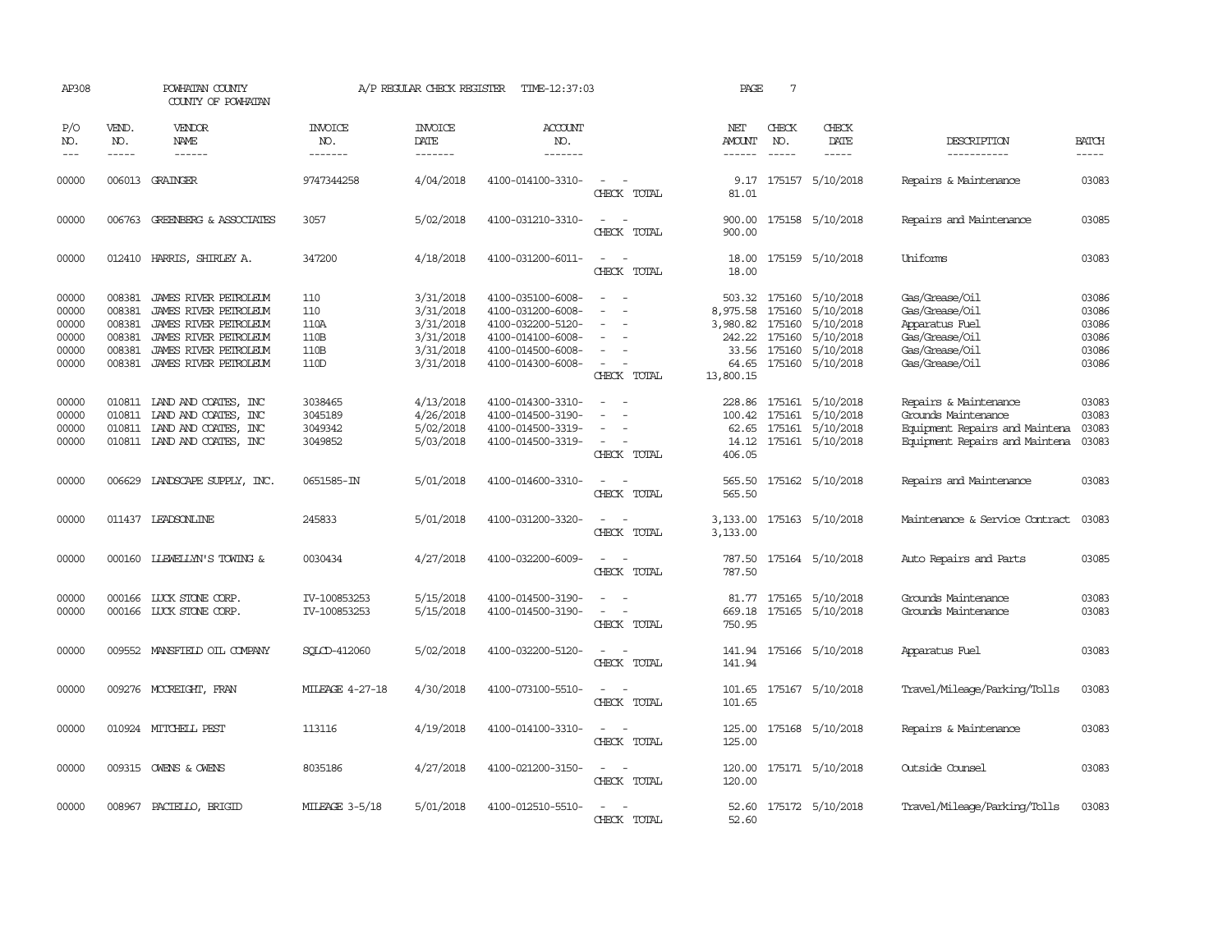| AP308                                              |                                                | POWHATAN COUNTY<br>COUNTY OF POWHATAN                                                                                                                     |                                            | A/P REGULAR CHECK REGISTER                                                 | TIME-12:37:03                                                                                                              |                                                                                                                             | PAGE                                       | 7                                                 |                                                                                                 |                                                                                                                  |                                                    |
|----------------------------------------------------|------------------------------------------------|-----------------------------------------------------------------------------------------------------------------------------------------------------------|--------------------------------------------|----------------------------------------------------------------------------|----------------------------------------------------------------------------------------------------------------------------|-----------------------------------------------------------------------------------------------------------------------------|--------------------------------------------|---------------------------------------------------|-------------------------------------------------------------------------------------------------|------------------------------------------------------------------------------------------------------------------|----------------------------------------------------|
| P/O<br>NO.<br>$ -$                                 | VEND.<br>NO.<br>$\frac{1}{2}$                  | VENDOR<br><b>NAME</b><br>$\frac{1}{2}$                                                                                                                    | INVOICE<br>NO.<br>-------                  | <b>INVOICE</b><br>DATE<br>-------                                          | <b>ACCOUNT</b><br>NO.<br>-------                                                                                           |                                                                                                                             | NET<br><b>AMOUNT</b><br>$- - - - - -$      | CHECK<br>NO.<br>$\frac{1}{2}$                     | CHECK<br>DATE<br>$\cdots \cdots \cdots$                                                         | DESCRIPTION<br>-----------                                                                                       | <b>BATCH</b><br>-----                              |
| 00000                                              |                                                | 006013 GRAINGER                                                                                                                                           | 9747344258                                 | 4/04/2018                                                                  | 4100-014100-3310-                                                                                                          | $\overline{\phantom{a}}$<br>CHECK TOTAL                                                                                     | 9.17<br>81.01                              |                                                   | 175157 5/10/2018                                                                                | Repairs & Maintenance                                                                                            | 03083                                              |
| 00000                                              |                                                | 006763 GREENBERG & ASSOCIATES                                                                                                                             | 3057                                       | 5/02/2018                                                                  | 4100-031210-3310-                                                                                                          | $\sim$<br>$\overline{\phantom{a}}$<br>CHECK TOTAL                                                                           | 900.00<br>900.00                           |                                                   | 175158 5/10/2018                                                                                | Repairs and Maintenance                                                                                          | 03085                                              |
| 00000                                              |                                                | 012410 HARRIS, SHIRLEY A.                                                                                                                                 | 347200                                     | 4/18/2018                                                                  | 4100-031200-6011-                                                                                                          | $\overline{\phantom{a}}$<br>$\sim$<br>CHECK TOTAL                                                                           | 18.00<br>18.00                             |                                                   | 175159 5/10/2018                                                                                | Uniforms                                                                                                         | 03083                                              |
| 00000<br>00000<br>00000<br>00000<br>00000<br>00000 | 008381<br>008381<br>008381<br>008381<br>008381 | 008381 JAMES RIVER PETROLEUM<br>JAMES RIVER PETROLEUM<br>JAMES RIVER PETROLEUM<br>JAMES RIVER PETROLEUM<br>JAMES RIVER PETROLEUM<br>JAMES RIVER PEIROLEUM | 110<br>110<br>110A<br>110B<br>110B<br>110D | 3/31/2018<br>3/31/2018<br>3/31/2018<br>3/31/2018<br>3/31/2018<br>3/31/2018 | 4100-035100-6008-<br>4100-031200-6008-<br>4100-032200-5120-<br>4100-014100-6008-<br>4100-014500-6008-<br>4100-014300-6008- | $\overline{a}$<br>$\overline{\phantom{a}}$<br>$\sim$<br>CHECK TOTAL                                                         | 8,975.58<br>3,980.82<br>64.65<br>13,800.15 | 175160<br>175160<br>242.22 175160<br>33.56 175160 | 503.32 175160 5/10/2018<br>5/10/2018<br>5/10/2018<br>5/10/2018<br>5/10/2018<br>175160 5/10/2018 | Gas/Grease/Oil<br>Gas/Grease/Oil<br>Apparatus Fuel<br>Gas/Grease/Oil<br>Gas/Grease/Oil<br>Gas/Grease/Oil         | 03086<br>03086<br>03086<br>03086<br>03086<br>03086 |
| 00000<br>00000<br>00000<br>00000                   | 010811                                         | 010811 IAND AND COATES, INC<br>LAND AND COATES, INC<br>010811 IAND AND COATES, INC<br>010811 IAND AND COATES, INC                                         | 3038465<br>3045189<br>3049342<br>3049852   | 4/13/2018<br>4/26/2018<br>5/02/2018<br>5/03/2018                           | 4100-014300-3310-<br>4100-014500-3190-<br>4100-014500-3319-<br>4100-014500-3319-                                           | $\sim$<br>CHECK TOTAL                                                                                                       | 228.86<br>100.42<br>406.05                 | 175161                                            | 175161 5/10/2018<br>5/10/2018<br>62.65 175161 5/10/2018<br>14.12 175161 5/10/2018               | Repairs & Maintenance<br>Grounds Maintenance<br>Equipment Repairs and Maintena<br>Equipment Repairs and Maintena | 03083<br>03083<br>03083<br>03083                   |
| 00000                                              | 006629                                         | LANDSCAPE SUPPLY, INC.                                                                                                                                    | 0651585-IN                                 | 5/01/2018                                                                  | 4100-014600-3310-                                                                                                          | $\overline{\phantom{a}}$<br>CHECK TOTAL                                                                                     | 565.50<br>565.50                           |                                                   | 175162 5/10/2018                                                                                | Repairs and Maintenance                                                                                          | 03083                                              |
| 00000                                              |                                                | 011437 LEADSONLINE                                                                                                                                        | 245833                                     | 5/01/2018                                                                  | 4100-031200-3320-                                                                                                          | $\equiv$<br>CHECK TOTAL                                                                                                     | 3,133.00<br>3,133.00                       |                                                   | 175163 5/10/2018                                                                                | Maintenance & Service Contract                                                                                   | 03083                                              |
| 00000                                              | 000160                                         | LLEWELLYN'S TOWING &                                                                                                                                      | 0030434                                    | 4/27/2018                                                                  | 4100-032200-6009-                                                                                                          | $\equiv$<br>CHECK TOTAL                                                                                                     | 787.50<br>787.50                           |                                                   | 175164 5/10/2018                                                                                | Auto Repairs and Parts                                                                                           | 03085                                              |
| 00000<br>00000                                     |                                                | 000166 LUCK STONE CORP.<br>000166 LUCK STONE CORP.                                                                                                        | IV-100853253<br>IV-100853253               | 5/15/2018<br>5/15/2018                                                     | 4100-014500-3190-<br>4100-014500-3190-                                                                                     | $\sim$<br>$\overline{\phantom{a}}$<br>CHECK TOTAL                                                                           | 669.18<br>750.95                           |                                                   | 81.77 175165 5/10/2018<br>175165 5/10/2018                                                      | Grounds Maintenance<br>Grounds Maintenance                                                                       | 03083<br>03083                                     |
| 00000                                              |                                                | 009552 MANSFIELD OIL COMPANY                                                                                                                              | SQLCD-412060                               | 5/02/2018                                                                  | 4100-032200-5120-                                                                                                          | $\sim$<br>CHECK TOTAL                                                                                                       | 141.94<br>141.94                           |                                                   | 175166 5/10/2018                                                                                | Apparatus Fuel                                                                                                   | 03083                                              |
| 00000                                              |                                                | 009276 MCCREIGHT, FRAN                                                                                                                                    | <b>MILEAGE 4-27-18</b>                     | 4/30/2018                                                                  | 4100-073100-5510-                                                                                                          | $\overline{\phantom{a}}$<br>$\sim$<br>CHECK TOTAL                                                                           | 101.65<br>101.65                           |                                                   | 175167 5/10/2018                                                                                | Travel/Mileage/Parking/Tolls                                                                                     | 03083                                              |
| 00000                                              |                                                | 010924 MITCHELL PEST                                                                                                                                      | 113116                                     | 4/19/2018                                                                  | 4100-014100-3310-                                                                                                          | $\frac{1}{2} \left( \frac{1}{2} \right) \left( \frac{1}{2} \right) = \frac{1}{2} \left( \frac{1}{2} \right)$<br>CHECK TOTAL | 125.00<br>125.00                           |                                                   | 175168 5/10/2018                                                                                | Repairs & Maintenance                                                                                            | 03083                                              |
| 00000                                              |                                                | 009315 OWENS & OWENS                                                                                                                                      | 8035186                                    | 4/27/2018                                                                  | 4100-021200-3150-                                                                                                          | $\sim$ $\sim$<br>CHECK TOTAL                                                                                                | 120.00                                     |                                                   | 120.00 175171 5/10/2018                                                                         | Outside Counsel                                                                                                  | 03083                                              |
| 00000                                              |                                                | 008967 PACIELLO, BRIGID                                                                                                                                   | MILEAGE 3-5/18                             | 5/01/2018                                                                  | 4100-012510-5510-                                                                                                          | CHECK TOTAL                                                                                                                 | 52.60                                      |                                                   | 52.60 175172 5/10/2018                                                                          | Travel/Mileage/Parking/Tolls                                                                                     | 03083                                              |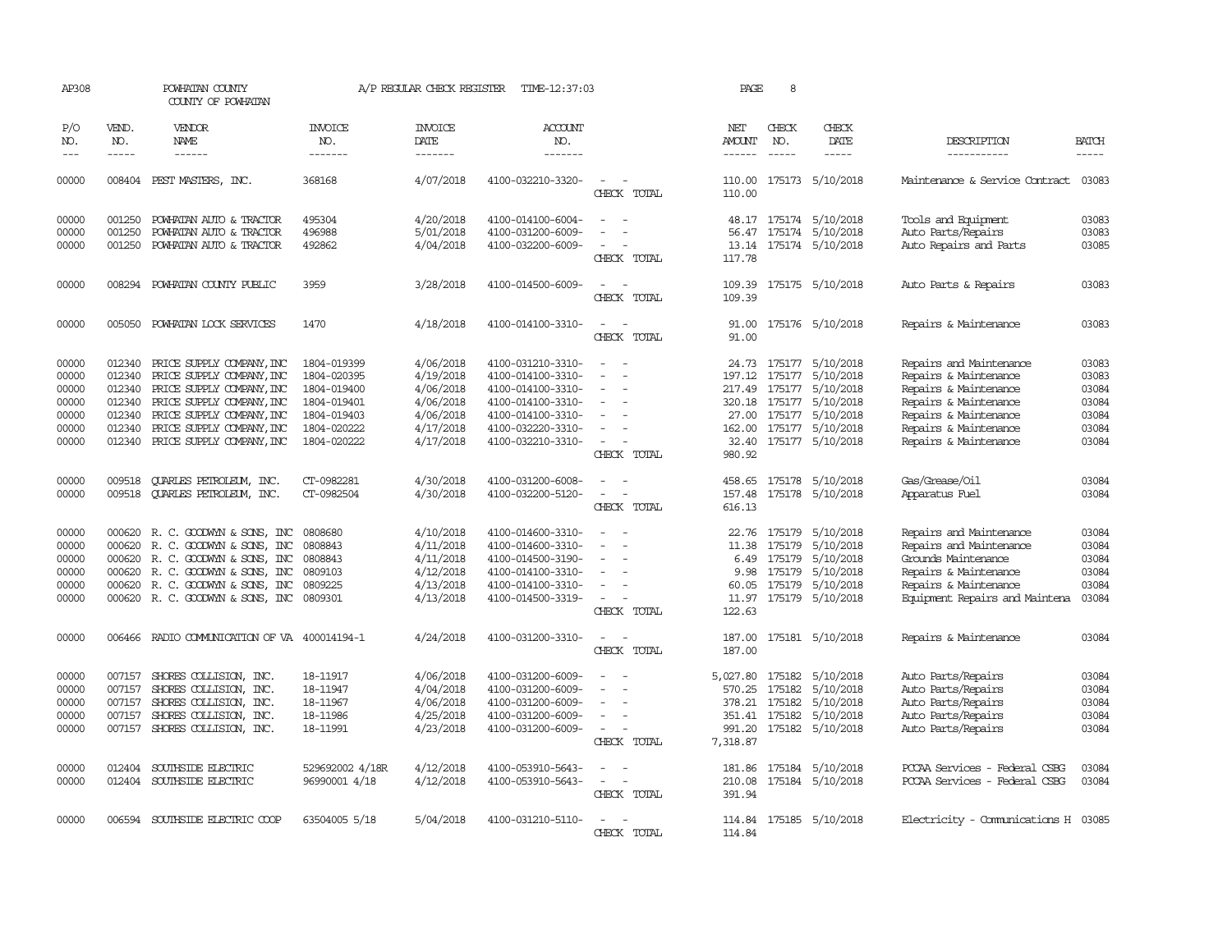| AP308                                                       |                                                          | POWHATAN COUNTY<br>COUNTY OF POWHATAN                                                                                                                                                                          |                                                                                                       | A/P REGULAR CHECK REGISTER                                                              | TIME-12:37:03                                                                                                                                   |                                                                                                                                                                   | PAGE                                                             | 8                                    |                                                                                                                                                            |                                                                                                                                                                               |                                                             |
|-------------------------------------------------------------|----------------------------------------------------------|----------------------------------------------------------------------------------------------------------------------------------------------------------------------------------------------------------------|-------------------------------------------------------------------------------------------------------|-----------------------------------------------------------------------------------------|-------------------------------------------------------------------------------------------------------------------------------------------------|-------------------------------------------------------------------------------------------------------------------------------------------------------------------|------------------------------------------------------------------|--------------------------------------|------------------------------------------------------------------------------------------------------------------------------------------------------------|-------------------------------------------------------------------------------------------------------------------------------------------------------------------------------|-------------------------------------------------------------|
| P/O<br>NO.<br>$\frac{1}{2}$                                 | VEND.<br>NO.<br>$- - - - -$                              | <b>VENDOR</b><br><b>NAME</b><br>------                                                                                                                                                                         | INVOICE<br>NO.<br>-------                                                                             | <b>INVOICE</b><br>DATE<br>-------                                                       | ACCOUNT<br>NO.<br>-------                                                                                                                       |                                                                                                                                                                   | NET<br>AMOUNT<br>$- - - - - -$                                   | CHECK<br>NO.<br>$- - - - -$          | CHECK<br>DATE<br>-----                                                                                                                                     | DESCRIPTION<br>-----------                                                                                                                                                    | <b>BATCH</b><br>$- - - - -$                                 |
| 00000                                                       |                                                          | 008404 PEST MASTERS, INC.                                                                                                                                                                                      | 368168                                                                                                | 4/07/2018                                                                               | 4100-032210-3320-                                                                                                                               | $\sim$<br>CHECK TOTAL                                                                                                                                             | 110.00                                                           |                                      | 110.00 175173 5/10/2018                                                                                                                                    | Maintenance & Service Contract                                                                                                                                                | 03083                                                       |
| 00000<br>00000<br>00000                                     | 001250<br>001250<br>001250                               | POWHATAN AUTO & TRACTOR<br>POWHATAN AUTO & TRACTOR<br>POWHATAN AUTO & TRACTOR                                                                                                                                  | 495304<br>496988<br>492862                                                                            | 4/20/2018<br>5/01/2018<br>4/04/2018                                                     | 4100-014100-6004-<br>4100-031200-6009-<br>4100-032200-6009-                                                                                     | $\overline{a}$<br>$\sim$<br>$\overline{a}$<br>CHECK TOTAL                                                                                                         | 13.14<br>117.78                                                  |                                      | 48.17 175174 5/10/2018<br>56.47 175174 5/10/2018<br>175174 5/10/2018                                                                                       | Tools and Equipment<br>Auto Parts/Repairs<br>Auto Repairs and Parts                                                                                                           | 03083<br>03083<br>03085                                     |
| 00000                                                       | 008294                                                   | POWHATAN COUNTY PUBLIC                                                                                                                                                                                         | 3959                                                                                                  | 3/28/2018                                                                               | 4100-014500-6009-                                                                                                                               | $\sim$<br>$\overline{\phantom{a}}$<br>CHECK TOTAL                                                                                                                 | 109.39<br>109.39                                                 |                                      | 175175 5/10/2018                                                                                                                                           | Auto Parts & Repairs                                                                                                                                                          | 03083                                                       |
| 00000                                                       |                                                          | 005050 POWHATAN LOCK SERVICES                                                                                                                                                                                  | 1470                                                                                                  | 4/18/2018                                                                               | 4100-014100-3310-                                                                                                                               | $\sim$<br>$\sim$<br>CHECK TOTAL                                                                                                                                   | 91.00                                                            |                                      | 91.00 175176 5/10/2018                                                                                                                                     | Repairs & Maintenance                                                                                                                                                         | 03083                                                       |
| 00000<br>00000<br>00000<br>00000<br>00000<br>00000<br>00000 | 012340<br>012340<br>012340<br>012340<br>012340<br>012340 | PRICE SUPPLY COMPANY, INC<br>PRICE SUPPLY COMPANY, INC<br>PRICE SUPPLY COMPANY, INC<br>PRICE SUPPLY COMPANY, INC<br>PRICE SUPPLY COMPANY, INC<br>PRICE SUPPLY COMPANY, INC<br>012340 PRICE SUPPLY COMPANY, INC | 1804-019399<br>1804-020395<br>1804-019400<br>1804-019401<br>1804-019403<br>1804-020222<br>1804-020222 | 4/06/2018<br>4/19/2018<br>4/06/2018<br>4/06/2018<br>4/06/2018<br>4/17/2018<br>4/17/2018 | 4100-031210-3310-<br>4100-014100-3310-<br>4100-014100-3310-<br>4100-014100-3310-<br>4100-014100-3310-<br>4100-032220-3310-<br>4100-032210-3310- | $\sim$<br>$\overline{\phantom{a}}$<br>$\overline{\phantom{a}}$<br>$\overline{\phantom{a}}$<br>$\overline{\phantom{a}}$<br>$\overline{\phantom{a}}$<br>CHECK TOTAL | 197.12<br>217.49<br>980.92                                       | 175177<br>175177                     | 24.73 175177 5/10/2018<br>5/10/2018<br>5/10/2018<br>320.18 175177 5/10/2018<br>27.00 175177 5/10/2018<br>162.00 175177 5/10/2018<br>32.40 175177 5/10/2018 | Repairs and Maintenance<br>Repairs & Maintenance<br>Repairs & Maintenance<br>Repairs & Maintenance<br>Repairs & Maintenance<br>Repairs & Maintenance<br>Repairs & Maintenance | 03083<br>03083<br>03084<br>03084<br>03084<br>03084<br>03084 |
| 00000<br>00000                                              | 009518<br>009518                                         | QUARLES PETROLEUM, INC.<br><b>QUARLES PETROLEUM, INC.</b>                                                                                                                                                      | CT-0982281<br>CT-0982504                                                                              | 4/30/2018<br>4/30/2018                                                                  | 4100-031200-6008-<br>4100-032200-5120-                                                                                                          | $\overline{\phantom{a}}$<br>CHECK TOTAL                                                                                                                           | 458.65<br>157.48<br>616.13                                       |                                      | 175178 5/10/2018<br>175178 5/10/2018                                                                                                                       | Gas/Grease/Oil<br>Apparatus Fuel                                                                                                                                              | 03084<br>03084                                              |
| 00000<br>00000<br>00000<br>00000<br>00000<br>00000          | 000620<br>000620                                         | 000620 R. C. GOODWYN & SONS, INC<br>R. C. GOODWYN & SONS, INC<br>000620 R. C. GOODWYN & SONS, INC<br>R. C. GOODWYN & SONS, INC<br>000620 R. C. GOODWYN & SONS, INC<br>000620 R. C. GOODWYN & SONS, INC         | 0808680<br>0808843<br>0808843<br>0809103<br>0809225<br>0809301                                        | 4/10/2018<br>4/11/2018<br>4/11/2018<br>4/12/2018<br>4/13/2018<br>4/13/2018              | 4100-014600-3310-<br>4100-014600-3310-<br>4100-014500-3190-<br>4100-014100-3310-<br>4100-014100-3310-<br>4100-014500-3319-                      | $\equiv$<br>CHECK TOTAL                                                                                                                                           | 22.76<br>11.38<br>9.98<br>60.05<br>11.97<br>122.63               | 175179<br>175179<br>175179<br>175179 | 5/10/2018<br>5/10/2018<br>6.49 175179 5/10/2018<br>5/10/2018<br>5/10/2018<br>175179 5/10/2018                                                              | Repairs and Maintenance<br>Repairs and Maintenance<br>Grounds Maintenance<br>Repairs & Maintenance<br>Repairs & Maintenance<br>Equipment Repairs and Maintena                 | 03084<br>03084<br>03084<br>03084<br>03084<br>03084          |
| 00000                                                       | 006466                                                   | RADIO COMMUNICATION OF VA 400014194-1                                                                                                                                                                          |                                                                                                       | 4/24/2018                                                                               | 4100-031200-3310-                                                                                                                               | $\overline{\phantom{a}}$<br>CHECK TOTAL                                                                                                                           | 187.00<br>187.00                                                 |                                      | 175181 5/10/2018                                                                                                                                           | Repairs & Maintenance                                                                                                                                                         | 03084                                                       |
| 00000<br>00000<br>00000<br>00000<br>00000                   | 007157<br>007157<br>007157<br>007157                     | SHORES COLLISION, INC.<br>SHORES COLLISION, INC.<br>SHORES COLLISION, INC.<br>SHORES COLLISION, INC.<br>007157 SHORES COLLISION, INC.                                                                          | 18-11917<br>18-11947<br>18-11967<br>18-11986<br>18-11991                                              | 4/06/2018<br>4/04/2018<br>4/06/2018<br>4/25/2018<br>4/23/2018                           | 4100-031200-6009-<br>4100-031200-6009-<br>4100-031200-6009-<br>4100-031200-6009-<br>4100-031200-6009-                                           | $\overline{\phantom{a}}$<br>$\sim$<br>CHECK TOTAL                                                                                                                 | 5,027.80<br>570.25<br>378.21 175182<br>351.41 175182<br>7,318.87 | 175182<br>175182                     | 5/10/2018<br>5/10/2018<br>5/10/2018<br>5/10/2018<br>991.20 175182 5/10/2018                                                                                | Auto Parts/Repairs<br>Auto Parts/Repairs<br>Auto Parts/Repairs<br>Auto Parts/Repairs<br>Auto Parts/Repairs                                                                    | 03084<br>03084<br>03084<br>03084<br>03084                   |
| 00000<br>00000                                              | 012404<br>012404                                         | SOUTHSIDE ELECTRIC<br>SOUTHSIDE ELECTRIC                                                                                                                                                                       | 529692002 4/18R<br>96990001 4/18                                                                      | 4/12/2018<br>4/12/2018                                                                  | 4100-053910-5643-<br>4100-053910-5643-                                                                                                          | $\overline{\phantom{a}}$<br>CHECK TOTAL                                                                                                                           | 181.86<br>210.08<br>391.94                                       |                                      | 175184 5/10/2018<br>175184 5/10/2018                                                                                                                       | PCCAA Services - Federal CSBG<br>PCCAA Services - Federal CSBG                                                                                                                | 03084<br>03084                                              |
| 00000                                                       | 006594                                                   | SOUTHSIDE ELECTRIC COOP                                                                                                                                                                                        | 63504005 5/18                                                                                         | 5/04/2018                                                                               | 4100-031210-5110-                                                                                                                               | CHECK TOTAL                                                                                                                                                       | 114.84<br>114.84                                                 |                                      | 175185 5/10/2018                                                                                                                                           | Electricity - Comunications H 03085                                                                                                                                           |                                                             |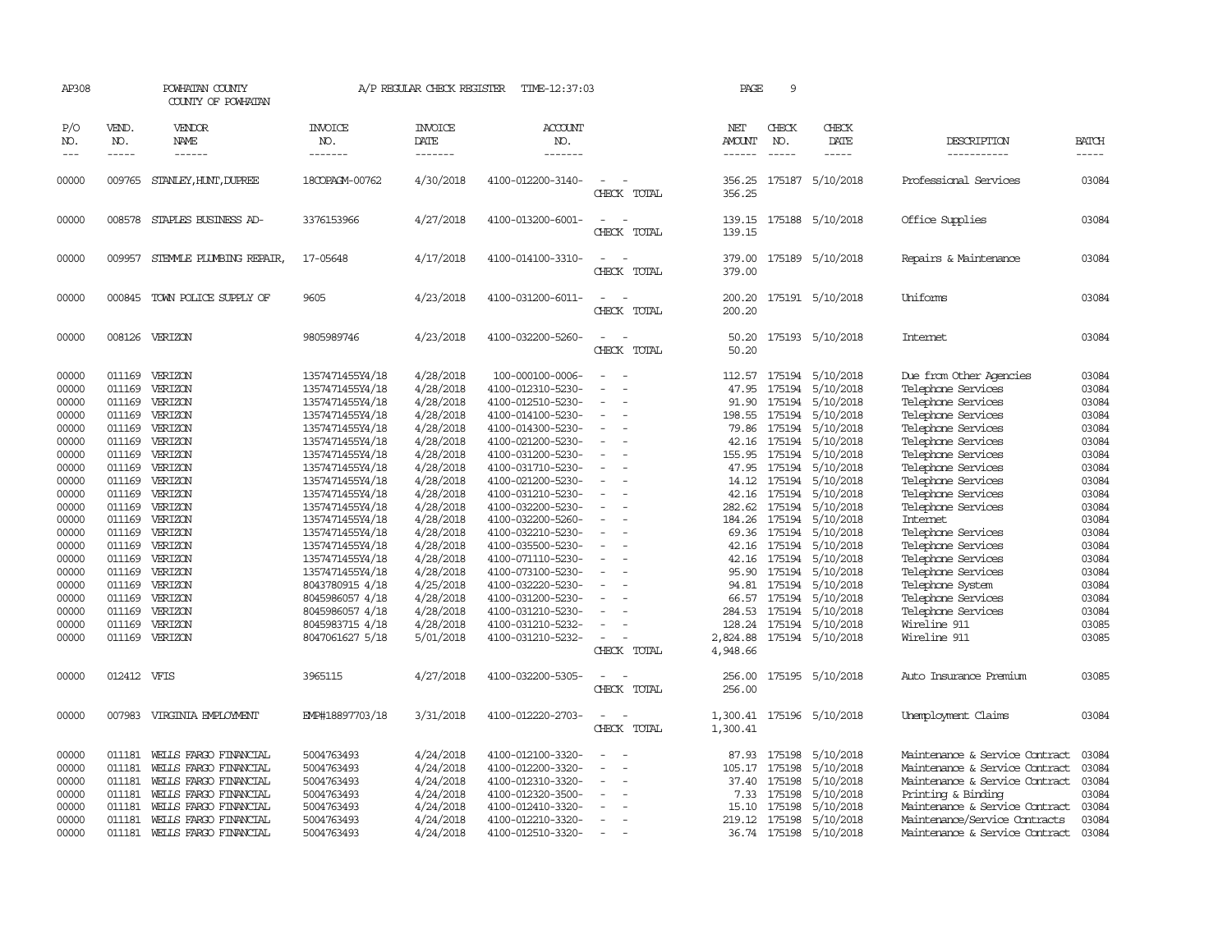| AP308                                                                                                                                                                                     |                                                                                                                                                                                                      | POWHATAN COUNTY<br>COUNTY OF POWHATAN                                                                                                                                                                                                      |                                                                                                                                                                                                                                                                                                                                                                                                             | A/P REGULAR CHECK REGISTER                                                                                                                                                                                                                                                    | TIME-12:37:03                                                                                                                                                                                                                                                                                                                                                                                                                                        |                                                                                  | PAGE                                                                                                                                                                                                | 9                                                                                                                                                                                          |                                                                                                                                                                                                                                                                                             |                                                                                                                                                                                                                                                                                                                                                                                                                                                                |                                                                                                                                                                                           |
|-------------------------------------------------------------------------------------------------------------------------------------------------------------------------------------------|------------------------------------------------------------------------------------------------------------------------------------------------------------------------------------------------------|--------------------------------------------------------------------------------------------------------------------------------------------------------------------------------------------------------------------------------------------|-------------------------------------------------------------------------------------------------------------------------------------------------------------------------------------------------------------------------------------------------------------------------------------------------------------------------------------------------------------------------------------------------------------|-------------------------------------------------------------------------------------------------------------------------------------------------------------------------------------------------------------------------------------------------------------------------------|------------------------------------------------------------------------------------------------------------------------------------------------------------------------------------------------------------------------------------------------------------------------------------------------------------------------------------------------------------------------------------------------------------------------------------------------------|----------------------------------------------------------------------------------|-----------------------------------------------------------------------------------------------------------------------------------------------------------------------------------------------------|--------------------------------------------------------------------------------------------------------------------------------------------------------------------------------------------|---------------------------------------------------------------------------------------------------------------------------------------------------------------------------------------------------------------------------------------------------------------------------------------------|----------------------------------------------------------------------------------------------------------------------------------------------------------------------------------------------------------------------------------------------------------------------------------------------------------------------------------------------------------------------------------------------------------------------------------------------------------------|-------------------------------------------------------------------------------------------------------------------------------------------------------------------------------------------|
| P/O<br>NO.<br>$\frac{1}{2}$                                                                                                                                                               | VEND.<br>NO.<br>$- - - - -$                                                                                                                                                                          | <b>VENDOR</b><br>NAME<br>------                                                                                                                                                                                                            | <b>INVOICE</b><br>NO.<br>-------                                                                                                                                                                                                                                                                                                                                                                            | <b>INVOICE</b><br>DATE<br>-------                                                                                                                                                                                                                                             | ACCOUNT<br>NO.<br>-------                                                                                                                                                                                                                                                                                                                                                                                                                            |                                                                                  | NET<br>AMOUNT<br>$- - - - - -$                                                                                                                                                                      | CHECK<br>NO.<br>$\frac{1}{2}$                                                                                                                                                              | CHECK<br>DATE<br>$- - - - -$                                                                                                                                                                                                                                                                | DESCRIPTION<br>-----------                                                                                                                                                                                                                                                                                                                                                                                                                                     | <b>BATCH</b><br>$- - - - -$                                                                                                                                                               |
| 00000                                                                                                                                                                                     | 009765                                                                                                                                                                                               | STANLEY, HUNT, DUPREE                                                                                                                                                                                                                      | 18COPAGM-00762                                                                                                                                                                                                                                                                                                                                                                                              | 4/30/2018                                                                                                                                                                                                                                                                     | 4100-012200-3140-                                                                                                                                                                                                                                                                                                                                                                                                                                    | $\equiv$<br>CHECK TOTAL                                                          | 356.25<br>356.25                                                                                                                                                                                    | 175187                                                                                                                                                                                     | 5/10/2018                                                                                                                                                                                                                                                                                   | Professional Services                                                                                                                                                                                                                                                                                                                                                                                                                                          | 03084                                                                                                                                                                                     |
| 00000                                                                                                                                                                                     |                                                                                                                                                                                                      | 008578 STAPLES BUSINESS AD-                                                                                                                                                                                                                | 3376153966                                                                                                                                                                                                                                                                                                                                                                                                  | 4/27/2018                                                                                                                                                                                                                                                                     | 4100-013200-6001-                                                                                                                                                                                                                                                                                                                                                                                                                                    | $\equiv$<br>CHECK TOTAL                                                          | 139.15<br>139.15                                                                                                                                                                                    |                                                                                                                                                                                            | 175188 5/10/2018                                                                                                                                                                                                                                                                            | Office Supplies                                                                                                                                                                                                                                                                                                                                                                                                                                                | 03084                                                                                                                                                                                     |
| 00000                                                                                                                                                                                     | 009957                                                                                                                                                                                               | STEMMLE PLUMBING REPAIR,                                                                                                                                                                                                                   | 17-05648                                                                                                                                                                                                                                                                                                                                                                                                    | 4/17/2018                                                                                                                                                                                                                                                                     | 4100-014100-3310-                                                                                                                                                                                                                                                                                                                                                                                                                                    | $\sim$<br>CHECK TOTAL                                                            | 379.00<br>379.00                                                                                                                                                                                    |                                                                                                                                                                                            | 175189 5/10/2018                                                                                                                                                                                                                                                                            | Repairs & Maintenance                                                                                                                                                                                                                                                                                                                                                                                                                                          | 03084                                                                                                                                                                                     |
| 00000                                                                                                                                                                                     |                                                                                                                                                                                                      | 000845 TOWN POLICE SUPPLY OF                                                                                                                                                                                                               | 9605                                                                                                                                                                                                                                                                                                                                                                                                        | 4/23/2018                                                                                                                                                                                                                                                                     | 4100-031200-6011-                                                                                                                                                                                                                                                                                                                                                                                                                                    | $\equiv$<br>CHECK TOTAL                                                          | 200.20<br>200.20                                                                                                                                                                                    |                                                                                                                                                                                            | 175191 5/10/2018                                                                                                                                                                                                                                                                            | Uniforms                                                                                                                                                                                                                                                                                                                                                                                                                                                       | 03084                                                                                                                                                                                     |
| 00000                                                                                                                                                                                     | 008126                                                                                                                                                                                               | VERIZON                                                                                                                                                                                                                                    | 9805989746                                                                                                                                                                                                                                                                                                                                                                                                  | 4/23/2018                                                                                                                                                                                                                                                                     | 4100-032200-5260-                                                                                                                                                                                                                                                                                                                                                                                                                                    | $\equiv$<br>CHECK TOTAL                                                          | 50.20<br>50.20                                                                                                                                                                                      |                                                                                                                                                                                            | 175193 5/10/2018                                                                                                                                                                                                                                                                            | Internet                                                                                                                                                                                                                                                                                                                                                                                                                                                       | 03084                                                                                                                                                                                     |
| 00000<br>00000<br>00000<br>00000<br>00000<br>00000<br>00000<br>00000<br>00000<br>00000<br>00000<br>00000<br>00000<br>00000<br>00000<br>00000<br>00000<br>00000<br>00000<br>00000<br>00000 | 011169<br>011169<br>011169<br>011169<br>011169<br>011169<br>011169<br>011169<br>011169<br>011169<br>011169<br>011169<br>011169<br>011169<br>011169<br>011169<br>011169<br>011169<br>011169<br>011169 | VERIZON<br>VERIZON<br>VERIZON<br>VERIZON<br>VERIZON<br>VERIZON<br>VERIZON<br>VERIZON<br>VERIZON<br>011169 VERIZON<br>VERIZON<br>VERIZON<br>VERIZON<br>VERIZON<br>VERIZON<br>VERIZON<br>VERIZON<br>VERIZON<br>VERIZON<br>VERIZON<br>VERIZON | 1357471455Y4/18<br>1357471455Y4/18<br>1357471455Y4/18<br>1357471455Y4/18<br>1357471455Y4/18<br>1357471455Y4/18<br>1357471455Y4/18<br>1357471455Y4/18<br>1357471455Y4/18<br>1357471455Y4/18<br>1357471455Y4/18<br>1357471455Y4/18<br>1357471455Y4/18<br>1357471455Y4/18<br>1357471455Y4/18<br>1357471455Y4/18<br>8043780915 4/18<br>8045986057 4/18<br>8045986057 4/18<br>8045983715 4/18<br>8047061627 5/18 | 4/28/2018<br>4/28/2018<br>4/28/2018<br>4/28/2018<br>4/28/2018<br>4/28/2018<br>4/28/2018<br>4/28/2018<br>4/28/2018<br>4/28/2018<br>4/28/2018<br>4/28/2018<br>4/28/2018<br>4/28/2018<br>4/28/2018<br>4/28/2018<br>4/25/2018<br>4/28/2018<br>4/28/2018<br>4/28/2018<br>5/01/2018 | 100-000100-0006-<br>4100-012310-5230-<br>4100-012510-5230-<br>4100-014100-5230-<br>4100-014300-5230-<br>4100-021200-5230-<br>4100-031200-5230-<br>4100-031710-5230-<br>4100-021200-5230-<br>4100-031210-5230-<br>4100-032200-5230-<br>4100-032200-5260-<br>4100-032210-5230-<br>4100-035500-5230-<br>4100-071110-5230-<br>4100-073100-5230-<br>4100-032220-5230-<br>4100-031200-5230-<br>4100-031210-5230-<br>4100-031210-5232-<br>4100-031210-5232- | $\sim$<br>$\equiv$<br>$\equiv$<br>$\overline{\phantom{a}}$<br>$\equiv$<br>$\sim$ | 112.57<br>47.95<br>91.90<br>198.55<br>79.86<br>42.16<br>155.95<br>47.95<br>14.12<br>42.16<br>282.62<br>184.26<br>69.36<br>42.16<br>42.16<br>95.90<br>94.81<br>66.57<br>284.53<br>128.24<br>2,824.88 | 175194<br>175194<br>175194<br>175194<br>175194<br>175194<br>175194<br>175194<br>175194<br>175194<br>175194<br>175194<br>175194<br>175194<br>175194<br>175194<br>175194<br>175194<br>175194 | 5/10/2018<br>5/10/2018<br>5/10/2018<br>5/10/2018<br>5/10/2018<br>5/10/2018<br>5/10/2018<br>5/10/2018<br>5/10/2018<br>175194 5/10/2018<br>5/10/2018<br>5/10/2018<br>5/10/2018<br>5/10/2018<br>5/10/2018<br>5/10/2018<br>5/10/2018<br>5/10/2018<br>5/10/2018<br>5/10/2018<br>175194 5/10/2018 | Due from Other Agencies<br>Telephone Services<br>Telephone Services<br>Telephone Services<br>Telephone Services<br>Telephone Services<br>Telephone Services<br>Telephone Services<br>Telephone Services<br>Telephone Services<br>Telephone Services<br><b>Internet</b><br>Telephone Services<br>Telephone Services<br>Telephone Services<br>Telephone Services<br>Telephone System<br>Telephone Services<br>Telephone Services<br>Wireline 911<br>Wireline 911 | 03084<br>03084<br>03084<br>03084<br>03084<br>03084<br>03084<br>03084<br>03084<br>03084<br>03084<br>03084<br>03084<br>03084<br>03084<br>03084<br>03084<br>03084<br>03084<br>03085<br>03085 |
| 00000                                                                                                                                                                                     | 012412 VFIS                                                                                                                                                                                          |                                                                                                                                                                                                                                            | 3965115                                                                                                                                                                                                                                                                                                                                                                                                     | 4/27/2018                                                                                                                                                                                                                                                                     | 4100-032200-5305-                                                                                                                                                                                                                                                                                                                                                                                                                                    | CHECK TOTAL<br>$\overline{\phantom{a}}$<br>CHECK TOTAL                           | 4,948.66<br>256.00<br>256.00                                                                                                                                                                        |                                                                                                                                                                                            | 175195 5/10/2018                                                                                                                                                                                                                                                                            | Auto Insurance Premium                                                                                                                                                                                                                                                                                                                                                                                                                                         | 03085                                                                                                                                                                                     |
| 00000                                                                                                                                                                                     |                                                                                                                                                                                                      | 007983 VIRGINIA EMPLOYMENT                                                                                                                                                                                                                 | EMP#18897703/18                                                                                                                                                                                                                                                                                                                                                                                             | 3/31/2018                                                                                                                                                                                                                                                                     | 4100-012220-2703-                                                                                                                                                                                                                                                                                                                                                                                                                                    | CHECK TOTAL                                                                      | 1,300.41                                                                                                                                                                                            |                                                                                                                                                                                            | 1,300.41 175196 5/10/2018                                                                                                                                                                                                                                                                   | Unemployment Claims                                                                                                                                                                                                                                                                                                                                                                                                                                            | 03084                                                                                                                                                                                     |
| 00000<br>00000<br>00000<br>00000<br>00000<br>00000<br>00000                                                                                                                               | 011181<br>011181<br>011181<br>011181<br>011181<br>011181<br>011181                                                                                                                                   | WELLS FARGO FINANCIAL<br>WELLS FARGO FINANCIAL<br>WELLS FARGO FINANCIAL<br>WELLS FARGO FINANCIAL<br>WELLS FARGO FINANCIAL<br>WELLS FARGO FINANCIAL<br>WEILS FARGO FINANCIAL                                                                | 5004763493<br>5004763493<br>5004763493<br>5004763493<br>5004763493<br>5004763493<br>5004763493                                                                                                                                                                                                                                                                                                              | 4/24/2018<br>4/24/2018<br>4/24/2018<br>4/24/2018<br>4/24/2018<br>4/24/2018<br>4/24/2018                                                                                                                                                                                       | 4100-012100-3320-<br>4100-012200-3320-<br>4100-012310-3320-<br>4100-012320-3500-<br>4100-012410-3320-<br>4100-012210-3320-<br>4100-012510-3320-                                                                                                                                                                                                                                                                                                      | $\overline{\phantom{a}}$<br>$\equiv$<br>$\overline{\phantom{a}}$                 | 87.93<br>105.17<br>37.40<br>7.33<br>15.10<br>219.12                                                                                                                                                 | 175198<br>175198<br>175198<br>175198<br>175198<br>175198                                                                                                                                   | 5/10/2018<br>5/10/2018<br>5/10/2018<br>5/10/2018<br>5/10/2018<br>5/10/2018<br>36.74 175198 5/10/2018                                                                                                                                                                                        | Maintenance & Service Contract<br>Maintenance & Service Contract<br>Maintenance & Service Contract<br>Printing & Binding<br>Maintenance & Service Contract<br>Maintenance/Service Contracts<br>Maintenance & Service Contract                                                                                                                                                                                                                                  | 03084<br>03084<br>03084<br>03084<br>03084<br>03084<br>03084                                                                                                                               |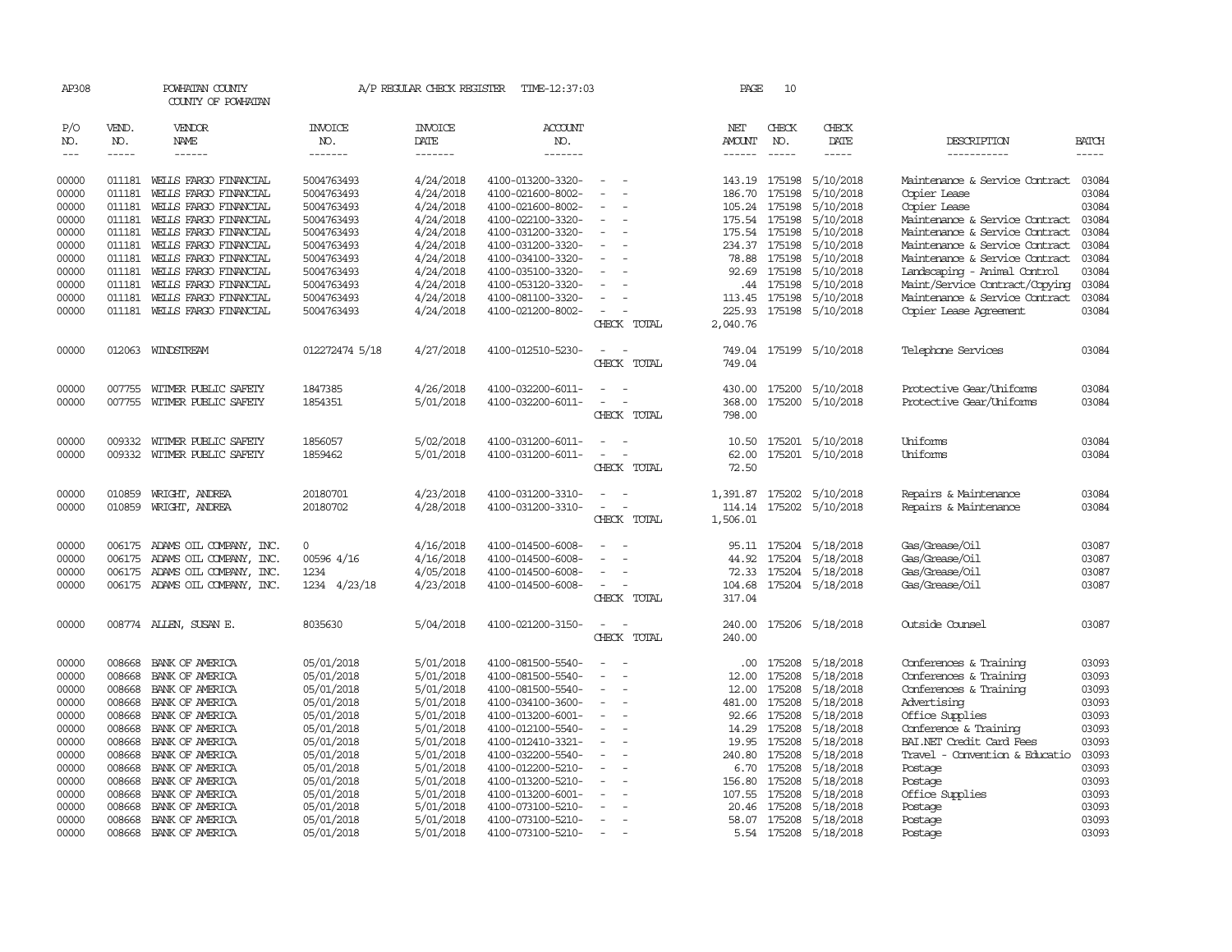| AP308          |                  | POWHATAN COUNTY<br>COUNTY OF POWHATAN |                          | A/P REGULAR CHECK REGISTER | TIME-12:37:03                          |                                            | PAGE           | 10               |                        |                                |                |
|----------------|------------------|---------------------------------------|--------------------------|----------------------------|----------------------------------------|--------------------------------------------|----------------|------------------|------------------------|--------------------------------|----------------|
| P/O<br>NO.     | VEND.<br>NO.     | VENDOR<br>NAME                        | INVOICE<br>NO.           | <b>INVOICE</b><br>DATE     | <b>ACCOUNT</b><br>NO.                  |                                            | NET<br>AMOUNT  | CHECK<br>NO.     | CHECK<br>DATE          | DESCRIPTION                    | <b>BATCH</b>   |
| $---$          | $- - - - -$      | ------                                | -------                  | -------                    | -------                                |                                            |                | $- - - - -$      | -----                  | -----------                    | $- - - - -$    |
| 00000          | 011181           | WEILS FARGO FINANCIAL                 | 5004763493               | 4/24/2018                  | 4100-013200-3320-                      |                                            | 143.19 175198  |                  | 5/10/2018              | Maintenance & Service Contract | 03084          |
| 00000          | 011181           | WELLS FARGO FINANCIAL                 | 5004763493               | 4/24/2018                  | 4100-021600-8002-                      |                                            | 186.70         | 175198           | 5/10/2018              | Copier Lease                   | 03084          |
| 00000          | 011181           | WELLS FARGO FINANCIAL                 | 5004763493               | 4/24/2018                  | 4100-021600-8002-                      |                                            | 105.24         | 175198           | 5/10/2018              | Copier Lease                   | 03084          |
| 00000          | 011181           | WELLS FARGO FINANCIAL                 | 5004763493               | 4/24/2018                  | 4100-022100-3320-                      | $\overline{\phantom{a}}$                   | 175.54         | 175198           | 5/10/2018              | Maintenance & Service Contract | 03084          |
| 00000          | 011181           | WELLS FARGO FINANCIAL                 | 5004763493               | 4/24/2018                  | 4100-031200-3320-                      | $\equiv$                                   | 175.54 175198  |                  | 5/10/2018              | Maintenance & Service Contract | 03084          |
| 00000          | 011181           | WELLS FARGO FINANCIAL                 | 5004763493               | 4/24/2018                  | 4100-031200-3320-                      |                                            | 234.37         | 175198           | 5/10/2018              | Maintenance & Service Contract | 03084          |
| 00000          | 011181           | WELLS FARGO FINANCIAL                 | 5004763493               | 4/24/2018                  | 4100-034100-3320-                      |                                            | 78.88          | 175198           | 5/10/2018              | Maintenance & Service Contract | 03084          |
| 00000          | 011181           | WELLS FARGO FINANCIAL                 | 5004763493               | 4/24/2018                  | 4100-035100-3320-                      |                                            | 92.69          | 175198           | 5/10/2018              | Landscaping - Animal Control   | 03084          |
| 00000          | 011181           | WELLS FARGO FINANCIAL                 | 5004763493               | 4/24/2018                  | 4100-053120-3320-                      |                                            | .44            | 175198           | 5/10/2018              | Maint/Service Contract/Copying | 03084          |
| 00000          | 011181           | WELLS FARGO FINANCIAL                 | 5004763493               | 4/24/2018                  | 4100-081100-3320-                      |                                            | 113.45         | 175198           | 5/10/2018              | Maintenance & Service Contract | 03084          |
| 00000          | 011181           | WELLS FARGO FINANCIAL                 | 5004763493               | 4/24/2018                  | 4100-021200-8002-                      |                                            | 225.93         |                  | 175198 5/10/2018       | Copier Lease Agreement         | 03084          |
|                |                  |                                       |                          |                            |                                        | CHECK<br>TOTAL                             | 2,040.76       |                  |                        |                                |                |
| 00000          |                  | 012063 WINDSTREAM                     | 012272474 5/18           | 4/27/2018                  | 4100-012510-5230-                      |                                            | 749.04         |                  | 175199 5/10/2018       | Telephone Services             | 03084          |
|                |                  |                                       |                          |                            |                                        | CHECK TOTAL                                | 749.04         |                  |                        |                                |                |
| 00000          | 007755           | WITMER PUBLIC SAFETY                  | 1847385                  | 4/26/2018                  | 4100-032200-6011-                      |                                            | 430.00         | 175200           | 5/10/2018              | Protective Gear/Uniforms       | 03084          |
| 00000          | 007755           | WITMER PUBLIC SAFETY                  | 1854351                  | 5/01/2018                  | 4100-032200-6011-                      | $\overline{\phantom{a}}$<br>$\overline{a}$ | 368.00         | 175200           | 5/10/2018              | Protective Gear/Uniforms       | 03084          |
|                |                  |                                       |                          |                            |                                        | CHECK TOTAL                                | 798.00         |                  |                        |                                |                |
| 00000          | 009332           | WITMER PUBLIC SAFETY                  | 1856057                  | 5/02/2018                  | 4100-031200-6011-                      | $\equiv$<br>$\overline{\phantom{0}}$       | 10.50          |                  | 175201 5/10/2018       | Uniforms                       | 03084          |
| 00000          | 009332           | WITMER PUBLIC SAFETY                  | 1859462                  | 5/01/2018                  | 4100-031200-6011-                      |                                            | 62.00          |                  | 175201 5/10/2018       | Uniforms                       | 03084          |
|                |                  |                                       |                          |                            |                                        | CHECK TOTAL                                | 72.50          |                  |                        |                                |                |
| 00000          | 010859           | WRIGHT, ANDREA                        | 20180701                 | 4/23/2018                  | 4100-031200-3310-                      |                                            | 1,391.87       | 175202           | 5/10/2018              | Repairs & Maintenance          | 03084          |
| 00000          | 010859           | WRIGHT, ANDREA                        | 20180702                 | 4/28/2018                  | 4100-031200-3310-                      | $\sim$<br>$\overline{\phantom{a}}$         | 114.14         | 175202           | 5/10/2018              | Repairs & Maintenance          | 03084          |
|                |                  |                                       |                          |                            |                                        | CHECK TOTAL                                | 1,506.01       |                  |                        |                                |                |
| 00000          | 006175           | ADAMS OIL COMPANY, INC.               | $\Omega$                 | 4/16/2018                  | 4100-014500-6008-                      |                                            | 95.11          | 175204           | 5/18/2018              | Gas/Grease/Oil                 | 03087          |
| 00000          | 006175           | ADAMS OIL COMPANY, INC.               | 00596 4/16               | 4/16/2018                  | 4100-014500-6008-                      |                                            | 44.92          | 175204           | 5/18/2018              | Gas/Grease/Oil                 | 03087          |
| 00000          | 006175           | ADAMS OIL COMPANY, INC.               | 1234                     | 4/05/2018                  | 4100-014500-6008-                      | $\overline{\phantom{a}}$                   | 72.33          | 175204           | 5/18/2018              | Gas/Grease/Oil                 | 03087          |
| 00000          |                  | 006175 ADAMS OIL COMPANY, INC.        | 1234<br>4/23/18          | 4/23/2018                  | 4100-014500-6008-                      | $\sim$                                     | 104.68         |                  | 175204 5/18/2018       | Gas/Grease/Oil                 | 03087          |
|                |                  |                                       |                          |                            |                                        | CHECK TOTAL                                | 317.04         |                  |                        |                                |                |
| 00000          |                  | 008774 ALLEN, SUSAN E.                | 8035630                  | 5/04/2018                  | 4100-021200-3150-                      | $\equiv$<br>$\overline{a}$                 | 240.00         |                  | 175206 5/18/2018       | Outside Counsel                | 03087          |
|                |                  |                                       |                          |                            |                                        | CHECK<br>TOTAL                             | 240.00         |                  |                        |                                |                |
| 00000          | 008668           | BANK OF AMERICA                       | 05/01/2018               | 5/01/2018                  | 4100-081500-5540-                      |                                            | .00.           | 175208           | 5/18/2018              | Conferences & Training         | 03093          |
| 00000          | 008668           | BANK OF AMERICA                       | 05/01/2018               | 5/01/2018                  | 4100-081500-5540-                      | $\overline{\phantom{a}}$                   | 12.00          | 175208           | 5/18/2018              | Conferences & Training         | 03093          |
| 00000          | 008668           | BANK OF AMERICA                       | 05/01/2018               | 5/01/2018                  | 4100-081500-5540-                      | $\equiv$                                   | 12.00          | 175208           | 5/18/2018              | Conferences & Training         | 03093          |
| 00000          | 008668           | BANK OF AMERICA                       | 05/01/2018               | 5/01/2018                  | 4100-034100-3600-                      | $\overline{a}$                             | 481.00         | 175208           | 5/18/2018              | Advertising                    | 03093          |
| 00000          | 008668           | BANK OF AMERICA                       | 05/01/2018               | 5/01/2018                  | 4100-013200-6001-                      | $\equiv$                                   | 92.66          | 175208           | 5/18/2018              | Office Supplies                | 03093          |
| 00000          | 008668           | BANK OF AMERICA                       | 05/01/2018               | 5/01/2018                  | 4100-012100-5540-                      |                                            | 14.29          | 175208           | 5/18/2018              | Conference & Training          | 03093          |
| 00000          | 008668           | BANK OF AMERICA                       | 05/01/2018               | 5/01/2018                  | 4100-012410-3321-                      |                                            | 19.95          | 175208           | 5/18/2018              | BAI.NET Credit Card Fees       | 03093          |
| 00000          | 008668           | BANK OF AMERICA                       | 05/01/2018               | 5/01/2018                  | 4100-032200-5540-                      | $\overline{\phantom{a}}$<br>$\equiv$       | 240.80         | 175208           | 5/18/2018              | Travel - Convention & Educatio | 03093          |
| 00000<br>00000 | 008668<br>008668 | BANK OF AMERICA<br>BANK OF AMERICA    | 05/01/2018<br>05/01/2018 | 5/01/2018<br>5/01/2018     | 4100-012200-5210-<br>4100-013200-5210- |                                            | 6.70<br>156.80 | 175208<br>175208 | 5/18/2018<br>5/18/2018 | Postage                        | 03093<br>03093 |
| 00000          | 008668           | BANK OF AMERICA                       | 05/01/2018               | 5/01/2018                  | 4100-013200-6001-                      |                                            | 107.55         | 175208           | 5/18/2018              | Postage<br>Office Supplies     | 03093          |
| 00000          | 008668           | BANK OF AMERICA                       | 05/01/2018               | 5/01/2018                  | 4100-073100-5210-                      |                                            | 20.46          | 175208           | 5/18/2018              | Postage                        | 03093          |
| 00000          | 008668           | BANK OF AMERICA                       | 05/01/2018               | 5/01/2018                  | 4100-073100-5210-                      | $\sim$                                     |                | 58.07 175208     | 5/18/2018              | Postage                        | 03093          |
| 00000          | 008668           | BANK OF AMERICA                       | 05/01/2018               | 5/01/2018                  | 4100-073100-5210-                      | $\sim$                                     |                |                  | 5.54 175208 5/18/2018  | Postage                        | 03093          |
|                |                  |                                       |                          |                            |                                        |                                            |                |                  |                        |                                |                |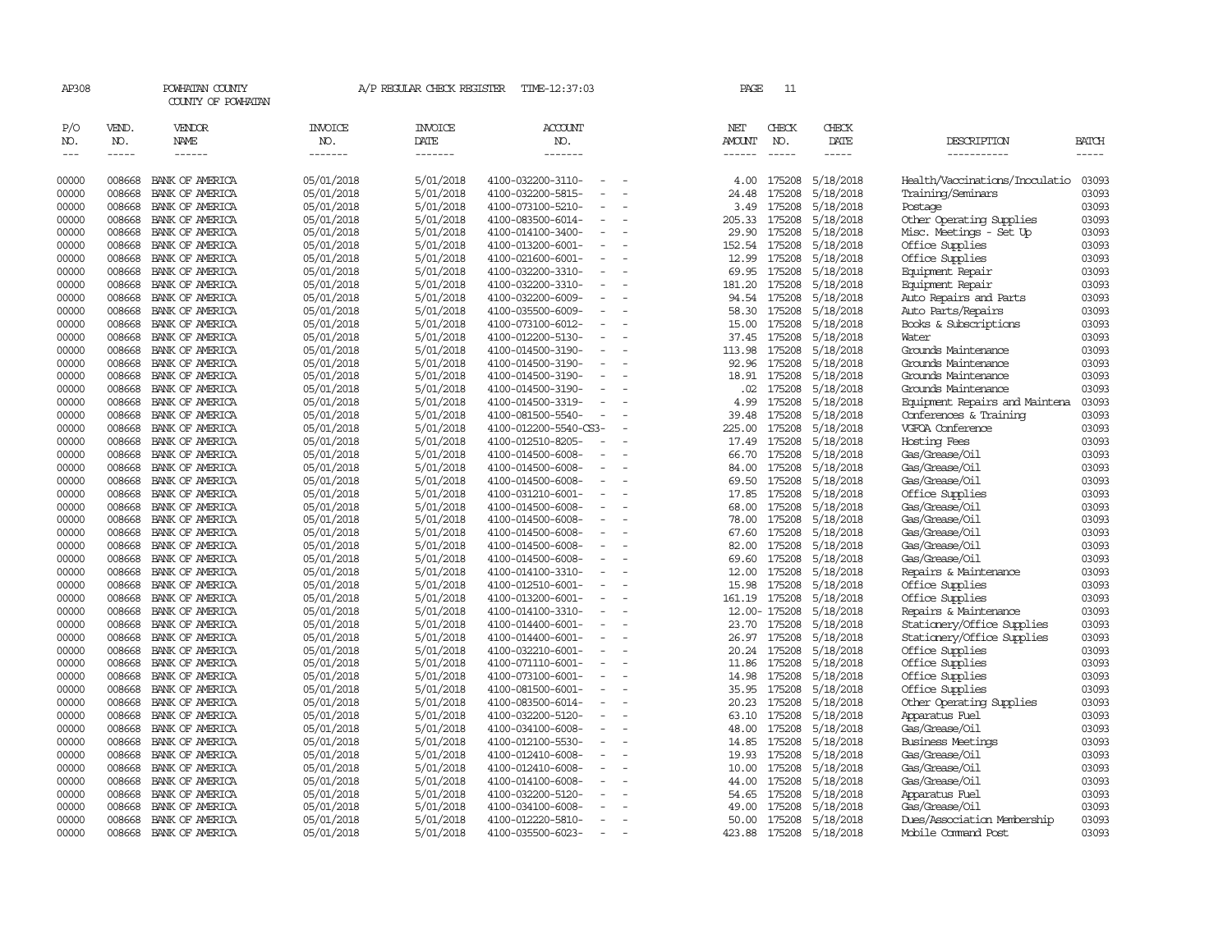| AP308                       |                             | POWHATAN COUNTY<br>COUNTY OF POWHATAN |                                   | A/P REGULAR CHECK REGISTER        | TIME-12:37:03                                 | PAGE                    | 11                            |                              |                                |                       |
|-----------------------------|-----------------------------|---------------------------------------|-----------------------------------|-----------------------------------|-----------------------------------------------|-------------------------|-------------------------------|------------------------------|--------------------------------|-----------------------|
| P/O<br>NO.<br>$\frac{1}{2}$ | VEND.<br>NO.<br>$- - - - -$ | VENDOR<br><b>NAME</b>                 | <b>INVOICE</b><br>NO.<br>-------- | <b>INVOICE</b><br>DATE<br>------- | <b>ACCOUNT</b><br>NO.<br>-------              | NET<br>AMOUNT<br>------ | CHECK<br>NO.<br>$\frac{1}{2}$ | CHECK<br>DATE<br>$- - - - -$ | DESCRIPTION<br>-----------     | <b>BATCH</b><br>----- |
| 00000                       | 008668                      | BANK OF AMERICA                       | 05/01/2018                        | 5/01/2018                         | 4100-032200-3110-                             | 4.00                    | 175208                        | 5/18/2018                    | Health/Vaccinations/Inoculatio | 03093                 |
| 00000                       | 008668                      | BANK OF AMERICA                       | 05/01/2018                        | 5/01/2018                         | 4100-032200-5815-                             | 24.48                   | 175208                        | 5/18/2018                    | Training/Seminars              | 03093                 |
| 00000                       | 008668                      | BANK OF AMERICA                       | 05/01/2018                        | 5/01/2018                         | 4100-073100-5210-<br>$\overline{\phantom{a}}$ | 3.49                    | 175208                        | 5/18/2018                    | Postage                        | 03093                 |
| 00000                       | 008668                      | BANK OF AMERICA                       | 05/01/2018                        | 5/01/2018                         | 4100-083500-6014-                             | 205.33                  | 175208                        | 5/18/2018                    | Other Operating Supplies       | 03093                 |
| 00000                       | 008668                      | BANK OF AMERICA                       | 05/01/2018                        | 5/01/2018                         | 4100-014100-3400-<br>$\equiv$                 | 29.90                   | 175208                        | 5/18/2018                    | Misc. Meetings - Set Up        | 03093                 |
| 00000                       | 008668                      | BANK OF AMERICA                       | 05/01/2018                        | 5/01/2018                         | 4100-013200-6001-<br>$\overline{\phantom{a}}$ | 152.54                  | 175208                        | 5/18/2018                    | Office Supplies                | 03093                 |
| 00000                       | 008668                      | BANK OF AMERICA                       | 05/01/2018                        | 5/01/2018                         | 4100-021600-6001-<br>$\overline{\phantom{a}}$ | 12.99                   | 175208                        | 5/18/2018                    | Office Supplies                | 03093                 |
| 00000                       | 008668                      | BANK OF AMERICA                       | 05/01/2018                        | 5/01/2018                         | 4100-032200-3310-<br>$\equiv$                 | 69.95                   | 175208                        | 5/18/2018                    | Equipment Repair               | 03093                 |
| 00000                       | 008668                      | BANK OF AMERICA                       | 05/01/2018                        | 5/01/2018                         | 4100-032200-3310-                             | 181.20                  | 175208                        | 5/18/2018                    | Equipment Repair               | 03093                 |
| 00000                       | 008668                      | BANK OF AMERICA                       | 05/01/2018                        | 5/01/2018                         | 4100-032200-6009-<br>$\overline{\phantom{a}}$ | 94.54                   | 175208                        | 5/18/2018                    | Auto Repairs and Parts         | 03093                 |
| 00000                       | 008668                      | BANK OF AMERICA                       | 05/01/2018                        | 5/01/2018                         | 4100-035500-6009-<br>$\overline{\phantom{a}}$ | 58.30                   | 175208                        | 5/18/2018                    | Auto Parts/Repairs             | 03093                 |
| 00000                       | 008668                      | BANK OF AMERICA                       | 05/01/2018                        | 5/01/2018                         | 4100-073100-6012-<br>$\overline{\phantom{a}}$ | 15.00                   | 175208                        | 5/18/2018                    | Books & Subscriptions          | 03093                 |
| 00000                       | 008668                      | BANK OF AMERICA                       | 05/01/2018                        | 5/01/2018                         | 4100-012200-5130-<br>$\equiv$                 | 37.45                   | 175208                        | 5/18/2018                    | Water                          | 03093                 |
| 00000                       | 008668                      | BANK OF AMERICA                       | 05/01/2018                        | 5/01/2018                         | 4100-014500-3190-<br>$\equiv$                 | 113.98                  | 175208                        | 5/18/2018                    | Grounds Maintenance            | 03093                 |
| 00000                       | 008668                      | BANK OF AMERICA                       | 05/01/2018                        | 5/01/2018                         | 4100-014500-3190-<br>$\overline{\phantom{a}}$ | 92.96                   | 175208                        | 5/18/2018                    | Grounds Maintenance            | 03093                 |
| 00000                       | 008668                      | BANK OF AMERICA                       | 05/01/2018                        | 5/01/2018                         | 4100-014500-3190-                             | 18.91                   | 175208                        | 5/18/2018                    | Grounds Maintenance            | 03093                 |
| 00000                       | 008668                      | BANK OF AMERICA                       | 05/01/2018                        | 5/01/2018                         | 4100-014500-3190-<br>$\equiv$                 | .02                     | 175208                        | 5/18/2018                    | Grounds Maintenance            | 03093                 |
| 00000                       | 008668                      | BANK OF AMERICA                       | 05/01/2018                        | 5/01/2018                         | 4100-014500-3319-<br>$\equiv$                 | 4.99                    | 175208                        | 5/18/2018                    | Equipment Repairs and Maintena | 03093                 |
| 00000                       | 008668                      | BANK OF AMERICA                       | 05/01/2018                        | 5/01/2018                         | 4100-081500-5540-<br>$\sim$                   | 39.48                   | 175208                        | 5/18/2018                    | Conferences & Training         | 03093                 |
| 00000                       | 008668                      | BANK OF AMERICA                       | 05/01/2018                        | 5/01/2018                         | 4100-012200-5540-CS3-                         | 225.00                  | 175208                        | 5/18/2018                    | VGFOA Conference               | 03093                 |
| 00000                       | 008668                      | BANK OF AMERICA                       | 05/01/2018                        | 5/01/2018                         | 4100-012510-8205-<br>$\equiv$                 | 17.49                   | 175208                        | 5/18/2018                    | Hosting Fees                   | 03093                 |
| 00000                       | 008668                      | BANK OF AMERICA                       | 05/01/2018                        | 5/01/2018                         | 4100-014500-6008-                             | 66.70                   | 175208                        | 5/18/2018                    | Gas/Grease/Oil                 | 03093                 |
| 00000                       | 008668                      | BANK OF AMERICA                       | 05/01/2018                        | 5/01/2018                         | 4100-014500-6008-                             | 84.00                   | 175208                        | 5/18/2018                    | Gas/Grease/Oil                 | 03093                 |
| 00000                       | 008668                      | BANK OF AMERICA                       | 05/01/2018                        | 5/01/2018                         | 4100-014500-6008-<br>$\overline{\phantom{a}}$ | 69.50                   | 175208                        | 5/18/2018                    | Gas/Grease/Oil                 | 03093                 |
| 00000                       | 008668                      | BANK OF AMERICA                       | 05/01/2018                        | 5/01/2018                         | 4100-031210-6001-                             | 17.85                   | 175208                        | 5/18/2018                    | Office Supplies                | 03093                 |
| 00000                       | 008668                      | BANK OF AMERICA                       | 05/01/2018                        | 5/01/2018                         | 4100-014500-6008-                             | 68.00                   | 175208                        | 5/18/2018                    | Gas/Grease/Oil                 | 03093                 |
| 00000                       | 008668                      | BANK OF AMERICA                       | 05/01/2018                        | 5/01/2018                         | 4100-014500-6008-                             | 78.00                   | 175208                        | 5/18/2018                    | Gas/Grease/Oil                 | 03093                 |
| 00000                       | 008668                      | BANK OF AMERICA                       | 05/01/2018                        | 5/01/2018                         | 4100-014500-6008-<br>$\sim$                   | 67.60                   | 175208                        | 5/18/2018                    | Gas/Grease/Oil                 | 03093                 |
| 00000                       | 008668                      | BANK OF AMERICA                       | 05/01/2018                        | 5/01/2018                         | 4100-014500-6008-                             | 82.00                   | 175208                        | 5/18/2018                    | Gas/Grease/0il                 | 03093                 |
| 00000                       | 008668                      | BANK OF AMERICA                       | 05/01/2018                        | 5/01/2018                         | 4100-014500-6008-                             | 69.60                   | 175208                        | 5/18/2018                    | Gas/Grease/Oil                 | 03093                 |
| 00000                       | 008668                      | BANK OF AMERICA                       | 05/01/2018                        | 5/01/2018                         | 4100-014100-3310-<br>$\equiv$                 | 12.00                   | 175208                        | 5/18/2018                    | Repairs & Maintenance          | 03093                 |
| 00000                       | 008668                      | BANK OF AMERICA                       | 05/01/2018                        | 5/01/2018                         | 4100-012510-6001-                             | 15.98                   | 175208                        | 5/18/2018                    | Office Supplies                | 03093                 |
| 00000                       | 008668                      | BANK OF AMERICA                       | 05/01/2018                        | 5/01/2018                         | 4100-013200-6001-                             | 161.19                  | 175208                        | 5/18/2018                    | Office Supplies                | 03093                 |
| 00000                       | 008668                      | BANK OF AMERICA                       | 05/01/2018                        | 5/01/2018                         | 4100-014100-3310-<br>$\overline{\phantom{a}}$ |                         | 12.00-175208                  | 5/18/2018                    | Repairs & Maintenance          | 03093                 |
| 00000                       | 008668                      | BANK OF AMERICA                       | 05/01/2018                        | 5/01/2018                         | 4100-014400-6001-<br>$\equiv$                 | 23.70                   | 175208                        | 5/18/2018                    | Stationery/Office Supplies     | 03093                 |
| 00000                       | 008668                      | BANK OF AMERICA                       | 05/01/2018                        | 5/01/2018                         | 4100-014400-6001-<br>$\equiv$                 | 26.97                   | 175208                        | 5/18/2018                    | Stationery/Office Supplies     | 03093                 |
| 00000                       | 008668                      | BANK OF AMERICA                       | 05/01/2018                        | 5/01/2018                         | 4100-032210-6001-                             |                         | 20.24 175208                  | 5/18/2018                    | Office Supplies                | 03093                 |
| 00000                       | 008668                      | BANK OF AMERICA                       | 05/01/2018                        | 5/01/2018                         | 4100-071110-6001-<br>$\equiv$                 | 11.86                   | 175208                        | 5/18/2018                    | Office Supplies                | 03093                 |
| 00000                       | 008668                      | BANK OF AMERICA                       | 05/01/2018                        | 5/01/2018                         | 4100-073100-6001-<br>$\overline{\phantom{a}}$ | 14.98                   | 175208                        | 5/18/2018                    | Office Supplies                | 03093                 |
| 00000                       | 008668                      | BANK OF AMERICA                       | 05/01/2018                        | 5/01/2018                         | 4100-081500-6001-                             | 35.95                   | 175208                        | 5/18/2018                    | Office Supplies                | 03093                 |
| 00000                       | 008668                      | BANK OF AMERICA                       | 05/01/2018                        | 5/01/2018                         | 4100-083500-6014-<br>$\equiv$                 | 20.23                   | 175208                        | 5/18/2018                    | Other Operating Supplies       | 03093                 |
| 00000                       | 008668                      | BANK OF AMERICA                       | 05/01/2018                        | 5/01/2018                         | 4100-032200-5120-<br>$\overline{\phantom{a}}$ | 63.10                   | 175208                        | 5/18/2018                    | Apparatus Fuel                 | 03093                 |
| 00000                       | 008668                      | BANK OF AMERICA                       | 05/01/2018                        | 5/01/2018                         | 4100-034100-6008-                             | 48.00                   | 175208                        | 5/18/2018                    | Gas/Grease/Oil                 | 03093                 |
| 00000                       | 008668                      | BANK OF AMERICA                       | 05/01/2018                        | 5/01/2018                         | 4100-012100-5530-                             | 14.85                   | 175208                        | 5/18/2018                    | <b>Business Meetings</b>       | 03093                 |
| 00000                       | 008668                      | BANK OF AMERICA                       | 05/01/2018                        | 5/01/2018                         | 4100-012410-6008-<br>$\equiv$                 | 19.93                   | 175208                        | 5/18/2018                    | Gas/Grease/Oil                 | 03093                 |
| 00000                       | 008668                      | BANK OF AMERICA                       | 05/01/2018                        | 5/01/2018                         | 4100-012410-6008-                             | 10.00                   | 175208                        | 5/18/2018                    | Gas/Grease/Oil                 | 03093                 |
| 00000                       | 008668                      | BANK OF AMERICA                       | 05/01/2018                        | 5/01/2018                         | 4100-014100-6008-                             | 44.00                   | 175208                        | 5/18/2018                    | Gas/Grease/Oil                 | 03093                 |
| 00000                       | 008668                      | BANK OF AMERICA                       | 05/01/2018                        | 5/01/2018                         | 4100-032200-5120-                             | 54.65                   | 175208                        | 5/18/2018                    | Apparatus Fuel                 | 03093                 |
| 00000                       | 008668                      | BANK OF AMERICA                       | 05/01/2018                        | 5/01/2018                         | 4100-034100-6008-                             | 49.00                   | 175208                        | 5/18/2018                    | Gas/Grease/Oil                 | 03093                 |
| 00000                       | 008668                      | BANK OF AMERICA                       | 05/01/2018                        | 5/01/2018                         | 4100-012220-5810-<br>$\overline{\phantom{a}}$ | 50.00                   | 175208                        | 5/18/2018                    | Dues/Association Membership    | 03093                 |
| 00000                       | 008668                      | BANK OF AMERICA                       | 05/01/2018                        | 5/01/2018                         | 4100-035500-6023-<br>$\sim$                   | 423.88                  |                               | 175208 5/18/2018             | Mobile Command Post            | 03093                 |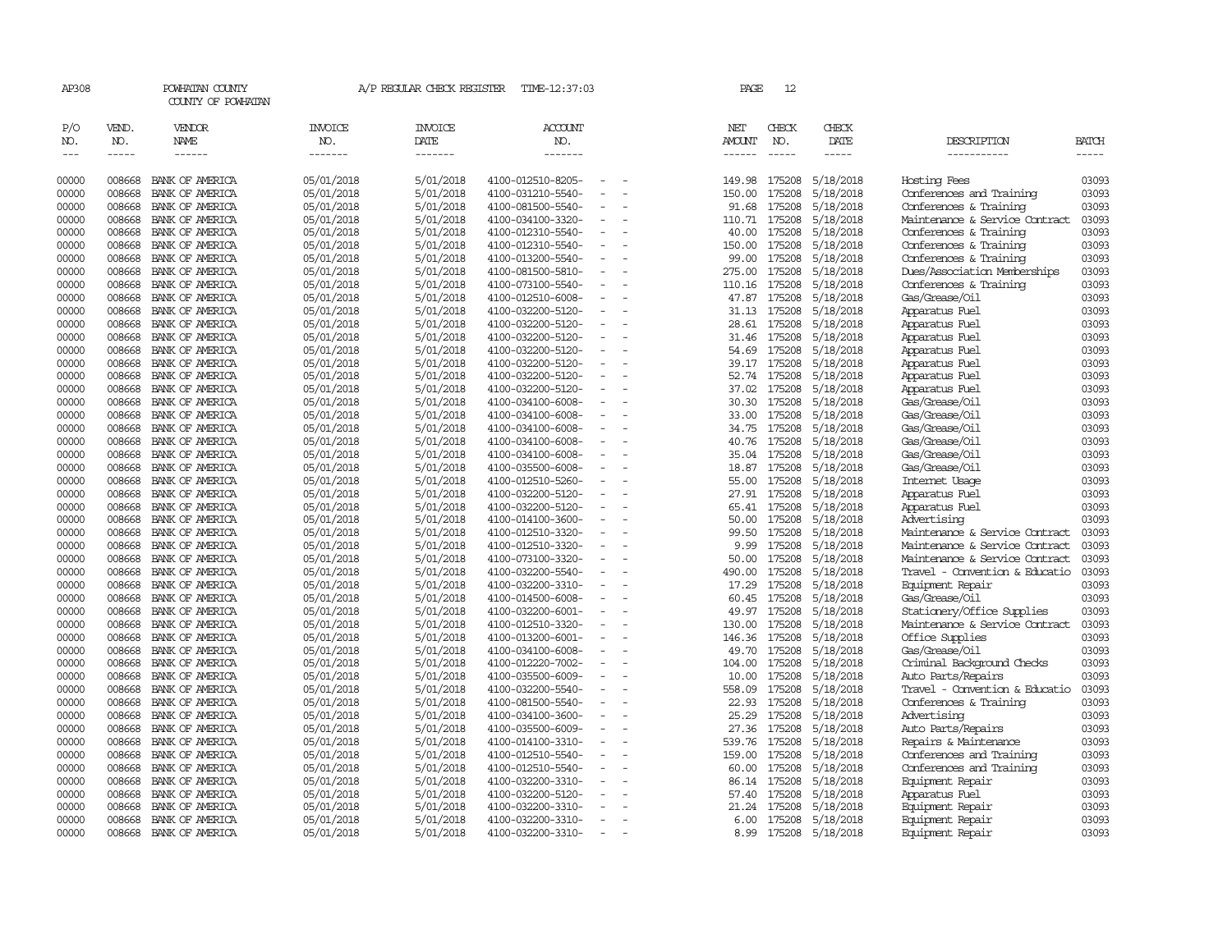| AP308                       |                             | POWHATAN COUNTY<br>COUNTY OF POWHATAN  |                                  | A/P REGULAR CHECK REGISTER        | TIME-12:37:03                          |                          | PAGE                           | 12                            |                              |                                      |                             |
|-----------------------------|-----------------------------|----------------------------------------|----------------------------------|-----------------------------------|----------------------------------------|--------------------------|--------------------------------|-------------------------------|------------------------------|--------------------------------------|-----------------------------|
| P/O<br>NO.<br>$\frac{1}{2}$ | VEND.<br>NO.<br>$- - - - -$ | VENDOR<br><b>NAME</b><br>$- - - - - -$ | <b>INVOICE</b><br>NO.<br>------- | <b>INVOICE</b><br>DATE<br>------- | <b>ACCOUNT</b><br>NO.<br>-------       |                          | NET<br>AMOUNT<br>$- - - - - -$ | CHECK<br>NO.<br>$\frac{1}{2}$ | CHECK<br>DATE<br>$- - - - -$ | DESCRIPTION<br>-----------           | <b>BATCH</b><br>$- - - - -$ |
| 00000                       | 008668                      | BANK OF AMERICA                        | 05/01/2018                       | 5/01/2018                         | 4100-012510-8205-                      |                          | 149.98                         | 175208                        | 5/18/2018                    | Hosting Fees                         | 03093                       |
| 00000                       | 008668                      | BANK OF AMERICA                        | 05/01/2018                       | 5/01/2018                         | 4100-031210-5540-                      |                          | 150.00                         | 175208                        | 5/18/2018                    | Conferences and Training             | 03093                       |
| 00000                       | 008668                      | BANK OF AMERICA                        | 05/01/2018                       | 5/01/2018                         | 4100-081500-5540-                      | $\overline{\phantom{a}}$ | 91.68                          | 175208                        | 5/18/2018                    | Conferences & Training               | 03093                       |
| 00000                       | 008668                      | BANK OF AMERICA                        | 05/01/2018                       | 5/01/2018                         | 4100-034100-3320-                      |                          | 110.71                         | 175208                        | 5/18/2018                    | Maintenance & Service Contract       | 03093                       |
| 00000                       | 008668                      | BANK OF AMERICA                        | 05/01/2018                       | 5/01/2018                         | 4100-012310-5540-                      |                          | 40.00                          | 175208                        | 5/18/2018                    | Conferences & Training               | 03093                       |
| 00000                       | 008668                      | BANK OF AMERICA                        | 05/01/2018                       | 5/01/2018                         | 4100-012310-5540-                      |                          | 150.00                         | 175208                        | 5/18/2018                    | Conferences & Training               | 03093                       |
| 00000                       | 008668                      | BANK OF AMERICA                        | 05/01/2018                       | 5/01/2018                         | 4100-013200-5540-                      | $\overline{\phantom{a}}$ | 99.00                          | 175208                        | 5/18/2018                    | Conferences & Training               | 03093                       |
| 00000                       | 008668                      | BANK OF AMERICA                        | 05/01/2018                       | 5/01/2018                         | 4100-081500-5810-                      |                          | 275.00                         | 175208                        | 5/18/2018                    | Dues/Association Memberships         | 03093                       |
| 00000                       | 008668                      | BANK OF AMERICA                        | 05/01/2018                       | 5/01/2018                         | 4100-073100-5540-                      |                          | 110.16                         | 175208                        | 5/18/2018                    | Conferences & Training               | 03093                       |
| 00000                       | 008668                      | BANK OF AMERICA                        | 05/01/2018                       | 5/01/2018                         | 4100-012510-6008-                      | $\equiv$                 | 47.87                          | 175208                        | 5/18/2018                    | Gas/Grease/Oil                       | 03093                       |
| 00000                       | 008668                      | BANK OF AMERICA                        | 05/01/2018                       | 5/01/2018                         | 4100-032200-5120-                      |                          | 31.13                          | 175208                        | 5/18/2018                    | Apparatus Fuel                       | 03093                       |
| 00000                       | 008668                      | BANK OF AMERICA                        | 05/01/2018                       | 5/01/2018                         | 4100-032200-5120-                      | $\equiv$                 | 28.61                          | 175208                        | 5/18/2018                    | Apparatus Fuel                       | 03093                       |
| 00000                       | 008668                      | BANK OF AMERICA                        | 05/01/2018                       | 5/01/2018                         | 4100-032200-5120-                      | $\sim$                   | 31.46                          | 175208                        | 5/18/2018                    | Apparatus Fuel                       | 03093                       |
| 00000                       | 008668                      | BANK OF AMERICA                        | 05/01/2018                       | 5/01/2018                         | 4100-032200-5120-                      | $\overline{\phantom{a}}$ | 54.69                          | 175208                        | 5/18/2018                    | Apparatus Fuel                       | 03093                       |
| 00000                       | 008668                      | BANK OF AMERICA                        | 05/01/2018                       | 5/01/2018                         | 4100-032200-5120-                      |                          | 39.17                          | 175208                        | 5/18/2018                    | Apparatus Fuel                       | 03093                       |
| 00000                       | 008668                      | BANK OF AMERICA                        | 05/01/2018                       | 5/01/2018                         | 4100-032200-5120-                      |                          | 52.74                          | 175208                        | 5/18/2018                    | Apparatus Fuel                       | 03093                       |
| 00000                       | 008668                      | BANK OF AMERICA                        | 05/01/2018                       | 5/01/2018                         | 4100-032200-5120-                      | $\overline{\phantom{a}}$ | 37.02                          | 175208                        | 5/18/2018                    | Apparatus Fuel                       | 03093                       |
| 00000                       | 008668                      | BANK OF AMERICA                        | 05/01/2018                       | 5/01/2018                         | 4100-034100-6008-                      |                          | 30.30                          | 175208                        | 5/18/2018                    | Gas/Grease/Oil                       | 03093                       |
| 00000<br>00000              | 008668<br>008668            | BANK OF AMERICA                        | 05/01/2018<br>05/01/2018         | 5/01/2018<br>5/01/2018            | 4100-034100-6008-                      |                          | 33.00                          | 175208<br>175208              | 5/18/2018<br>5/18/2018       | Gas/Grease/Oil<br>Gas/Grease/Oil     | 03093<br>03093              |
| 00000                       | 008668                      | BANK OF AMERICA<br>BANK OF AMERICA     | 05/01/2018                       | 5/01/2018                         | 4100-034100-6008-<br>4100-034100-6008- |                          | 34.75<br>40.76                 | 175208                        | 5/18/2018                    | Gas/Grease/Oil                       | 03093                       |
| 00000                       | 008668                      | BANK OF AMERICA                        | 05/01/2018                       | 5/01/2018                         | 4100-034100-6008-                      |                          | 35.04                          | 175208                        | 5/18/2018                    | Gas/Grease/Oil                       | 03093                       |
| 00000                       | 008668                      | BANK OF AMERICA                        | 05/01/2018                       | 5/01/2018                         | 4100-035500-6008-                      |                          | 18.87                          | 175208                        | 5/18/2018                    | Gas/Grease/Oil                       | 03093                       |
| 00000                       | 008668                      | BANK OF AMERICA                        | 05/01/2018                       | 5/01/2018                         | 4100-012510-5260-                      | $\equiv$                 | 55.00                          | 175208                        | 5/18/2018                    | Internet Usage                       | 03093                       |
| 00000                       | 008668                      | BANK OF AMERICA                        | 05/01/2018                       | 5/01/2018                         | 4100-032200-5120-                      |                          | 27.91                          | 175208                        | 5/18/2018                    | Apparatus Fuel                       | 03093                       |
| 00000                       | 008668                      | BANK OF AMERICA                        | 05/01/2018                       | 5/01/2018                         | 4100-032200-5120-                      | $\sim$                   | 65.41                          | 175208                        | 5/18/2018                    | Apparatus Fuel                       | 03093                       |
| 00000                       | 008668                      | BANK OF AMERICA                        | 05/01/2018                       | 5/01/2018                         | 4100-014100-3600-                      | $\sim$                   | 50.00                          | 175208                        | 5/18/2018                    | Advertising                          | 03093                       |
| 00000                       | 008668                      | BANK OF AMERICA                        | 05/01/2018                       | 5/01/2018                         | 4100-012510-3320-                      | $\overline{\phantom{a}}$ | 99.50                          | 175208                        | 5/18/2018                    | Maintenance & Service Contract       | 03093                       |
| 00000                       | 008668                      | BANK OF AMERICA                        | 05/01/2018                       | 5/01/2018                         | 4100-012510-3320-                      |                          | 9.99                           | 175208                        | 5/18/2018                    | Maintenance & Service Contract       | 03093                       |
| 00000                       | 008668                      | BANK OF AMERICA                        | 05/01/2018                       | 5/01/2018                         | 4100-073100-3320-                      |                          | 50.00                          | 175208                        | 5/18/2018                    | Maintenance & Service Contract       | 03093                       |
| 00000                       | 008668                      | BANK OF AMERICA                        | 05/01/2018                       | 5/01/2018                         | 4100-032200-5540-                      | $\equiv$                 | 490.00                         | 175208                        | 5/18/2018                    | Travel - Convention & Educatio       | 03093                       |
| 00000                       | 008668                      | BANK OF AMERICA                        | 05/01/2018                       | 5/01/2018                         | 4100-032200-3310-                      |                          | 17.29                          | 175208                        | 5/18/2018                    | Equipment Repair                     | 03093                       |
| 00000                       | 008668                      | BANK OF AMERICA                        | 05/01/2018                       | 5/01/2018                         | 4100-014500-6008-                      |                          | 60.45                          | 175208                        | 5/18/2018                    | Gas/Grease/Oil                       | 03093                       |
| 00000                       | 008668                      | BANK OF AMERICA                        | 05/01/2018                       | 5/01/2018                         | 4100-032200-6001-                      |                          | 49.97                          | 175208                        | 5/18/2018                    | Stationery/Office Supplies           | 03093                       |
| 00000                       | 008668                      | BANK OF AMERICA                        | 05/01/2018                       | 5/01/2018                         | 4100-012510-3320-                      | $\overline{\phantom{a}}$ | 130.00                         | 175208                        | 5/18/2018                    | Maintenance & Service Contract       | 03093                       |
| 00000                       | 008668                      | BANK OF AMERICA                        | 05/01/2018                       | 5/01/2018                         | 4100-013200-6001-                      |                          | 146.36                         | 175208                        | 5/18/2018                    | Office Supplies                      | 03093                       |
| 00000                       | 008668                      | BANK OF AMERICA                        | 05/01/2018                       | 5/01/2018                         | 4100-034100-6008-                      |                          | 49.70                          | 175208                        | 5/18/2018                    | Gas/Grease/Oil                       | 03093                       |
| 00000                       | 008668                      | BANK OF AMERICA                        | 05/01/2018                       | 5/01/2018                         | 4100-012220-7002-                      | $\equiv$                 | 104.00                         | 175208                        | 5/18/2018                    | Criminal Background Checks           | 03093                       |
| 00000                       | 008668                      | BANK OF AMERICA                        | 05/01/2018                       | 5/01/2018                         | 4100-035500-6009-                      |                          | 10.00                          | 175208                        | 5/18/2018                    | Auto Parts/Repairs                   | 03093                       |
| 00000                       | 008668                      | BANK OF AMERICA                        | 05/01/2018                       | 5/01/2018                         | 4100-032200-5540-                      | $\equiv$                 | 558.09                         | 175208                        | 5/18/2018                    | Travel - Convention & Educatio       | 03093                       |
| 00000                       | 008668                      | BANK OF AMERICA                        | 05/01/2018                       | 5/01/2018                         | 4100-081500-5540-                      | $\sim$                   | 22.93                          | 175208                        | 5/18/2018                    | Conferences & Training               | 03093                       |
| 00000                       | 008668                      | BANK OF AMERICA                        | 05/01/2018                       | 5/01/2018                         | 4100-034100-3600-                      | $\overline{\phantom{a}}$ | 25.29                          | 175208                        | 5/18/2018                    | Advertising                          | 03093                       |
| 00000                       | 008668                      | BANK OF AMERICA                        | 05/01/2018                       | 5/01/2018                         | 4100-035500-6009-                      | $\equiv$                 | 27.36                          | 175208                        | 5/18/2018                    | Auto Parts/Repairs                   | 03093                       |
| 00000                       | 008668                      | BANK OF AMERICA                        | 05/01/2018                       | 5/01/2018                         | 4100-014100-3310-                      |                          | 539.76                         | 175208                        | 5/18/2018                    | Repairs & Maintenance                | 03093                       |
| 00000                       | 008668                      | BANK OF AMERICA                        | 05/01/2018                       | 5/01/2018                         | 4100-012510-5540-                      | $\equiv$                 | 159.00                         | 175208                        | 5/18/2018                    | Conferences and Training             | 03093                       |
| 00000                       | 008668                      | BANK OF AMERICA                        | 05/01/2018                       | 5/01/2018                         | 4100-012510-5540-                      |                          | 60.00                          | 175208                        | 5/18/2018                    | Conferences and Training             | 03093                       |
| 00000                       | 008668                      | BANK OF AMERICA                        | 05/01/2018                       | 5/01/2018                         | 4100-032200-3310-                      |                          | 86.14                          | 175208                        | 5/18/2018                    | Equipment Repair                     | 03093                       |
| 00000                       | 008668                      | BANK OF AMERICA                        | 05/01/2018                       | 5/01/2018                         | 4100-032200-5120-                      |                          | 57.40                          | 175208                        | 5/18/2018                    | Apparatus Fuel                       | 03093                       |
| 00000<br>00000              | 008668<br>008668            | BANK OF AMERICA<br>BANK OF AMERICA     | 05/01/2018                       | 5/01/2018<br>5/01/2018            | 4100-032200-3310-<br>4100-032200-3310- | $\equiv$                 | 21.24                          | 175208<br>175208              | 5/18/2018                    | Equipment Repair                     | 03093<br>03093              |
| 00000                       | 008668                      | BANK OF AMERICA                        | 05/01/2018                       | 5/01/2018                         | 4100-032200-3310-                      | $\equiv$                 | 6.00<br>8.99                   |                               | 5/18/2018                    | Equipment Repair<br>Equipment Repair | 03093                       |
|                             |                             |                                        | 05/01/2018                       |                                   |                                        |                          |                                |                               | 175208 5/18/2018             |                                      |                             |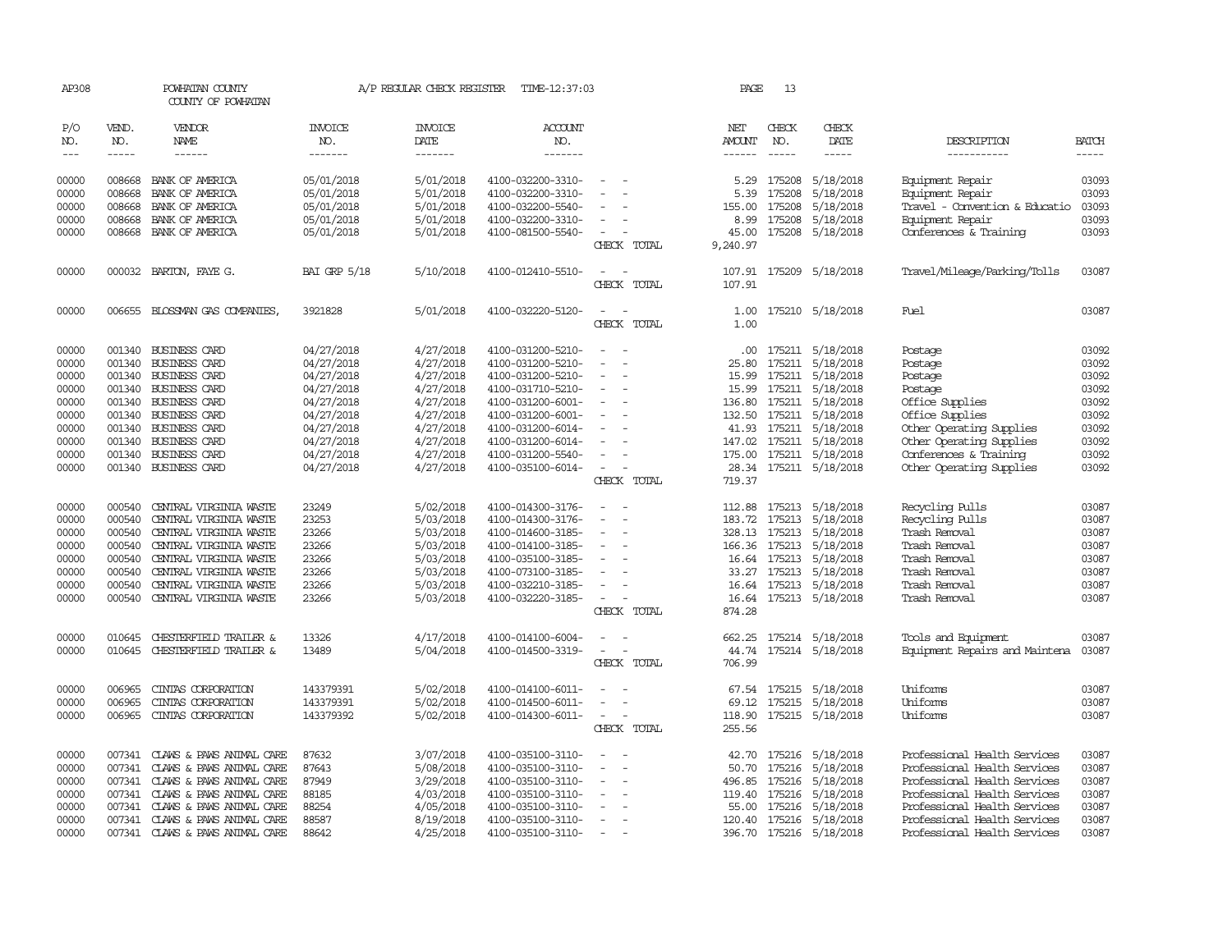| AP308         |               | POWHATAN COUNTY<br>COUNTY OF POWHATAN |                       | A/P REGULAR CHECK REGISTER | TIME-12:37:03         |                          | PAGE          | 13            |                         |                                |              |
|---------------|---------------|---------------------------------------|-----------------------|----------------------------|-----------------------|--------------------------|---------------|---------------|-------------------------|--------------------------------|--------------|
| P/O<br>NO.    | VEND.<br>NO.  | <b>VENDOR</b><br>NAME                 | <b>INVOICE</b><br>NO. | <b>INVOICE</b><br>DATE     | <b>ACCOUNT</b><br>NO. |                          | NET<br>AMOUNT | CHECK<br>NO.  | CHECK<br>DATE           | DESCRIPTION                    | <b>BATCH</b> |
| $\frac{1}{2}$ | $\frac{1}{2}$ | ------                                | -------               | --------                   | -------               |                          | $- - - - - -$ | $\frac{1}{2}$ | -----                   | -----------                    | $- - - - -$  |
| 00000         | 008668        | BANK OF AMERICA                       | 05/01/2018            | 5/01/2018                  | 4100-032200-3310-     |                          | 5.29          | 175208        | 5/18/2018               | Equipment Repair               | 03093        |
| 00000         | 008668        | BANK OF AMERICA                       | 05/01/2018            | 5/01/2018                  | 4100-032200-3310-     |                          | 5.39          | 175208        | 5/18/2018               | Equipment Repair               | 03093        |
| 00000         | 008668        | BANK OF AMERICA                       | 05/01/2018            | 5/01/2018                  | 4100-032200-5540-     |                          | 155.00        | 175208        | 5/18/2018               | Travel - Convention & Educatio | 03093        |
| 00000         | 008668        | BANK OF AMERICA                       | 05/01/2018            | 5/01/2018                  | 4100-032200-3310-     | $\overline{\phantom{a}}$ | 8.99          | 175208        | 5/18/2018               | Equipment Repair               | 03093        |
| 00000         | 008668        | BANK OF AMERICA                       | 05/01/2018            | 5/01/2018                  | 4100-081500-5540-     | $\overline{\phantom{a}}$ | 45.00         | 175208        | 5/18/2018               | Conferences & Training         | 03093        |
|               |               |                                       |                       |                            |                       | CHECK TOTAL              | 9,240.97      |               |                         |                                |              |
| 00000         |               | 000032 BARTON, FAYE G.                | <b>BAI GRP 5/18</b>   | 5/10/2018                  | 4100-012410-5510-     |                          | 107.91        | 175209        | 5/18/2018               | Travel/Mileage/Parking/Tolls   | 03087        |
|               |               |                                       |                       |                            |                       | CHECK TOTAL              | 107.91        |               |                         |                                |              |
| 00000         | 006655        | BLOSSMAN GAS COMPANIES,               | 3921828               | 5/01/2018                  | 4100-032220-5120-     |                          | 1.00          |               | 175210 5/18/2018        | Fuel                           | 03087        |
|               |               |                                       |                       |                            |                       | CHECK TOTAL              | 1.00          |               |                         |                                |              |
| 00000         | 001340        | <b>BUSINESS CARD</b>                  | 04/27/2018            | 4/27/2018                  | 4100-031200-5210-     |                          | .00.          |               | 175211 5/18/2018        | Postage                        | 03092        |
| 00000         | 001340        | <b>BUSINESS CARD</b>                  | 04/27/2018            | 4/27/2018                  | 4100-031200-5210-     | $\overline{\phantom{a}}$ | 25.80         |               | 175211 5/18/2018        | Postage                        | 03092        |
| 00000         | 001340        | <b>BUSINESS CARD</b>                  | 04/27/2018            | 4/27/2018                  | 4100-031200-5210-     |                          | 15.99         |               | 175211 5/18/2018        | Postage                        | 03092        |
| 00000         | 001340        | <b>BUSINESS CARD</b>                  | 04/27/2018            | 4/27/2018                  | 4100-031710-5210-     |                          | 15.99         |               | 175211 5/18/2018        | Postage                        | 03092        |
| 00000         |               | 001340 BUSINESS CARD                  | 04/27/2018            | 4/27/2018                  | 4100-031200-6001-     |                          | 136.80        |               | 175211 5/18/2018        | Office Supplies                | 03092        |
| 00000         | 001340        | <b>BUSINESS CARD</b>                  | 04/27/2018            | 4/27/2018                  | 4100-031200-6001-     |                          | 132.50        |               | 175211 5/18/2018        | Office Supplies                | 03092        |
| 00000         | 001340        | BUSINESS CARD                         | 04/27/2018            | 4/27/2018                  | 4100-031200-6014-     |                          | 41.93         |               | 175211 5/18/2018        | Other Operating Supplies       | 03092        |
| 00000         | 001340        | <b>BUSINESS CARD</b>                  | 04/27/2018            | 4/27/2018                  | 4100-031200-6014-     | $\sim$                   |               |               | 147.02 175211 5/18/2018 | Other Operating Supplies       | 03092        |
| 00000         | 001340        | <b>BUSINESS CARD</b>                  | 04/27/2018            | 4/27/2018                  | 4100-031200-5540-     |                          | 175.00        |               | 175211 5/18/2018        | Conferences & Training         | 03092        |
| 00000         |               | 001340 BUSINESS CARD                  | 04/27/2018            | 4/27/2018                  | 4100-035100-6014-     | $\sim$<br>CHECK TOTAL    | 719.37        |               | 28.34 175211 5/18/2018  | Other Operating Supplies       | 03092        |
|               |               |                                       |                       |                            |                       |                          |               |               |                         |                                |              |
| 00000         | 000540        | CENTRAL VIRGINIA WASTE                | 23249                 | 5/02/2018                  | 4100-014300-3176-     |                          |               |               | 112.88 175213 5/18/2018 | Recycling Pulls                | 03087        |
| 00000         | 000540        | CENTRAL VIRGINIA WASTE                | 23253                 | 5/03/2018                  | 4100-014300-3176-     |                          | 183.72        | 175213        | 5/18/2018               | Recycling Pulls                | 03087        |
| 00000         | 000540        | CENTRAL VIRGINIA WASTE                | 23266                 | 5/03/2018                  | 4100-014600-3185-     | $\equiv$                 |               |               | 328.13 175213 5/18/2018 | Trash Removal                  | 03087        |
| 00000         | 000540        | CENTRAL VIRGINIA WASTE                | 23266                 | 5/03/2018                  | 4100-014100-3185-     |                          | 166.36        | 175213        | 5/18/2018               | Trash Removal                  | 03087        |
| 00000         | 000540        | CENTRAL VIRGINIA WASTE                | 23266                 | 5/03/2018                  | 4100-035100-3185-     |                          |               |               | 16.64 175213 5/18/2018  | Trash Removal                  | 03087        |
| 00000         | 000540        | CENIRAL VIRGINIA WASTE                | 23266                 | 5/03/2018                  | 4100-073100-3185-     | $\sim$                   |               |               | 33.27 175213 5/18/2018  | Trash Removal                  | 03087        |
| 00000         | 000540        | CENTRAL VIRGINIA WASTE                | 23266                 | 5/03/2018                  | 4100-032210-3185-     | $\equiv$                 |               |               | 16.64 175213 5/18/2018  | Trash Removal                  | 03087        |
| 00000         |               | 000540 CENTRAL VIRGINIA WASTE         | 23266                 | 5/03/2018                  | 4100-032220-3185-     | $\overline{\phantom{a}}$ |               |               | 16.64 175213 5/18/2018  | Trash Removal                  | 03087        |
|               |               |                                       |                       |                            |                       | CHECK TOTAL              | 874.28        |               |                         |                                |              |
| 00000         | 010645        | <b>CHESTERFIELD TRAILER &amp;</b>     | 13326                 | 4/17/2018                  | 4100-014100-6004-     |                          | 662.25        |               | 175214 5/18/2018        | Tools and Equipment            | 03087        |
| 00000         | 010645        | CHESTERFIELD TRAILER &                | 13489                 | 5/04/2018                  | 4100-014500-3319-     |                          | 44.74         |               | 175214 5/18/2018        | Equipment Repairs and Maintena | 03087        |
|               |               |                                       |                       |                            |                       | CHECK TOTAL              | 706.99        |               |                         |                                |              |
| 00000         | 006965        | CINIAS CORPORATION                    | 143379391             | 5/02/2018                  | 4100-014100-6011-     |                          |               |               | 67.54 175215 5/18/2018  | Uniforms                       | 03087        |
| 00000         | 006965        | CINIAS CORPORATION                    | 143379391             | 5/02/2018                  | 4100-014500-6011-     | $\overline{\phantom{a}}$ | 69.12         |               | 175215 5/18/2018        | Uniforms                       | 03087        |
| 00000         | 006965        | CINIAS CORPORATION                    | 143379392             | 5/02/2018                  | 4100-014300-6011-     | $\equiv$                 | 118.90        |               | 175215 5/18/2018        | Uniforms                       | 03087        |
|               |               |                                       |                       |                            |                       | CHECK TOTAL              | 255.56        |               |                         |                                |              |
| 00000         |               | 007341 CLAWS & PAWS ANIMAL CARE       | 87632                 | 3/07/2018                  | 4100-035100-3110-     | $\overline{\phantom{a}}$ | 42.70         |               | 175216 5/18/2018        | Professional Health Services   | 03087        |
| 00000         | 007341        | CLAWS & PAWS ANIMAL CARE              | 87643                 | 5/08/2018                  | 4100-035100-3110-     |                          | 50.70         | 175216        | 5/18/2018               | Professional Health Services   | 03087        |
| 00000         | 007341        | CLAWS & PAWS ANIMAL CARE              | 87949                 | 3/29/2018                  | 4100-035100-3110-     |                          | 496.85        |               | 175216 5/18/2018        | Professional Health Services   | 03087        |
| 00000         |               | 007341 CLAWS & PAWS ANIMAL CARE       | 88185                 | 4/03/2018                  | 4100-035100-3110-     | $\sim$                   |               | 119.40 175216 | 5/18/2018               | Professional Health Services   | 03087        |
| 00000         | 007341        | CLAWS & PAWS ANIMAL CARE              | 88254                 | 4/05/2018                  | 4100-035100-3110-     |                          | 55.00         | 175216        | 5/18/2018               | Professional Health Services   | 03087        |
| 00000         |               | 007341 CLAWS & PAWS ANIMAL CARE       | 88587                 | 8/19/2018                  | 4100-035100-3110-     | $\overline{\phantom{a}}$ |               |               | 120.40 175216 5/18/2018 | Professional Health Services   | 03087        |
| 00000         | 007341        | CLAWS & PAWS ANIMAL CARE              | 88642                 | 4/25/2018                  | 4100-035100-3110-     | $\sim$                   |               |               | 396.70 175216 5/18/2018 | Professional Health Services   | 03087        |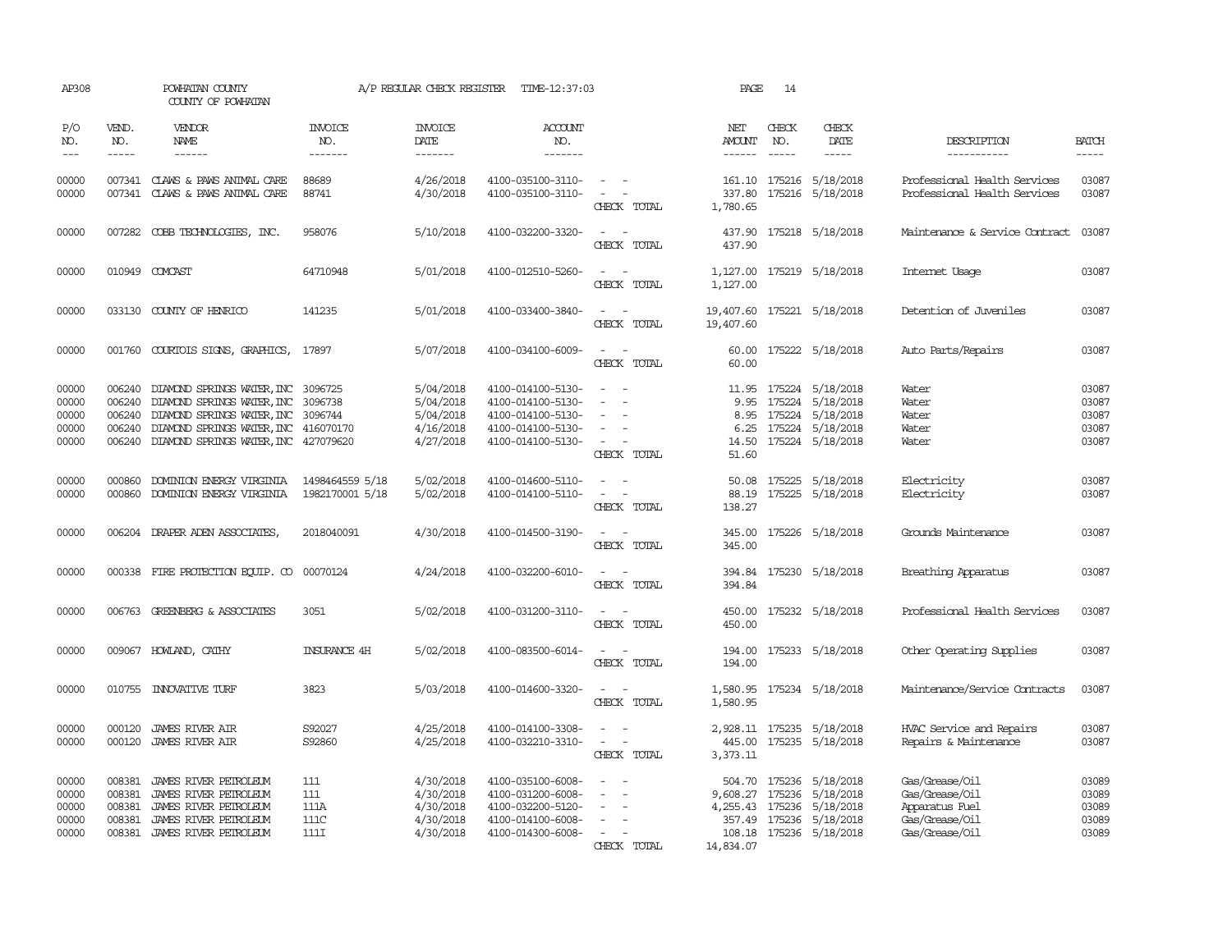| AP308                                     |                                                | POWHATAN COUNTY<br>COUNTY OF POWHATAN                                                                                                                                  |                                    | A/P REGULAR CHECK REGISTER                                    | TIME-12:37:03                                                                                         |                                                                                                                                       | PAGE                                    | 14                          |                                                                                                                                 |                                                                                        |                                           |
|-------------------------------------------|------------------------------------------------|------------------------------------------------------------------------------------------------------------------------------------------------------------------------|------------------------------------|---------------------------------------------------------------|-------------------------------------------------------------------------------------------------------|---------------------------------------------------------------------------------------------------------------------------------------|-----------------------------------------|-----------------------------|---------------------------------------------------------------------------------------------------------------------------------|----------------------------------------------------------------------------------------|-------------------------------------------|
| P/O<br>NO.<br>$---$                       | VEND.<br>NO.<br>$- - - - -$                    | VENDOR<br>NAME<br>$- - - - - -$                                                                                                                                        | <b>INVOICE</b><br>NO.<br>-------   | <b>INVOICE</b><br>DATE<br>-------                             | <b>ACCOUNT</b><br>NO.<br>-------                                                                      |                                                                                                                                       | NET<br>AMOUNT<br>------                 | CHECK<br>NO.<br>$- - - - -$ | CHECK<br>DATE<br>$- - - - -$                                                                                                    | DESCRIPTION<br>-----------                                                             | <b>BATCH</b><br>-----                     |
| 00000<br>00000                            | 007341                                         | 007341 CLAWS & PAWS ANIMAL CARE<br>CLAWS & PAWS ANIMAL CARE                                                                                                            | 88689<br>88741                     | 4/26/2018<br>4/30/2018                                        | 4100-035100-3110-<br>4100-035100-3110-                                                                | CHECK TOTAL                                                                                                                           | 337.80<br>1,780.65                      |                             | 161.10 175216 5/18/2018<br>175216 5/18/2018                                                                                     | Professional Health Services<br>Professional Health Services                           | 03087<br>03087                            |
| 00000                                     |                                                | 007282 COBB TECHNOLOGIES, INC.                                                                                                                                         | 958076                             | 5/10/2018                                                     | 4100-032200-3320-                                                                                     | CHECK TOTAL                                                                                                                           | 437.90                                  |                             | 437.90 175218 5/18/2018                                                                                                         | Maintenance & Service Contract                                                         | 03087                                     |
| 00000                                     |                                                | 010949 COMCAST                                                                                                                                                         | 64710948                           | 5/01/2018                                                     | 4100-012510-5260-                                                                                     | CHECK TOTAL                                                                                                                           | 1,127.00<br>1,127.00                    |                             | 175219 5/18/2018                                                                                                                | Internet Usage                                                                         | 03087                                     |
| 00000                                     |                                                | 033130 COUNTY OF HENRICO                                                                                                                                               | 141235                             | 5/01/2018                                                     | 4100-033400-3840-                                                                                     | CHECK TOTAL                                                                                                                           | 19,407.60 175221 5/18/2018<br>19,407.60 |                             |                                                                                                                                 | Detention of Juveniles                                                                 | 03087                                     |
| 00000                                     | 001760                                         | COURTOIS SIGNS, GRAPHICS,                                                                                                                                              | 17897                              | 5/07/2018                                                     | 4100-034100-6009-                                                                                     | $\overline{\phantom{a}}$<br>CHECK TOTAL                                                                                               | 60.00<br>60.00                          |                             | 175222 5/18/2018                                                                                                                | Auto Parts/Repairs                                                                     | 03087                                     |
| 00000<br>00000<br>00000<br>00000<br>00000 | 006240<br>006240<br>006240<br>006240<br>006240 | DIAMOND SPRINGS WATER, INC<br>DIAMOND SPRINGS WATER, INC<br>DIAMOND SPRINGS WATER, INC<br>DIAMOND SPRINGS WATER, INC 416070170<br>DIAMOND SPRINGS WATER, INC 427079620 | 3096725<br>3096738<br>3096744      | 5/04/2018<br>5/04/2018<br>5/04/2018<br>4/16/2018<br>4/27/2018 | 4100-014100-5130-<br>4100-014100-5130-<br>4100-014100-5130-<br>4100-014100-5130-<br>4100-014100-5130- | $\overline{\phantom{a}}$<br>$\overline{\phantom{a}}$<br>$\overline{\phantom{a}}$<br>CHECK TOTAL                                       | 11.95<br>9.95<br>6.25<br>14.50<br>51.60 |                             | 175224 5/18/2018<br>175224 5/18/2018<br>8.95 175224 5/18/2018<br>175224 5/18/2018<br>175224 5/18/2018                           | Water<br>Water<br>Water<br>Water<br>Water                                              | 03087<br>03087<br>03087<br>03087<br>03087 |
| 00000<br>00000                            | 000860<br>000860                               | DOMINION ENERGY VIRGINIA<br>DOMINION ENERGY VIRGINIA                                                                                                                   | 1498464559 5/18<br>1982170001 5/18 | 5/02/2018<br>5/02/2018                                        | 4100-014600-5110-<br>4100-014100-5110-                                                                | $\sim$<br>$\equiv$<br>CHECK TOTAL                                                                                                     | 50.08<br>88.19<br>138.27                |                             | 175225 5/18/2018<br>175225 5/18/2018                                                                                            | Electricity<br>Electricity                                                             | 03087<br>03087                            |
| 00000                                     |                                                | 006204 DRAPER ADEN ASSOCIATES                                                                                                                                          | 2018040091                         | 4/30/2018                                                     | 4100-014500-3190-                                                                                     | $\sim$<br>CHECK TOTAL                                                                                                                 | 345.00                                  |                             | 345.00 175226 5/18/2018                                                                                                         | Grounds Maintenance                                                                    | 03087                                     |
| 00000                                     |                                                | 000338 FIRE PROTECTION EQUIP. CO 00070124                                                                                                                              |                                    | 4/24/2018                                                     | 4100-032200-6010-                                                                                     | $\sim$<br>$\overline{\phantom{a}}$<br>CHECK TOTAL                                                                                     | 394.84<br>394.84                        |                             | 175230 5/18/2018                                                                                                                | Breathing Apparatus                                                                    | 03087                                     |
| 00000                                     |                                                | 006763 GREENBERG & ASSOCIATES                                                                                                                                          | 3051                               | 5/02/2018                                                     | 4100-031200-3110-                                                                                     | $\sim$<br>$\sim$<br>CHECK TOTAL                                                                                                       | 450.00<br>450.00                        |                             | 175232 5/18/2018                                                                                                                | Professional Health Services                                                           | 03087                                     |
| 00000                                     |                                                | 009067 HOWLAND, CATHY                                                                                                                                                  | <b>INSURANCE 4H</b>                | 5/02/2018                                                     | 4100-083500-6014-                                                                                     | CHECK TOTAL                                                                                                                           | 194.00<br>194.00                        |                             | 175233 5/18/2018                                                                                                                | Other Operating Supplies                                                               | 03087                                     |
| 00000                                     |                                                | 010755 INNOVATIVE TURF                                                                                                                                                 | 3823                               | 5/03/2018                                                     | 4100-014600-3320-                                                                                     | $\sim$<br>CHECK TOTAL                                                                                                                 | 1,580.95<br>1,580.95                    |                             | 175234 5/18/2018                                                                                                                | Maintenance/Service Contracts                                                          | 03087                                     |
| 00000<br>00000                            | 000120<br>000120                               | JAMES RIVER AIR<br><b>JAMES RIVER AIR</b>                                                                                                                              | S92027<br>S92860                   | 4/25/2018<br>4/25/2018                                        | 4100-014100-3308-<br>4100-032210-3310-                                                                | $\frac{1}{2} \left( \frac{1}{2} \right) \left( \frac{1}{2} \right) = \frac{1}{2} \left( \frac{1}{2} \right)$<br>$\sim$<br>CHECK TOTAL | 445.00<br>3,373.11                      |                             | 2,928.11 175235 5/18/2018<br>175235 5/18/2018                                                                                   | HVAC Service and Repairs<br>Repairs & Maintenance                                      | 03087<br>03087                            |
| 00000<br>00000<br>00000<br>00000<br>00000 | 008381<br>008381<br>008381<br>008381<br>008381 | JAMES RIVER PETROLEUM<br>JAMES RIVER PETROLEUM<br>JAMES RIVER PETROLEUM<br>JAMES RIVER PETROLEUM<br>JAMES RIVER PETROLEUM                                              | 111<br>111<br>111A<br>111C<br>111I | 4/30/2018<br>4/30/2018<br>4/30/2018<br>4/30/2018<br>4/30/2018 | 4100-035100-6008-<br>4100-031200-6008-<br>4100-032200-5120-<br>4100-014100-6008-<br>4100-014300-6008- | $\sim$<br>$\overline{\phantom{a}}$<br>CHECK TOTAL                                                                                     | 9,608.27<br>14,834.07                   |                             | 504.70 175236 5/18/2018<br>175236 5/18/2018<br>4, 255.43 175236 5/18/2018<br>357.49 175236 5/18/2018<br>108.18 175236 5/18/2018 | Gas/Grease/Oil<br>Gas/Grease/Oil<br>Apparatus Fuel<br>Gas/Grease/Oil<br>Gas/Grease/0il | 03089<br>03089<br>03089<br>03089<br>03089 |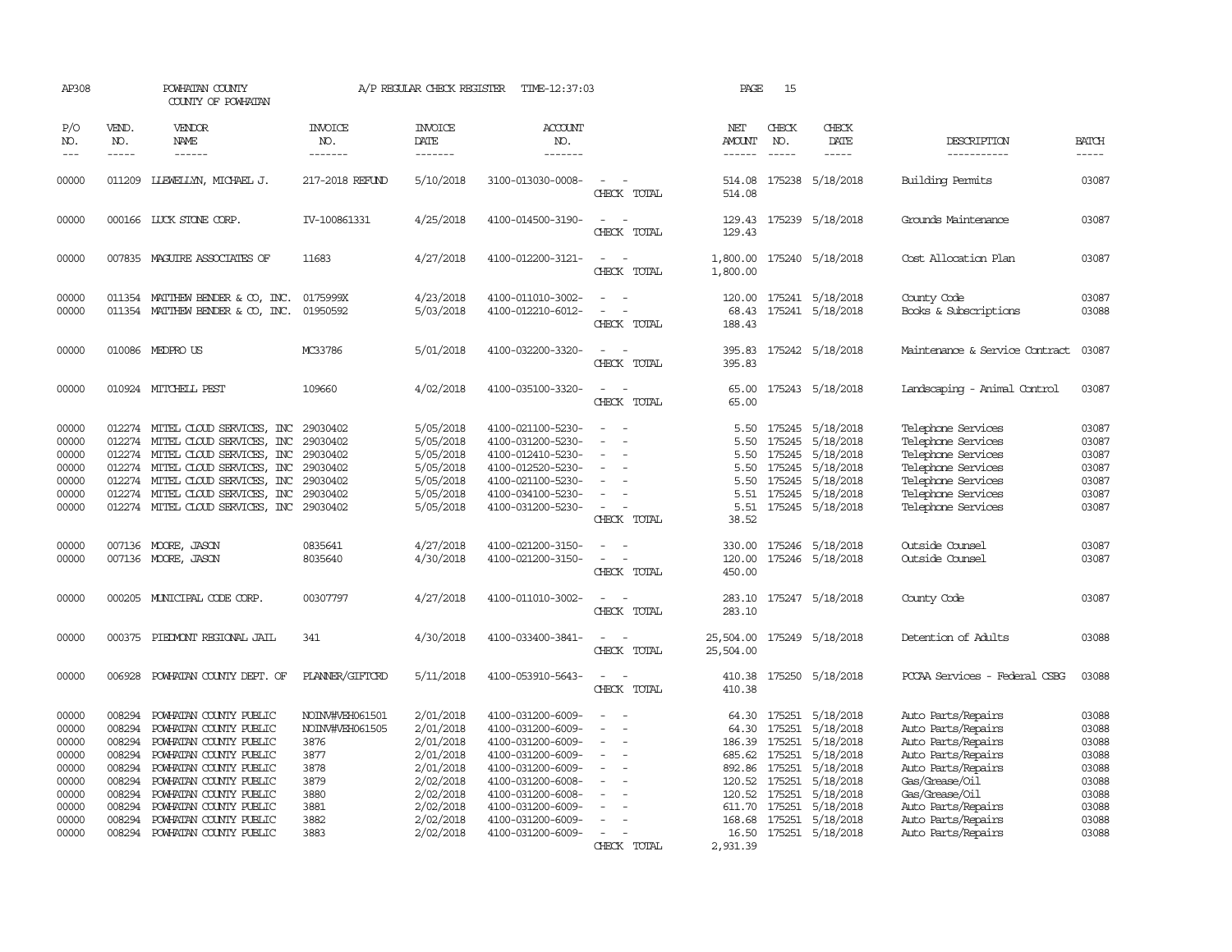| AP308                                                                                  |                                                                                                  | POWHATAN COUNTY<br>COUNTY OF POWHATAN                                                                                                                                                                                                                            |                                                                                                    | A/P REGULAR CHECK REGISTER                                                                                                     | TIME-12:37:03                                                                                                                                                                                                  |                                                                                         | PAGE                                                                                                               | 15                                             |                                                                                                                                                           |                                                                                                                                                                                                                  |                                                                                        |
|----------------------------------------------------------------------------------------|--------------------------------------------------------------------------------------------------|------------------------------------------------------------------------------------------------------------------------------------------------------------------------------------------------------------------------------------------------------------------|----------------------------------------------------------------------------------------------------|--------------------------------------------------------------------------------------------------------------------------------|----------------------------------------------------------------------------------------------------------------------------------------------------------------------------------------------------------------|-----------------------------------------------------------------------------------------|--------------------------------------------------------------------------------------------------------------------|------------------------------------------------|-----------------------------------------------------------------------------------------------------------------------------------------------------------|------------------------------------------------------------------------------------------------------------------------------------------------------------------------------------------------------------------|----------------------------------------------------------------------------------------|
| P/O<br>NO.<br>$---$                                                                    | VEND.<br>NO.<br>$- - - - -$                                                                      | <b>VENDOR</b><br>NAME<br>$- - - - - -$                                                                                                                                                                                                                           | <b>INVOICE</b><br>NO.<br>-------                                                                   | <b>INVOICE</b><br>DATE<br>-------                                                                                              | <b>ACCOUNT</b><br>NO.<br>-------                                                                                                                                                                               |                                                                                         | NET<br>AMOUNT<br>$- - - - - -$                                                                                     | CHECK<br>NO.<br>$- - - - -$                    | CHECK<br>DATE<br>-----                                                                                                                                    | DESCRIPTION<br>-----------                                                                                                                                                                                       | <b>BATCH</b><br>-----                                                                  |
| 00000                                                                                  |                                                                                                  | 011209 LLEWELLYN, MICHAEL J.                                                                                                                                                                                                                                     | 217-2018 REFUND                                                                                    | 5/10/2018                                                                                                                      | 3100-013030-0008-                                                                                                                                                                                              | CHECK TOTAL                                                                             | 514.08                                                                                                             |                                                | 514.08 175238 5/18/2018                                                                                                                                   | <b>Building Permits</b>                                                                                                                                                                                          | 03087                                                                                  |
| 00000                                                                                  |                                                                                                  | 000166 LUCK STONE CORP.                                                                                                                                                                                                                                          | IV-100861331                                                                                       | 4/25/2018                                                                                                                      | 4100-014500-3190-                                                                                                                                                                                              | $\equiv$<br>CHECK TOTAL                                                                 | 129.43                                                                                                             |                                                | 129.43 175239 5/18/2018                                                                                                                                   | Grounds Maintenance                                                                                                                                                                                              | 03087                                                                                  |
| 00000                                                                                  |                                                                                                  | 007835 MAGUIRE ASSOCIATES OF                                                                                                                                                                                                                                     | 11683                                                                                              | 4/27/2018                                                                                                                      | 4100-012200-3121-                                                                                                                                                                                              | CHECK TOTAL                                                                             | 1,800.00<br>1,800.00                                                                                               |                                                | 175240 5/18/2018                                                                                                                                          | Cost Allocation Plan                                                                                                                                                                                             | 03087                                                                                  |
| 00000<br>00000                                                                         | 011354                                                                                           | MATTHEW BENDER & CO, INC.<br>011354 MATTHEW BENDER & CO, INC.                                                                                                                                                                                                    | 0175999X<br>01950592                                                                               | 4/23/2018<br>5/03/2018                                                                                                         | 4100-011010-3002-<br>4100-012210-6012-                                                                                                                                                                         | CHECK TOTAL                                                                             | 120.00<br>68.43<br>188.43                                                                                          |                                                | 175241 5/18/2018<br>175241 5/18/2018                                                                                                                      | County Code<br>Books & Subscriptions                                                                                                                                                                             | 03087<br>03088                                                                         |
| 00000                                                                                  |                                                                                                  | 010086 MEDPROUS                                                                                                                                                                                                                                                  | MC33786                                                                                            | 5/01/2018                                                                                                                      | 4100-032200-3320-                                                                                                                                                                                              | CHECK TOTAL                                                                             | 395.83<br>395.83                                                                                                   |                                                | 175242 5/18/2018                                                                                                                                          | Maintenance & Service Contract                                                                                                                                                                                   | 03087                                                                                  |
| 00000                                                                                  |                                                                                                  | 010924 MITCHELL PEST                                                                                                                                                                                                                                             | 109660                                                                                             | 4/02/2018                                                                                                                      | 4100-035100-3320-                                                                                                                                                                                              | $\equiv$<br>CHECK TOTAL                                                                 | 65.00<br>65.00                                                                                                     |                                                | 175243 5/18/2018                                                                                                                                          | Landscaping - Animal Control                                                                                                                                                                                     | 03087                                                                                  |
| 00000<br>00000<br>00000<br>00000<br>00000<br>00000<br>00000                            | 012274<br>012274<br>012274<br>012274<br>012274                                                   | 012274 MITEL CLOUD SERVICES, INC<br>MITEL CLOUD SERVICES, INC<br>MITEL CLOUD SERVICES, INC<br>MITEL CLOUD SERVICES, INC<br>MITEL CLOUD SERVICES, INC<br>MITEL CLOUD SERVICES, INC<br>012274 MITEL CLOUD SERVICES, INC                                            | 29030402<br>29030402<br>29030402<br>29030402<br>29030402<br>29030402<br>29030402                   | 5/05/2018<br>5/05/2018<br>5/05/2018<br>5/05/2018<br>5/05/2018<br>5/05/2018<br>5/05/2018                                        | 4100-021100-5230-<br>4100-031200-5230-<br>4100-012410-5230-<br>4100-012520-5230-<br>4100-021100-5230-<br>4100-034100-5230-<br>4100-031200-5230-                                                                | $\sim$<br>$\overline{a}$<br>$\sim$<br>$\sim$<br>$\overline{\phantom{a}}$<br>CHECK TOTAL | 5.50<br>5.50<br>5.50<br>5.50<br>5.50<br>5.51<br>5.51<br>38.52                                                      | 175245<br>175245<br>175245<br>175245<br>175245 | 175245 5/18/2018<br>5/18/2018<br>5/18/2018<br>5/18/2018<br>5/18/2018<br>5/18/2018<br>175245 5/18/2018                                                     | Telephone Services<br>Telephone Services<br>Telephone Services<br>Telephone Services<br>Telephone Services<br>Telephone Services<br>Telephone Services                                                           | 03087<br>03087<br>03087<br>03087<br>03087<br>03087<br>03087                            |
| 00000<br>00000                                                                         | 007136                                                                                           | 007136 MOORE, JASON<br>MOORE, JASON                                                                                                                                                                                                                              | 0835641<br>8035640                                                                                 | 4/27/2018<br>4/30/2018                                                                                                         | 4100-021200-3150-<br>4100-021200-3150-                                                                                                                                                                         | CHECK TOTAL                                                                             | 330.00<br>120.00<br>450.00                                                                                         | 175246<br>175246                               | 5/18/2018<br>5/18/2018                                                                                                                                    | Outside Counsel<br>Outside Counsel                                                                                                                                                                               | 03087<br>03087                                                                         |
| 00000                                                                                  |                                                                                                  | 000205 MUNICIPAL CODE CORP.                                                                                                                                                                                                                                      | 00307797                                                                                           | 4/27/2018                                                                                                                      | 4100-011010-3002-                                                                                                                                                                                              | CHECK TOTAL                                                                             | 283.10<br>283.10                                                                                                   |                                                | 175247 5/18/2018                                                                                                                                          | County Code                                                                                                                                                                                                      | 03087                                                                                  |
| 00000                                                                                  |                                                                                                  | 000375 PIEDMONT REGIONAL JAIL                                                                                                                                                                                                                                    | 341                                                                                                | 4/30/2018                                                                                                                      | 4100-033400-3841-                                                                                                                                                                                              | CHECK TOTAL                                                                             | 25,504.00 175249 5/18/2018<br>25,504.00                                                                            |                                                |                                                                                                                                                           | Detention of Adults                                                                                                                                                                                              | 03088                                                                                  |
| 00000                                                                                  |                                                                                                  | 006928 POWHATAN COUNTY DEPT. OF                                                                                                                                                                                                                                  | PLANNER/GIFTORD                                                                                    | 5/11/2018                                                                                                                      | 4100-053910-5643-                                                                                                                                                                                              | CHECK TOTAL                                                                             | 410.38<br>410.38                                                                                                   |                                                | 175250 5/18/2018                                                                                                                                          | PCCAA Services - Federal CSBG                                                                                                                                                                                    | 03088                                                                                  |
| 00000<br>00000<br>00000<br>00000<br>00000<br>00000<br>00000<br>00000<br>00000<br>00000 | 008294<br>008294<br>008294<br>008294<br>008294<br>008294<br>008294<br>008294<br>008294<br>008294 | POWHATAN COUNTY PUBLIC<br>POWHATAN COUNTY PUBLIC<br>POWHATAN COUNTY PUBLIC<br>POWHATAN COUNTY PUBLIC<br>POWHATAN COUNTY PUBLIC<br>POWHATAN COUNTY PUBLIC<br>POWHATAN COUNTY PUBLIC<br>POWHATAN COUNTY PUBLIC<br>POWHATAN COUNTY PUBLIC<br>POWHATAN COUNTY PUBLIC | NOINV#VEH061501<br>NOINV#VEH061505<br>3876<br>3877<br>3878<br>3879<br>3880<br>3881<br>3882<br>3883 | 2/01/2018<br>2/01/2018<br>2/01/2018<br>2/01/2018<br>2/01/2018<br>2/02/2018<br>2/02/2018<br>2/02/2018<br>2/02/2018<br>2/02/2018 | 4100-031200-6009-<br>4100-031200-6009-<br>4100-031200-6009-<br>4100-031200-6009-<br>4100-031200-6009-<br>4100-031200-6008-<br>4100-031200-6008-<br>4100-031200-6009-<br>4100-031200-6009-<br>4100-031200-6009- | CHECK TOTAL                                                                             | 64.30<br>64.30<br>186.39 175251<br>685.62<br>892.86 175251<br>120.52 175251<br>611.70<br>168.68 175251<br>2,931.39 | 175251<br>175251<br>175251<br>175251           | 5/18/2018<br>5/18/2018<br>5/18/2018<br>5/18/2018<br>5/18/2018<br>5/18/2018<br>120.52 175251 5/18/2018<br>5/18/2018<br>5/18/2018<br>16.50 175251 5/18/2018 | Auto Parts/Repairs<br>Auto Parts/Repairs<br>Auto Parts/Repairs<br>Auto Parts/Repairs<br>Auto Parts/Repairs<br>Gas/Grease/Oil<br>Gas/Grease/Oil<br>Auto Parts/Repairs<br>Auto Parts/Repairs<br>Auto Parts/Repairs | 03088<br>03088<br>03088<br>03088<br>03088<br>03088<br>03088<br>03088<br>03088<br>03088 |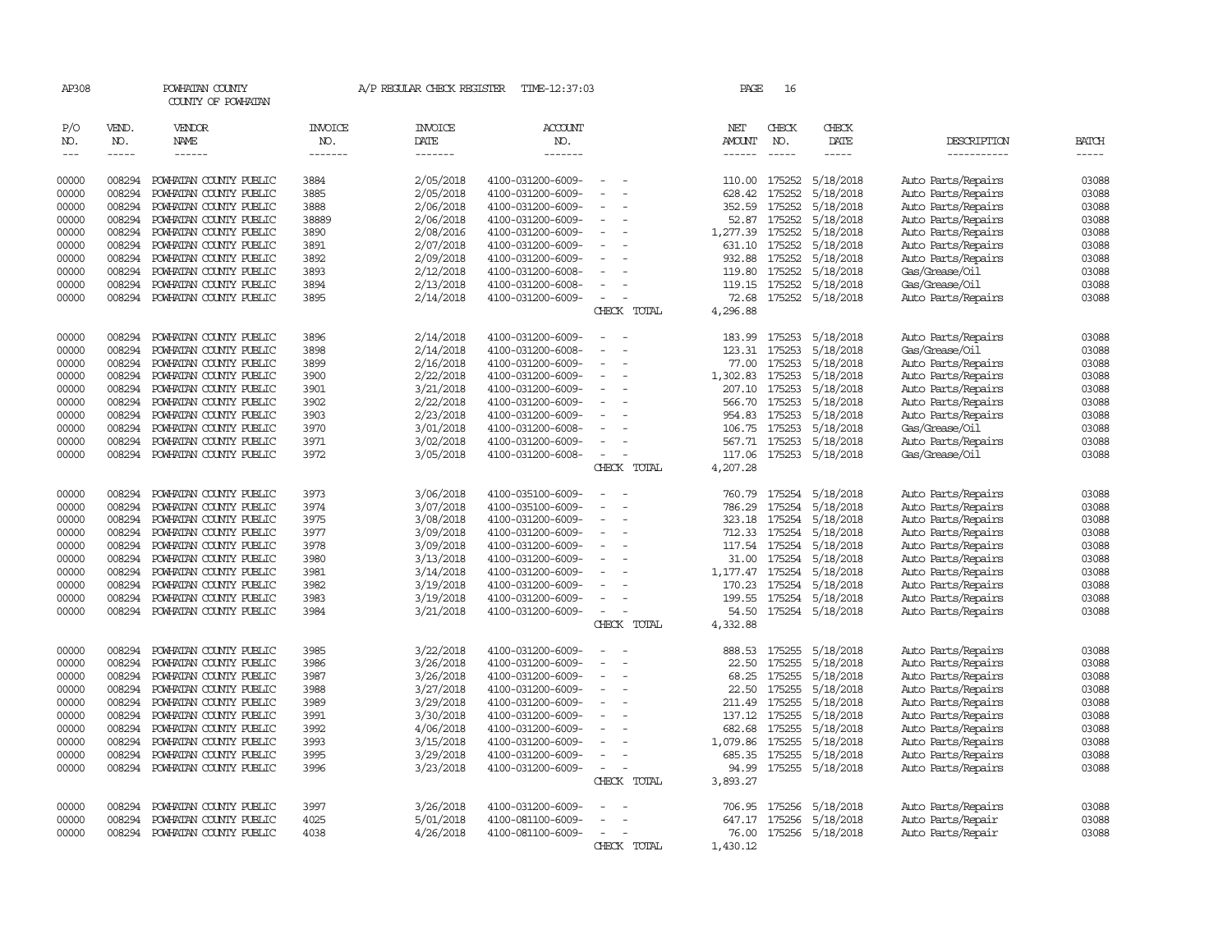| AP308               |                             | POWHATAN COUNTY<br>COUNTY OF POWHATAN            |                                  | A/P REGULAR CHECK REGISTER        | TIME-12:37:03                          |                                                      |             | PAGE                                  | 16                            |                        |                                          |                       |
|---------------------|-----------------------------|--------------------------------------------------|----------------------------------|-----------------------------------|----------------------------------------|------------------------------------------------------|-------------|---------------------------------------|-------------------------------|------------------------|------------------------------------------|-----------------------|
| P/O<br>NO.<br>$---$ | VEND.<br>NO.<br>$- - - - -$ | VENDOR<br>NAME<br>------                         | <b>INVOICE</b><br>NO.<br>------- | <b>INVOICE</b><br>DATE<br>------- | <b>ACCOUNT</b><br>NO.<br>-------       |                                                      |             | NET<br><b>AMOUNT</b><br>$- - - - - -$ | CHECK<br>NO.<br>$\frac{1}{2}$ | CHECK<br>DATE<br>----- | DESCRIPTION<br>-----------               | <b>BATCH</b><br>----- |
| 00000               | 008294                      | POWHATAN COUNTY PUBLIC                           | 3884                             | 2/05/2018                         | 4100-031200-6009-                      |                                                      |             | 110.00                                | 175252                        |                        |                                          |                       |
| 00000               | 008294                      |                                                  | 3885                             |                                   | 4100-031200-6009-                      | $\overline{a}$                                       |             |                                       | 175252                        | 5/18/2018<br>5/18/2018 | Auto Parts/Repairs                       | 03088<br>03088        |
|                     | 008294                      | POWHATAN COUNTY PUBLIC                           |                                  | 2/05/2018                         |                                        |                                                      |             | 628.42                                |                               |                        | Auto Parts/Repairs                       |                       |
| 00000               |                             | POWHATAN COUNTY PUBLIC                           | 3888                             | 2/06/2018                         | 4100-031200-6009-                      | $\overline{a}$                                       |             | 352.59                                | 175252                        | 5/18/2018              | Auto Parts/Repairs                       | 03088                 |
| 00000               | 008294                      | POWHATAN COUNTY PUBLIC                           | 38889                            | 2/06/2018                         | 4100-031200-6009-                      | $\overline{\phantom{a}}$<br>$\sim$                   |             | 52.87                                 | 175252                        | 5/18/2018              | Auto Parts/Repairs                       | 03088<br>03088        |
| 00000               | 008294                      | POWHATAN COUNTY PUBLIC                           | 3890                             | 2/08/2016                         | 4100-031200-6009-                      |                                                      |             | 1,277.39                              | 175252                        | 5/18/2018              | Auto Parts/Repairs                       |                       |
| 00000               | 008294                      | POWHATAN COUNTY PUBLIC                           | 3891                             | 2/07/2018                         | 4100-031200-6009-                      |                                                      |             | 631.10                                | 175252                        | 5/18/2018              | Auto Parts/Repairs                       | 03088                 |
| 00000               | 008294                      | POWHATAN COUNTY PUBLIC                           | 3892                             | 2/09/2018                         | 4100-031200-6009-                      |                                                      |             | 932.88                                | 175252                        | 5/18/2018              | Auto Parts/Repairs                       | 03088                 |
| 00000               | 008294                      | POWHATAN COUNTY PUBLIC                           | 3893                             | 2/12/2018                         | 4100-031200-6008-                      | $\equiv$                                             |             | 119.80                                | 175252                        | 5/18/2018              | Gas/Grease/Oil                           | 03088                 |
| 00000               | 008294                      | POWHATAN COUNTY PUBLIC                           | 3894                             | 2/13/2018                         | 4100-031200-6008-                      | $\overline{a}$                                       |             | 119.15                                | 175252                        | 5/18/2018              | Gas/Grease/Oil                           | 03088                 |
| 00000               | 008294                      | POWHATAN COUNTY PUBLIC                           | 3895                             | 2/14/2018                         | 4100-031200-6009-                      | $\overline{\phantom{a}}$                             | CHECK TOTAL | 72.68<br>4,296.88                     | 175252                        | 5/18/2018              | Auto Parts/Repairs                       | 03088                 |
| 00000               | 008294                      | POWHATAN COUNTY PUBLIC                           | 3896                             | 2/14/2018                         | 4100-031200-6009-                      | $\sim$                                               |             | 183.99                                | 175253                        | 5/18/2018              | Auto Parts/Repairs                       | 03088                 |
| 00000               | 008294                      | POWHATAN COUNTY PUBLIC                           | 3898                             | 2/14/2018                         | 4100-031200-6008-                      |                                                      |             | 123.31                                | 175253                        | 5/18/2018              | Gas/Grease/Oil                           | 03088                 |
| 00000               | 008294                      | POWHATAN COUNTY PUBLIC                           | 3899                             | 2/16/2018                         | 4100-031200-6009-                      |                                                      |             | 77.00                                 | 175253                        | 5/18/2018              | Auto Parts/Repairs                       | 03088                 |
| 00000               | 008294                      | POWHATAN COUNTY PUBLIC                           | 3900                             | 2/22/2018                         | 4100-031200-6009-                      | $\overline{a}$<br>$\sim$                             |             | 1,302.83                              | 175253                        | 5/18/2018              | Auto Parts/Repairs                       | 03088                 |
| 00000               | 008294                      | POWHATAN COUNTY PUBLIC                           | 3901                             |                                   | 4100-031200-6009-                      |                                                      |             | 207.10                                | 175253                        |                        |                                          | 03088                 |
|                     | 008294                      |                                                  | 3902                             | 3/21/2018                         |                                        |                                                      |             |                                       | 175253                        | 5/18/2018              | Auto Parts/Repairs                       | 03088                 |
| 00000<br>00000      | 008294                      | POWHATAN COUNTY PUBLIC                           |                                  | 2/22/2018<br>2/23/2018            | 4100-031200-6009-                      |                                                      |             | 566.70<br>954.83                      | 175253                        | 5/18/2018<br>5/18/2018 | Auto Parts/Repairs<br>Auto Parts/Repairs | 03088                 |
|                     | 008294                      | POWHATAN COUNTY PUBLIC<br>POWHATAN COUNTY PUBLIC | 3903<br>3970                     |                                   | 4100-031200-6009-                      | $\sim$                                               |             | 106.75 175253                         |                               |                        | Gas/Grease/Oil                           | 03088                 |
| 00000               |                             |                                                  |                                  | 3/01/2018                         | 4100-031200-6008-                      |                                                      |             |                                       | 175253                        | 5/18/2018              |                                          |                       |
| 00000<br>00000      | 008294<br>008294            | POWHATAN COUNTY PUBLIC<br>POWHATAN COUNTY PUBLIC | 3971<br>3972                     | 3/02/2018<br>3/05/2018            | 4100-031200-6009-<br>4100-031200-6008- |                                                      |             | 567.71<br>117.06                      | 175253                        | 5/18/2018<br>5/18/2018 | Auto Parts/Repairs<br>Gas/Grease/Oil     | 03088<br>03088        |
|                     |                             |                                                  |                                  |                                   |                                        |                                                      | CHECK TOTAL | 4,207.28                              |                               |                        |                                          |                       |
| 00000               | 008294                      | POWHATAN COUNTY PUBLIC                           | 3973                             | 3/06/2018                         | 4100-035100-6009-                      |                                                      |             | 760.79                                | 175254                        | 5/18/2018              | Auto Parts/Repairs                       | 03088                 |
| 00000               | 008294                      | POWHATAN COUNTY PUBLIC                           | 3974                             | 3/07/2018                         | 4100-035100-6009-                      |                                                      |             | 786.29                                | 175254                        | 5/18/2018              | Auto Parts/Repairs                       | 03088                 |
| 00000               | 008294                      | POWHATAN COUNTY PUBLIC                           | 3975                             | 3/08/2018                         | 4100-031200-6009-                      | $\sim$                                               |             | 323.18                                | 175254                        | 5/18/2018              | Auto Parts/Repairs                       | 03088                 |
| 00000               | 008294                      | POWHATAN COUNTY PUBLIC                           | 3977                             | 3/09/2018                         | 4100-031200-6009-                      | $\overline{a}$                                       |             | 712.33                                | 175254                        | 5/18/2018              | Auto Parts/Repairs                       | 03088                 |
| 00000               | 008294                      | POWHATAN COUNTY PUBLIC                           | 3978                             | 3/09/2018                         | 4100-031200-6009-                      |                                                      |             | 117.54                                | 175254                        | 5/18/2018              | Auto Parts/Repairs                       | 03088                 |
| 00000               | 008294                      | POWHATAN COUNTY PUBLIC                           | 3980                             | 3/13/2018                         | 4100-031200-6009-                      |                                                      |             | 31.00                                 | 175254                        | 5/18/2018              | Auto Parts/Repairs                       | 03088                 |
| 00000               | 008294                      | POWHATAN COUNTY PUBLIC                           | 3981                             | 3/14/2018                         | 4100-031200-6009-                      | $\sim$                                               |             | 1,177.47                              | 175254                        | 5/18/2018              | Auto Parts/Repairs                       | 03088                 |
| 00000               | 008294                      | POWHATAN COUNTY PUBLIC                           | 3982                             | 3/19/2018                         | 4100-031200-6009-                      | $\overline{a}$                                       |             | 170.23                                | 175254                        | 5/18/2018              | Auto Parts/Repairs                       | 03088                 |
| 00000               | 008294                      | POWHATAN COUNTY PUBLIC                           | 3983                             | 3/19/2018                         | 4100-031200-6009-                      | $\equiv$                                             |             | 199.55                                | 175254                        | 5/18/2018              | Auto Parts/Repairs                       | 03088                 |
| 00000               | 008294                      | POWHATAN COUNTY PUBLIC                           | 3984                             | 3/21/2018                         | 4100-031200-6009-                      | $\sim$                                               |             | 54.50                                 |                               | 175254 5/18/2018       | Auto Parts/Repairs                       | 03088                 |
|                     |                             |                                                  |                                  |                                   |                                        |                                                      | CHECK TOTAL | 4,332.88                              |                               |                        |                                          |                       |
| 00000               | 008294                      | POWHATAN COUNTY PUBLIC                           | 3985                             | 3/22/2018                         | 4100-031200-6009-                      |                                                      |             | 888.53                                | 175255                        | 5/18/2018              | Auto Parts/Repairs                       | 03088                 |
| 00000               | 008294                      | POWHATAN COUNTY PUBLIC                           | 3986                             | 3/26/2018                         | 4100-031200-6009-                      |                                                      |             | 22.50                                 | 175255                        | 5/18/2018              | Auto Parts/Repairs                       | 03088                 |
| 00000               | 008294                      | POWHATAN COUNTY PUBLIC                           | 3987                             | 3/26/2018                         | 4100-031200-6009-                      | $\overline{\phantom{a}}$<br>$\overline{\phantom{a}}$ |             | 68.25                                 | 175255                        | 5/18/2018              | Auto Parts/Repairs                       | 03088                 |
| 00000               | 008294                      | POWHATAN COUNTY PUBLIC                           | 3988                             | 3/27/2018                         | 4100-031200-6009-                      |                                                      |             | 22.50                                 | 175255                        | 5/18/2018              | Auto Parts/Repairs                       | 03088                 |
| 00000               | 008294                      | POWHATAN COUNTY PUBLIC                           | 3989                             | 3/29/2018                         | 4100-031200-6009-                      |                                                      |             | 211.49                                | 175255                        | 5/18/2018              | Auto Parts/Repairs                       | 03088                 |
| 00000               | 008294                      | POWHATAN COUNTY PUBLIC                           | 3991                             | 3/30/2018                         | 4100-031200-6009-                      |                                                      |             | 137.12                                | 175255                        | 5/18/2018              | Auto Parts/Repairs                       | 03088                 |
| 00000               | 008294                      | POWHATAN COUNTY PUBLIC                           | 3992                             | 4/06/2018                         | 4100-031200-6009-                      | $\sim$<br>$\overline{a}$                             |             | 682.68                                | 175255                        | 5/18/2018              | Auto Parts/Repairs                       | 03088                 |
| 00000               | 008294                      | POWHATAN COUNTY PUBLIC                           | 3993                             | 3/15/2018                         | 4100-031200-6009-                      |                                                      |             | 1,079.86                              | 175255                        | 5/18/2018              | Auto Parts/Repairs                       | 03088                 |
| 00000               | 008294                      | POWHATAN COUNTY PUBLIC                           | 3995                             | 3/29/2018                         | 4100-031200-6009-                      |                                                      |             | 685.35                                | 175255                        | 5/18/2018              | Auto Parts/Repairs                       | 03088                 |
| 00000               | 008294                      | POWHATAN COUNTY PUBLIC                           | 3996                             | 3/23/2018                         | 4100-031200-6009-                      |                                                      |             | 94.99                                 | 175255                        | 5/18/2018              | Auto Parts/Repairs                       | 03088                 |
|                     |                             |                                                  |                                  |                                   |                                        |                                                      | CHECK TOTAL | 3,893.27                              |                               |                        |                                          |                       |
| 00000               | 008294                      | POWHATAN COUNTY PUBLIC                           | 3997                             | 3/26/2018                         | 4100-031200-6009-                      |                                                      |             | 706.95                                | 175256                        | 5/18/2018              | Auto Parts/Repairs                       | 03088                 |
| 00000               | 008294                      | POWHATAN COUNTY PUBLIC                           | 4025                             | 5/01/2018                         | 4100-081100-6009-                      |                                                      |             | 647.17                                | 175256                        | 5/18/2018              | Auto Parts/Repair                        | 03088                 |
| 00000               | 008294                      | POWHATAN COUNTY PUBLIC                           | 4038                             | 4/26/2018                         | 4100-081100-6009-                      | $\overline{\phantom{a}}$                             |             | 76.00                                 |                               | 175256 5/18/2018       | Auto Parts/Repair                        | 03088                 |
|                     |                             |                                                  |                                  |                                   |                                        |                                                      | CHECK TOTAL | 1,430.12                              |                               |                        |                                          |                       |
|                     |                             |                                                  |                                  |                                   |                                        |                                                      |             |                                       |                               |                        |                                          |                       |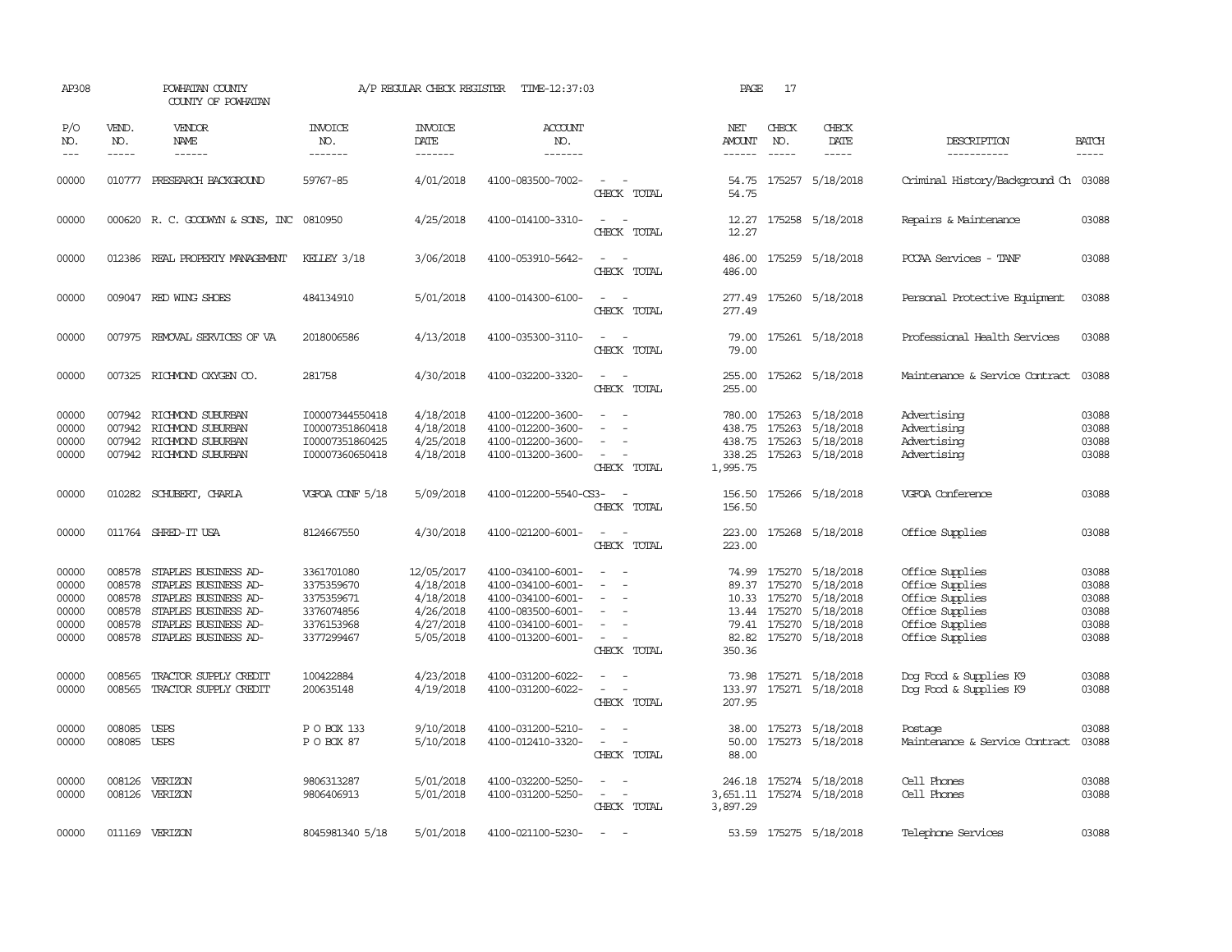| AP308                                              |                                                          | POWHATAN COUNTY<br>COUNTY OF POWHATAN                                                                                                        |                                                                                  | A/P REGULAR CHECK REGISTER                                                  | TIME-12:37:03                                                                                                              |                                                                                                                             | PAGE                                             | 17                                     |                                                                                                       |                                                                                                                |                                                    |
|----------------------------------------------------|----------------------------------------------------------|----------------------------------------------------------------------------------------------------------------------------------------------|----------------------------------------------------------------------------------|-----------------------------------------------------------------------------|----------------------------------------------------------------------------------------------------------------------------|-----------------------------------------------------------------------------------------------------------------------------|--------------------------------------------------|----------------------------------------|-------------------------------------------------------------------------------------------------------|----------------------------------------------------------------------------------------------------------------|----------------------------------------------------|
| P/O<br>NO.<br>$\frac{1}{2}$                        | VEND.<br>NO.<br>$- - - - -$                              | VENDOR<br>NAME<br>------                                                                                                                     | <b>INVOICE</b><br>NO.<br>-------                                                 | <b>INVOICE</b><br>DATE<br>-------                                           | <b>ACCOUNT</b><br>NO.<br>-------                                                                                           |                                                                                                                             | NET<br>AMOUNT<br>------                          | CHECK<br>NO.<br>$\frac{1}{2}$          | CHECK<br>DATE<br>$- - - - -$                                                                          | DESCRIPTION<br>-----------                                                                                     | <b>BATCH</b><br>$- - - - -$                        |
| 00000                                              |                                                          | 010777 PRESEARCH BACKGROUND                                                                                                                  | 59767-85                                                                         | 4/01/2018                                                                   | 4100-083500-7002-                                                                                                          | $\sim$<br>CHECK TOTAL                                                                                                       | 54.75<br>54.75                                   |                                        | 175257 5/18/2018                                                                                      | Criminal History/Background Ch 03088                                                                           |                                                    |
| 00000                                              |                                                          | 000620 R. C. GOODWYN & SONS, INC 0810950                                                                                                     |                                                                                  | 4/25/2018                                                                   | 4100-014100-3310-                                                                                                          | $\equiv$<br>CHECK TOTAL                                                                                                     | 12.27                                            |                                        | 12.27 175258 5/18/2018                                                                                | Repairs & Maintenance                                                                                          | 03088                                              |
| 00000                                              |                                                          | 012386 REAL PROPERTY MANAGEMENT                                                                                                              | KELLEY 3/18                                                                      | 3/06/2018                                                                   | 4100-053910-5642-                                                                                                          | $\frac{1}{2} \left( \frac{1}{2} \right) \left( \frac{1}{2} \right) = \frac{1}{2} \left( \frac{1}{2} \right)$<br>CHECK TOTAL | 486.00<br>486.00                                 |                                        | 175259 5/18/2018                                                                                      | PCCAA Services - TANF                                                                                          | 03088                                              |
| 00000                                              |                                                          | 009047 RED WING SHOES                                                                                                                        | 484134910                                                                        | 5/01/2018                                                                   | 4100-014300-6100-                                                                                                          | $\sim$ 100 $\sim$<br>$\sim$<br>CHECK TOTAL                                                                                  | 277.49<br>277.49                                 |                                        | 175260 5/18/2018                                                                                      | Personal Protective Equipment                                                                                  | 03088                                              |
| 00000                                              |                                                          | 007975 REMOVAL SERVICES OF VA                                                                                                                | 2018006586                                                                       | 4/13/2018                                                                   | 4100-035300-3110-                                                                                                          | $\equiv$<br>CHECK TOTAL                                                                                                     | 79.00<br>79.00                                   |                                        | 175261 5/18/2018                                                                                      | Professional Health Services                                                                                   | 03088                                              |
| 00000                                              |                                                          | 007325 RICHMOND OXYGEN CO.                                                                                                                   | 281758                                                                           | 4/30/2018                                                                   | 4100-032200-3320-                                                                                                          | $\sim$<br>CHECK TOTAL                                                                                                       | 255.00<br>255.00                                 |                                        | 175262 5/18/2018                                                                                      | Maintenance & Service Contract                                                                                 | 03088                                              |
| 00000<br>00000<br>00000<br>00000                   | 007942<br>007942<br>007942                               | RICHMOND SUBURBAN<br>RICHMOND SUBURBAN<br>RICHMOND SUBURBAN<br>007942 RICHMOND SUBURBAN                                                      | I00007344550418<br>I00007351860418<br>I00007351860425<br>I00007360650418         | 4/18/2018<br>4/18/2018<br>4/25/2018<br>4/18/2018                            | 4100-012200-3600-<br>4100-012200-3600-<br>4100-012200-3600-<br>4100-013200-3600-                                           | $\sim$<br>$\sim$<br>$\equiv$<br>CHECK TOTAL                                                                                 | 780.00<br>438.75<br>438.75<br>338.25<br>1,995.75 | 175263<br>175263<br>175263             | 5/18/2018<br>5/18/2018<br>5/18/2018<br>175263 5/18/2018                                               | Advertising<br>Advertising<br>Advertising<br>Advertising                                                       | 03088<br>03088<br>03088<br>03088                   |
| 00000                                              |                                                          | 010282 SCHUBERT, CHARLA                                                                                                                      | VGFOA CONF 5/18                                                                  | 5/09/2018                                                                   | 4100-012200-5540-CS3-                                                                                                      | CHECK TOTAL                                                                                                                 | 156.50<br>156.50                                 |                                        | 175266 5/18/2018                                                                                      | VGFOA Conference                                                                                               | 03088                                              |
| 00000                                              |                                                          | 011764 SHRED-IT USA                                                                                                                          | 8124667550                                                                       | 4/30/2018                                                                   | 4100-021200-6001-                                                                                                          | $\sim$ 100 $\mu$<br>$\sim$<br>CHECK TOTAL                                                                                   | 223.00<br>223.00                                 |                                        | 175268 5/18/2018                                                                                      | Office Supplies                                                                                                | 03088                                              |
| 00000<br>00000<br>00000<br>00000<br>00000<br>00000 | 008578<br>008578<br>008578<br>008578<br>008578<br>008578 | STAPLES BUSINESS AD-<br>STAPLES BUSINESS AD-<br>STAPLES BUSINESS AD-<br>STAPLES BUSINESS AD-<br>STAPLES BUSINESS AD-<br>STAPLES BUSINESS AD- | 3361701080<br>3375359670<br>3375359671<br>3376074856<br>3376153968<br>3377299467 | 12/05/2017<br>4/18/2018<br>4/18/2018<br>4/26/2018<br>4/27/2018<br>5/05/2018 | 4100-034100-6001-<br>4100-034100-6001-<br>4100-034100-6001-<br>4100-083500-6001-<br>4100-034100-6001-<br>4100-013200-6001- | $\equiv$<br>CHECK TOTAL                                                                                                     | 74.99<br>89.37<br>82.82<br>350.36                | 175270<br>13.44 175270<br>79.41 175270 | 175270 5/18/2018<br>5/18/2018<br>10.33 175270 5/18/2018<br>5/18/2018<br>5/18/2018<br>175270 5/18/2018 | Office Supplies<br>Office Supplies<br>Office Supplies<br>Office Supplies<br>Office Supplies<br>Office Supplies | 03088<br>03088<br>03088<br>03088<br>03088<br>03088 |
| 00000<br>00000                                     | 008565<br>008565                                         | TRACTOR SUPPLY CREDIT<br>TRACTOR SUPPLY CREDIT                                                                                               | 100422884<br>200635148                                                           | 4/23/2018<br>4/19/2018                                                      | 4100-031200-6022-<br>4100-031200-6022-                                                                                     | $\equiv$<br>$\sim$<br>CHECK TOTAL                                                                                           | 73.98<br>207.95                                  |                                        | 175271 5/18/2018<br>133.97 175271 5/18/2018                                                           | Dog Food & Supplies K9<br>Dog Food & Supplies K9                                                               | 03088<br>03088                                     |
| 00000<br>00000                                     | 008085 USPS<br>008085 USPS                               |                                                                                                                                              | P O BOX 133<br>P O BOX 87                                                        | 9/10/2018<br>5/10/2018                                                      | 4100-031200-5210-<br>4100-012410-3320-                                                                                     | $\equiv$<br>CHECK TOTAL                                                                                                     | 38.00<br>50.00<br>88.00                          |                                        | 175273 5/18/2018<br>175273 5/18/2018                                                                  | Postage<br>Maintenance & Service Contract                                                                      | 03088<br>03088                                     |
| 00000<br>00000                                     | 008126<br>008126                                         | VERIZON<br>VERIZON                                                                                                                           | 9806313287<br>9806406913                                                         | 5/01/2018<br>5/01/2018                                                      | 4100-032200-5250-<br>4100-031200-5250-                                                                                     | $\overline{\phantom{a}}$<br>$\equiv$<br>$\overline{\phantom{a}}$<br>CHECK TOTAL                                             | 246.18<br>3,897.29                               |                                        | 175274 5/18/2018<br>3,651.11 175274 5/18/2018                                                         | Cell Phones<br>Cell Phones                                                                                     | 03088<br>03088                                     |
| 00000                                              |                                                          | 011169 VERIZON                                                                                                                               | 8045981340 5/18                                                                  | 5/01/2018                                                                   | 4100-021100-5230-                                                                                                          | $\sim$                                                                                                                      |                                                  |                                        | 53.59 175275 5/18/2018                                                                                | Telephone Services                                                                                             | 03088                                              |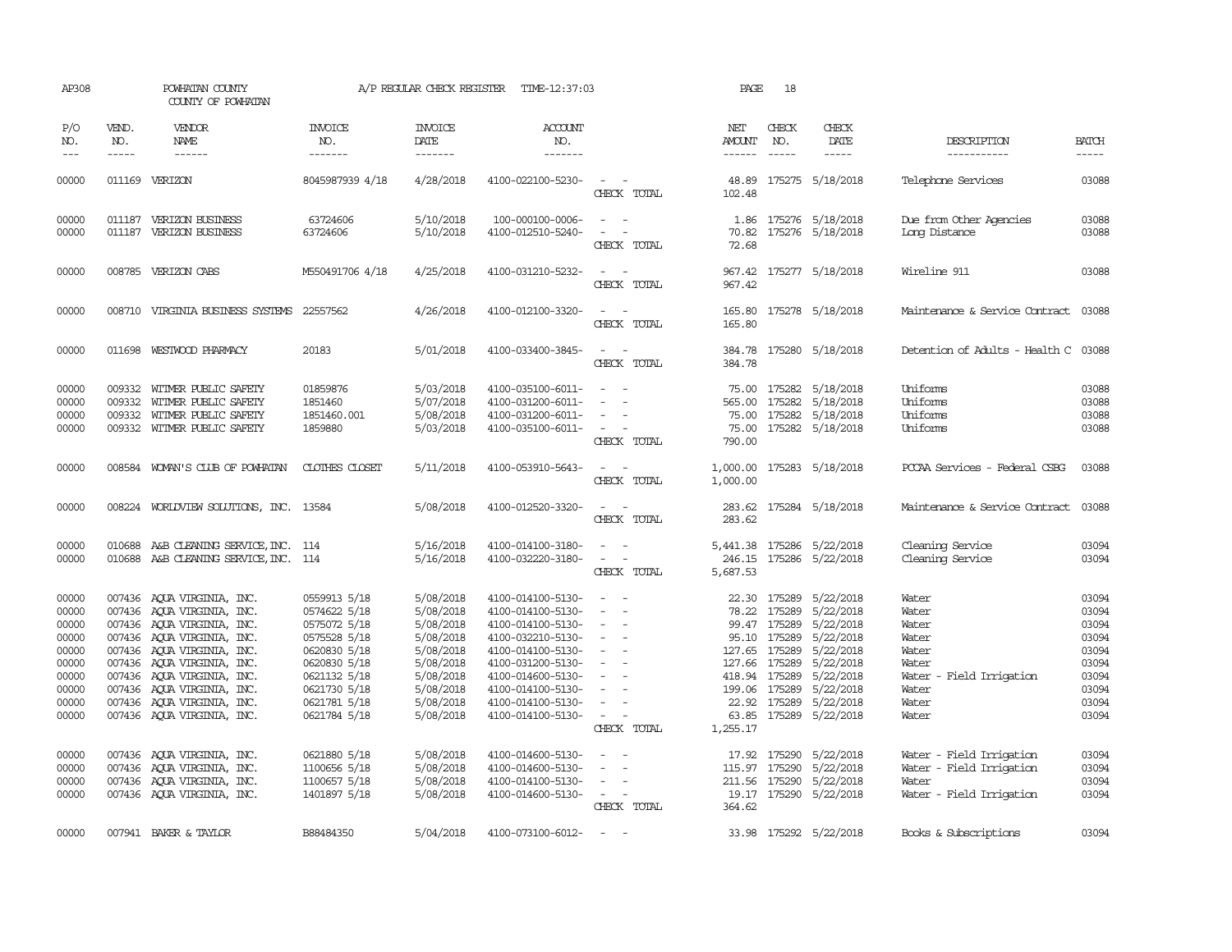| AP308                                                                                                                      |                             | POWHATAN COUNTY<br>COUNTY OF POWHATAN                                                                                                                                                                                                                                                                                                                                                                                                                                     |                                                                                                                                                                                                                              | A/P REGULAR CHECK REGISTER                                                                                                                                                         | TIME-12:37:03                                                                                                                                                                                                                                                                                      |                                                                                                                                                                                    | PAGE                                                                         | 18                                                           |                                                                                                                                                                                                                                                                    |                                                                                                                                                                                                           |                                                                                                                            |
|----------------------------------------------------------------------------------------------------------------------------|-----------------------------|---------------------------------------------------------------------------------------------------------------------------------------------------------------------------------------------------------------------------------------------------------------------------------------------------------------------------------------------------------------------------------------------------------------------------------------------------------------------------|------------------------------------------------------------------------------------------------------------------------------------------------------------------------------------------------------------------------------|------------------------------------------------------------------------------------------------------------------------------------------------------------------------------------|----------------------------------------------------------------------------------------------------------------------------------------------------------------------------------------------------------------------------------------------------------------------------------------------------|------------------------------------------------------------------------------------------------------------------------------------------------------------------------------------|------------------------------------------------------------------------------|--------------------------------------------------------------|--------------------------------------------------------------------------------------------------------------------------------------------------------------------------------------------------------------------------------------------------------------------|-----------------------------------------------------------------------------------------------------------------------------------------------------------------------------------------------------------|----------------------------------------------------------------------------------------------------------------------------|
| P/O<br>NO.<br>$---$                                                                                                        | VEND.<br>NO.<br>$- - - - -$ | VENDOR<br>NAME<br>$\begin{tabular}{ccccc} \multicolumn{2}{c }{\multicolumn{2}{c }{\multicolumn{2}{c }{\multicolumn{2}{c}}{\hspace{-2.2cm}}}} \multicolumn{2}{c }{\multicolumn{2}{c }{\hspace{-2.2cm}}\hline} \multicolumn{2}{c }{\hspace{-2.2cm}}\hline \multicolumn{2}{c }{\hspace{-2.2cm}}\hline \multicolumn{2}{c }{\hspace{-2.2cm}}\hline \multicolumn{2}{c }{\hspace{-2.2cm}}\hline \multicolumn{2}{c }{\hspace{-2.2cm}}\hline \multicolumn{2}{c }{\hspace{-2.2cm}}$ | <b>INVOICE</b><br>NO.<br>-------                                                                                                                                                                                             | <b>INVOICE</b><br>DATE<br>-------                                                                                                                                                  | <b>ACCOUNT</b><br>NO.<br>-------                                                                                                                                                                                                                                                                   |                                                                                                                                                                                    | NET<br>AMOUNT<br>$- - - - - -$                                               | CHECK<br>NO.<br>$\frac{1}{2}$                                | CHECK<br>DATE<br>$- - - - -$                                                                                                                                                                                                                                       | DESCRIPTION<br>-----------                                                                                                                                                                                | <b>BATCH</b><br>-----                                                                                                      |
| 00000                                                                                                                      |                             | 011169 VERIZON                                                                                                                                                                                                                                                                                                                                                                                                                                                            | 8045987939 4/18                                                                                                                                                                                                              | 4/28/2018                                                                                                                                                                          | 4100-022100-5230-                                                                                                                                                                                                                                                                                  | $\sim$ $ \sim$<br>CHECK TOTAL                                                                                                                                                      | 48.89<br>102.48                                                              |                                                              | 175275 5/18/2018                                                                                                                                                                                                                                                   | Telephone Services                                                                                                                                                                                        | 03088                                                                                                                      |
| 00000<br>00000                                                                                                             | 011187                      | 011187 VERIZON BUSINESS<br>VERIZON BUSINESS                                                                                                                                                                                                                                                                                                                                                                                                                               | 63724606<br>63724606                                                                                                                                                                                                         | 5/10/2018<br>5/10/2018                                                                                                                                                             | 100-000100-0006-<br>4100-012510-5240-                                                                                                                                                                                                                                                              | $\sim$ 100 $\sim$ 100 $\sim$<br>$\overline{\phantom{a}}$<br>$\overline{\phantom{a}}$<br>CHECK TOTAL                                                                                | 70.82<br>72.68                                                               |                                                              | 1.86 175276 5/18/2018<br>175276 5/18/2018                                                                                                                                                                                                                          | Due from Other Agencies<br>Long Distance                                                                                                                                                                  | 03088<br>03088                                                                                                             |
| 00000                                                                                                                      |                             | 008785 VERIZON CABS                                                                                                                                                                                                                                                                                                                                                                                                                                                       | M550491706 4/18                                                                                                                                                                                                              | 4/25/2018                                                                                                                                                                          | 4100-031210-5232-                                                                                                                                                                                                                                                                                  | $\sim$<br>CHECK TOTAL                                                                                                                                                              | 967.42<br>967.42                                                             |                                                              | 175277 5/18/2018                                                                                                                                                                                                                                                   | Wireline 911                                                                                                                                                                                              | 03088                                                                                                                      |
| 00000                                                                                                                      |                             | 008710 VIRGINIA BUSINESS SYSTEMS                                                                                                                                                                                                                                                                                                                                                                                                                                          | 22557562                                                                                                                                                                                                                     | 4/26/2018                                                                                                                                                                          | 4100-012100-3320-                                                                                                                                                                                                                                                                                  | $\sim$ $ \sim$<br>CHECK TOTAL                                                                                                                                                      | 165.80                                                                       |                                                              | 165.80 175278 5/18/2018                                                                                                                                                                                                                                            | Maintenance & Service Contract 03088                                                                                                                                                                      |                                                                                                                            |
| 00000                                                                                                                      |                             | 011698 WESTWOOD PHARMACY                                                                                                                                                                                                                                                                                                                                                                                                                                                  | 20183                                                                                                                                                                                                                        | 5/01/2018                                                                                                                                                                          | 4100-033400-3845-                                                                                                                                                                                                                                                                                  | $\sim$ $\sim$<br>CHECK TOTAL                                                                                                                                                       | 384.78                                                                       |                                                              | 384.78 175280 5/18/2018                                                                                                                                                                                                                                            | Detention of Adults - Health C 03088                                                                                                                                                                      |                                                                                                                            |
| 00000<br>00000<br>00000<br>00000                                                                                           | 009332<br>009332<br>009332  | WITMER PUBLIC SAFETY<br>WITMER PUBLIC SAFETY<br>WITMER PUBLIC SAFETY<br>009332 WITMER PUBLIC SAFETY                                                                                                                                                                                                                                                                                                                                                                       | 01859876<br>1851460<br>1851460.001<br>1859880                                                                                                                                                                                | 5/03/2018<br>5/07/2018<br>5/08/2018<br>5/03/2018                                                                                                                                   | 4100-035100-6011-<br>4100-031200-6011-<br>4100-031200-6011-<br>4100-035100-6011-                                                                                                                                                                                                                   | $\equiv$<br>CHECK TOTAL                                                                                                                                                            | 565.00<br>790.00                                                             |                                                              | 75.00 175282 5/18/2018<br>175282 5/18/2018<br>75.00 175282 5/18/2018<br>75.00 175282 5/18/2018                                                                                                                                                                     | Uniforms<br>Uniforms<br>Uniforms<br>Uniforms                                                                                                                                                              | 03088<br>03088<br>03088<br>03088                                                                                           |
| 00000                                                                                                                      |                             | 008584 WOMAN'S CLUB OF POWHATAN                                                                                                                                                                                                                                                                                                                                                                                                                                           | CLOTHES CLOSET                                                                                                                                                                                                               | 5/11/2018                                                                                                                                                                          | 4100-053910-5643-                                                                                                                                                                                                                                                                                  | $ -$<br>CHECK TOTAL                                                                                                                                                                | 1,000.00                                                                     |                                                              | 1,000.00 175283 5/18/2018                                                                                                                                                                                                                                          | PCCAA Services - Federal CSBG                                                                                                                                                                             | 03088                                                                                                                      |
| 00000                                                                                                                      |                             | 008224 WORLDVIEW SOLUTIONS, INC. 13584                                                                                                                                                                                                                                                                                                                                                                                                                                    |                                                                                                                                                                                                                              | 5/08/2018                                                                                                                                                                          | 4100-012520-3320-                                                                                                                                                                                                                                                                                  | CHECK TOTAL                                                                                                                                                                        | 283.62                                                                       |                                                              | 283.62 175284 5/18/2018                                                                                                                                                                                                                                            | Maintenance & Service Contract                                                                                                                                                                            | 03088                                                                                                                      |
| 00000<br>00000                                                                                                             |                             | 010688 A&B CLEANING SERVICE, INC. 114<br>010688 A&B CLEANING SERVICE, INC. 114                                                                                                                                                                                                                                                                                                                                                                                            |                                                                                                                                                                                                                              | 5/16/2018<br>5/16/2018                                                                                                                                                             | 4100-014100-3180-<br>4100-032220-3180-                                                                                                                                                                                                                                                             | $\sim$ 10 $\sim$ 10 $\sim$<br>$\sim$ 100 $\sim$ 100 $\sim$<br>CHECK TOTAL                                                                                                          | 5,687.53                                                                     |                                                              | 5,441.38 175286 5/22/2018<br>246.15 175286 5/22/2018                                                                                                                                                                                                               | Cleaning Service<br>Cleaning Service                                                                                                                                                                      | 03094<br>03094                                                                                                             |
| 00000<br>00000<br>00000<br>00000<br>00000<br>00000<br>00000<br>00000<br>00000<br>00000<br>00000<br>00000<br>00000<br>00000 |                             | 007436 AQUA VIRGINIA, INC.<br>007436 AQUA VIRGINIA, INC.<br>007436 AQUA VIRGINIA, INC.<br>007436 AQUA VIRGINIA, INC.<br>007436 AQUA VIRGINIA, INC.<br>007436 AQUA VIRGINIA, INC.<br>007436 AQUA VIRGINIA, INC.<br>007436 AQUA VIRGINIA, INC.<br>007436 AQUA VIRGINIA, INC.<br>007436 AQUA VIRGINIA, INC.<br>007436 AQUA VIRGINIA, INC.<br>007436 AQUA VIRGINIA, INC.<br>007436 AQUA VIRGINIA, INC.<br>007436 AQUA VIRGINIA, INC.                                          | 0559913 5/18<br>0574622 5/18<br>0575072 5/18<br>0575528 5/18<br>0620830 5/18<br>0620830 5/18<br>0621132 5/18<br>0621730 5/18<br>0621781 5/18<br>0621784 5/18<br>0621880 5/18<br>1100656 5/18<br>1100657 5/18<br>1401897 5/18 | 5/08/2018<br>5/08/2018<br>5/08/2018<br>5/08/2018<br>5/08/2018<br>5/08/2018<br>5/08/2018<br>5/08/2018<br>5/08/2018<br>5/08/2018<br>5/08/2018<br>5/08/2018<br>5/08/2018<br>5/08/2018 | 4100-014100-5130-<br>4100-014100-5130-<br>4100-014100-5130-<br>4100-032210-5130-<br>4100-014100-5130-<br>4100-031200-5130-<br>4100-014600-5130-<br>4100-014100-5130-<br>4100-014100-5130-<br>4100-014100-5130-<br>4100-014600-5130-<br>4100-014600-5130-<br>4100-014100-5130-<br>4100-014600-5130- | $\equiv$<br>$\sim$<br>$\overline{\phantom{a}}$<br>$\sim$<br>$\equiv$<br>$\sim$<br>$\overline{\phantom{a}}$<br>$\sim$<br>CHECK TOTAL<br>$\sim$<br>$\sim$<br>$\sim$<br>$\sim$ $\sim$ | 127.65 175289<br>127.66 175289<br>418.94 175289<br>199.06 175289<br>1,255.17 | 78.22 175289<br>99.47 175289<br>95.10 175289<br>17.92 175290 | 22.30 175289 5/22/2018<br>5/22/2018<br>5/22/2018<br>5/22/2018<br>5/22/2018<br>5/22/2018<br>5/22/2018<br>5/22/2018<br>22.92 175289 5/22/2018<br>63.85 175289 5/22/2018<br>5/22/2018<br>115.97 175290 5/22/2018<br>211.56 175290 5/22/2018<br>19.17 175290 5/22/2018 | Water<br>Water<br>Water<br>Water<br>Water<br>Water<br>Water<br>- Field Irrigation<br>Water<br>Water<br>Water<br>Water - Field Irrigation<br>Water - Field Irrigation<br>Water<br>Water - Field Irrigation | 03094<br>03094<br>03094<br>03094<br>03094<br>03094<br>03094<br>03094<br>03094<br>03094<br>03094<br>03094<br>03094<br>03094 |
| 00000                                                                                                                      |                             | 007941 BAKER & TAYLOR                                                                                                                                                                                                                                                                                                                                                                                                                                                     | B88484350                                                                                                                                                                                                                    | 5/04/2018                                                                                                                                                                          | 4100-073100-6012-                                                                                                                                                                                                                                                                                  | CHECK TOTAL<br><b><i><u>Participate</u></i></b>                                                                                                                                    | 364.62                                                                       |                                                              | 33.98 175292 5/22/2018                                                                                                                                                                                                                                             | Books & Subscriptions                                                                                                                                                                                     | 03094                                                                                                                      |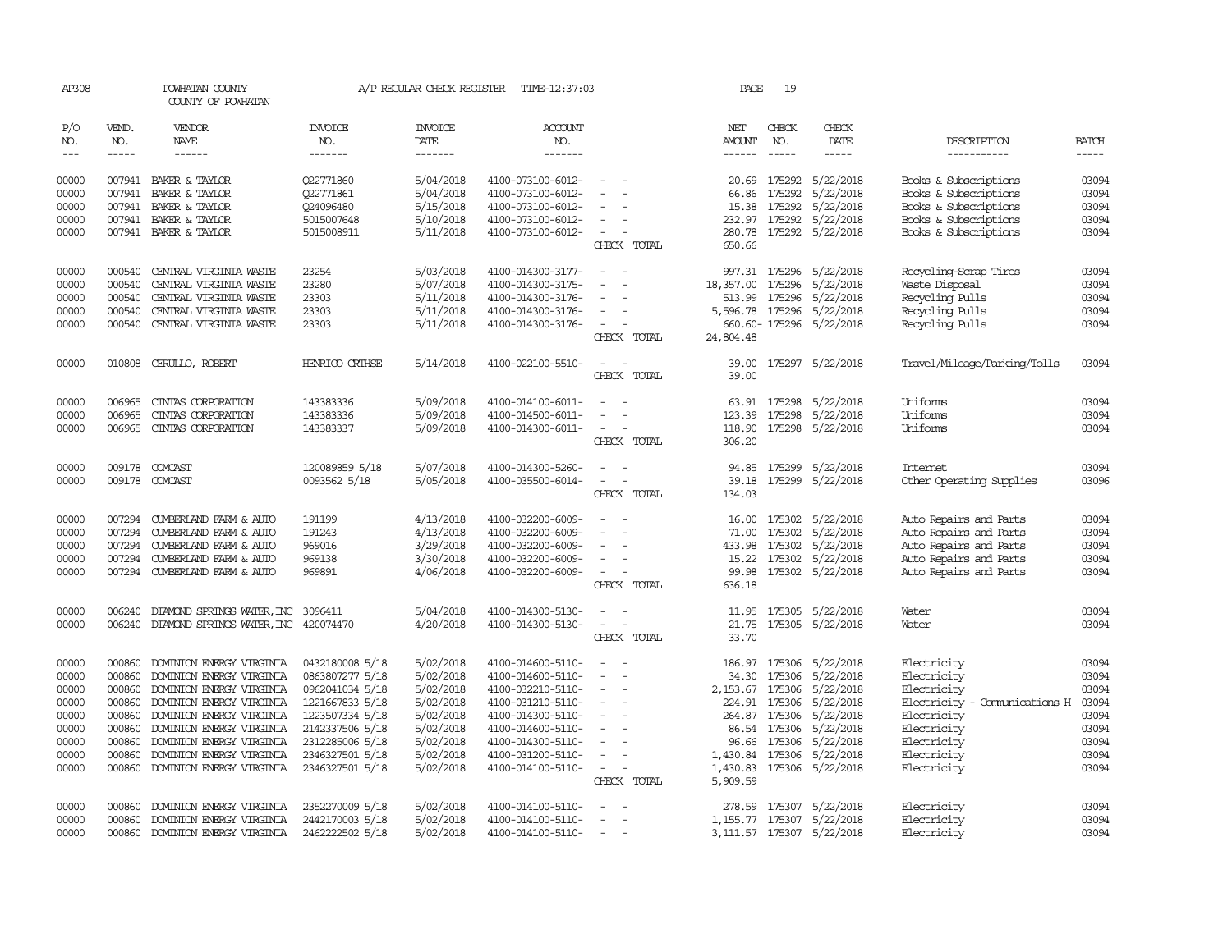| AP308                                                                         |                                                                                        | POWHATAN COUNTY<br>COUNTY OF POWHATAN                                                                                                                                                                                                                    |                                                                                                                                                                         | A/P REGULAR CHECK REGISTER                                                                                        | TIME-12:37:03                                                                                                                                                                             |                                                                                                                                                                                                 | PAGE                                                                   | 19                                                                    |                                                                                                                                                  |                                                                                                                                                       |                                                                               |
|-------------------------------------------------------------------------------|----------------------------------------------------------------------------------------|----------------------------------------------------------------------------------------------------------------------------------------------------------------------------------------------------------------------------------------------------------|-------------------------------------------------------------------------------------------------------------------------------------------------------------------------|-------------------------------------------------------------------------------------------------------------------|-------------------------------------------------------------------------------------------------------------------------------------------------------------------------------------------|-------------------------------------------------------------------------------------------------------------------------------------------------------------------------------------------------|------------------------------------------------------------------------|-----------------------------------------------------------------------|--------------------------------------------------------------------------------------------------------------------------------------------------|-------------------------------------------------------------------------------------------------------------------------------------------------------|-------------------------------------------------------------------------------|
| P/O<br>NO.<br>$\frac{1}{2}$                                                   | VEND.<br>NO.                                                                           | <b>VENDOR</b><br>NAME<br>$- - - - - -$                                                                                                                                                                                                                   | <b>INVOICE</b><br>NO.<br>-------                                                                                                                                        | <b>INVOICE</b><br>DATE<br>-------                                                                                 | <b>ACCOUNT</b><br>NO.<br>$- - - - - - -$                                                                                                                                                  |                                                                                                                                                                                                 | NET<br><b>AMOUNT</b><br>$- - - - - -$                                  | CHECK<br>NO.<br>$\frac{1}{2}$                                         | CHECK<br>DATE                                                                                                                                    | DESCRIPTION<br>-----------                                                                                                                            | <b>BATCH</b>                                                                  |
| 00000<br>00000<br>00000<br>00000<br>00000                                     | 007941<br>007941<br>007941<br>007941                                                   | BAKER & TAYLOR<br>BAKER & TAYLOR<br>BAKER & TAYLOR<br>BAKER & TAYLOR<br>007941 BAKER & TAYLOR                                                                                                                                                            | 022771860<br>Q22771861<br>Q24096480<br>5015007648<br>5015008911                                                                                                         | 5/04/2018<br>5/04/2018<br>5/15/2018<br>5/10/2018<br>5/11/2018                                                     | 4100-073100-6012-<br>4100-073100-6012-<br>4100-073100-6012-<br>4100-073100-6012-<br>4100-073100-6012-                                                                                     | CHECK TOTAL                                                                                                                                                                                     | 20.69<br>66.86<br>15.38<br>232.97<br>650.66                            | 175292<br>175292<br>175292                                            | 5/22/2018<br>5/22/2018<br>175292 5/22/2018<br>5/22/2018<br>280.78 175292 5/22/2018                                                               | Books & Subscriptions<br>Books & Subscriptions<br>Books & Subscriptions<br>Books & Subscriptions<br>Books & Subscriptions                             | 03094<br>03094<br>03094<br>03094<br>03094                                     |
| 00000<br>00000<br>00000<br>00000<br>00000                                     | 000540<br>000540<br>000540<br>000540<br>000540                                         | CENTRAL VIRGINIA WASTE<br>CENTRAL VIRGINIA WASTE<br>CENTRAL VIRGINIA WASTE<br>CENTRAL VIRGINIA WASTE<br>CENTRAL VIRGINIA WASTE                                                                                                                           | 23254<br>23280<br>23303<br>23303<br>23303                                                                                                                               | 5/03/2018<br>5/07/2018<br>5/11/2018<br>5/11/2018<br>5/11/2018                                                     | 4100-014300-3177-<br>4100-014300-3175-<br>4100-014300-3176-<br>4100-014300-3176-<br>4100-014300-3176-                                                                                     | $\overline{\phantom{a}}$<br>CHECK TOTAL                                                                                                                                                         | 18,357.00<br>513.99<br>5,596.78<br>24,804.48                           | 175296<br>175296<br>175296                                            | 997.31 175296 5/22/2018<br>5/22/2018<br>5/22/2018<br>5/22/2018<br>660.60-175296 5/22/2018                                                        | Recycling-Scrap Tires<br>Waste Disposal<br>Recycling Pulls<br>Recycling Pulls<br>Recycling Pulls                                                      | 03094<br>03094<br>03094<br>03094<br>03094                                     |
| 00000                                                                         |                                                                                        | 010808 CERULLO, ROBERT                                                                                                                                                                                                                                   | HENRICO CRIHSE                                                                                                                                                          | 5/14/2018                                                                                                         | 4100-022100-5510-                                                                                                                                                                         | CHECK TOTAL                                                                                                                                                                                     | 39.00                                                                  |                                                                       | 39.00 175297 5/22/2018                                                                                                                           | Travel/Mileage/Parking/Tolls                                                                                                                          | 03094                                                                         |
| 00000<br>00000<br>00000<br>00000                                              | 006965<br>006965<br>006965                                                             | CINIAS CORPORATION<br>CINTAS CORPORATION<br>CINIAS CORPORATION<br>009178 COMCAST                                                                                                                                                                         | 143383336<br>143383336<br>143383337<br>120089859 5/18                                                                                                                   | 5/09/2018<br>5/09/2018<br>5/09/2018<br>5/07/2018                                                                  | 4100-014100-6011-<br>4100-014500-6011-<br>4100-014300-6011-<br>4100-014300-5260-                                                                                                          | $\overline{\phantom{a}}$<br>CHECK TOTAL                                                                                                                                                         | 123.39<br>306.20<br>94.85                                              | 175298<br>175299                                                      | 63.91 175298 5/22/2018<br>5/22/2018<br>118.90 175298 5/22/2018<br>5/22/2018                                                                      | Uniforms<br>Uniforms<br>Uniforms<br>Internet                                                                                                          | 03094<br>03094<br>03094<br>03094                                              |
| 00000                                                                         |                                                                                        | 009178 COMCAST                                                                                                                                                                                                                                           | 0093562 5/18                                                                                                                                                            | 5/05/2018                                                                                                         | 4100-035500-6014-                                                                                                                                                                         | $\overline{\phantom{a}}$<br>$\overline{\phantom{a}}$<br>CHECK TOTAL                                                                                                                             | 39.18<br>134.03                                                        | 175299                                                                | 5/22/2018                                                                                                                                        | Other Operating Supplies                                                                                                                              | 03096                                                                         |
| 00000<br>00000<br>00000<br>00000<br>00000                                     | 007294<br>007294<br>007294                                                             | 007294 CUMBERLAND FARM & AUTO<br>CUMBERLAND FARM & AUTO<br>CUMBERLAND FARM & AUTO<br>CUMBERLAND FARM & AUTO<br>007294 CUMBERLAND FARM & AUTO                                                                                                             | 191199<br>191243<br>969016<br>969138<br>969891                                                                                                                          | 4/13/2018<br>4/13/2018<br>3/29/2018<br>3/30/2018<br>4/06/2018                                                     | 4100-032200-6009-<br>4100-032200-6009-<br>4100-032200-6009-<br>4100-032200-6009-<br>4100-032200-6009-                                                                                     | $\overline{\phantom{a}}$<br>CHECK TOTAL                                                                                                                                                         | 71.00<br>433.98<br>15.22<br>99.98<br>636.18                            | 175302                                                                | 16.00 175302 5/22/2018<br>175302 5/22/2018<br>5/22/2018<br>175302 5/22/2018<br>175302 5/22/2018                                                  | Auto Repairs and Parts<br>Auto Repairs and Parts<br>Auto Repairs and Parts<br>Auto Repairs and Parts<br>Auto Repairs and Parts                        | 03094<br>03094<br>03094<br>03094<br>03094                                     |
| 00000<br>00000                                                                | 006240<br>006240                                                                       | DIAMOND SPRINGS WATER, INC<br>DIAMOND SPRINGS WATER, INC 420074470                                                                                                                                                                                       | 3096411                                                                                                                                                                 | 5/04/2018<br>4/20/2018                                                                                            | 4100-014300-5130-<br>4100-014300-5130-                                                                                                                                                    | $\equiv$<br>$\sim$<br>$\overline{\phantom{a}}$<br>CHECK TOTAL                                                                                                                                   | 11.95<br>21.75<br>33.70                                                |                                                                       | 175305 5/22/2018<br>175305 5/22/2018                                                                                                             | Water<br>Water                                                                                                                                        | 03094<br>03094                                                                |
| 00000<br>00000<br>00000<br>00000<br>00000<br>00000<br>00000<br>00000<br>00000 | 000860<br>000860<br>000860<br>000860<br>000860<br>000860<br>000860<br>000860<br>000860 | DOMINION ENERGY VIRGINIA<br>DOMINION ENERGY VIRGINIA<br>DOMINION ENERGY VIRGINIA<br>DOMINION ENERGY VIRGINIA<br>DOMINION ENERGY VIRGINIA<br>DOMINION ENERGY VIRGINIA<br>DOMINION ENERGY VIRGINIA<br>DOMINION ENERGY VIRGINIA<br>DOMINION ENERGY VIRGINIA | 0432180008 5/18<br>0863807277 5/18<br>0962041034 5/18<br>1221667833 5/18<br>1223507334 5/18<br>2142337506 5/18<br>2312285006 5/18<br>2346327501 5/18<br>2346327501 5/18 | 5/02/2018<br>5/02/2018<br>5/02/2018<br>5/02/2018<br>5/02/2018<br>5/02/2018<br>5/02/2018<br>5/02/2018<br>5/02/2018 | 4100-014600-5110-<br>4100-014600-5110-<br>4100-032210-5110-<br>4100-031210-5110-<br>4100-014300-5110-<br>4100-014600-5110-<br>4100-014300-5110-<br>4100-031200-5110-<br>4100-014100-5110- | $\overline{\phantom{a}}$<br>$\sim$<br>$\overline{\phantom{a}}$<br>$\sim$<br>$\overline{\phantom{a}}$<br>$\sim$<br>$\sim$<br>$\overline{\phantom{a}}$<br>$\overline{\phantom{a}}$<br>CHECK TOTAL | 186.97<br>34.30<br>264.87<br>96.66<br>1,430.84<br>1,430.83<br>5,909.59 | 175306<br>224.91 175306<br>175306<br>86.54 175306<br>175306<br>175306 | 175306 5/22/2018<br>5/22/2018<br>2, 153.67 175306 5/22/2018<br>5/22/2018<br>5/22/2018<br>5/22/2018<br>5/22/2018<br>5/22/2018<br>175306 5/22/2018 | Electricity<br>Electricity<br>Electricity<br>Electricity - Comunications H<br>Electricity<br>Electricity<br>Electricity<br>Electricity<br>Electricity | 03094<br>03094<br>03094<br>03094<br>03094<br>03094<br>03094<br>03094<br>03094 |
| 00000<br>00000<br>00000                                                       | 000860<br>000860<br>000860                                                             | DOMINION ENERGY VIRGINIA<br>DOMINION ENERGY VIRGINIA<br>DOMINION ENERGY VIRGINIA                                                                                                                                                                         | 2352270009 5/18<br>2442170003 5/18<br>2462222502 5/18                                                                                                                   | 5/02/2018<br>5/02/2018<br>5/02/2018                                                                               | 4100-014100-5110-<br>4100-014100-5110-<br>4100-014100-5110-                                                                                                                               | $\sim$                                                                                                                                                                                          | 278.59                                                                 |                                                                       | 175307 5/22/2018<br>1, 155.77 175307 5/22/2018<br>3, 111.57 175307 5/22/2018                                                                     | Electricity<br>Electricity<br>Electricity                                                                                                             | 03094<br>03094<br>03094                                                       |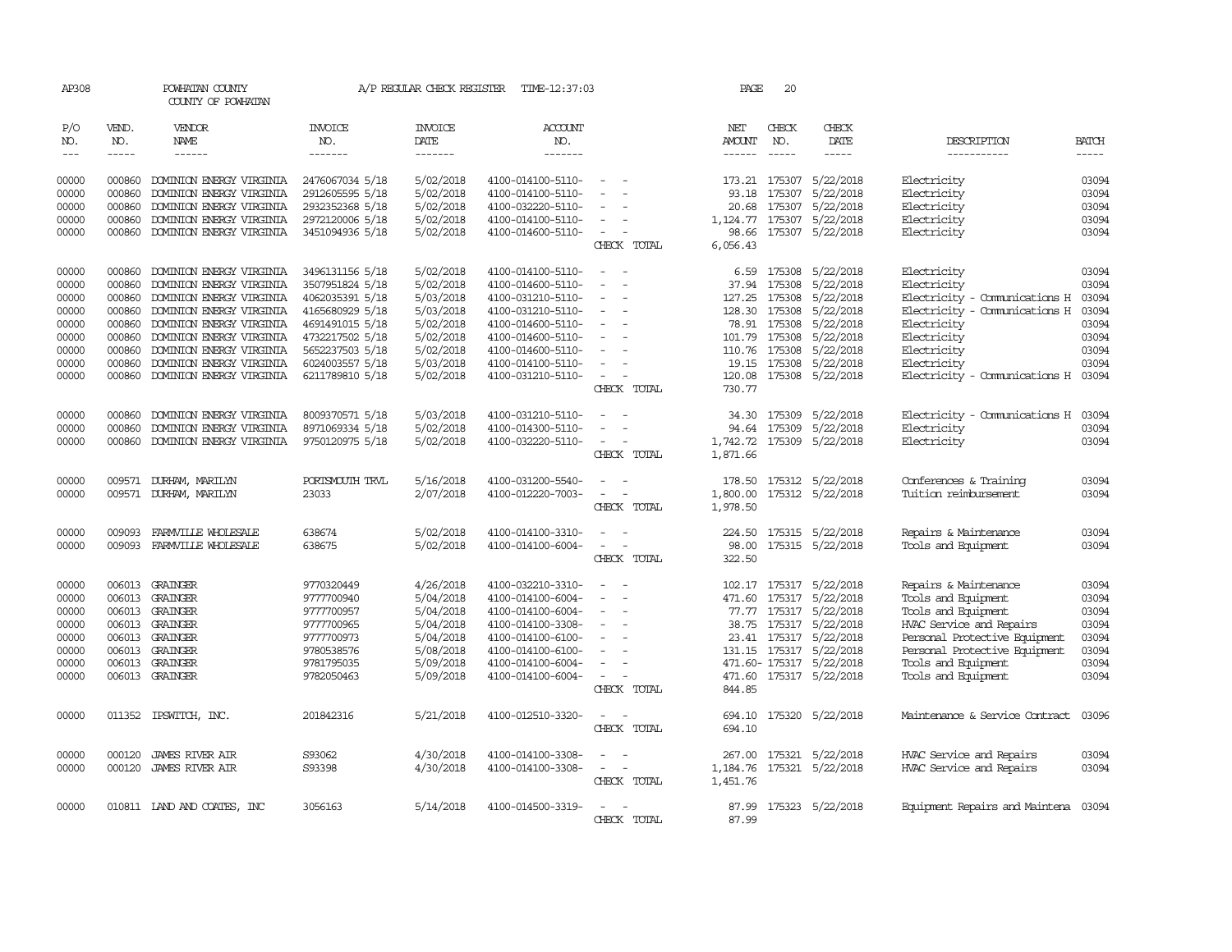| AP308                       |                             | POWHATAN COUNTY<br>COUNTY OF POWHATAN |                                  | A/P REGULAR CHECK REGISTER                | TIME-12:37:03             |                                                      | PAGE                           | 20                            |                                |                                      |                       |
|-----------------------------|-----------------------------|---------------------------------------|----------------------------------|-------------------------------------------|---------------------------|------------------------------------------------------|--------------------------------|-------------------------------|--------------------------------|--------------------------------------|-----------------------|
| P/O<br>NO.<br>$\frac{1}{2}$ | VEND.<br>NO.<br>$- - - - -$ | VENDOR<br>NAME<br>$- - - - - -$       | <b>INVOICE</b><br>NO.<br>------- | <b>INVOICE</b><br>DATE<br>$- - - - - - -$ | ACCOUNT<br>NO.<br>------- |                                                      | NET<br>AMOUNT<br>$- - - - - -$ | CHECK<br>NO.<br>$\frac{1}{2}$ | CHECK<br>DATE<br>$\frac{1}{2}$ | DESCRIPTION<br>-----------           | <b>BATCH</b><br>----- |
| 00000                       | 000860                      | DOMINION ENERGY VIRGINIA              | 2476067034 5/18                  | 5/02/2018                                 | 4100-014100-5110-         |                                                      | 173.21                         | 175307                        | 5/22/2018                      | Electricity                          | 03094                 |
| 00000                       | 000860                      | DOMINION ENERGY VIRGINIA              | 2912605595 5/18                  | 5/02/2018                                 | 4100-014100-5110-         | $\sim$                                               | 93.18                          | 175307                        | 5/22/2018                      | Electricity                          | 03094                 |
| 00000                       | 000860                      | DOMINION ENERGY VIRGINIA              | 2932352368 5/18                  | 5/02/2018                                 | 4100-032220-5110-         | $\sim$                                               | 20.68                          | 175307                        | 5/22/2018                      | Electricity                          | 03094                 |
| 00000                       | 000860                      | DOMINION ENERGY VIRGINIA              | 2972120006 5/18                  | 5/02/2018                                 | 4100-014100-5110-         | $\equiv$                                             |                                |                               | 1, 124.77 175307 5/22/2018     | Electricity                          | 03094                 |
| 00000                       |                             | 000860 DOMINION ENERGY VIRGINIA       | 3451094936 5/18                  | 5/02/2018                                 | 4100-014600-5110-         | $\sim$                                               | 98.66                          |                               | 175307 5/22/2018               | Electricity                          | 03094                 |
|                             |                             |                                       |                                  |                                           |                           | CHECK TOTAL                                          | 6,056.43                       |                               |                                |                                      |                       |
| 00000                       | 000860                      | DOMINION ENERGY VIRGINIA              | 3496131156 5/18                  | 5/02/2018                                 | 4100-014100-5110-         | $\sim$<br>$\sim$                                     |                                | 6.59 175308                   | 5/22/2018                      | Electricity                          | 03094                 |
| 00000                       | 000860                      | DOMINION ENERGY VIRGINIA              | 3507951824 5/18                  | 5/02/2018                                 | 4100-014600-5110-         | $\overline{\phantom{a}}$                             |                                | 37.94 175308                  | 5/22/2018                      | Electricity                          | 03094                 |
| 00000                       | 000860                      | DOMINION ENERGY VIRGINIA              | 4062035391 5/18                  | 5/03/2018                                 | 4100-031210-5110-         | $\overline{\phantom{a}}$                             | 127.25                         | 175308                        | 5/22/2018                      | Electricity - Comunications H        | 03094                 |
| 00000                       | 000860                      | DOMINION ENERGY VIRGINIA              | 4165680929 5/18                  | 5/03/2018                                 | 4100-031210-5110-         | $\sim$                                               |                                | 128.30 175308                 | 5/22/2018                      | Electricity - Comunications H        | 03094                 |
| 00000                       | 000860                      | DOMINION ENERGY VIRGINIA              | 4691491015 5/18                  | 5/02/2018                                 | 4100-014600-5110-         | $\overline{\phantom{a}}$                             |                                | 78.91 175308                  | 5/22/2018                      | Electricity                          | 03094                 |
| 00000                       | 000860                      | DOMINION ENERGY VIRGINIA              | 4732217502 5/18                  | 5/02/2018                                 | 4100-014600-5110-         |                                                      | 101.79                         | 175308                        | 5/22/2018                      | Electricity                          | 03094                 |
| 00000                       | 000860                      | DOMINION ENERGY VIRGINIA              | 5652237503 5/18                  | 5/02/2018                                 | 4100-014600-5110-         |                                                      | 110.76                         | 175308                        | 5/22/2018                      | Electricity                          | 03094                 |
| 00000                       | 000860                      | DOMINION ENERGY VIRGINIA              | 6024003557 5/18                  | 5/03/2018                                 | 4100-014100-5110-         | $\overline{\phantom{a}}$<br>$\overline{\phantom{a}}$ |                                | 19.15 175308                  | 5/22/2018                      | Electricity                          | 03094                 |
| 00000                       | 000860                      | DOMINION ENERGY VIRGINIA              | 6211789810 5/18                  | 5/02/2018                                 | 4100-031210-5110-         | $\sim$                                               | 120.08                         |                               | 175308 5/22/2018               | Electricity - Comunications H 03094  |                       |
|                             |                             |                                       |                                  |                                           |                           | CHECK TOTAL                                          | 730.77                         |                               |                                |                                      |                       |
| 00000                       | 000860                      | DOMINION ENERGY VIRGINIA              | 8009370571 5/18                  | 5/03/2018                                 | 4100-031210-5110-         | $\overline{\phantom{a}}$<br>$\sim$                   |                                | 34.30 175309                  | 5/22/2018                      | Electricity - Comunications H 03094  |                       |
| 00000                       | 000860                      | DOMINION ENERGY VIRGINIA              | 8971069334 5/18                  | 5/02/2018                                 | 4100-014300-5110-         |                                                      | 94.64                          | 175309                        | 5/22/2018                      | Electricity                          | 03094                 |
| 00000                       | 000860                      | DOMINION ENERGY VIRGINIA              | 9750120975 5/18                  | 5/02/2018                                 | 4100-032220-5110-         | $\sim$                                               |                                |                               | 1,742.72 175309 5/22/2018      | Electricity                          | 03094                 |
|                             |                             |                                       |                                  |                                           |                           | CHECK TOTAL                                          | 1,871.66                       |                               |                                |                                      |                       |
| 00000                       |                             | 009571 DURHAM, MARILYN                | PORTSMOUTH TRVL                  | 5/16/2018                                 | 4100-031200-5540-         |                                                      | 178.50                         |                               | 175312 5/22/2018               | Conferences & Training               | 03094                 |
| 00000                       |                             | 009571 DURHAM, MARILYN                | 23033                            | 2/07/2018                                 | 4100-012220-7003-         | $\equiv$<br>$\overline{\phantom{a}}$                 | 1,800.00                       |                               | 175312 5/22/2018               | Tuition reimbursement                | 03094                 |
|                             |                             |                                       |                                  |                                           |                           | CHECK TOTAL                                          | 1,978.50                       |                               |                                |                                      |                       |
| 00000                       | 009093                      | FARMILLE WHOLESALE                    | 638674                           | 5/02/2018                                 | 4100-014100-3310-         | $\sim$<br>$\overline{\phantom{a}}$                   |                                |                               | 224.50 175315 5/22/2018        | Repairs & Maintenance                | 03094                 |
| 00000                       | 009093                      | FARMILLE WHOLESALE                    | 638675                           | 5/02/2018                                 | 4100-014100-6004-         | $\sim$<br>$\overline{\phantom{a}}$                   | 98.00                          |                               | 175315 5/22/2018               | Tools and Equipment                  | 03094                 |
|                             |                             |                                       |                                  |                                           |                           | CHECK TOTAL                                          | 322.50                         |                               |                                |                                      |                       |
| 00000                       |                             | 006013 GRAINGER                       | 9770320449                       | 4/26/2018                                 | 4100-032210-3310-         |                                                      |                                |                               | 102.17 175317 5/22/2018        | Repairs & Maintenance                | 03094                 |
| 00000                       |                             | 006013 GRAINGER                       | 9777700940                       | 5/04/2018                                 | 4100-014100-6004-         | $\sim$                                               |                                |                               | 471.60 175317 5/22/2018        | Tools and Equipment                  | 03094                 |
| 00000                       |                             | 006013 GRAINGER                       | 9777700957                       | 5/04/2018                                 | 4100-014100-6004-         |                                                      |                                | 77.77 175317                  | 5/22/2018                      | Tools and Equipment                  | 03094                 |
| 00000                       |                             | 006013 GRAINGER                       | 9777700965                       | 5/04/2018                                 | 4100-014100-3308-         | $\overline{\phantom{a}}$                             |                                |                               | 38.75 175317 5/22/2018         | HVAC Service and Repairs             | 03094                 |
| 00000                       |                             | 006013 GRAINGER                       | 9777700973                       | 5/04/2018                                 | 4100-014100-6100-         | $\sim$                                               |                                | 23.41 175317                  | 5/22/2018                      | Personal Protective Equipment        | 03094                 |
| 00000                       |                             | 006013 GRAINGER                       | 9780538576                       | 5/08/2018                                 | 4100-014100-6100-         |                                                      |                                | 131.15 175317                 | 5/22/2018                      | Personal Protective Equipment        | 03094                 |
| 00000                       |                             | 006013 GRAINGER                       | 9781795035                       | 5/09/2018                                 | 4100-014100-6004-         | $\sim$                                               |                                |                               | 471.60-175317 5/22/2018        | Tools and Equipment                  | 03094                 |
| 00000                       |                             | 006013 GRAINGER                       | 9782050463                       | 5/09/2018                                 | 4100-014100-6004-         | CHECK TOTAL                                          | 844.85                         |                               | 471.60 175317 5/22/2018        | Tools and Equipment                  | 03094                 |
|                             |                             |                                       |                                  |                                           |                           |                                                      |                                |                               |                                |                                      |                       |
| 00000                       |                             | 011352 IPSWITCH, INC.                 | 201842316                        | 5/21/2018                                 | 4100-012510-3320-         | $\sim$<br>$\sim$                                     | 694.10                         |                               | 175320 5/22/2018               | Maintenance & Service Contract       | 03096                 |
|                             |                             |                                       |                                  |                                           |                           | CHECK TOTAL                                          | 694.10                         |                               |                                |                                      |                       |
| 00000                       | 000120                      | <b>JAMES RIVER AIR</b>                | S93062                           | 4/30/2018                                 | 4100-014100-3308-         |                                                      | 267.00                         |                               | 175321 5/22/2018               | HVAC Service and Repairs             | 03094                 |
| 00000                       |                             | 000120 JAMES RIVER AIR                | S93398                           | 4/30/2018                                 | 4100-014100-3308-         | $\sim$<br>$\overline{a}$                             | 1,184.76                       |                               | 175321 5/22/2018               | HVAC Service and Repairs             | 03094                 |
|                             |                             |                                       |                                  |                                           |                           | CHECK TOTAL                                          | 1,451.76                       |                               |                                |                                      |                       |
| 00000                       |                             | 010811 LAND AND COATES, INC           | 3056163                          | 5/14/2018                                 | 4100-014500-3319-         |                                                      |                                |                               | 87.99 175323 5/22/2018         | Equipment Repairs and Maintena 03094 |                       |
|                             |                             |                                       |                                  |                                           |                           | CHECK TOTAL                                          | 87.99                          |                               |                                |                                      |                       |
|                             |                             |                                       |                                  |                                           |                           |                                                      |                                |                               |                                |                                      |                       |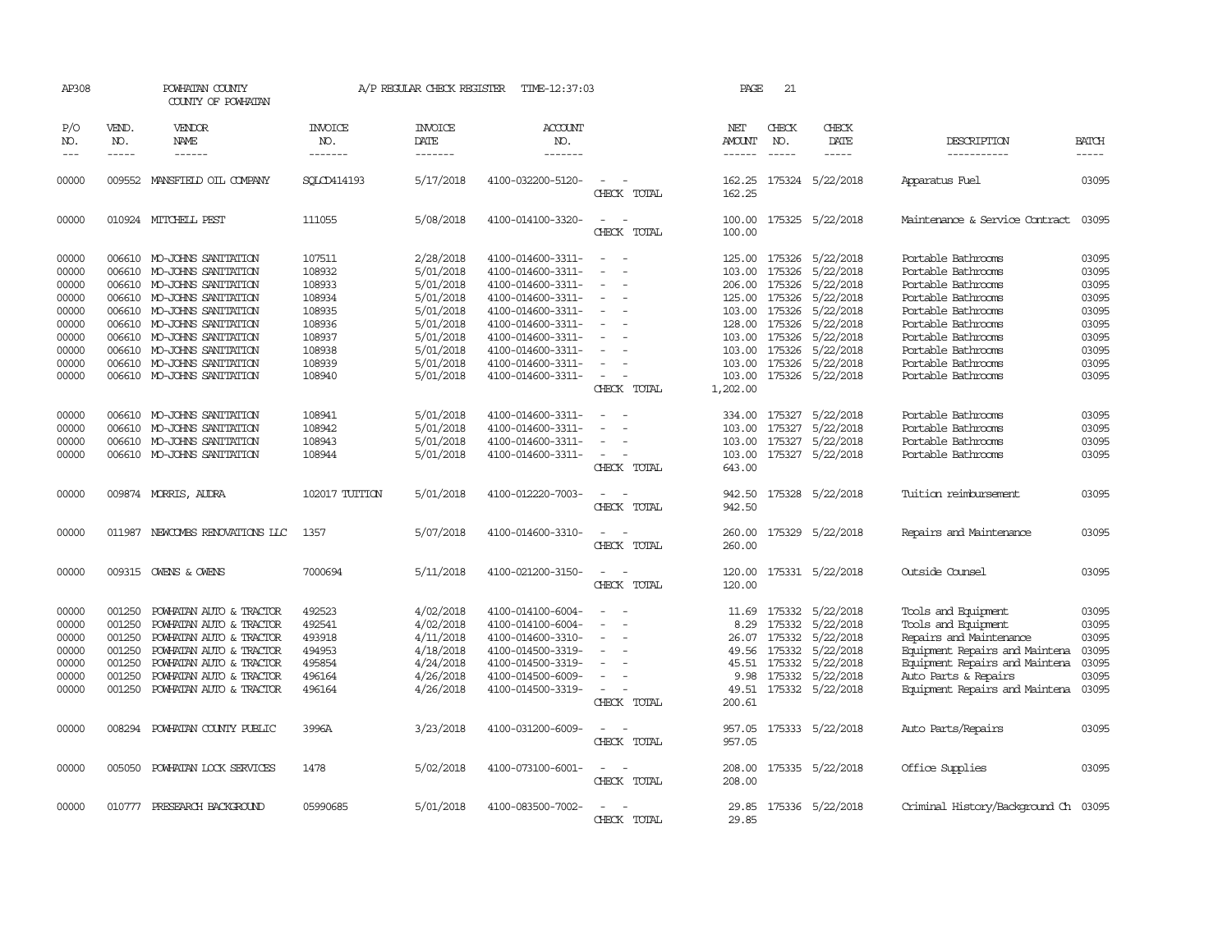| AP308                           |                       | POWHATAN COUNTY<br>COUNTY OF POWHATAN  |                                  | A/P REGULAR CHECK REGISTER        | TIME-12:37:03                    |                                         | PAGE                    | 21                            |                         |                                      |              |
|---------------------------------|-----------------------|----------------------------------------|----------------------------------|-----------------------------------|----------------------------------|-----------------------------------------|-------------------------|-------------------------------|-------------------------|--------------------------------------|--------------|
| P/O<br>NO.<br>$\qquad \qquad -$ | VEND.<br>NO.<br>----- | <b>VENDOR</b><br>NAME<br>$- - - - - -$ | <b>INVOICE</b><br>NO.<br>------- | <b>INVOICE</b><br>DATE<br>------- | <b>ACCOUNT</b><br>NO.<br>------- |                                         | NET<br>AMOUNT<br>------ | CHECK<br>NO.<br>$\frac{1}{2}$ | CHECK<br>DATE<br>-----  | DESCRIPTION<br>-----------           | <b>BATCH</b> |
| 00000                           | 009552                | MANSFIELD OIL COMPANY                  | SOLCD414193                      | 5/17/2018                         | 4100-032200-5120-                | $\overline{\phantom{a}}$<br>CHECK TOTAL | 162.25<br>162.25        |                               | 175324 5/22/2018        | Apparatus Fuel                       | 03095        |
| 00000                           |                       | 010924 MITCHELL PEST                   | 111055                           | 5/08/2018                         | 4100-014100-3320-                | $\sim$<br>CHECK TOTAL                   | 100.00<br>100.00        |                               | 175325 5/22/2018        | Maintenance & Service Contract       | 03095        |
| 00000                           |                       | 006610 MO-JOHNS SANITATION             | 107511                           | 2/28/2018                         | 4100-014600-3311-                | $\overline{\phantom{a}}$                | 125.00                  | 175326                        | 5/22/2018               | Portable Bathrooms                   | 03095        |
| 00000                           |                       | 006610 MO-JOHNS SANITATION             | 108932                           | 5/01/2018                         | 4100-014600-3311-                |                                         | 103.00                  | 175326                        | 5/22/2018               | Portable Bathrooms                   | 03095        |
| 00000                           |                       | 006610 MO-JOHNS SANITATION             | 108933                           | 5/01/2018                         | 4100-014600-3311-                | $\overline{\phantom{a}}$                | 206.00                  | 175326                        | 5/22/2018               | Portable Bathrooms                   | 03095        |
| 00000                           |                       | 006610 MO-JOHNS SANITATION             | 108934                           | 5/01/2018                         | 4100-014600-3311-                | $\overline{\phantom{a}}$                | 125.00                  | 175326                        | 5/22/2018               | Portable Bathrooms                   | 03095        |
| 00000                           |                       | 006610 MO-JOHNS SANITATION             | 108935                           | 5/01/2018                         | 4100-014600-3311-                | $\overline{\phantom{a}}$                | 103.00                  | 175326                        | 5/22/2018               | Portable Bathrooms                   | 03095        |
| 00000                           |                       | 006610 MO-JOHNS SANITATION             | 108936                           | 5/01/2018                         | 4100-014600-3311-                |                                         | 128.00                  | 175326                        | 5/22/2018               | Portable Bathrooms                   | 03095        |
| 00000                           |                       | 006610 MO-JOHNS SANITATION             | 108937                           | 5/01/2018                         | 4100-014600-3311-                | $\overline{\phantom{a}}$                | 103.00                  | 175326                        | 5/22/2018               | Portable Bathrooms                   | 03095        |
| 00000                           |                       | 006610 MO-JOHNS SANITATION             | 108938                           | 5/01/2018                         | 4100-014600-3311-                |                                         | 103.00                  | 175326                        | 5/22/2018               | Portable Bathrooms                   | 03095        |
| 00000                           |                       | 006610 MO-JOHNS SANITATION             | 108939                           | 5/01/2018                         | 4100-014600-3311-                |                                         | 103.00                  |                               | 175326 5/22/2018        | Portable Bathrooms                   | 03095        |
| 00000                           |                       | 006610 MO-JOHNS SANITATION             | 108940                           | 5/01/2018                         | 4100-014600-3311-                | $\overline{\phantom{a}}$                | 103.00                  |                               | 175326 5/22/2018        | Portable Bathrooms                   | 03095        |
|                                 |                       |                                        |                                  |                                   |                                  | CHECK TOTAL                             | 1,202.00                |                               |                         |                                      |              |
| 00000                           |                       | 006610 MO-JOHNS SANITATION             | 108941                           | 5/01/2018                         | 4100-014600-3311-                | $\sim$                                  |                         |                               | 334.00 175327 5/22/2018 | Portable Bathrooms                   | 03095        |
| 00000                           | 006610                | MO-JOHNS SANITATION                    | 108942                           | 5/01/2018                         | 4100-014600-3311-                |                                         | 103.00                  | 175327                        | 5/22/2018               | Portable Bathrooms                   | 03095        |
| 00000                           |                       | 006610 MO-JOHNS SANITATION             | 108943                           | 5/01/2018                         | 4100-014600-3311-                |                                         | 103.00                  |                               | 175327 5/22/2018        | Portable Bathrooms                   | 03095        |
| 00000                           |                       | 006610 MO-JOHNS SANITATION             | 108944                           | 5/01/2018                         | 4100-014600-3311-                | $\sim$                                  |                         |                               | 103.00 175327 5/22/2018 | Portable Bathrooms                   | 03095        |
|                                 |                       |                                        |                                  |                                   |                                  | CHECK TOTAL                             | 643.00                  |                               |                         |                                      |              |
| 00000                           |                       | 009874 MORRIS, AUDRA                   | 102017 TUITION                   | 5/01/2018                         | 4100-012220-7003-                |                                         | 942.50                  |                               | 175328 5/22/2018        | Tuition reimbursement                | 03095        |
|                                 |                       |                                        |                                  |                                   |                                  | CHECK TOTAL                             | 942.50                  |                               |                         |                                      |              |
| 00000                           |                       | 011987 NEWCOMBS RENOVATIONS LLC        | 1357                             | 5/07/2018                         | 4100-014600-3310-                |                                         | 260.00                  |                               | 175329 5/22/2018        | Repairs and Maintenance              | 03095        |
|                                 |                       |                                        |                                  |                                   |                                  | CHECK TOTAL                             | 260.00                  |                               |                         |                                      |              |
| 00000                           |                       | 009315 OWENS & OWENS                   | 7000694                          | 5/11/2018                         | 4100-021200-3150-                | $\equiv$                                | 120.00                  |                               | 175331 5/22/2018        | Outside Counsel                      | 03095        |
|                                 |                       |                                        |                                  |                                   |                                  | CHECK TOTAL                             | 120.00                  |                               |                         |                                      |              |
| 00000                           | 001250                | POWHATAN AUTO & TRACTOR                | 492523                           | 4/02/2018                         | 4100-014100-6004-                |                                         | 11.69                   |                               | 175332 5/22/2018        | Tools and Equipment                  | 03095        |
| 00000                           | 001250                | POWHATAN AUTO & TRACTOR                | 492541                           | 4/02/2018                         | 4100-014100-6004-                |                                         | 8.29                    | 175332                        | 5/22/2018               | Tools and Equipment                  | 03095        |
| 00000                           | 001250                | POWHATAN AUTO & TRACTOR                | 493918                           | 4/11/2018                         | 4100-014600-3310-                | $\overline{\phantom{a}}$                | 26.07                   | 175332                        | 5/22/2018               | Repairs and Maintenance              | 03095        |
| 00000                           | 001250                | POWHATAN AUTO & TRACTOR                | 494953                           | 4/18/2018                         | 4100-014500-3319-                |                                         | 49.56                   | 175332                        | 5/22/2018               | Equipment Repairs and Maintena       | 03095        |
| 00000                           | 001250                | POWHATAN AUTO & TRACTOR                | 495854                           | 4/24/2018                         | 4100-014500-3319-                |                                         | 45.51                   | 175332                        | 5/22/2018               | Equipment Repairs and Maintena       | 03095        |
| 00000                           | 001250                | POWHATAN AUTO & TRACTOR                | 496164                           | 4/26/2018                         | 4100-014500-6009-                | $\overline{\phantom{a}}$                |                         | 9.98 175332                   | 5/22/2018               | Auto Parts & Repairs                 | 03095        |
| 00000                           |                       | 001250 POWHATAN AUTO & TRACTOR         | 496164                           | 4/26/2018                         | 4100-014500-3319-                | $\sim$ 10 $\,$                          |                         |                               | 49.51 175332 5/22/2018  | Equipment Repairs and Maintena       | 03095        |
|                                 |                       |                                        |                                  |                                   |                                  | CHECK TOTAL                             | 200.61                  |                               |                         |                                      |              |
| 00000                           |                       | 008294 POWHATAN COUNTY PUBLIC          | 3996A                            | 3/23/2018                         | 4100-031200-6009-                |                                         | 957.05                  |                               | 175333 5/22/2018        | Auto Parts/Repairs                   | 03095        |
|                                 |                       |                                        |                                  |                                   |                                  | CHECK TOTAL                             | 957.05                  |                               |                         |                                      |              |
| 00000                           |                       | 005050 POWHATAN LOCK SERVICES          | 1478                             | 5/02/2018                         | 4100-073100-6001-                |                                         | 208.00                  |                               | 175335 5/22/2018        | Office Supplies                      | 03095        |
|                                 |                       |                                        |                                  |                                   |                                  | CHECK TOTAL                             | 208.00                  |                               |                         |                                      |              |
| 00000                           |                       | 010777 PRESEARCH BACKGROUND            | 05990685                         | 5/01/2018                         | 4100-083500-7002-                |                                         | 29.85                   |                               | 175336 5/22/2018        | Criminal History/Background Ch 03095 |              |
|                                 |                       |                                        |                                  |                                   |                                  | CHECK TOTAL                             | 29.85                   |                               |                         |                                      |              |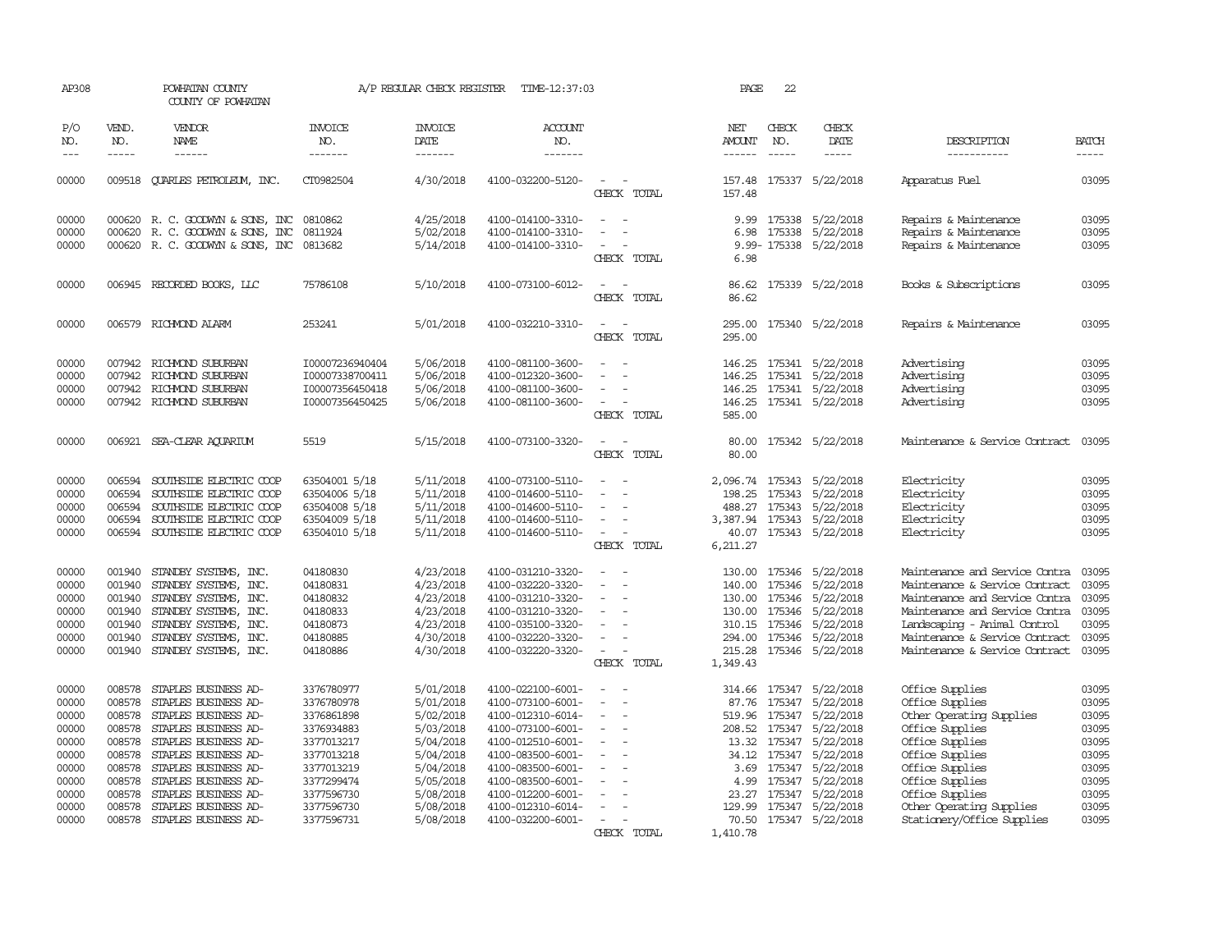| AP308          |                  | POWHATAN COUNTY<br>COUNTY OF POWHATAN          |                      |                        | A/P REGULAR CHECK REGISTER TIME-12:37:03 |                                                                     | PAGE             | 22                             |                         |                                                                |                |
|----------------|------------------|------------------------------------------------|----------------------|------------------------|------------------------------------------|---------------------------------------------------------------------|------------------|--------------------------------|-------------------------|----------------------------------------------------------------|----------------|
| P/O<br>NO.     | VEND.<br>NO.     | VENDOR<br>NAME                                 | INVOICE<br>NO.       | <b>INVOICE</b><br>DATE | <b>ACCOUNT</b><br>NO.                    |                                                                     | NET<br>AMOUNT    | CHECK<br>NO.                   | CHECK<br>DATE           | DESCRIPTION                                                    | <b>BATCH</b>   |
| $---$          | $\cdots$         | ------                                         | -------              | -------                | -------                                  |                                                                     |                  | $- - - - -$                    | -----                   | -----------                                                    | $- - - - -$    |
| 00000          |                  | 009518 QUARLES PETROLEUM, INC.                 | CT0982504            | 4/30/2018              | 4100-032200-5120-                        | $\sim$<br>CHECK TOTAL                                               | 157.48           |                                | 157.48 175337 5/22/2018 | Apparatus Fuel                                                 | 03095          |
| 00000          |                  | 000620 R. C. GOODWYN & SONS, INC               | 0810862              | 4/25/2018              | 4100-014100-3310-                        | $\sim$<br>$\sim$                                                    | 9.99             | 175338                         | 5/22/2018               | Repairs & Maintenance                                          | 03095          |
| 00000          | 000620           | R. C. GOODWYN & SONS, INC                      | 0811924              | 5/02/2018              | 4100-014100-3310-                        | $\sim$<br>$\overline{\phantom{a}}$                                  | 6.98             | 175338                         | 5/22/2018               | Repairs & Maintenance                                          | 03095          |
| 00000          |                  | 000620 R. C. GOODWYN & SONS, INC               | 0813682              | 5/14/2018              | 4100-014100-3310-                        | $\sim$                                                              |                  |                                | 9.99-175338 5/22/2018   | Repairs & Maintenance                                          | 03095          |
|                |                  |                                                |                      |                        |                                          | CHECK TOTAL                                                         | 6.98             |                                |                         |                                                                |                |
| 00000          |                  | 006945 RECORDED BOOKS, LLC                     | 75786108             | 5/10/2018              | 4100-073100-6012-                        | CHECK TOTAL                                                         | 86.62<br>86.62   |                                | 175339 5/22/2018        | Books & Subscriptions                                          | 03095          |
|                |                  |                                                |                      |                        |                                          |                                                                     |                  |                                |                         |                                                                |                |
| 00000          |                  | 006579 RICHMOND ALARM                          | 253241               | 5/01/2018              | 4100-032210-3310-                        | $\overline{\phantom{a}}$<br>$\overline{\phantom{a}}$<br>CHECK TOTAL | 295.00<br>295.00 |                                | 175340 5/22/2018        | Repairs & Maintenance                                          | 03095          |
| 00000          |                  | 007942 RICHMOND SUBURBAN                       | I00007236940404      | 5/06/2018              | 4100-081100-3600-                        | $\overline{\phantom{a}}$                                            |                  |                                | 146.25 175341 5/22/2018 | Advertising                                                    | 03095          |
| 00000          | 007942           | RICHMOND SUBURBAN                              | I00007338700411      | 5/06/2018              | 4100-012320-3600-                        |                                                                     | 146.25           | 175341                         | 5/22/2018               | Advertising                                                    | 03095          |
| 00000          |                  | 007942 RICHMOND SUBURBAN                       | I00007356450418      | 5/06/2018              | 4100-081100-3600-                        |                                                                     |                  |                                | 146.25 175341 5/22/2018 | Advertising                                                    | 03095          |
| 00000          |                  | 007942 RICHMOND SUBURBAN                       | I00007356450425      | 5/06/2018              | 4100-081100-3600-                        | $\sim$<br>$\overline{a}$                                            |                  |                                | 146.25 175341 5/22/2018 | Advertising                                                    | 03095          |
|                |                  |                                                |                      |                        |                                          | CHECK TOTAL                                                         | 585.00           |                                |                         |                                                                |                |
| 00000          |                  | 006921 SEA-CLEAR AQUARIUM                      | 5519                 | 5/15/2018              | 4100-073100-3320-                        | $\sim$<br>$\sim$                                                    |                  |                                | 80.00 175342 5/22/2018  | Maintenance & Service Contract                                 | 03095          |
|                |                  |                                                |                      |                        |                                          | CHECK TOTAL                                                         | 80.00            |                                |                         |                                                                |                |
| 00000          | 006594           | SOUTHSIDE ELECTRIC COOP                        | 63504001 5/18        | 5/11/2018              | 4100-073100-5110-                        |                                                                     | 2,096.74 175343  |                                | 5/22/2018               | Electricity                                                    | 03095          |
| 00000          | 006594           | SOUTHSIDE ELECTRIC COOP                        | 63504006 5/18        | 5/11/2018              | 4100-014600-5110-                        | $\sim$<br>$\overline{\phantom{a}}$                                  | 198.25           | 175343                         | 5/22/2018               | Electricity                                                    | 03095          |
| 00000          | 006594           | SOUTHSIDE ELECTRIC COOP                        | 63504008 5/18        | 5/11/2018              | 4100-014600-5110-                        |                                                                     | 488.27           | 175343                         | 5/22/2018               | Electricity                                                    | 03095          |
| 00000          | 006594           | SOUTHSIDE ELECTRIC COOP                        | 63504009 5/18        | 5/11/2018              | 4100-014600-5110-                        |                                                                     | 3,387.94 175343  |                                | 5/22/2018               | Electricity                                                    | 03095          |
| 00000          |                  | 006594 SOUTHSIDE ELECTRIC COOP                 | 63504010 5/18        | 5/11/2018              | 4100-014600-5110-                        | $\overline{\phantom{a}}$                                            | 6,211.27         |                                | 40.07 175343 5/22/2018  | Electricity                                                    | 03095          |
|                |                  |                                                |                      |                        |                                          | CHECK TOTAL                                                         |                  |                                |                         |                                                                |                |
| 00000          | 001940           | STANDBY SYSTEMS, INC.                          | 04180830             | 4/23/2018              | 4100-031210-3320-                        |                                                                     | 130.00           | 175346                         | 5/22/2018               | Maintenance and Service Contra                                 | 03095          |
| 00000          | 001940           | STANDBY SYSTEMS, INC.                          | 04180831             | 4/23/2018              | 4100-032220-3320-                        | $\overline{\phantom{a}}$<br>$\overline{\phantom{a}}$                | 140.00           | 175346                         | 5/22/2018               | Maintenance & Service Contract                                 | 03095          |
| 00000<br>00000 | 001940<br>001940 | STANDBY SYSTEMS, INC.                          | 04180832             | 4/23/2018              | 4100-031210-3320-                        |                                                                     | 130.00           | 175346                         | 5/22/2018               | Maintenance and Service Contra                                 | 03095<br>03095 |
| 00000          | 001940           | STANDBY SYSTEMS, INC.<br>STANDBY SYSTEMS, INC. | 04180833<br>04180873 | 4/23/2018<br>4/23/2018 | 4100-031210-3320-<br>4100-035100-3320-   | $\equiv$                                                            |                  | 130.00 175346<br>310.15 175346 | 5/22/2018<br>5/22/2018  | Maintenance and Service Contra<br>Landscaping - Animal Control | 03095          |
| 00000          | 001940           | STANDBY SYSTEMS, INC.                          | 04180885             | 4/30/2018              | 4100-032220-3320-                        |                                                                     | 294.00           | 175346                         | 5/22/2018               | Maintenance & Service Contract                                 | 03095          |
| 00000          |                  | 001940 STANDBY SYSTEMS, INC.                   | 04180886             | 4/30/2018              | 4100-032220-3320-                        | $\sim$                                                              |                  | 215.28 175346                  | 5/22/2018               | Maintenance & Service Contract                                 | 03095          |
|                |                  |                                                |                      |                        |                                          | CHECK TOTAL                                                         | 1,349.43         |                                |                         |                                                                |                |
| 00000          | 008578           | STAPLES BUSINESS AD-                           | 3376780977           | 5/01/2018              | 4100-022100-6001-                        |                                                                     |                  | 314.66 175347                  | 5/22/2018               | Office Supplies                                                | 03095          |
| 00000          | 008578           | STAPLES BUSINESS AD-                           | 3376780978           | 5/01/2018              | 4100-073100-6001-                        |                                                                     | 87.76            | 175347                         | 5/22/2018               | Office Supplies                                                | 03095          |
| 00000          | 008578           | STAPLES BUSINESS AD-                           | 3376861898           | 5/02/2018              | 4100-012310-6014-                        | $\overline{\phantom{a}}$                                            |                  | 519.96 175347                  | 5/22/2018               | Other Operating Supplies                                       | 03095          |
| 00000          | 008578           | STAPLES BUSINESS AD-                           | 3376934883           | 5/03/2018              | 4100-073100-6001-                        | $\overline{\phantom{a}}$                                            | 208.52           | 175347                         | 5/22/2018               | Office Supplies                                                | 03095          |
| 00000          | 008578           | STAPLES BUSINESS AD-                           | 3377013217           | 5/04/2018              | 4100-012510-6001-                        |                                                                     |                  | 13.32 175347                   | 5/22/2018               | Office Supplies                                                | 03095          |
| 00000          | 008578           | STAPLES BUSINESS AD-                           | 3377013218           | 5/04/2018              | 4100-083500-6001-                        | $\overline{\phantom{a}}$                                            |                  | 34.12 175347                   | 5/22/2018               | Office Supplies                                                | 03095          |
| 00000          | 008578           | STAPLES BUSINESS AD-                           | 3377013219           | 5/04/2018              | 4100-083500-6001-                        |                                                                     |                  | 3.69 175347                    | 5/22/2018               | Office Supplies                                                | 03095          |
| 00000          | 008578           | STAPLES BUSINESS AD-                           | 3377299474           | 5/05/2018              | 4100-083500-6001-                        | $\overline{\phantom{a}}$                                            |                  | 4.99 175347                    | 5/22/2018               | Office Supplies                                                | 03095          |
| 00000          | 008578           | STAPLES BUSINESS AD-                           | 3377596730           | 5/08/2018              | 4100-012200-6001-                        | $\overline{\phantom{a}}$                                            | 23.27            | 175347                         | 5/22/2018               | Office Supplies                                                | 03095          |
| 00000          | 008578           | STAPLES BUSINESS AD-                           | 3377596730           | 5/08/2018              | 4100-012310-6014-                        | $\overline{\phantom{a}}$                                            | 129.99           | 175347                         | 5/22/2018               | Other Operating Supplies                                       | 03095          |
| 00000          |                  | 008578 STAPLES BUSINESS AD-                    | 3377596731           | 5/08/2018              | 4100-032200-6001-                        | $\overline{\phantom{a}}$                                            |                  |                                | 70.50 175347 5/22/2018  | Stationery/Office Supplies                                     | 03095          |
|                |                  |                                                |                      |                        |                                          | CHECK TOTAL                                                         | 1,410.78         |                                |                         |                                                                |                |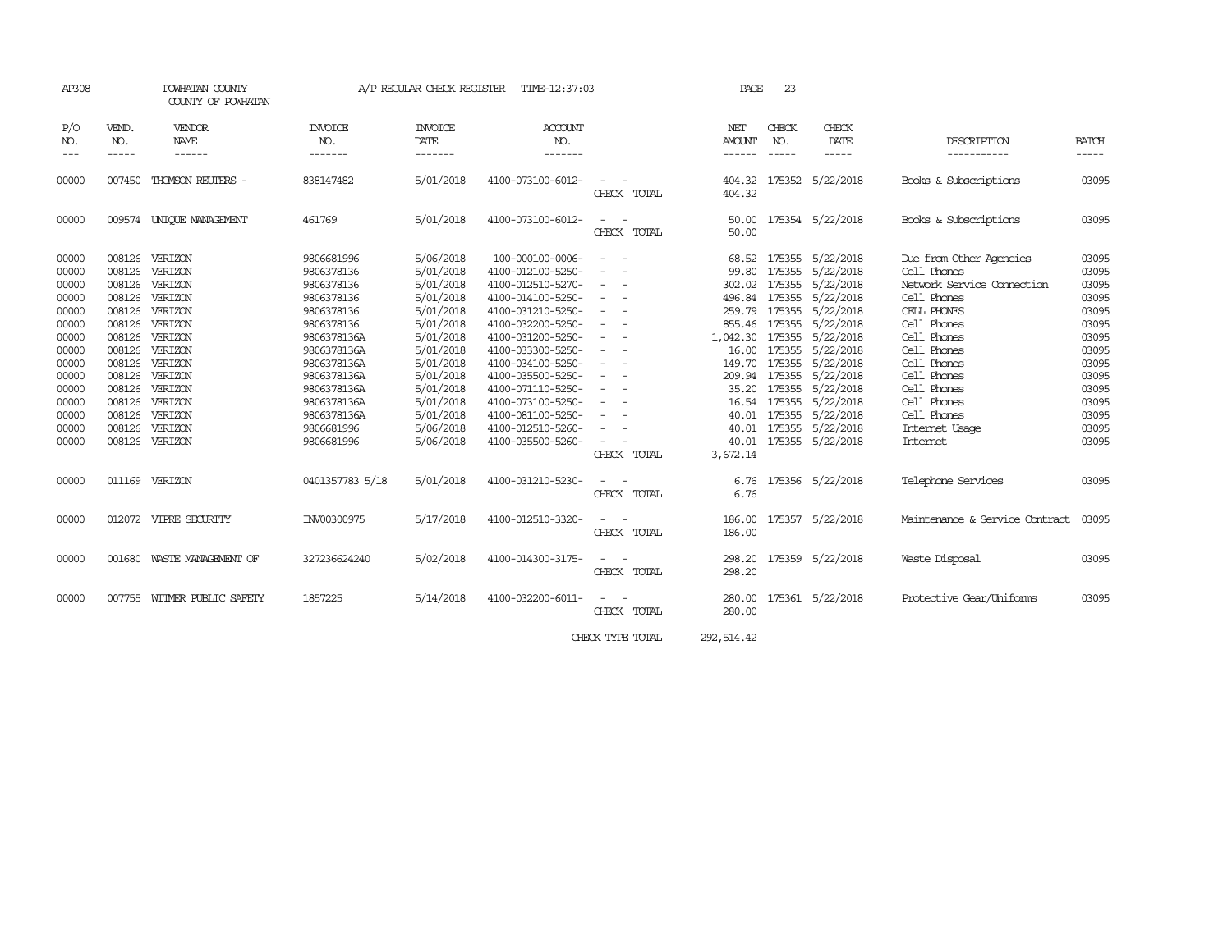| AP308                                                                                                                               |                                                                                                                                | POWHATAN COUNTY<br>COUNTY OF POWHATAN                                                                                                                                           |                                                                                                                                                                                                                       | A/P REGULAR CHECK REGISTER                                                                                                                                                                      | TIME-12:37:03                                                                                                                                                                                                                                                                                                          |                                                                                                                                                                                                                                                                                                                                                                          | PAGE                                         | 23            |                                                                                                                                                                                                                                                                                                                                                            |                                                                                                                                                                                                                                                                 |                                                                                                                                     |
|-------------------------------------------------------------------------------------------------------------------------------------|--------------------------------------------------------------------------------------------------------------------------------|---------------------------------------------------------------------------------------------------------------------------------------------------------------------------------|-----------------------------------------------------------------------------------------------------------------------------------------------------------------------------------------------------------------------|-------------------------------------------------------------------------------------------------------------------------------------------------------------------------------------------------|------------------------------------------------------------------------------------------------------------------------------------------------------------------------------------------------------------------------------------------------------------------------------------------------------------------------|--------------------------------------------------------------------------------------------------------------------------------------------------------------------------------------------------------------------------------------------------------------------------------------------------------------------------------------------------------------------------|----------------------------------------------|---------------|------------------------------------------------------------------------------------------------------------------------------------------------------------------------------------------------------------------------------------------------------------------------------------------------------------------------------------------------------------|-----------------------------------------------------------------------------------------------------------------------------------------------------------------------------------------------------------------------------------------------------------------|-------------------------------------------------------------------------------------------------------------------------------------|
| P/O<br>NO.                                                                                                                          | VEND.<br>NO.                                                                                                                   | VENDOR<br><b>NAME</b>                                                                                                                                                           | <b>INVOICE</b><br>NO.                                                                                                                                                                                                 | <b>INVOICE</b><br>DATE                                                                                                                                                                          | <b>ACCOUNT</b><br>NO.                                                                                                                                                                                                                                                                                                  |                                                                                                                                                                                                                                                                                                                                                                          | NET<br><b>AMOUNT</b>                         | CHECK<br>NO.  | CHECK<br>DATE                                                                                                                                                                                                                                                                                                                                              | DESCRIPTION                                                                                                                                                                                                                                                     | <b>BATCH</b>                                                                                                                        |
| $- - -$                                                                                                                             | -----                                                                                                                          | ------                                                                                                                                                                          | -------                                                                                                                                                                                                               | -------                                                                                                                                                                                         | -------                                                                                                                                                                                                                                                                                                                |                                                                                                                                                                                                                                                                                                                                                                          | ------                                       | $- - - - - -$ | -----                                                                                                                                                                                                                                                                                                                                                      | -----------                                                                                                                                                                                                                                                     | -----                                                                                                                               |
| 00000                                                                                                                               | 007450                                                                                                                         | THOMSON REUTERS -                                                                                                                                                               | 838147482                                                                                                                                                                                                             | 5/01/2018                                                                                                                                                                                       | 4100-073100-6012-                                                                                                                                                                                                                                                                                                      | CHECK TOTAL                                                                                                                                                                                                                                                                                                                                                              | 404.32                                       |               | 404.32 175352 5/22/2018                                                                                                                                                                                                                                                                                                                                    | Books & Subscriptions                                                                                                                                                                                                                                           | 03095                                                                                                                               |
| 00000                                                                                                                               |                                                                                                                                | 009574 UNIQUE MANAGEMENT                                                                                                                                                        | 461769                                                                                                                                                                                                                | 5/01/2018                                                                                                                                                                                       | 4100-073100-6012-                                                                                                                                                                                                                                                                                                      | CHECK TOTAL                                                                                                                                                                                                                                                                                                                                                              | 50.00<br>50.00                               |               | 175354 5/22/2018                                                                                                                                                                                                                                                                                                                                           | Books & Subscriptions                                                                                                                                                                                                                                           | 03095                                                                                                                               |
| 00000<br>00000<br>00000<br>00000<br>00000<br>00000<br>00000<br>00000<br>00000<br>00000<br>00000<br>00000<br>00000<br>00000<br>00000 | 008126<br>008126<br>008126<br>008126<br>008126<br>008126<br>008126<br>008126<br>008126<br>008126<br>008126<br>008126<br>008126 | 008126 VERIZON<br>VERIZON<br>VERIZON<br>VERIZON<br>VERIZON<br>VERIZON<br>VERIZON<br>VERIZON<br>VERIZON<br>VERIZON<br>VERIZON<br>VERIZON<br>VERIZON<br>VERIZON<br>008126 VERIZON | 9806681996<br>9806378136<br>9806378136<br>9806378136<br>9806378136<br>9806378136<br>9806378136A<br>9806378136A<br>9806378136A<br>9806378136A<br>9806378136A<br>9806378136A<br>9806378136A<br>9806681996<br>9806681996 | 5/06/2018<br>5/01/2018<br>5/01/2018<br>5/01/2018<br>5/01/2018<br>5/01/2018<br>5/01/2018<br>5/01/2018<br>5/01/2018<br>5/01/2018<br>5/01/2018<br>5/01/2018<br>5/01/2018<br>5/06/2018<br>5/06/2018 | 100-000100-0006-<br>4100-012100-5250-<br>4100-012510-5270-<br>4100-014100-5250-<br>4100-031210-5250-<br>4100-032200-5250-<br>4100-031200-5250-<br>4100-033300-5250-<br>4100-034100-5250-<br>4100-035500-5250-<br>4100-071110-5250-<br>4100-073100-5250-<br>4100-081100-5250-<br>4100-012510-5260-<br>4100-035500-5260- | $\sim$ $ -$<br>$\sim$<br>$\overline{\phantom{a}}$<br>$\overline{\phantom{a}}$<br>$\sim$<br>$\overline{\phantom{a}}$<br>$\overline{\phantom{a}}$<br>$\overline{\phantom{a}}$<br>$\overline{\phantom{a}}$<br>$\overline{\phantom{a}}$<br>$\overline{\phantom{a}}$<br>$\overline{\phantom{a}}$<br>$\overline{\phantom{a}}$<br>$\overline{\phantom{a}}$<br>$\sim$ 100 $\sim$ | 302.02 175355<br>1,042.30<br>149.70<br>35.20 | 16.54 175355  | 68.52 175355 5/22/2018<br>99.80 175355 5/22/2018<br>5/22/2018<br>496.84 175355 5/22/2018<br>259.79 175355 5/22/2018<br>855.46 175355 5/22/2018<br>175355 5/22/2018<br>16.00 175355 5/22/2018<br>175355 5/22/2018<br>209.94 175355 5/22/2018<br>175355 5/22/2018<br>5/22/2018<br>40.01 175355 5/22/2018<br>40.01 175355 5/22/2018<br>40.01 175355 5/22/2018 | Due from Other Agencies<br>Cell Phones<br>Network Service Connection<br>Cell Phones<br>CELL PHONES<br>Cell Phones<br>Cell Phones<br>Cell Phones<br>Cell Phones<br>Cell Phones<br>Cell Phones<br>Cell Phones<br>Cell Phones<br>Internet Usage<br><b>Internet</b> | 03095<br>03095<br>03095<br>03095<br>03095<br>03095<br>03095<br>03095<br>03095<br>03095<br>03095<br>03095<br>03095<br>03095<br>03095 |
| 00000<br>00000                                                                                                                      |                                                                                                                                | 011169 VERIZON<br>012072 VIPRE SECURITY                                                                                                                                         | 0401357783 5/18<br>INV00300975                                                                                                                                                                                        | 5/01/2018<br>5/17/2018                                                                                                                                                                          | 4100-031210-5230-<br>4100-012510-3320-                                                                                                                                                                                                                                                                                 | CHECK TOTAL<br>CHECK TOTAL                                                                                                                                                                                                                                                                                                                                               | 3,672.14<br>6.76<br>6.76<br>186.00           |               | 175356 5/22/2018<br>175357 5/22/2018                                                                                                                                                                                                                                                                                                                       | Telephone Services<br>Maintenance & Service Contract                                                                                                                                                                                                            | 03095<br>03095                                                                                                                      |
| 00000                                                                                                                               | 001680                                                                                                                         | WASTE MANAGEMENT OF                                                                                                                                                             | 327236624240                                                                                                                                                                                                          | 5/02/2018                                                                                                                                                                                       | 4100-014300-3175-                                                                                                                                                                                                                                                                                                      | CHECK TOTAL<br>CHECK TOTAL                                                                                                                                                                                                                                                                                                                                               | 186.00<br>298.20                             |               | 298.20 175359 5/22/2018                                                                                                                                                                                                                                                                                                                                    | Waste Disposal                                                                                                                                                                                                                                                  | 03095                                                                                                                               |
| 00000                                                                                                                               |                                                                                                                                | 007755 WITMER PUBLIC SAFETY                                                                                                                                                     | 1857225                                                                                                                                                                                                               | 5/14/2018                                                                                                                                                                                       | 4100-032200-6011-                                                                                                                                                                                                                                                                                                      | CHECK TOTAL                                                                                                                                                                                                                                                                                                                                                              | 280.00<br>280.00                             |               | 175361 5/22/2018                                                                                                                                                                                                                                                                                                                                           | Protective Gear/Uniforms                                                                                                                                                                                                                                        | 03095                                                                                                                               |

CHECK TYPE TOTAL 292,514.42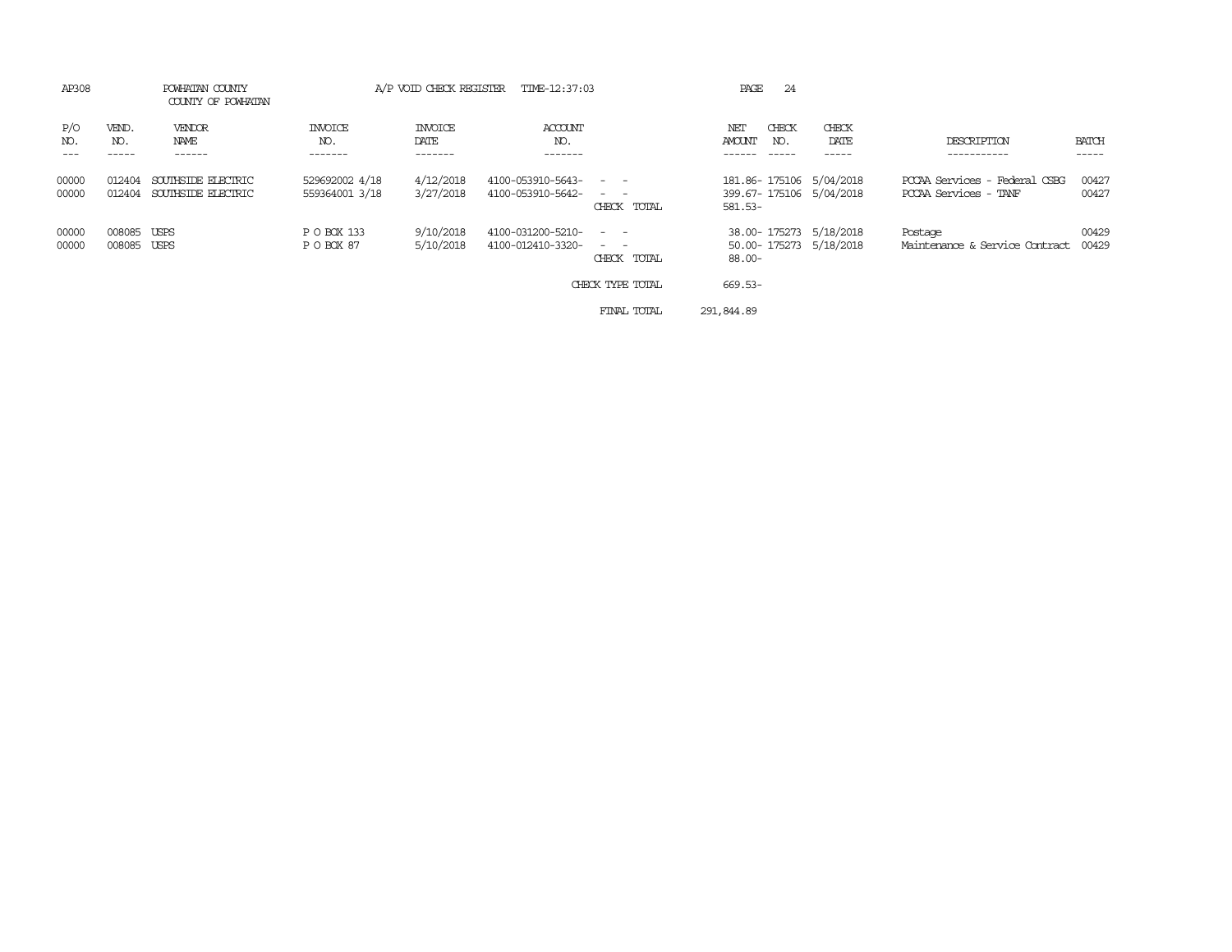| AP308          |                       | POWHATAN COUNTY<br>COUNTY OF POWHATAN    |                                  | A/P VOID CHECK REGISTER    | TIME-12:37:03                          |                                                    | 24<br>PAGE                                                    |                        |                                                        |                |
|----------------|-----------------------|------------------------------------------|----------------------------------|----------------------------|----------------------------------------|----------------------------------------------------|---------------------------------------------------------------|------------------------|--------------------------------------------------------|----------------|
| P/O<br>NO.     | VEND.<br>NO.          | VENDOR<br>NAME<br>------                 | INVOICE<br>NO.<br>-------        | INVOICE<br>DATE<br>------- | ACCOUNT<br>NO.<br>--------             |                                                    | CHECK<br>NET<br><b>AMOUNT</b><br>NO.                          | CHECK<br>DATE<br>----- | DESCRIPTION<br>.                                       | BATCH<br>----- |
| 00000<br>00000 | 012404<br>012404      | SOUTHSIDE ELECTRIC<br>SOUTHSIDE ELECTRIC | 529692002 4/18<br>559364001 3/18 | 4/12/2018<br>3/27/2018     | 4100-053910-5643-<br>4100-053910-5642- | $\sim$ $ -$<br>and the state of the<br>CHECK TOTAL | 181.86-175106 5/04/2018<br>399.67-175106 5/04/2018<br>581.53- |                        | PCCAA Services - Federal CSBG<br>PCCAA Services - TANF | 00427<br>00427 |
| 00000<br>00000 | 008085<br>008085 USPS | USPS                                     | P O BOX 133<br>P O BOX 87        | 9/10/2018<br>5/10/2018     | 4100-031200-5210-<br>4100-012410-3320- | $\sim$ $\sim$<br>CHECK TOTAL                       | 38.00-175273 5/18/2018<br>50.00-175273 5/18/2018<br>$88.00 -$ |                        | Postage<br>Maintenance & Service Contract              | 00429<br>00429 |
|                |                       |                                          |                                  |                            |                                        | CHECK TYPE TOTAL                                   | 669.53-                                                       |                        |                                                        |                |
|                |                       |                                          |                                  |                            |                                        | FINAL TOTAL                                        | 291,844.89                                                    |                        |                                                        |                |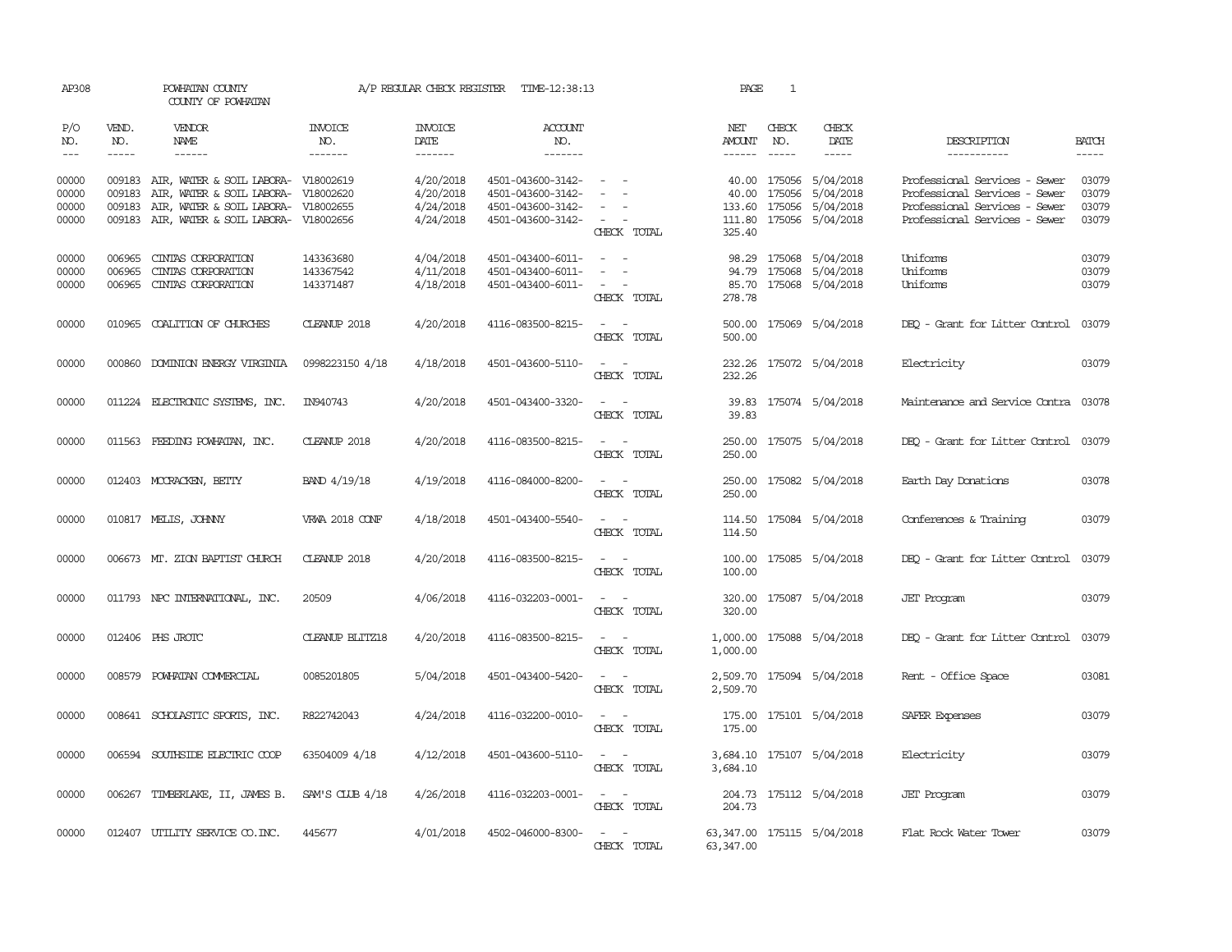|                             | POWHATAN COUNTY<br>COUNTY OF POWHATAN                          |                                                                                                                                                                                                                                                                                                                                                                                                                                                        | A/P REGULAR CHECK REGISTER                                                        | TIME-12:38:13                                                                    |                                                                                                                             | PAGE                      | 1                             |                              |                                                                                                                                                                                                                                                                                                                                                                                                                                                      |                                  |
|-----------------------------|----------------------------------------------------------------|--------------------------------------------------------------------------------------------------------------------------------------------------------------------------------------------------------------------------------------------------------------------------------------------------------------------------------------------------------------------------------------------------------------------------------------------------------|-----------------------------------------------------------------------------------|----------------------------------------------------------------------------------|-----------------------------------------------------------------------------------------------------------------------------|---------------------------|-------------------------------|------------------------------|------------------------------------------------------------------------------------------------------------------------------------------------------------------------------------------------------------------------------------------------------------------------------------------------------------------------------------------------------------------------------------------------------------------------------------------------------|----------------------------------|
| VEND.<br>NO.<br>$- - - - -$ | VENDOR<br>NAME<br>$- - - - - -$                                | <b>INVOICE</b><br>NO.<br>-------                                                                                                                                                                                                                                                                                                                                                                                                                       | <b>INVOICE</b><br>DATE<br>-------                                                 | <b>ACCOUNT</b><br>NO.<br>$- - - - - - -$                                         |                                                                                                                             | NET<br>AMOUNT<br>------   | CHECK<br>NO.<br>$\frac{1}{2}$ | CHECK<br>DATE<br>$- - - - -$ | DESCRIPTION<br>-----------                                                                                                                                                                                                                                                                                                                                                                                                                           | <b>BATCH</b><br>-----            |
| 009183<br>009183<br>009183  | AIR, WATER & SOIL LABORA-<br>AIR, WATER & SOIL LABORA-         | V18002620<br>V18002655                                                                                                                                                                                                                                                                                                                                                                                                                                 | 4/20/2018<br>4/20/2018<br>4/24/2018<br>4/24/2018                                  | 4501-043600-3142-<br>4501-043600-3142-<br>4501-043600-3142-<br>4501-043600-3142- | $\sim$<br>CHECK TOTAL                                                                                                       | 40.00<br>133.60<br>325.40 |                               | 5/04/2018                    | Professional Services - Sewer<br>Professional Services - Sewer<br>Professional Services - Sewer<br>Professional Services - Sewer                                                                                                                                                                                                                                                                                                                     | 03079<br>03079<br>03079<br>03079 |
| 006965<br>006965<br>006965  | CINIAS CORPORATION<br>CINIAS CORPORATION<br>CINIAS CORPORATION | 143363680<br>143367542<br>143371487                                                                                                                                                                                                                                                                                                                                                                                                                    | 4/04/2018<br>4/11/2018<br>4/18/2018                                               | 4501-043400-6011-<br>4501-043400-6011-<br>4501-043400-6011-                      | $\overline{\phantom{a}}$<br>$\equiv$<br>$\overline{\phantom{a}}$<br>$\sim$<br>CHECK TOTAL                                   | 98.29<br>94.79<br>278.78  |                               |                              | Uniforms<br>Uniforms<br>Uniforms                                                                                                                                                                                                                                                                                                                                                                                                                     | 03079<br>03079<br>03079          |
|                             |                                                                | CLEANUP 2018                                                                                                                                                                                                                                                                                                                                                                                                                                           | 4/20/2018                                                                         | 4116-083500-8215-                                                                | $\sim$ $ \sim$<br>CHECK TOTAL                                                                                               | 500.00<br>500.00          |                               |                              | DEO - Grant for Litter Control                                                                                                                                                                                                                                                                                                                                                                                                                       | 03079                            |
|                             |                                                                | 0998223150 4/18                                                                                                                                                                                                                                                                                                                                                                                                                                        | 4/18/2018                                                                         | 4501-043600-5110-                                                                | CHECK TOTAL                                                                                                                 | 232.26<br>232.26          |                               |                              | Electricity                                                                                                                                                                                                                                                                                                                                                                                                                                          | 03079                            |
|                             |                                                                | IN940743                                                                                                                                                                                                                                                                                                                                                                                                                                               | 4/20/2018                                                                         | 4501-043400-3320-                                                                | $\overline{a}$<br>CHECK TOTAL                                                                                               | 39.83<br>39.83            |                               |                              | Maintenance and Service Contra                                                                                                                                                                                                                                                                                                                                                                                                                       | 03078                            |
|                             |                                                                | CLEANUP 2018                                                                                                                                                                                                                                                                                                                                                                                                                                           | 4/20/2018                                                                         | 4116-083500-8215-                                                                | $ -$<br>CHECK TOTAL                                                                                                         | 250.00<br>250.00          |                               |                              | DEO - Grant for Litter Control                                                                                                                                                                                                                                                                                                                                                                                                                       | 03079                            |
|                             |                                                                | BAND 4/19/18                                                                                                                                                                                                                                                                                                                                                                                                                                           | 4/19/2018                                                                         | 4116-084000-8200-                                                                | $\frac{1}{2} \left( \frac{1}{2} \right) \left( \frac{1}{2} \right) = \frac{1}{2} \left( \frac{1}{2} \right)$<br>CHECK TOTAL | 250.00<br>250.00          |                               |                              | Earth Day Donations                                                                                                                                                                                                                                                                                                                                                                                                                                  | 03078                            |
|                             |                                                                | <b>VRWA 2018 CONF</b>                                                                                                                                                                                                                                                                                                                                                                                                                                  | 4/18/2018                                                                         | 4501-043400-5540-                                                                | $ -$<br>CHECK TOTAL                                                                                                         | 114.50<br>114.50          |                               |                              | Conferences & Training                                                                                                                                                                                                                                                                                                                                                                                                                               | 03079                            |
|                             |                                                                | CLEANUP 2018                                                                                                                                                                                                                                                                                                                                                                                                                                           | 4/20/2018                                                                         | 4116-083500-8215-                                                                | CHECK TOTAL                                                                                                                 | 100.00<br>100.00          |                               |                              | DEQ - Grant for Litter Control                                                                                                                                                                                                                                                                                                                                                                                                                       | 03079                            |
|                             |                                                                | 20509                                                                                                                                                                                                                                                                                                                                                                                                                                                  | 4/06/2018                                                                         | 4116-032203-0001-                                                                | $\overline{\phantom{a}}$<br>- -<br>CHECK TOTAL                                                                              | 320.00<br>320.00          |                               |                              | <b>JET</b> Program                                                                                                                                                                                                                                                                                                                                                                                                                                   | 03079                            |
|                             |                                                                | <b>CLEANUP BLITZ18</b>                                                                                                                                                                                                                                                                                                                                                                                                                                 | 4/20/2018                                                                         | 4116-083500-8215-                                                                | $\sim$<br>CHECK TOTAL                                                                                                       | 1,000.00<br>1,000.00      |                               |                              | DEO - Grant for Litter Control                                                                                                                                                                                                                                                                                                                                                                                                                       | 03079                            |
|                             |                                                                | 0085201805                                                                                                                                                                                                                                                                                                                                                                                                                                             | 5/04/2018                                                                         | 4501-043400-5420-                                                                | $\frac{1}{2} \left( \frac{1}{2} \right) \left( \frac{1}{2} \right) = \frac{1}{2} \left( \frac{1}{2} \right)$<br>CHECK TOTAL | 2,509.70<br>2,509.70      |                               |                              | Rent - Office Space                                                                                                                                                                                                                                                                                                                                                                                                                                  | 03081                            |
|                             |                                                                | R822742043                                                                                                                                                                                                                                                                                                                                                                                                                                             | 4/24/2018                                                                         | 4116-032200-0010-                                                                | CHECK TOTAL                                                                                                                 | 175.00<br>175.00          |                               |                              | SAFER Expenses                                                                                                                                                                                                                                                                                                                                                                                                                                       | 03079                            |
|                             |                                                                | 63504009 4/18                                                                                                                                                                                                                                                                                                                                                                                                                                          | 4/12/2018                                                                         | 4501-043600-5110-                                                                | $\sim$<br>$\sim$<br>CHECK TOTAL                                                                                             | 3,684.10<br>3,684.10      |                               |                              | Electricity                                                                                                                                                                                                                                                                                                                                                                                                                                          | 03079                            |
|                             |                                                                | SAM'S CLUB 4/18                                                                                                                                                                                                                                                                                                                                                                                                                                        | 4/26/2018                                                                         | 4116-032203-0001-                                                                | $\sim$ $\sim$<br>CHECK TOTAL                                                                                                | 204.73                    |                               |                              | <b>JET</b> Program                                                                                                                                                                                                                                                                                                                                                                                                                                   | 03079                            |
|                             |                                                                | 445677                                                                                                                                                                                                                                                                                                                                                                                                                                                 | 4/01/2018                                                                         | 4502-046000-8300-                                                                | $\sim$ 100 $\sim$<br>CHECK TOTAL                                                                                            | 63, 347.00                |                               |                              | Flat Rock Water Tower                                                                                                                                                                                                                                                                                                                                                                                                                                | 03079                            |
|                             |                                                                | 010965 COALITION OF CHURCHES<br>000860 DOMINION ENERGY VIRGINIA<br>011224 ELECTRONIC SYSTEMS, INC.<br>011563 FEEDING POWHATAN, INC.<br>012403 MCCRACKEN, BETTY<br>010817 MELIS, JOHNNY<br>006673 MT. ZION BAPTIST CHURCH<br>011793 NPC INTERNATIONAL, INC.<br>012406 PHS JROTC<br>008579 POWHATAN COMMERCIAL<br>008641 SCHOLASTIC SPORTS, INC.<br>006594 SOUTHSIDE ELECTRIC COOP<br>006267 TIMBERLAKE, II, JAMES B.<br>012407 UTILITY SERVICE CO. INC. | AIR, WATER & SOIL LABORA- V18002619<br>009183 AIR, WATER & SOIL LABORA- V18002656 |                                                                                  |                                                                                                                             |                           |                               | 175056                       | 40.00 175056 5/04/2018<br>5/04/2018<br>175056<br>111.80 175056 5/04/2018<br>175068 5/04/2018<br>175068 5/04/2018<br>85.70 175068 5/04/2018<br>175069 5/04/2018<br>175072 5/04/2018<br>175074 5/04/2018<br>175075 5/04/2018<br>175082 5/04/2018<br>175084 5/04/2018<br>175085 5/04/2018<br>175087 5/04/2018<br>175088 5/04/2018<br>175094 5/04/2018<br>175101 5/04/2018<br>175107 5/04/2018<br>204.73 175112 5/04/2018<br>63, 347.00 175115 5/04/2018 |                                  |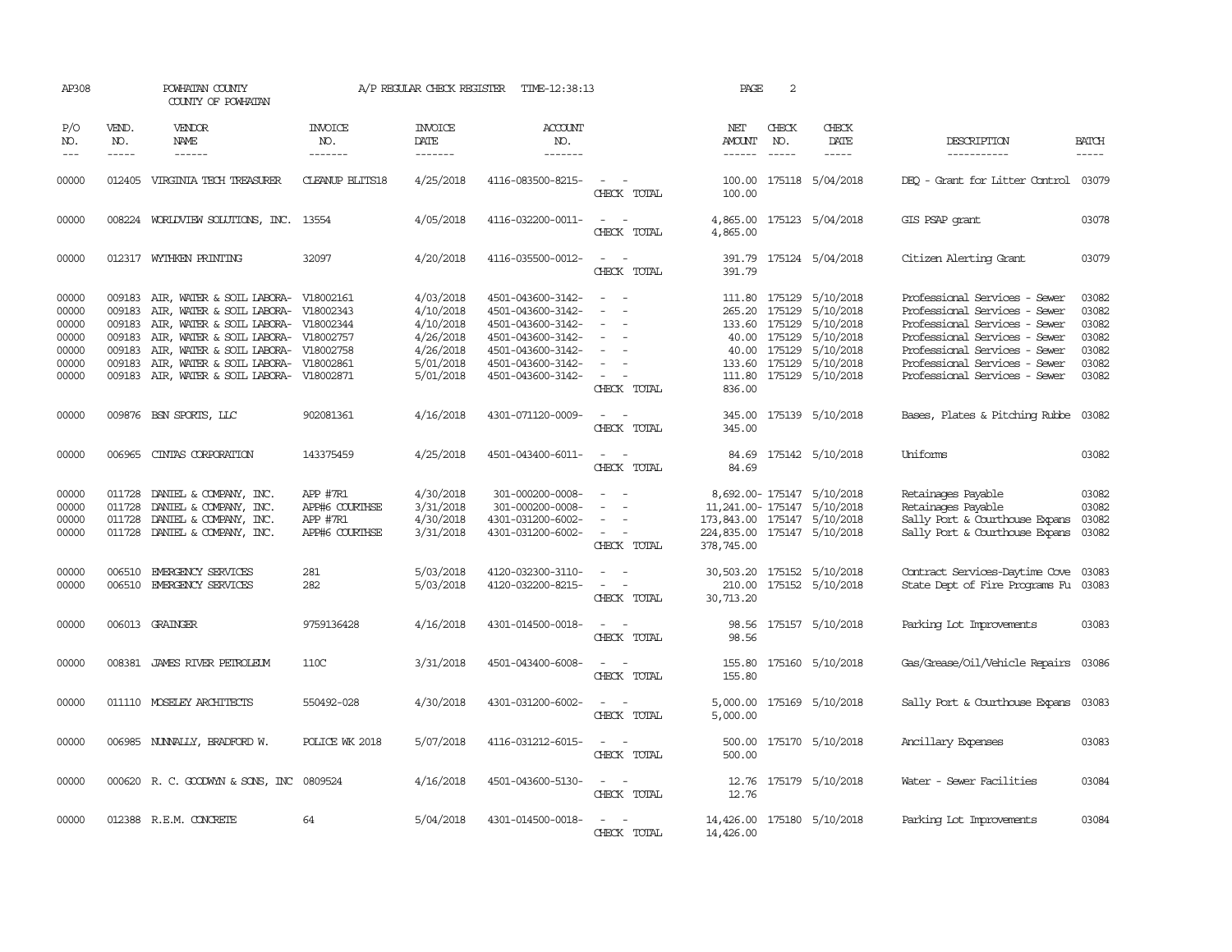| AP308                                                       |                                                          | POWHATAN COUNTY<br>COUNTY OF POWHATAN                                                                                                                                                                                                        |                                                          | A/P REGULAR CHECK REGISTER                                                              | TIME-12:38:13                                                                                                                                   |                                                             | PAGE                                                                                                   | 2                                                |                                                                                                                     |                                                                                                                                                                                                                                     |                                                             |
|-------------------------------------------------------------|----------------------------------------------------------|----------------------------------------------------------------------------------------------------------------------------------------------------------------------------------------------------------------------------------------------|----------------------------------------------------------|-----------------------------------------------------------------------------------------|-------------------------------------------------------------------------------------------------------------------------------------------------|-------------------------------------------------------------|--------------------------------------------------------------------------------------------------------|--------------------------------------------------|---------------------------------------------------------------------------------------------------------------------|-------------------------------------------------------------------------------------------------------------------------------------------------------------------------------------------------------------------------------------|-------------------------------------------------------------|
| P/O<br>NO.<br>$\frac{1}{2}$                                 | VEND.<br>NO.<br>$- - - - -$                              | VENDOR<br>NAME<br>$- - - - - -$                                                                                                                                                                                                              | INVOICE<br>NO.<br>-------                                | <b>INVOICE</b><br>DATE<br>-------                                                       | ACCOUNT<br>NO.<br>$- - - - - - -$                                                                                                               |                                                             | NET<br><b>AMOUNT</b><br>------                                                                         | CHECK<br>NO.<br>$\frac{1}{2}$                    | CHECK<br>DATE<br>$- - - - -$                                                                                        | DESCRIPTION<br>-----------                                                                                                                                                                                                          | <b>BATCH</b><br>-----                                       |
| 00000                                                       |                                                          | 012405 VIRGINIA TECH TREASURER                                                                                                                                                                                                               | <b>CLEANUP BLITS18</b>                                   | 4/25/2018                                                                               | 4116-083500-8215-                                                                                                                               | $\overline{\phantom{a}}$<br>CHECK TOTAL                     | 100.00<br>100.00                                                                                       |                                                  | 175118 5/04/2018                                                                                                    | DEO - Grant for Litter Control                                                                                                                                                                                                      | 03079                                                       |
| 00000                                                       |                                                          | 008224 WORLDVIEW SOLUTIONS, INC. 13554                                                                                                                                                                                                       |                                                          | 4/05/2018                                                                               | 4116-032200-0011-                                                                                                                               | $\overline{\phantom{a}}$<br>CHECK TOTAL                     | 4,865.00<br>4,865.00                                                                                   |                                                  | 175123 5/04/2018                                                                                                    | GIS PSAP grant                                                                                                                                                                                                                      | 03078                                                       |
| 00000                                                       |                                                          | 012317 WYTHKEN PRINTING                                                                                                                                                                                                                      | 32097                                                    | 4/20/2018                                                                               | 4116-035500-0012-                                                                                                                               | $\sim$ $\sim$<br>CHECK TOTAL                                | 391.79                                                                                                 |                                                  | 391.79 175124 5/04/2018                                                                                             | Citizen Alerting Grant                                                                                                                                                                                                              | 03079                                                       |
| 00000<br>00000<br>00000<br>00000<br>00000<br>00000<br>00000 | 009183<br>009183<br>009183<br>009183<br>009183<br>009183 | AIR, WATER & SOIL LABORA- V18002161<br>AIR, WATER & SOIL LABORA-<br>AIR, WATER & SOIL LABORA- V18002344<br>AIR, WATER & SOIL LABORA-<br>AIR, WATER & SOIL LABORA-<br>AIR, WATER & SOIL LABORA-<br>009183 AIR, WATER & SOIL LABORA- V18002871 | V18002343<br>V18002757<br>V18002758<br>V18002861         | 4/03/2018<br>4/10/2018<br>4/10/2018<br>4/26/2018<br>4/26/2018<br>5/01/2018<br>5/01/2018 | 4501-043600-3142-<br>4501-043600-3142-<br>4501-043600-3142-<br>4501-043600-3142-<br>4501-043600-3142-<br>4501-043600-3142-<br>4501-043600-3142- | $\sim$<br>$\sim$<br>$\overline{\phantom{a}}$<br>CHECK TOTAL | 265.20<br>133.60 175129<br>133.60<br>836.00                                                            | 175129<br>40.00 175129<br>40.00 175129<br>175129 | 111.80 175129 5/10/2018<br>5/10/2018<br>5/10/2018<br>5/10/2018<br>5/10/2018<br>5/10/2018<br>111.80 175129 5/10/2018 | Professional Services - Sewer<br>Professional Services - Sewer<br>Professional Services - Sewer<br>Professional Services - Sewer<br>Professional Services - Sewer<br>Professional Services - Sewer<br>Professional Services - Sewer | 03082<br>03082<br>03082<br>03082<br>03082<br>03082<br>03082 |
| 00000                                                       |                                                          | 009876 BSN SPORTS, LLC                                                                                                                                                                                                                       | 902081361                                                | 4/16/2018                                                                               | 4301-071120-0009-                                                                                                                               | $\sim$ $\sim$<br>CHECK TOTAL                                | 345.00                                                                                                 |                                                  | 345.00 175139 5/10/2018                                                                                             | Bases, Plates & Pitching Rubbe 03082                                                                                                                                                                                                |                                                             |
| 00000                                                       | 006965                                                   | CINTAS CORPORATION                                                                                                                                                                                                                           | 143375459                                                | 4/25/2018                                                                               | 4501-043400-6011-                                                                                                                               | $\overline{\phantom{a}}$<br>$\sim$<br>CHECK TOTAL           | 84.69                                                                                                  |                                                  | 84.69 175142 5/10/2018                                                                                              | Uniforms                                                                                                                                                                                                                            | 03082                                                       |
| 00000<br>00000<br>00000<br>00000                            | 011728<br>011728                                         | 011728 DANIEL & COMPANY, INC.<br>DANIEL & COMPANY, INC.<br>DANIEL & COMPANY, INC.<br>011728 DANIEL & COMPANY, INC.                                                                                                                           | APP #7R1<br>APP#6 COURTHSE<br>APP #7R1<br>APP#6 COURTHSE | 4/30/2018<br>3/31/2018<br>4/30/2018<br>3/31/2018                                        | 301-000200-0008-<br>301-000200-0008-<br>4301-031200-6002-<br>4301-031200-6002-                                                                  | $\sim$<br>$\overline{\phantom{a}}$<br>CHECK TOTAL           | 11,241.00-175147 5/10/2018<br>173,843.00 175147 5/10/2018<br>224,835.00 175147 5/10/2018<br>378,745.00 |                                                  | 8,692.00-175147 5/10/2018                                                                                           | Retainages Payable<br>Retainages Payable<br>Sally Port & Courthouse Expans<br>Sally Port & Courthouse Expans                                                                                                                        | 03082<br>03082<br>03082<br>03082                            |
| 00000<br>00000                                              |                                                          | 006510 EMERGENCY SERVICES<br>006510 EMERGENCY SERVICES                                                                                                                                                                                       | 281<br>282                                               | 5/03/2018<br>5/03/2018                                                                  | 4120-032300-3110-<br>4120-032200-8215-                                                                                                          | $\overline{\phantom{a}}$<br>CHECK TOTAL                     | 30,503.20 175152 5/10/2018<br>210.00<br>30,713.20                                                      |                                                  | 175152 5/10/2018                                                                                                    | Contract Services-Daytime Cove<br>State Dept of Fire Programs Fu                                                                                                                                                                    | 03083<br>03083                                              |
| 00000                                                       |                                                          | 006013 GRAINGER                                                                                                                                                                                                                              | 9759136428                                               | 4/16/2018                                                                               | 4301-014500-0018-                                                                                                                               | $\sim$<br>CHECK TOTAL                                       | 98.56<br>98.56                                                                                         |                                                  | 175157 5/10/2018                                                                                                    | Parking Lot Improvements                                                                                                                                                                                                            | 03083                                                       |
| 00000                                                       |                                                          | 008381 JAMES RIVER PETROLEUM                                                                                                                                                                                                                 | 110C                                                     | 3/31/2018                                                                               | 4501-043400-6008-                                                                                                                               | CHECK TOTAL                                                 | 155.80                                                                                                 |                                                  | 155.80 175160 5/10/2018                                                                                             | Gas/Grease/Oil/Vehicle Repairs 03086                                                                                                                                                                                                |                                                             |
| 00000                                                       |                                                          | 011110 MOSELEY ARCHITECTS                                                                                                                                                                                                                    | 550492-028                                               | 4/30/2018                                                                               | 4301-031200-6002-                                                                                                                               | $\sim$<br>CHECK TOTAL                                       | 5,000.00<br>5,000.00                                                                                   |                                                  | 175169 5/10/2018                                                                                                    | Sally Port & Courthouse Expans                                                                                                                                                                                                      | 03083                                                       |
| 00000                                                       |                                                          | 006985 NUNNALLY, BRADFORD W.                                                                                                                                                                                                                 | POLICE WK 2018                                           | 5/07/2018                                                                               | 4116-031212-6015-                                                                                                                               | CHECK TOTAL                                                 | 500.00                                                                                                 |                                                  | 500.00 175170 5/10/2018                                                                                             | Ancillary Expenses                                                                                                                                                                                                                  | 03083                                                       |
| 00000                                                       |                                                          | 000620 R. C. GOODWYN & SONS, INC 0809524                                                                                                                                                                                                     |                                                          | 4/16/2018                                                                               | 4501-043600-5130-                                                                                                                               | $ -$<br>CHECK TOTAL                                         | 12.76                                                                                                  |                                                  | 12.76 175179 5/10/2018                                                                                              | Water - Sewer Facilities                                                                                                                                                                                                            | 03084                                                       |
| 00000                                                       |                                                          | 012388 R.E.M. CONCRETE                                                                                                                                                                                                                       | 64                                                       | 5/04/2018                                                                               | 4301-014500-0018-                                                                                                                               | CHECK TOTAL                                                 | 14,426.00 175180 5/10/2018<br>14,426.00                                                                |                                                  |                                                                                                                     | Parking Lot Improvements                                                                                                                                                                                                            | 03084                                                       |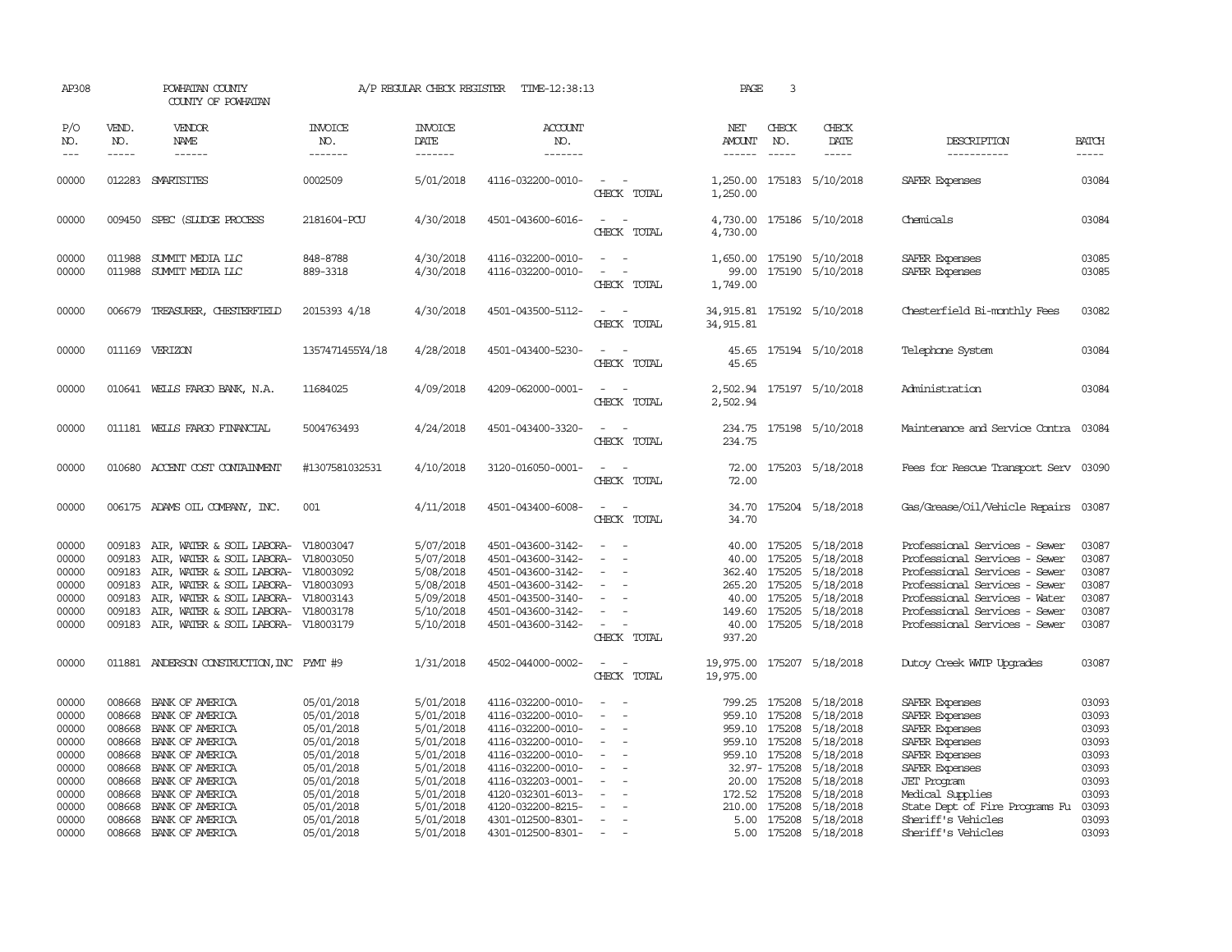| AP308                                                                         |                                                                              | POWHATAN COUNTY<br>COUNTY OF POWHATAN                                                                                                                                                                                                                                      |                                                                                                                            | A/P REGULAR CHECK REGISTER                                                                                        | TIME-12:38:13                                                                                                                                                                             |                                                                                                                                  | PAGE                                                                       | 3                                                        |                                                                                                                                                |                                                                                                                                                                                                                                     |                                                                               |
|-------------------------------------------------------------------------------|------------------------------------------------------------------------------|----------------------------------------------------------------------------------------------------------------------------------------------------------------------------------------------------------------------------------------------------------------------------|----------------------------------------------------------------------------------------------------------------------------|-------------------------------------------------------------------------------------------------------------------|-------------------------------------------------------------------------------------------------------------------------------------------------------------------------------------------|----------------------------------------------------------------------------------------------------------------------------------|----------------------------------------------------------------------------|----------------------------------------------------------|------------------------------------------------------------------------------------------------------------------------------------------------|-------------------------------------------------------------------------------------------------------------------------------------------------------------------------------------------------------------------------------------|-------------------------------------------------------------------------------|
| P/O<br>NO.<br>$---$                                                           | VEND.<br>NO.<br>$- - - - -$                                                  | VENDOR<br><b>NAME</b><br>$- - - - - -$                                                                                                                                                                                                                                     | <b>INVOICE</b><br>NO.<br>-------                                                                                           | <b>INVOICE</b><br>DATE<br>-------                                                                                 | <b>ACCOUNT</b><br>NO.<br>-------                                                                                                                                                          |                                                                                                                                  | NET<br>AMOUNT<br>------                                                    | CHECK<br>NO.<br>$\frac{1}{2}$                            | CHECK<br>DATE<br>$- - - - -$                                                                                                                   | DESCRIPTION<br>-----------                                                                                                                                                                                                          | <b>BATCH</b><br>-----                                                         |
| 00000                                                                         |                                                                              | 012283 SMARISITES                                                                                                                                                                                                                                                          | 0002509                                                                                                                    | 5/01/2018                                                                                                         | 4116-032200-0010-                                                                                                                                                                         | $\sim$<br>CHECK TOTAL                                                                                                            | 1,250.00<br>1,250.00                                                       |                                                          | 175183 5/10/2018                                                                                                                               | SAFER Expenses                                                                                                                                                                                                                      | 03084                                                                         |
| 00000                                                                         |                                                                              | 009450 SPEC (SILIDGE PROCESS                                                                                                                                                                                                                                               | 2181604-PCU                                                                                                                | 4/30/2018                                                                                                         | 4501-043600-6016-                                                                                                                                                                         | $\sim$<br>CHECK TOTAL                                                                                                            | 4,730.00<br>4,730.00                                                       |                                                          | 175186 5/10/2018                                                                                                                               | Chemicals                                                                                                                                                                                                                           | 03084                                                                         |
| 00000<br>00000                                                                | 011988                                                                       | 011988 SUMMIT MEDIA LLC<br>SUMMIT MEDIA LLC                                                                                                                                                                                                                                | 848-8788<br>889-3318                                                                                                       | 4/30/2018<br>4/30/2018                                                                                            | 4116-032200-0010-<br>4116-032200-0010-                                                                                                                                                    | $\sim$ $ \sim$<br>$\overline{\phantom{a}}$<br>CHECK TOTAL                                                                        | 99.00<br>1,749.00                                                          |                                                          | 1,650.00 175190 5/10/2018<br>175190 5/10/2018                                                                                                  | SAFER Expenses<br>SAFER Expenses                                                                                                                                                                                                    | 03085<br>03085                                                                |
| 00000                                                                         | 006679                                                                       | TREASURER, CHESTERFIELD                                                                                                                                                                                                                                                    | 2015393 4/18                                                                                                               | 4/30/2018                                                                                                         | 4501-043500-5112-                                                                                                                                                                         | $\sim$<br>CHECK TOTAL                                                                                                            | 34, 915.81 175192 5/10/2018<br>34, 915.81                                  |                                                          |                                                                                                                                                | Chesterfield Bi-monthly Fees                                                                                                                                                                                                        | 03082                                                                         |
| 00000                                                                         |                                                                              | 011169 VERIZON                                                                                                                                                                                                                                                             | 1357471455Y4/18                                                                                                            | 4/28/2018                                                                                                         | 4501-043400-5230-                                                                                                                                                                         | $\sim$<br>CHECK TOTAL                                                                                                            | 45.65                                                                      |                                                          | 45.65 175194 5/10/2018                                                                                                                         | Telephone System                                                                                                                                                                                                                    | 03084                                                                         |
| 00000                                                                         |                                                                              | 010641 WELLS FARGO BANK, N.A.                                                                                                                                                                                                                                              | 11684025                                                                                                                   | 4/09/2018                                                                                                         | 4209-062000-0001-                                                                                                                                                                         | $\sim$<br>CHECK TOTAL                                                                                                            | 2,502.94                                                                   |                                                          | 2,502.94 175197 5/10/2018                                                                                                                      | Administration                                                                                                                                                                                                                      | 03084                                                                         |
| 00000                                                                         |                                                                              | 011181 WELLS FARGO FINANCIAL                                                                                                                                                                                                                                               | 5004763493                                                                                                                 | 4/24/2018                                                                                                         | 4501-043400-3320-                                                                                                                                                                         | $\sim$ $  -$<br>CHECK TOTAL                                                                                                      | 234.75                                                                     |                                                          | 234.75 175198 5/10/2018                                                                                                                        | Maintenance and Service Contra 03084                                                                                                                                                                                                |                                                                               |
| 00000                                                                         |                                                                              | 010680 ACCENT COST CONTAINMENT                                                                                                                                                                                                                                             | #1307581032531                                                                                                             | 4/10/2018                                                                                                         | 3120-016050-0001-                                                                                                                                                                         | CHECK TOTAL                                                                                                                      | 72.00<br>72.00                                                             |                                                          | 175203 5/18/2018                                                                                                                               | Fees for Rescue Transport Serv 03090                                                                                                                                                                                                |                                                                               |
| 00000                                                                         |                                                                              | 006175 ADAMS OIL COMPANY, INC.                                                                                                                                                                                                                                             | 001                                                                                                                        | 4/11/2018                                                                                                         | 4501-043400-6008-                                                                                                                                                                         | $\sim$<br>CHECK TOTAL                                                                                                            | 34.70                                                                      |                                                          | 34.70 175204 5/18/2018                                                                                                                         | Gas/Grease/Oil/Vehicle Repairs                                                                                                                                                                                                      | 03087                                                                         |
| 00000<br>00000<br>00000<br>00000<br>00000<br>00000<br>00000                   | 009183<br>009183<br>009183<br>009183<br>009183<br>009183                     | AIR, WATER & SOIL LABORA- V18003047<br>AIR, WATER & SOIL LABORA- V18003050<br>AIR, WATER & SOIL LABORA- V18003092<br>AIR, WATER & SOIL LABORA- V18003093<br>AIR, WATER & SOIL LABORA-<br>AIR, WATER & SOIL LABORA- V18003178<br>009183 AIR, WATER & SOIL LABORA- V18003179 | V18003143                                                                                                                  | 5/07/2018<br>5/07/2018<br>5/08/2018<br>5/08/2018<br>5/09/2018<br>5/10/2018<br>5/10/2018                           | 4501-043600-3142-<br>4501-043600-3142-<br>4501-043600-3142-<br>4501-043600-3142-<br>4501-043500-3140-<br>4501-043600-3142-<br>4501-043600-3142-                                           | $\sim$<br>$\equiv$<br>CHECK TOTAL                                                                                                | 40.00<br>265.20<br>40.00<br>40.00<br>937.20                                | 175205<br>175205                                         | 40.00 175205 5/18/2018<br>5/18/2018<br>362.40 175205 5/18/2018<br>5/18/2018<br>175205 5/18/2018<br>149.60 175205 5/18/2018<br>175205 5/18/2018 | Professional Services - Sewer<br>Professional Services - Sewer<br>Professional Services - Sewer<br>Professional Services - Sewer<br>Professional Services - Water<br>Professional Services - Sewer<br>Professional Services - Sewer | 03087<br>03087<br>03087<br>03087<br>03087<br>03087<br>03087                   |
| 00000                                                                         |                                                                              | 011881 ANDERSON CONSTRUCTION, INC PYMT #9                                                                                                                                                                                                                                  |                                                                                                                            | 1/31/2018                                                                                                         | 4502-044000-0002-                                                                                                                                                                         | $\sim$ $-$<br>$\overline{\phantom{a}}$<br>CHECK TOTAL                                                                            | 19,975.00 175207 5/18/2018<br>19,975.00                                    |                                                          |                                                                                                                                                | Dutoy Creek WITP Upgrades                                                                                                                                                                                                           | 03087                                                                         |
| 00000<br>00000<br>00000<br>00000<br>00000<br>00000<br>00000<br>00000<br>00000 | 008668<br>008668<br>008668<br>008668<br>008668<br>008668<br>008668<br>008668 | BANK OF AMERICA<br>BANK OF AMERICA<br>BANK OF AMERICA<br>BANK OF AMERICA<br>BANK OF AMERICA<br>BANK OF AMERICA<br>BANK OF AMERICA<br>008668 BANK OF AMERICA<br>BANK OF AMERICA                                                                                             | 05/01/2018<br>05/01/2018<br>05/01/2018<br>05/01/2018<br>05/01/2018<br>05/01/2018<br>05/01/2018<br>05/01/2018<br>05/01/2018 | 5/01/2018<br>5/01/2018<br>5/01/2018<br>5/01/2018<br>5/01/2018<br>5/01/2018<br>5/01/2018<br>5/01/2018<br>5/01/2018 | 4116-032200-0010-<br>4116-032200-0010-<br>4116-032200-0010-<br>4116-032200-0010-<br>4116-032200-0010-<br>4116-032200-0010-<br>4116-032203-0001-<br>4120-032301-6013-<br>4120-032200-8215- | $\overline{\phantom{a}}$<br>$\overline{\phantom{a}}$<br>$\overline{\phantom{a}}$<br>$\overline{\phantom{a}}$<br>$\sim$<br>$\sim$ | 959.10 175208<br>959.10 175208<br>959.10 175208<br>172.52 175208<br>210.00 | 959.10 175208<br>32.97- 175208<br>20.00 175208<br>175208 | 799.25 175208 5/18/2018<br>5/18/2018<br>5/18/2018<br>5/18/2018<br>5/18/2018<br>5/18/2018<br>5/18/2018<br>5/18/2018<br>5/18/2018                | SAFER Expenses<br>SAFER Expenses<br>SAFER Expenses<br>SAFER Expenses<br>SAFER Expenses<br>SAFER Expenses<br><b>JET</b> Program<br>Medical Supplies<br>State Dept of Fire Programs Fu                                                | 03093<br>03093<br>03093<br>03093<br>03093<br>03093<br>03093<br>03093<br>03093 |
| 00000<br>00000                                                                | 008668                                                                       | 008668 BANK OF AMERICA<br>BANK OF AMERICA                                                                                                                                                                                                                                  | 05/01/2018<br>05/01/2018                                                                                                   | 5/01/2018<br>5/01/2018                                                                                            | 4301-012500-8301-<br>4301-012500-8301-                                                                                                                                                    | $\sim$<br>$\sim$                                                                                                                 |                                                                            |                                                          | 5.00 175208 5/18/2018<br>5.00 175208 5/18/2018                                                                                                 | Sheriff's Vehicles<br>Sheriff's Vehicles                                                                                                                                                                                            | 03093<br>03093                                                                |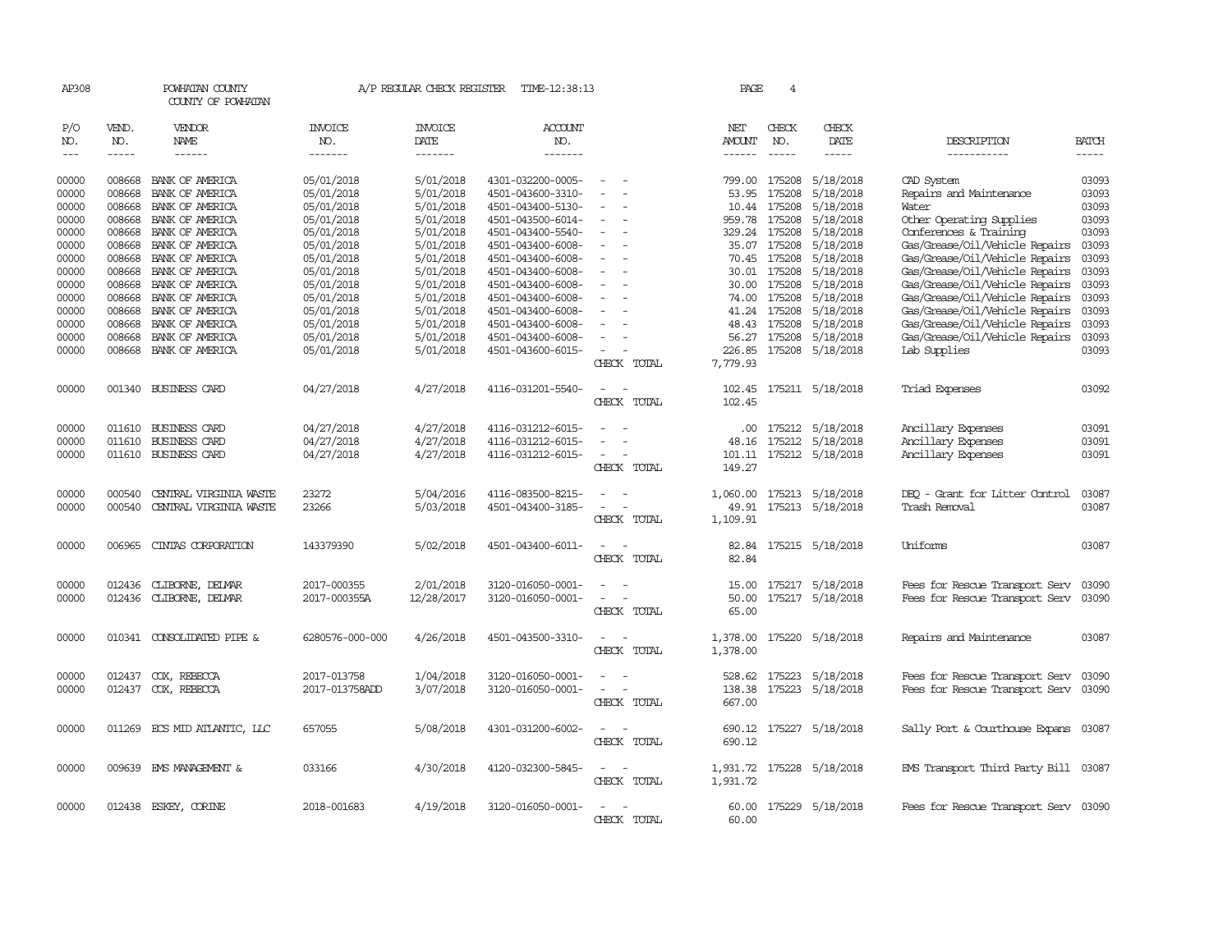| AP308         |              | POWHATAN COUNTY<br>COUNTY OF POWHATAN |                 | A/P REGULAR CHECK REGISTER | TIME-12:38:13     |                                                      | PAGE                 | 4             |                           |                                      |              |
|---------------|--------------|---------------------------------------|-----------------|----------------------------|-------------------|------------------------------------------------------|----------------------|---------------|---------------------------|--------------------------------------|--------------|
| P/O<br>NO.    | VEND.<br>NO. | VENDOR<br>NAME                        | INVOICE<br>NO.  | <b>INVOICE</b><br>DATE     | ACCOUNT<br>NO.    |                                                      | NET<br>AMOUNT        | CHECK<br>NO.  | CHECK<br>DATE             | DESCRIPTION                          | <b>BATCH</b> |
| $\frac{1}{2}$ | $- - - - -$  | ------                                | -------         | $- - - - - - -$            | -------           |                                                      |                      | $\frac{1}{2}$ | -----                     | -----------                          | $- - - - -$  |
| 00000         | 008668       | BANK OF AMERICA                       | 05/01/2018      | 5/01/2018                  | 4301-032200-0005- |                                                      |                      | 799.00 175208 | 5/18/2018                 | CAD System                           | 03093        |
| 00000         | 008668       | BANK OF AMERICA                       | 05/01/2018      | 5/01/2018                  | 4501-043600-3310- |                                                      | 53.95                | 175208        | 5/18/2018                 | Repairs and Maintenance              | 03093        |
| 00000         | 008668       | BANK OF AMERICA                       | 05/01/2018      | 5/01/2018                  | 4501-043400-5130- |                                                      | 10.44                | 175208        | 5/18/2018                 | Water                                | 03093        |
| 00000         | 008668       | BANK OF AMERICA                       | 05/01/2018      | 5/01/2018                  | 4501-043500-6014- | $\overline{\phantom{a}}$                             | 959.78               | 175208        | 5/18/2018                 | Other Operating Supplies             | 03093        |
| 00000         | 008668       | BANK OF AMERICA                       | 05/01/2018      | 5/01/2018                  | 4501-043400-5540- |                                                      | 329.24               | 175208        | 5/18/2018                 | Conferences & Training               | 03093        |
| 00000         | 008668       | BANK OF AMERICA                       | 05/01/2018      | 5/01/2018                  | 4501-043400-6008- |                                                      |                      | 35.07 175208  | 5/18/2018                 | Gas/Grease/Oil/Vehicle Repairs       | 03093        |
| 00000         | 008668       | BANK OF AMERICA                       | 05/01/2018      | 5/01/2018                  | 4501-043400-6008- | $\overline{\phantom{a}}$                             |                      | 70.45 175208  | 5/18/2018                 | Gas/Grease/Oil/Vehicle Repairs       | 03093        |
| 00000         | 008668       | BANK OF AMERICA                       | 05/01/2018      | 5/01/2018                  | 4501-043400-6008- |                                                      | 30.01                | 175208        | 5/18/2018                 | Gas/Grease/Oil/Vehicle Repairs       | 03093        |
| 00000         | 008668       | BANK OF AMERICA                       | 05/01/2018      | 5/01/2018                  | 4501-043400-6008- |                                                      |                      | 30.00 175208  | 5/18/2018                 | Gas/Grease/Oil/Vehicle Repairs       | 03093        |
| 00000         | 008668       | BANK OF AMERICA                       | 05/01/2018      | 5/01/2018                  | 4501-043400-6008- | $\sim$<br>$\overline{a}$                             |                      | 74.00 175208  | 5/18/2018                 | Gas/Grease/Oil/Vehicle Repairs       | 03093        |
| 00000         | 008668       | BANK OF AMERICA                       | 05/01/2018      | 5/01/2018                  | 4501-043400-6008- |                                                      | 41.24                | 175208        | 5/18/2018                 | Gas/Grease/Oil/Vehicle Repairs       | 03093        |
| 00000         | 008668       | BANK OF AMERICA                       | 05/01/2018      | 5/01/2018                  | 4501-043400-6008- |                                                      |                      | 48.43 175208  | 5/18/2018                 | Gas/Grease/Oil/Vehicle Repairs       | 03093        |
| 00000         | 008668       | BANK OF AMERICA                       | 05/01/2018      | 5/01/2018                  | 4501-043400-6008- | $\equiv$                                             |                      | 56.27 175208  | 5/18/2018                 | Gas/Grease/Oil/Vehicle Repairs       | 03093        |
| 00000         | 008668       | BANK OF AMERICA                       | 05/01/2018      | 5/01/2018                  | 4501-043600-6015- |                                                      | 226.85               | 175208        | 5/18/2018                 | Lab Supplies                         | 03093        |
|               |              |                                       |                 |                            |                   | CHECK TOTAL                                          | 7,779.93             |               |                           |                                      |              |
| 00000         |              | 001340 BUSINESS CARD                  | 04/27/2018      | 4/27/2018                  | 4116-031201-5540- | $\sim$<br>$\sim$                                     | 102.45               |               | 175211 5/18/2018          | Triad Expenses                       | 03092        |
|               |              |                                       |                 |                            |                   | CHECK TOTAL                                          | 102.45               |               |                           |                                      |              |
| 00000         | 011610       | <b>BUSINESS CARD</b>                  | 04/27/2018      | 4/27/2018                  | 4116-031212-6015- |                                                      | .00.                 | 175212        | 5/18/2018                 | Ancillary Expenses                   | 03091        |
| 00000         | 011610       | <b>BUSINESS CARD</b>                  | 04/27/2018      | 4/27/2018                  | 4116-031212-6015- |                                                      | 48.16                |               | 175212 5/18/2018          | Ancillary Expenses                   | 03091        |
| 00000         |              | 011610 BUSINESS CARD                  | 04/27/2018      | 4/27/2018                  | 4116-031212-6015- | $\overline{\phantom{a}}$                             | 101.11               |               | 175212 5/18/2018          | Ancillary Expenses                   | 03091        |
|               |              |                                       |                 |                            |                   | CHECK TOTAL                                          | 149.27               |               |                           |                                      |              |
|               |              |                                       |                 |                            |                   |                                                      |                      |               |                           |                                      |              |
| 00000         | 000540       | CENTRAL VIRGINIA WASTE                | 23272           | 5/04/2016                  | 4116-083500-8215- | $\overline{\phantom{a}}$                             | 1,060.00             |               | 175213 5/18/2018          | DEO - Grant for Litter Control       | 03087        |
| 00000         | 000540       | CENTRAL VIRGINIA WASTE                | 23266           | 5/03/2018                  | 4501-043400-3185- | $\overline{\phantom{a}}$                             | 49.91                |               | 175213 5/18/2018          | Trash Removal                        | 03087        |
|               |              |                                       |                 |                            |                   | CHECK TOTAL                                          | 1,109.91             |               |                           |                                      |              |
| 00000         | 006965       | CINIAS CORPORATION                    | 143379390       | 5/02/2018                  | 4501-043400-6011- | $\overline{\phantom{a}}$<br>$\overline{\phantom{a}}$ | 82.84                |               | 175215 5/18/2018          | Uniforms                             | 03087        |
|               |              |                                       |                 |                            |                   | CHECK TOTAL                                          | 82.84                |               |                           |                                      |              |
| 00000         | 012436       | CLIBORNE, DEIMAR                      | 2017-000355     | 2/01/2018                  | 3120-016050-0001- |                                                      | 15.00                |               | 175217 5/18/2018          | Fees for Rescue Transport Serv       | 03090        |
| 00000         | 012436       | CLIBORNE, DEIMAR                      | 2017-000355A    | 12/28/2017                 | 3120-016050-0001- | $\overline{\phantom{a}}$                             | 50.00                |               | 175217 5/18/2018          | Fees for Rescue Transport Serv       | 03090        |
|               |              |                                       |                 |                            |                   | CHECK TOTAL                                          | 65.00                |               |                           |                                      |              |
|               |              |                                       |                 |                            |                   |                                                      |                      |               |                           |                                      |              |
| 00000         | 010341       | CONSOLIDATED PIPE &                   | 6280576-000-000 | 4/26/2018                  | 4501-043500-3310- | CHECK TOTAL                                          | 1,378.00<br>1,378.00 | 175220        | 5/18/2018                 | Repairs and Maintenance              | 03087        |
|               |              |                                       |                 |                            |                   |                                                      |                      |               |                           |                                      |              |
| 00000         | 012437       | COX, REBECCA                          | 2017-013758     | 1/04/2018                  | 3120-016050-0001- |                                                      | 528.62               | 175223        | 5/18/2018                 | Fees for Rescue Transport Serv       | 03090        |
| 00000         |              | 012437 COX, REBECCA                   | 2017-013758ADD  | 3/07/2018                  | 3120-016050-0001- | $\sim$<br>$\overline{\phantom{a}}$                   |                      |               | 138.38 175223 5/18/2018   | Fees for Rescue Transport Serv 03090 |              |
|               |              |                                       |                 |                            |                   | CHECK TOTAL                                          | 667.00               |               |                           |                                      |              |
| 00000         |              | 011269 ECS MID ATLANTIC, LLC          | 657055          | 5/08/2018                  | 4301-031200-6002- | $\overline{a}$<br>$\sim$                             |                      |               | 690.12 175227 5/18/2018   | Sally Port & Courthouse Expans       | 03087        |
|               |              |                                       |                 |                            |                   | CHECK TOTAL                                          | 690.12               |               |                           |                                      |              |
|               |              |                                       |                 |                            |                   |                                                      |                      |               |                           |                                      |              |
| 00000         |              | 009639 EMS MANAGEMENT &               | 033166          | 4/30/2018                  | 4120-032300-5845- | $\sim$                                               |                      |               | 1,931.72 175228 5/18/2018 | EMS Transport Third Party Bill 03087 |              |
|               |              |                                       |                 |                            |                   | CHECK TOTAL                                          | 1,931.72             |               |                           |                                      |              |
| 00000         |              | 012438 ESKEY, CORINE                  | 2018-001683     | 4/19/2018                  | 3120-016050-0001- |                                                      |                      |               | 60.00 175229 5/18/2018    | Fees for Rescue Transport Serv 03090 |              |
|               |              |                                       |                 |                            |                   | CHECK TOTAL                                          | 60.00                |               |                           |                                      |              |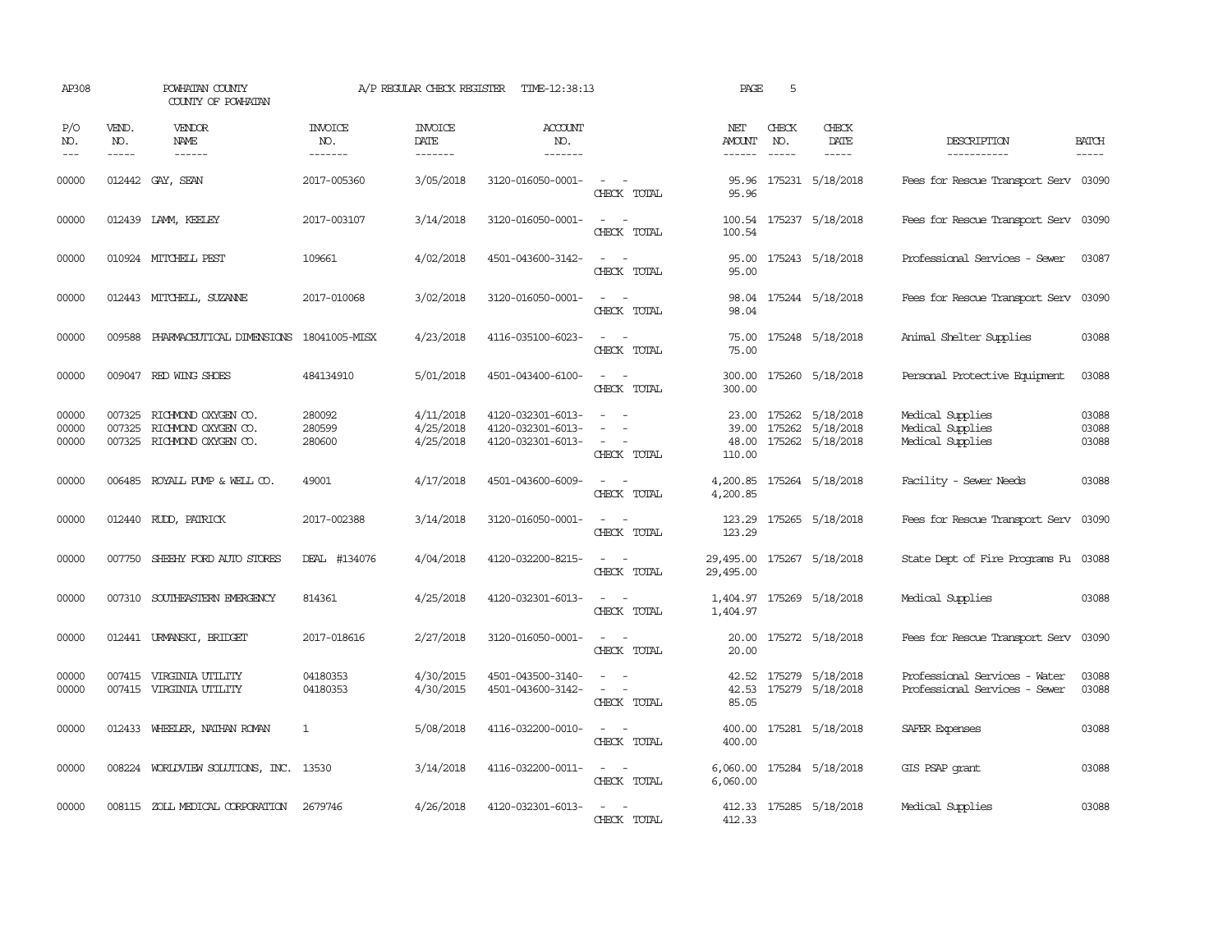| AP308                   |                             | POWHATAN COUNTY<br>COUNTY OF POWHATAN                                           |                                  |                                     | A/P REGULAR CHECK REGISTER TIME-12:38:13                    |                                                                                                                                                           | PAGE                                    | 5                             |                                                                      |                                                                |                             |
|-------------------------|-----------------------------|---------------------------------------------------------------------------------|----------------------------------|-------------------------------------|-------------------------------------------------------------|-----------------------------------------------------------------------------------------------------------------------------------------------------------|-----------------------------------------|-------------------------------|----------------------------------------------------------------------|----------------------------------------------------------------|-----------------------------|
| P/O<br>NO.<br>$---$     | VEND.<br>NO.<br>$- - - - -$ | <b>VENDOR</b><br>NAME<br>$- - - - - -$                                          | <b>INVOICE</b><br>NO.<br>------- | <b>INVOICE</b><br>DATE<br>-------   | <b>ACCOUNT</b><br>NO.<br>$- - - - - - -$                    |                                                                                                                                                           | NET<br><b>AMOUNT</b><br>------          | CHECK<br>NO.<br>$\frac{1}{2}$ | CHECK<br>DATE<br>$- - - - -$                                         | DESCRIPTION<br>-----------                                     | <b>BATCH</b><br>$- - - - -$ |
| 00000                   |                             | 012442 GAY, SEAN                                                                | 2017-005360                      | 3/05/2018                           | 3120-016050-0001-                                           | $\overline{\phantom{a}}$<br>CHECK TOTAL                                                                                                                   | 95.96                                   |                               | 95.96 175231 5/18/2018                                               | Fees for Rescue Transport Serv 03090                           |                             |
| 00000                   |                             | 012439 LAMM, KEELEY                                                             | 2017-003107                      | 3/14/2018                           | 3120-016050-0001-                                           | $\overline{\phantom{a}}$<br>$\sim$<br>CHECK TOTAL                                                                                                         | 100.54                                  |                               | 100.54 175237 5/18/2018                                              | Fees for Rescue Transport Serv 03090                           |                             |
| 00000                   |                             | 010924 MITCHELL PEST                                                            | 109661                           | 4/02/2018                           | 4501-043600-3142-                                           | $\sim$ 10 $\sim$ 10 $\sim$<br>CHECK TOTAL                                                                                                                 | 95.00<br>95.00                          |                               | 175243 5/18/2018                                                     | Professional Services - Sewer                                  | 03087                       |
| 00000                   |                             | 012443 MITCHELL, SUZANNE                                                        | 2017-010068                      | 3/02/2018                           | 3120-016050-0001-                                           | $\frac{1}{2} \left( \frac{1}{2} \right) \left( \frac{1}{2} \right) = \frac{1}{2} \left( \frac{1}{2} \right)$<br>CHECK TOTAL                               | 98.04                                   |                               | 98.04 175244 5/18/2018                                               | Fees for Rescue Transport Serv 03090                           |                             |
| 00000                   | 009588                      | PHARMACEUTICAL DIMENSIONS 18041005-MISX                                         |                                  | 4/23/2018                           | 4116-035100-6023-                                           | $\frac{1}{2} \left( \frac{1}{2} \right) \left( \frac{1}{2} \right) = \frac{1}{2} \left( \frac{1}{2} \right)$<br>CHECK TOTAL                               | 75.00<br>75.00                          |                               | 175248 5/18/2018                                                     | Animal Shelter Supplies                                        | 03088                       |
| 00000                   |                             | 009047 RED WING SHOES                                                           | 484134910                        | 5/01/2018                           | 4501-043400-6100-                                           | $\frac{1}{2} \left( \frac{1}{2} \right) \left( \frac{1}{2} \right) = \frac{1}{2} \left( \frac{1}{2} \right)$<br>CHECK TOTAL                               | 300.00                                  |                               | 300.00 175260 5/18/2018                                              | Personal Protective Equipment                                  | 03088                       |
| 00000<br>00000<br>00000 | 007325                      | 007325 RICHMOND OXYGEN CO.<br>RICHMOND OXYGEN CO.<br>007325 RICHMOND OXYGEN CO. | 280092<br>280599<br>280600       | 4/11/2018<br>4/25/2018<br>4/25/2018 | 4120-032301-6013-<br>4120-032301-6013-<br>4120-032301-6013- | $\sim$ 10 $\sim$ 10 $\sim$<br>$\frac{1}{2} \left( \frac{1}{2} \right) \left( \frac{1}{2} \right) = \frac{1}{2} \left( \frac{1}{2} \right)$<br>CHECK TOTAL | 39.00<br>110.00                         |                               | 23.00 175262 5/18/2018<br>175262 5/18/2018<br>48.00 175262 5/18/2018 | Medical Supplies<br>Medical Supplies<br>Medical Supplies       | 03088<br>03088<br>03088     |
| 00000                   |                             | 006485 ROYALL PUMP & WELL CO.                                                   | 49001                            | 4/17/2018                           | 4501-043600-6009-                                           | $ -$<br>CHECK TOTAL                                                                                                                                       | 4,200.85                                |                               | 4,200.85 175264 5/18/2018                                            | Facility - Sewer Needs                                         | 03088                       |
| 00000                   |                             | 012440 RUDD, PATRICK                                                            | 2017-002388                      | 3/14/2018                           | 3120-016050-0001-                                           | $\frac{1}{2} \left( \frac{1}{2} \right) \left( \frac{1}{2} \right) = \frac{1}{2} \left( \frac{1}{2} \right)$<br>CHECK TOTAL                               | 123.29                                  |                               | 123.29 175265 5/18/2018                                              | Fees for Rescue Transport Serv 03090                           |                             |
| 00000                   | 007750                      | SHEEHY FORD AUTO STORES                                                         | DEAL #134076                     | 4/04/2018                           | 4120-032200-8215-                                           | CHECK TOTAL                                                                                                                                               | 29,495.00 175267 5/18/2018<br>29,495.00 |                               |                                                                      | State Dept of Fire Programs Fu 03088                           |                             |
| 00000                   | 007310                      | SOUTHEASTERN EMERGENCY                                                          | 814361                           | 4/25/2018                           | 4120-032301-6013-                                           | CHECK TOTAL                                                                                                                                               | 1,404.97                                |                               | 1,404.97 175269 5/18/2018                                            | Medical Supplies                                               | 03088                       |
| 00000                   |                             | 012441 URMANSKI, BRIDGET                                                        | 2017-018616                      | 2/27/2018                           | 3120-016050-0001-                                           | $\overline{\phantom{a}}$<br>CHECK TOTAL                                                                                                                   | 20.00<br>20.00                          |                               | 175272 5/18/2018                                                     | Fees for Rescue Transport Serv                                 | 03090                       |
| 00000<br>00000          |                             | 007415 VIRGINIA UTILITY<br>007415 VIRGINIA UTILITY                              | 04180353<br>04180353             | 4/30/2015<br>4/30/2015              | 4501-043500-3140-<br>4501-043600-3142-                      | $\frac{1}{2} \left( \frac{1}{2} \right) \left( \frac{1}{2} \right) = \frac{1}{2} \left( \frac{1}{2} \right)$<br>$\sim$ $ -$<br>CHECK TOTAL                | 85.05                                   |                               | 42.52 175279 5/18/2018<br>42.53 175279 5/18/2018                     | Professional Services - Water<br>Professional Services - Sewer | 03088<br>03088              |
| 00000                   |                             | 012433 WHEELER, NATHAN ROMAN                                                    | $\mathbf{1}$                     | 5/08/2018                           | 4116-032200-0010-                                           | $\sim$ $ \sim$<br>CHECK TOTAL                                                                                                                             | 400.00                                  |                               | 400.00 175281 5/18/2018                                              | SAFER Expenses                                                 | 03088                       |
| 00000                   |                             | 008224 WORLDVIEW SOLUTIONS, INC. 13530                                          |                                  | 3/14/2018                           | 4116-032200-0011-                                           | $\sim$ $ -$<br>CHECK TOTAL                                                                                                                                | 6,060.00                                |                               | 6,060.00 175284 5/18/2018                                            | GIS PSAP grant                                                 | 03088                       |
| 00000                   |                             | 008115 ZOLL MEDICAL CORPORATION                                                 | 2679746                          | 4/26/2018                           | 4120-032301-6013-                                           | $\overline{\phantom{a}}$<br>CHECK TOTAL                                                                                                                   | 412.33                                  |                               | 412.33 175285 5/18/2018                                              | Medical Supplies                                               | 03088                       |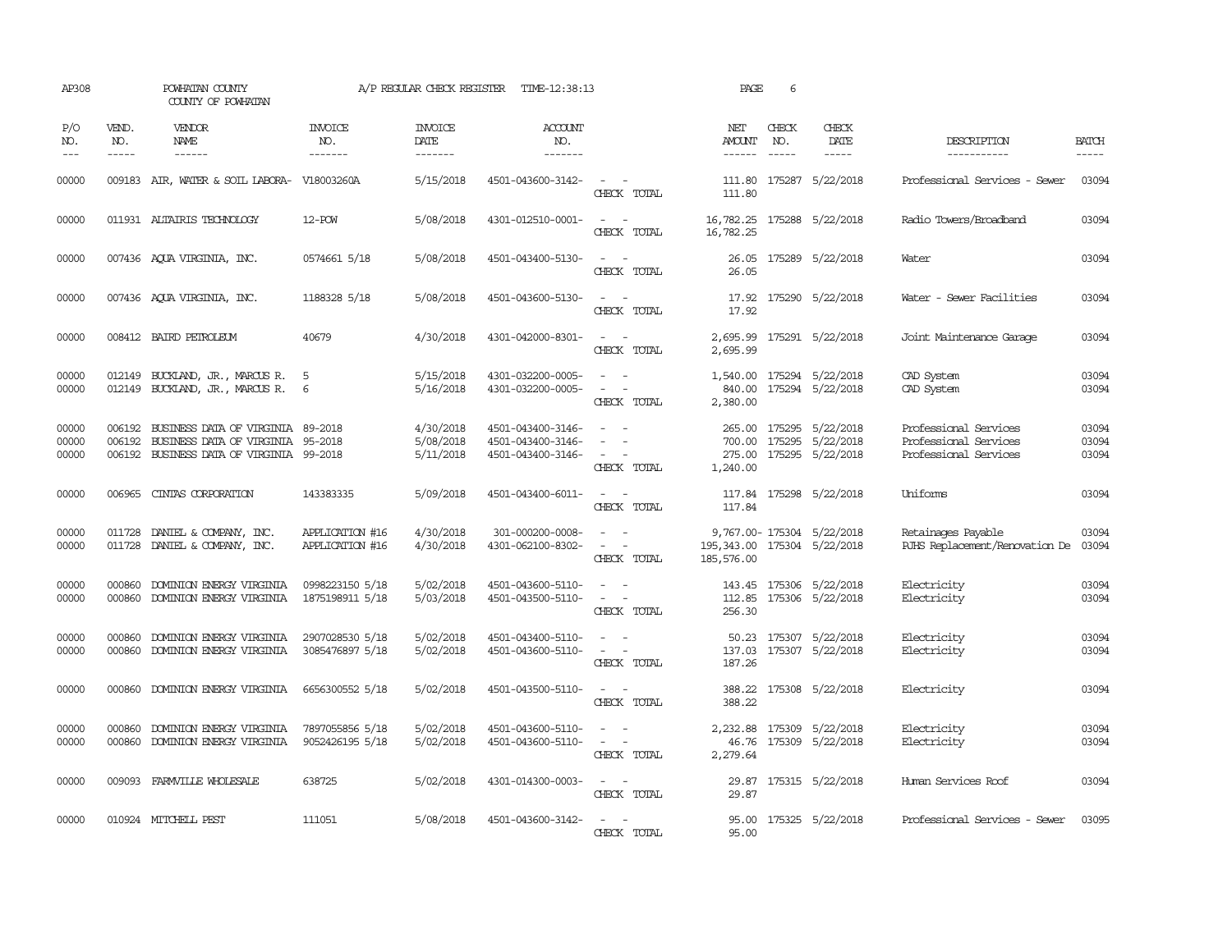| AP308                   | POWHATAN COUNTY<br>COUNTY OF POWHATAN |                                                                                                                           | A/P REGULAR CHECK REGISTER<br>TIME-12:38:13 |                                     |                                                             |                                                                                                                             | PAGE                                       | 6                           |                                                                               |                                                                         |                             |  |
|-------------------------|---------------------------------------|---------------------------------------------------------------------------------------------------------------------------|---------------------------------------------|-------------------------------------|-------------------------------------------------------------|-----------------------------------------------------------------------------------------------------------------------------|--------------------------------------------|-----------------------------|-------------------------------------------------------------------------------|-------------------------------------------------------------------------|-----------------------------|--|
| P/O<br>NO.<br>$---$     | VEND.<br>NO.<br>$- - - - -$           | <b>VENDOR</b><br>NAME<br>$- - - - - -$                                                                                    | INVOICE<br>NO.<br>-------                   | <b>INVOICE</b><br>DATE<br>-------   | <b>ACCOUNT</b><br>NO.<br>-------                            |                                                                                                                             | NET<br>AMOUNT<br>$- - - - - -$             | CHECK<br>NO.<br>$- - - - -$ | CHECK<br>DATE<br>$- - - - -$                                                  | DESCRIPTION<br>-----------                                              | <b>BATCH</b><br>$- - - - -$ |  |
| 00000                   |                                       | 009183 AIR, WATER & SOIL LABORA- V18003260A                                                                               |                                             | 5/15/2018                           | 4501-043600-3142-                                           | $\omega_{\rm{max}}$ and $\omega_{\rm{max}}$<br>CHECK TOTAL                                                                  | 111.80<br>111.80                           |                             | 175287 5/22/2018                                                              | Professional Services - Sewer                                           | 03094                       |  |
| 00000                   |                                       | 011931 ALTAIRIS TECHNOLOGY                                                                                                | 12-POW                                      | 5/08/2018                           | 4301-012510-0001-                                           | $\frac{1}{2} \left( \frac{1}{2} \right) \left( \frac{1}{2} \right) = \frac{1}{2} \left( \frac{1}{2} \right)$<br>CHECK TOTAL | 16,782.25 175288 5/22/2018<br>16,782.25    |                             |                                                                               | Radio Towers/Broadband                                                  | 03094                       |  |
| 00000                   |                                       | 007436 AQUA VIRGINIA, INC.                                                                                                | 0574661 5/18                                | 5/08/2018                           | 4501-043400-5130-                                           | $\sim$ $\sim$<br>CHECK TOTAL                                                                                                | 26.05<br>26.05                             |                             | 175289 5/22/2018                                                              | Water                                                                   | 03094                       |  |
| 00000                   |                                       | 007436 AQUA VIRGINIA, INC.                                                                                                | 1188328 5/18                                | 5/08/2018                           | 4501-043600-5130-                                           | $\sim$ $ \sim$<br>CHECK TOTAL                                                                                               | 17.92                                      |                             | 17.92 175290 5/22/2018                                                        | Water - Sewer Facilities                                                | 03094                       |  |
| 00000                   |                                       | 008412 BAIRD PETROLEUM                                                                                                    | 40679                                       | 4/30/2018                           | 4301-042000-8301-                                           | $\sim$ $ -$<br>CHECK TOTAL                                                                                                  | 2,695.99                                   |                             | 2,695.99 175291 5/22/2018                                                     | Joint Maintenance Garage                                                | 03094                       |  |
| 00000<br>00000          | 012149                                | BUCKLAND, JR., MARCUS R.<br>012149 BUCKLAND, JR., MARCUS R.                                                               | - 5<br>6                                    | 5/15/2018<br>5/16/2018              | 4301-032200-0005-<br>4301-032200-0005-                      | $\sim$<br>$\sim$ 100 $\mu$<br>CHECK TOTAL                                                                                   | 1,540.00<br>2,380.00                       |                             | 175294 5/22/2018<br>840.00 175294 5/22/2018                                   | CAD System<br>CAD System                                                | 03094<br>03094              |  |
| 00000<br>00000<br>00000 | 006192                                | 006192 BUSINESS DATA OF VIRGINIA 89-2018<br>BUSINESS DATA OF VIRGINIA 95-2018<br>006192 BUSINESS DATA OF VIRGINIA 99-2018 |                                             | 4/30/2018<br>5/08/2018<br>5/11/2018 | 4501-043400-3146-<br>4501-043400-3146-<br>4501-043400-3146- | $\sim$<br>$\sim$ $-$<br>CHECK TOTAL                                                                                         | 1,240.00                                   |                             | 265.00 175295 5/22/2018<br>700.00 175295 5/22/2018<br>275.00 175295 5/22/2018 | Professional Services<br>Professional Services<br>Professional Services | 03094<br>03094<br>03094     |  |
| 00000                   |                                       | 006965 CINTAS CORPORATION                                                                                                 | 143383335                                   | 5/09/2018                           | 4501-043400-6011-                                           | $\sim$ $  -$<br>CHECK TOTAL                                                                                                 | 117.84                                     |                             | 117.84 175298 5/22/2018                                                       | Uniforms                                                                | 03094                       |  |
| 00000<br>00000          | 011728                                | DANIEL & COMPANY, INC.<br>011728 DANIEL & COMPANY, INC.                                                                   | APPLICATION #16<br>APPLICATION #16          | 4/30/2018<br>4/30/2018              | 301-000200-0008-<br>4301-062100-8302-                       | $\sim$ 100 $\mu$<br>$\omega_{\rm{max}}$<br>CHECK TOTAL                                                                      | 195, 343.00 175304 5/22/2018<br>185,576.00 |                             | 9,767.00-175304 5/22/2018                                                     | Retainages Payable<br>RJHS Replacement/Renovation De                    | 03094<br>03094              |  |
| 00000<br>00000          | 000860<br>000860                      | DOMINION ENERGY VIRGINIA<br>DOMINION ENERGY VIRGINIA                                                                      | 0998223150 5/18<br>1875198911 5/18          | 5/02/2018<br>5/03/2018              | 4501-043600-5110-<br>4501-043500-5110-                      | $\sim$ $\sim$<br>$\sim$<br>$\sim$ $-$<br>CHECK TOTAL                                                                        | 112.85<br>256.30                           |                             | 143.45 175306 5/22/2018<br>175306 5/22/2018                                   | Electricity<br>Electricity                                              | 03094<br>03094              |  |
| 00000<br>00000          | 000860<br>000860                      | DOMINION ENERGY VIRGINIA<br>DOMINION ENERGY VIRGINIA                                                                      | 2907028530 5/18<br>3085476897 5/18          | 5/02/2018<br>5/02/2018              | 4501-043400-5110-<br>4501-043600-5110-                      | $\omega_{\rm{max}}$ and $\omega_{\rm{max}}$<br>$\omega_{\rm{max}}$ and $\omega_{\rm{max}}$<br>CHECK TOTAL                   | 50.23<br>137.03<br>187.26                  |                             | 175307 5/22/2018<br>175307 5/22/2018                                          | Electricity<br>Electricity                                              | 03094<br>03094              |  |
| 00000                   |                                       | 000860 DOMINION ENERGY VIRGINIA                                                                                           | 6656300552 5/18                             | 5/02/2018                           | 4501-043500-5110-                                           | $\sim$ 10 $\sim$ $\sim$<br>CHECK TOTAL                                                                                      | 388.22                                     |                             | 388.22 175308 5/22/2018                                                       | Electricity                                                             | 03094                       |  |
| 00000<br>00000          | 000860<br>000860                      | DOMINION ENERGY VIRGINIA<br>DOMINION ENERGY VIRGINIA                                                                      | 7897055856 5/18<br>9052426195 5/18          | 5/02/2018<br>5/02/2018              | 4501-043600-5110-<br>4501-043600-5110-                      | $\sim$ 100 $\sim$<br>$\sim$<br>CHECK TOTAL                                                                                  | 46.76<br>2,279.64                          |                             | 2,232.88 175309 5/22/2018<br>175309 5/22/2018                                 | Electricity<br>Electricity                                              | 03094<br>03094              |  |
| 00000                   |                                       | 009093 FARMVILLE WHOLESALE                                                                                                | 638725                                      | 5/02/2018                           | 4301-014300-0003-                                           | $\sim$ 10 $\sim$ $\sim$<br>CHECK TOTAL                                                                                      | 29.87                                      |                             | 29.87 175315 5/22/2018                                                        | Human Services Roof                                                     | 03094                       |  |
| 00000                   |                                       | 010924 MITCHELL PEST                                                                                                      | 111051                                      | 5/08/2018                           | 4501-043600-3142-                                           | $\sim$ $ \sim$<br>CHECK TOTAL                                                                                               | 95.00<br>95.00                             |                             | 175325 5/22/2018                                                              | Professional Services - Sewer                                           | 03095                       |  |